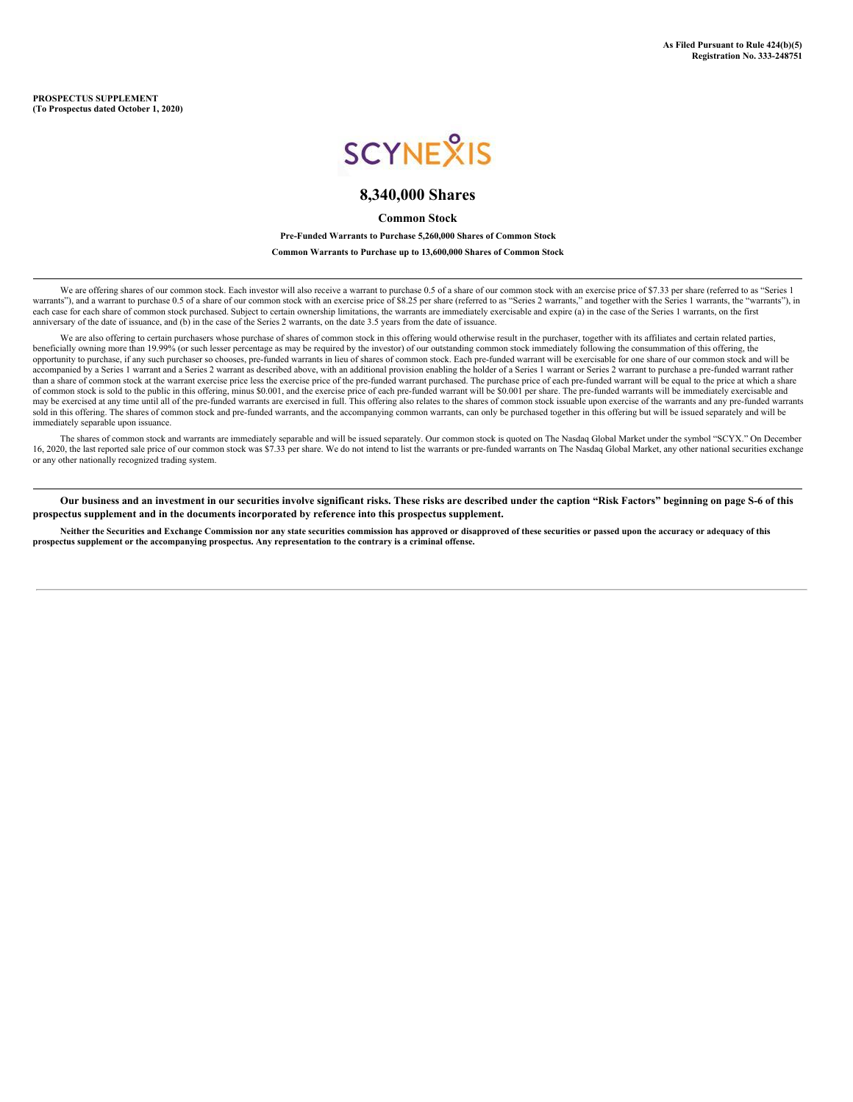**PROSPECTUS SUPPLEMENT (To Prospectus dated October 1, 2020)**

# **SCYNEXIS**

# **8,340,000 Shares**

**Common Stock**

**Pre-Funded Warrants to Purchase 5,260,000 Shares of Common Stock**

**Common Warrants to Purchase up to 13,600,000 Shares of Common Stock**

We are offering shares of our common stock. Each investor will also receive a warrant to purchase 0.5 of a share of our common stock with an exercise price of \$7.33 per share (referred to as "Series 1 warrants"), and a warrant to purchase 0.5 of a share of our common stock with an exercise price of \$8.25 per share (referred to as "Series 2 warrants," and together with the Series 1 warrants, the "warrants"), in each case for each share of common stock purchased. Subject to certain ownership limitations, the warrants are immediately exercisable and expire (a) in the case of the Series 1 warrants, on the first anniversary of the date of issuance, and (b) in the case of the Series 2 warrants, on the date 3.5 years from the date of issuance.

We are also offering to certain purchasers whose purchase of shares of common stock in this offering would otherwise result in the purchaser, together with its affiliates and certain related parties, beneficially owning more than 19.99% (or such lesser percentage as may be required by the investor) of our outstanding common stock immediately following the consummation of this offering, the opportunity to purchase, if any such purchaser so chooses, pre-funded warrants in lieu of shares of common stock. Each pre-funded warrant will be exercisable for one share of our common stock and will be accompanied by a Series 1 warrant and a Series 2 warrant as described above, with an additional provision enabling the holder of a Series 1 warrant or Series 2 warrant to purchase a pre-funded warrant rather than a share of common stock at the warrant exercise price less the exercise price of the pre-funded warrant purchased. The purchase price of each pre-funded warrant will be equal to the price at which a share of common stock is sold to the public in this offering, minus \$0.001, and the exercise price of each pre-funded warrant will be \$0.001 per share. The pre-funded warrants will be immediately exercisable and may be exercised at any time until all of the pre-funded warrants are exercised in full. This offering also relates to the shares of common stock issuable upon exercise of the warrants and any pre-funded warrants sold in this offering. The shares of common stock and pre-funded warrants, and the accompanying common warrants, can only be purchased together in this offering but will be issued separately and will be immediately separable upon issuance.

The shares of common stock and warrants are immediately separable and will be issued separately. Our common stock is quoted on The Nasdaq Global Market under the symbol "SCYX." On December 16, 2020, the last reported sale price of our common stock was \$7.33 per share. We do not intend to list the warrants or pre-funded warrants on The Nasdaq Global Market, any other national securities exchange or any other nationally recognized trading system.

Our business and an investment in our securities involve significant risks. These risks are described under the caption "Risk Factors" beginning on page S-6 of this **prospectus supplement and in the documents incorporated by reference into this prospectus supplement.**

Neither the Securities and Exchange Commission nor any state securities commission has approved or disapproved of these securities or passed upon the accuracy or adequacy of this **prospectus supplement or the accompanying prospectus. Any representation to the contrary is a criminal offense.**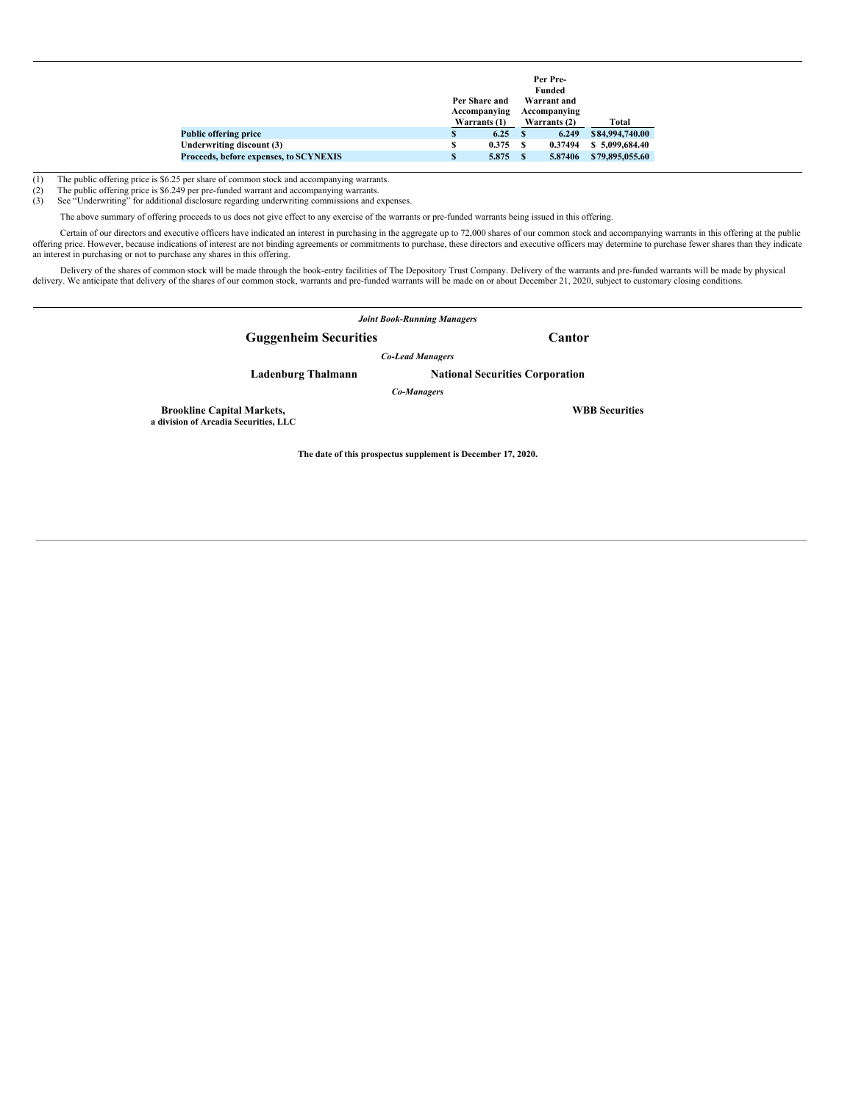|                                        |   | Per Share and<br>Accompanying |   | Per Pre-<br>Funded<br>Warrant and<br>Accompanying |                 |
|----------------------------------------|---|-------------------------------|---|---------------------------------------------------|-----------------|
|                                        |   | Warrants (1)                  |   | Warrants (2)                                      | Total           |
| <b>Public offering price</b>           | S | 6.25                          |   | 6.249                                             | \$84,994,740.00 |
| Underwriting discount (3)              | s | 0.375                         | S | 0.37494                                           | \$5,099,684.40  |
| Proceeds, before expenses, to SCYNEXIS | S | 5.875                         | S | 5.87406                                           | \$79,895,055.60 |

The public offering price is \$6.249 per pre-funded warrant and accompanying warrants.

(1) The public offering price is \$6.25 per share of common stock and accompanying warrants.<br>
(2) The public offering price is \$6.249 per pre-funded warrant and accompanying warrants.<br>
(3) See "Underwriting" for additional See "Underwriting" for additional disclosure regarding underwriting commissions and expenses.

The above summary of offering proceeds to us does not give effect to any exercise of the warrants or pre-funded warrants being issued in this offering.

Certain of our directors and executive officers have indicated an interest in purchasing in the aggregate up to 72,000 shares of our common stock and accompanying warrants in this offering at the public offering price. However, because indications of interest are not binding agreements or commitments to purchase, these directors and executive officers may determine to purchase fewer shares than they indicate an interest in purchasing or not to purchase any shares in this offering.

Delivery of the shares of common stock will be made through the book-entry facilities of The Depository Trust Company. Delivery of the warrants and pre-funded warrants will be made by physical delivery. We anticipate that

*Joint Book-Running Managers* **Guggenheim Securities Cantor** *Co-Lead Managers* **Ladenburg Thalmann National Securities Corporation** *Co-Managers* **Brookline Capital Markets, WBB Securities a division of Arcadia Securities, LLC**

**The date of this prospectus supplement is December 17, 2020.**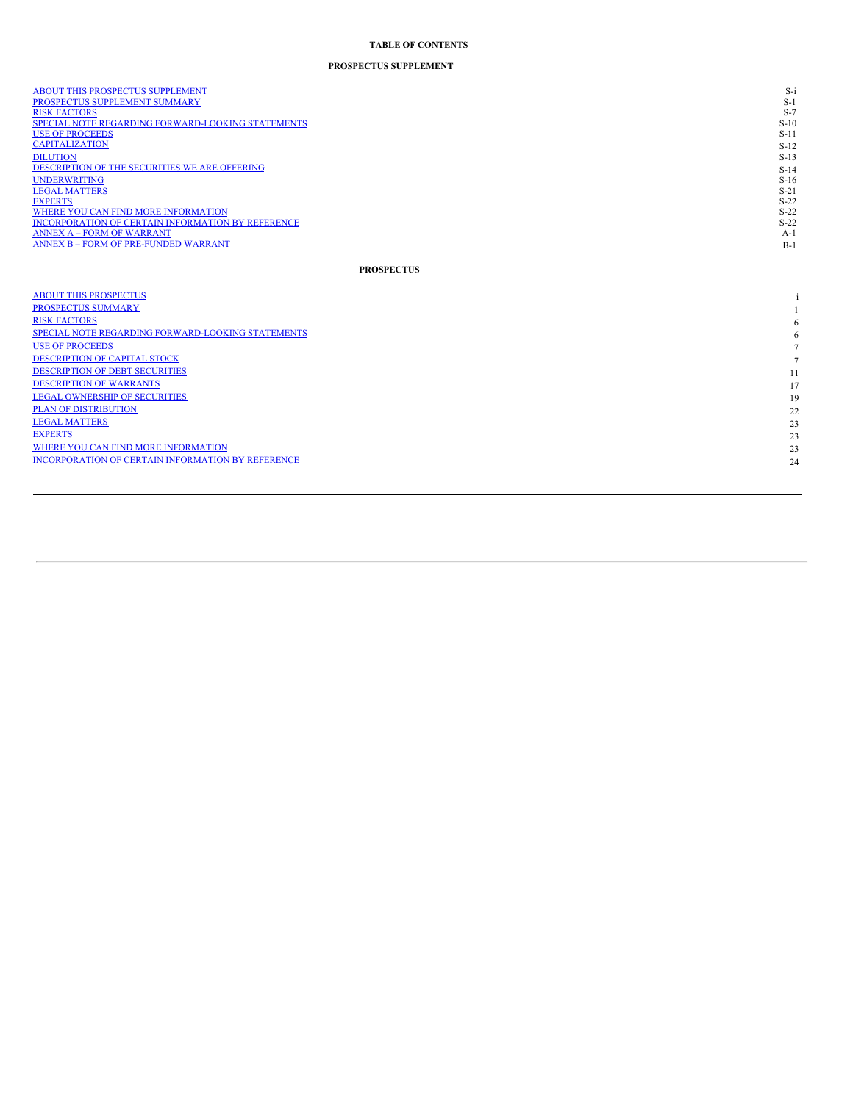#### **TABLE OF CONTENTS**

#### **PROSPECTUS SUPPLEMENT**

| ABOUT THIS PROSPECTUS SUPPLEMENT<br>PROSPECTUS SUPPLEMENT SUMMARY<br><b>RISK FACTORS</b><br>SPECIAL NOTE REGARDING FORWARD-LOOKING STATEMENTS<br><b>USE OF PROCEEDS</b><br><b>CAPITALIZATION</b><br><b>DILUTION</b>                                                                           | $S-i$<br>$S-1$<br>$S-7$<br>$S-10$<br>$S-11$<br>$S-12$<br>$S-13$            |
|-----------------------------------------------------------------------------------------------------------------------------------------------------------------------------------------------------------------------------------------------------------------------------------------------|----------------------------------------------------------------------------|
| DESCRIPTION OF THE SECURITIES WE ARE OFFERING<br><b>UNDERWRITING</b><br><b>LEGAL MATTERS</b><br><b>EXPERTS</b><br>WHERE YOU CAN FIND MORE INFORMATION<br>INCORPORATION OF CERTAIN INFORMATION BY REFERENCE<br><b>ANNEX A - FORM OF WARRANT</b><br><b>ANNEX B - FORM OF PRE-FUNDED WARRANT</b> | $S-14$<br>$S-16$<br>$S-21$<br>$S-22$<br>$S-22$<br>$S-22$<br>$A-1$<br>$B-1$ |
| <b>PROSPECTUS</b>                                                                                                                                                                                                                                                                             |                                                                            |
| <b>ABOUT THIS PROSPECTUS</b>                                                                                                                                                                                                                                                                  |                                                                            |
| PROSPECTUS SUMMARY<br><b>RISK FACTORS</b>                                                                                                                                                                                                                                                     |                                                                            |
| SPECIAL NOTE REGARDING FORWARD-LOOKING STATEMENTS                                                                                                                                                                                                                                             |                                                                            |
| <b>USE OF PROCEEDS</b>                                                                                                                                                                                                                                                                        | 6                                                                          |
| <b>DESCRIPTION OF CAPITAL STOCK</b>                                                                                                                                                                                                                                                           | $\overline{7}$                                                             |
| <b>DESCRIPTION OF DEBT SECURITIES</b>                                                                                                                                                                                                                                                         |                                                                            |
| <b>DESCRIPTION OF WARRANTS</b>                                                                                                                                                                                                                                                                | 11<br>17                                                                   |
| <b>LEGAL OWNERSHIP OF SECURITIES</b>                                                                                                                                                                                                                                                          |                                                                            |
| <b>PLAN OF DISTRIBUTION</b>                                                                                                                                                                                                                                                                   | 19                                                                         |
|                                                                                                                                                                                                                                                                                               | 22                                                                         |

2 3

2 3

2 3

2 4

**E[X](#page-77-1)PERTS** WHERE YOU C[AN](#page-77-2) FIND MORE INFORMATION INCORPO[RA](#page-78-0)TION OF CERTAIN INFORMATION BY REFERENCE

LEGAL [M](#page-77-0)ATTERS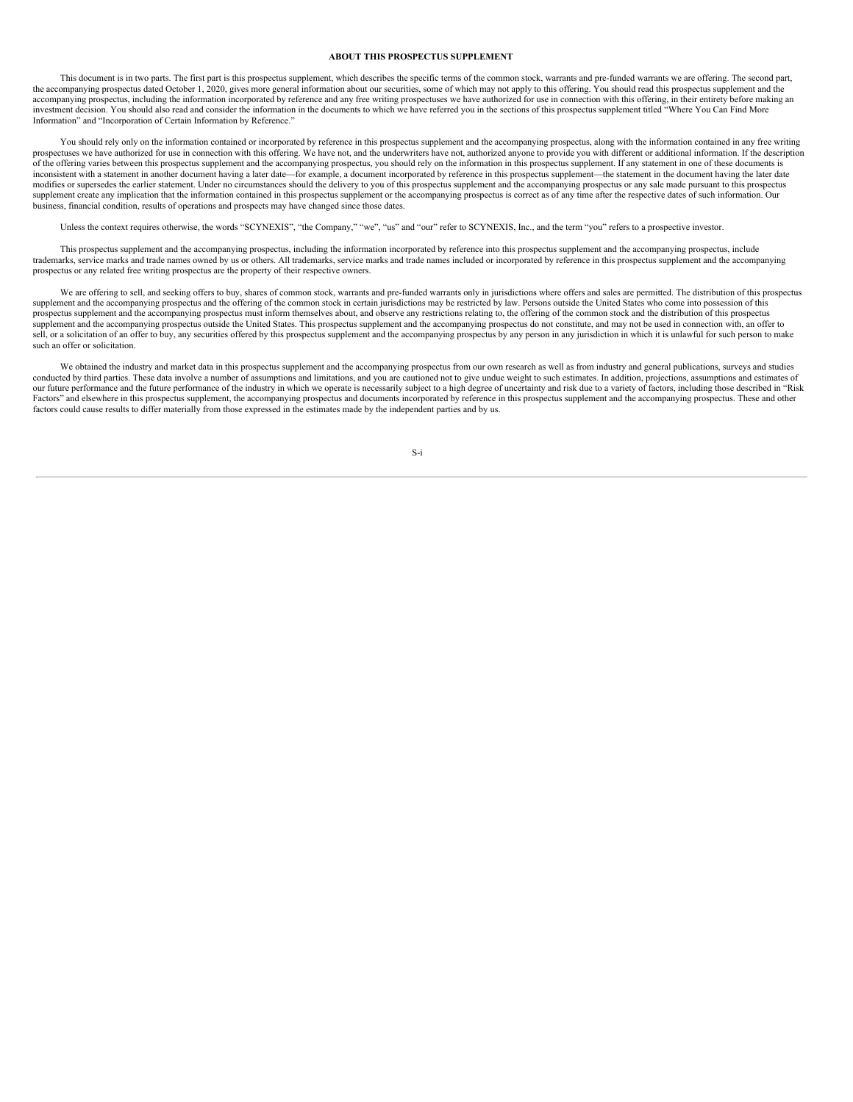# <span id="page-3-0"></span>**ABOUT THIS PROSPECTUS SUPPLEMENT**

This document is in two parts. The first part is this prospectus supplement, which describes the specific terms of the common stock, warrants and pre-funded warrants we are offering. The second part, the accompanying prospectus dated October 1, 2020, gives more general information about our securities, some of which may not apply to this offering. You should read this prospectus supplement and the accompanying prospectus, including the information incorporated by reference and any free writing prospectuses we have authorized for use in connection with this offering, in their entirety before making an investment decision. You should also read and consider the information in the documents to which we have referred you in the sections of this prospectus supplement titled "Where You Can Find More Information" and "Incorporation of Certain Information by Reference."

You should rely only on the information contained or incorporated by reference in this prospectus supplement and the accompanying prospectus, along with the information contained in any free writing prospectuses we have authorized for use in connection with this offering. We have not, and the underwriters have not, authorized anyone to provide you with different or additional information. If the description of the offering varies between this prospectus supplement and the accompanying prospectus, you should rely on the information in this prospectus supplement. If any statement in one of these documents is inconsistent with a modifies or supersedes the earlier statement. Under no circumstances should the delivery to you of this prospectus supplement and the accompanying prospectus or any sale made pursuant to this prospectus supplement create any implication that the information contained in this prospectus supplement or the accompanying prospectus is correct as of any time after the respective dates of such information. Our business, financial condition, results of operations and prospects may have changed since those dates.

Unless the context requires otherwise, the words "SCYNEXIS", "the Company," "we", "us" and "our" refer to SCYNEXIS, Inc., and the term "you" refers to a prospective investor.

This prospectus supplement and the accompanying prospectus, including the information incorporated by reference into this prospectus supplement and the accompanying prospectus, include trademarks, service marks and trade names owned by us or others. All trademarks, service marks and trade names included or incorporated by reference in this prospectus supplement and the accompanying prospectus or any related free writing prospectus are the property of their respective owners.

We are offering to sell, and seeking offers to buy, shares of common stock, warrants and pre-funded warrants only in jurisdictions where offers and sales are permitted. The distribution of this prospectus supplement and the accompanying prospectus and the offering of the common stock in certain jurisdictions may be restricted by law. Persons outside the United States who come into possession of this prospectus supplement an supplement and the accompanying prospectus outside the United States. This prospectus supplement and the accompanying prospectus do not constitute, and may not be used in connection with, an offer to sell, or a solicitation of an offer to buy, any securities offered by this prospectus supplement and the accompanying prospectus by any person in any jurisdiction in which it is unlawful for such person to make such an offer or solicitation.

We obtained the industry and market data in this prospectus supplement and the accompanying prospectus from our own research as well as from industry and general publications, surveys and studies conducted by third parties. These data involve a number of assumptions and limitations, and you are cautioned not to give undue weight to such estimates. In addition, projections, assumptions and estimates of our future performance and the future performance of the industry in which we operate is necessarily subject to a high degree of uncertainty and risk due to a variety of factors, including those described in "Risk Factors" and elsewhere in this prospectus supplement, the accompanying prospectus and documents incorporated by reference in this prospectus supplement and the accompanying prospectus. These and other factors could cause results to differ materially from those expressed in the estimates made by the independent parties and by us.

S-i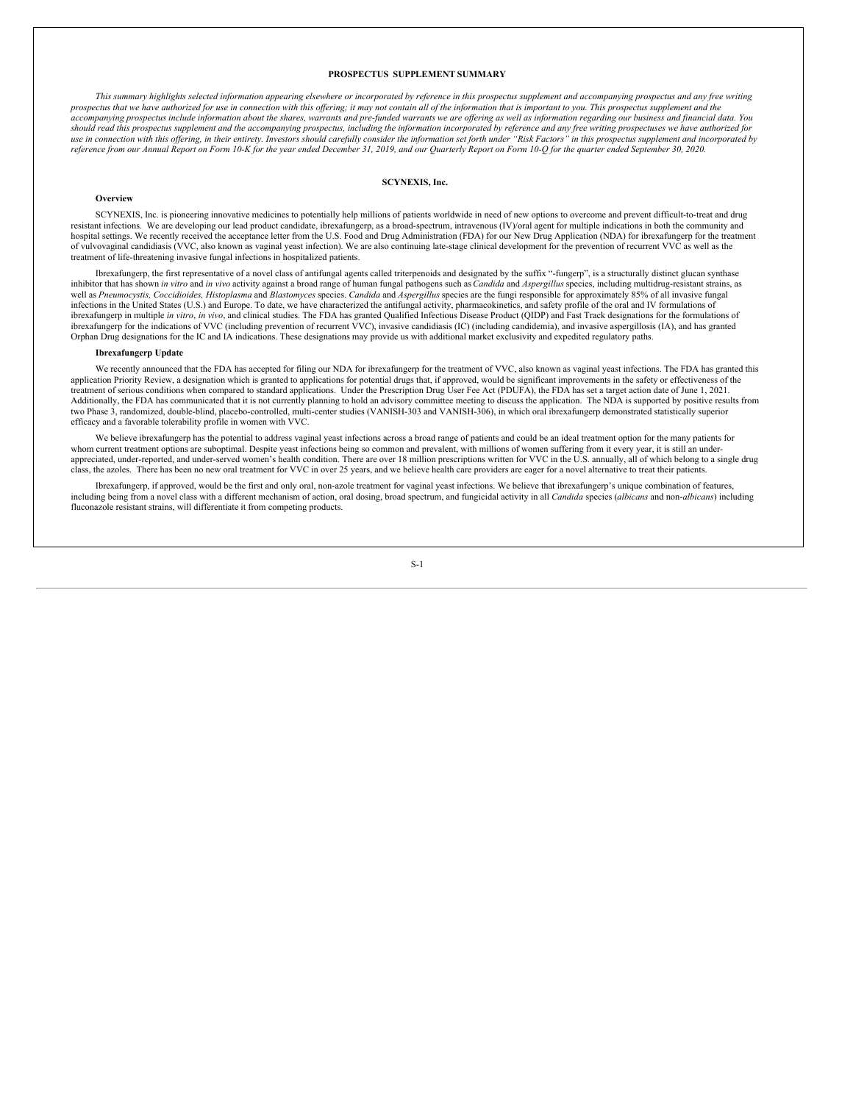# <span id="page-4-0"></span>**PROSPECTUS SUPPLEMENT SUMMARY**

This summary highlights selected information appearing elsewhere or incorporated by reference in this prospectus supplement and accompanying prospectus and any free writing prospectus that we have authorized for use in connection with this offering; it may not contain all of the information that is important to you. This prospectus supplement and the accompanying prospectus include information about the shares, warrants and pre-funded warrants we are offering as well as information regarding our business and financial data. You should read this prospectus supplement and the accompanying prospectus, including the information incorporated by reference and any free writing prospectuses we have authorized for use in connection with this offering, in their entirety. Investors should carefully consider the information set forth under "Risk Factors" in this prospectus supplement and incorporated by reference from our Annual Report on Form 10-K for the year ended December 31, 2019, and our Quarterly Report on Form 10-Q for the quarter ended September 30, 2020.

# **SCYNEXIS, Inc.**

# **Overview**

SCYNEXIS, Inc. is pioneering innovative medicines to potentially help millions of patients worldwide in need of new options to overcome and prevent difficult-to-treat and drug resistant infections. We are developing our lead product candidate, ibrexafungerp, as a broad-spectrum, intravenous (IV)/oral agent for multiple indications in both the community and hospital settings. We recently received the acceptance letter from the U.S. Food and Drug Administration (FDA) for our New Drug Application (NDA) for ibrexafungerp for the treatment of vulvovaginal candidiasis (VVC, also known as vaginal yeast infection). We are also continuing late-stage clinical development for the prevention of recurrent VVC as well as the treatment of life-threatening invasive fungal infections in hospitalized patients.

Ibrexafungerp, the first representative of a novel class of antifungal agents called triterpenoids and designated by the suffix "-fungerp", is a structurally distinct glucan synthase inhibitor that has shown in vitro and in vivo activity against a broad range of human fungal pathogens such as Candida and Aspergillus species, including multidrug-resistant strains, as well as *Pneumocystis, Coccidioides, Histoplasma* and *Blastomyces* species. *Candida* and *Aspergillus* species are the fungi responsible for approximately 85% of all invasive fungal infections in the United States (U.S.) and Europe. To date, we have characterized the antifungal activity, pharmacokinetics, and safety profile of the oral and IV formulations of ibrexafungerp in multiple *in vitro*, *in vivo*, and clinical studies. The FDA has granted Qualified Infectious Disease Product (QIDP) and Fast Track designations for the formulations of ibrexafungerp for the indications of VVC (including prevention of recurrent VVC), invasive candidiasis (IC) (including candidemia), and invasive aspergillosis (IA), and has granted Orphan Drug designations for the IC and IA indications. These designations may provide us with additional market exclusivity and expedited regulatory paths.

# **Ibrexafungerp Update**

We recently announced that the FDA has accepted for filing our NDA for ibrexafungerp for the treatment of VVC, also known as vaginal yeast infections. The FDA has granted this application Priority Review, a designation which is granted to applications for potential drugs that, if approved, would be significant improvements in the safety or effectiveness of the treatment of serious conditions when compared to standard applications. Under the Prescription Drug User Fee Act (PDUFA), the FDA has set a target action date of June 1, 2021. Additionally, the FDA has communicated that it is not currently planning to hold an advisory committee meeting to discuss the application. The NDA is supported by positive results from two Phase 3, randomized, double-blind, placebo-controlled, multi-center studies (VANISH-303 and VANISH-306), in which oral ibrexafungerp demonstrated statistically superior efficacy and a favorable tolerability profile in women with VVC.

We believe ibrexafungerp has the potential to address vaginal yeast infections across a broad range of patients and could be an ideal treatment option for the many patients for whom current treatment options are suboptimal. Despite yeast infections being so common and prevalent, with millions of women suffering from it every year, it is still an underappreciated, under-reported, and under-served women's health condition. There are over 18 million prescriptions written for VVC in the U.S. annually, all of which belong to a single drug class, the azoles. There has been no new oral treatment for VVC in over 25 years, and we believe health care providers are eager for a novel alternative to treat their patients.

Ibrexafungerp, if approved, would be the first and only oral, non-azole treatment for vaginal yeast infections. We believe that ibrexafungerp's unique combination of features, including being from a novel class with a different mechanism of action, oral dosing, broad spectrum, and fungicidal activity in all *Candida* species (*albicans* and non-*albicans*) including fluconazole resistant strains, will differentiate it from competing products.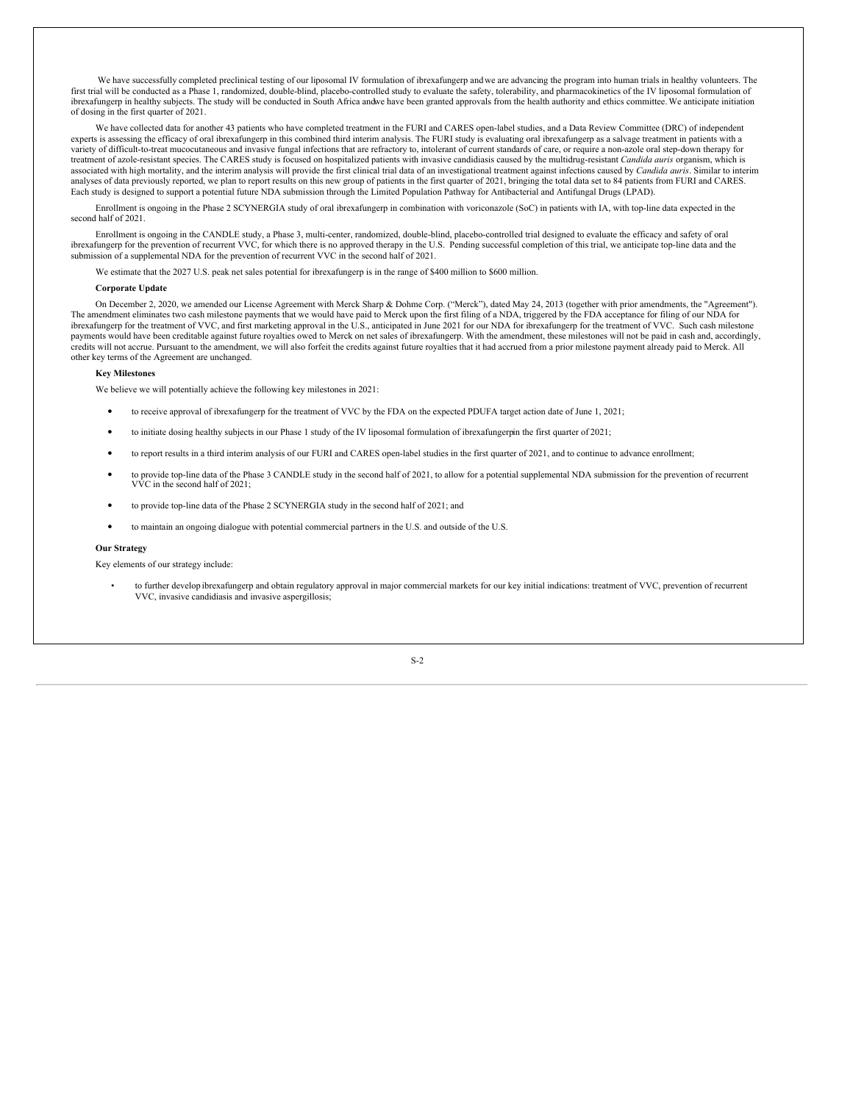We have successfully completed preclinical testing of our liposomal IV formulation of ibrexafungerp andwe are advancing the program into human trials in healthy volunteers. The first trial will be conducted as a Phase 1, randomized, double-blind, placebo-controlled study to evaluate the safety, tolerability, and pharmacokinetics of the IV liposomal formulation of ibrexafungerp in healthy subjects. The study will be conducted in South Africa andwe have been granted approvals from the health authority and ethics committee.We anticipate initiation of dosing in the first quarter of 2021.

We have collected data for another 43 patients who have completed treatment in the FURI and CARES open-label studies, and a Data Review Committee (DRC) of independent experts is assessing the efficacy of oral ibrexafungerp in this combined third interim analysis. The FURI study is evaluating oral ibrexafungerp as a salvage treatment in patients with a variety of difficult-to-treat mucocutaneous and invasive fungal infections that are refractory to, intolerant of current standards of care, or require a non-azole oral step-down therapy for treatment of azole-resistant species. The CARES study is focused on hospitalized patients with invasive candidiasis caused by the multidrug-resistant *Candida auris* organism, which is associated with high mortality, and the interim analysis will provide the first clinical trial data of an investigational treatment against infections caused by *Candida auris*. Similar to interim analyses of data previously reported, we plan to report results on this new group of patients in the first quarter of 2021, bringing the total data set to 84 patients from FURI and CARES. Each study is designed to support a potential future NDA submission through the Limited Population Pathway for Antibacterial and Antifungal Drugs (LPAD).

Enrollment is ongoing in the Phase 2 SCYNERGIA study of oral ibrexafungerp in combination with voriconazole (SoC) in patients with IA, with top-line data expected in the second half of 2021.

Enrollment is ongoing in the CANDLE study, a Phase 3, multi-center, randomized, double-blind, placebo-controlled trial designed to evaluate the efficacy and safety of oral ibrexafungerp for the prevention of recurrent VVC, for which there is no approved therapy in the U.S. Pending successful completion of this trial, we anticipate top-line data and the submission of a supplemental NDA for the prevention of recurrent VVC in the second half of 2021.

We estimate that the 2027 U.S. peak net sales potential for ibrexafungerp is in the range of \$400 million to \$600 million.

#### **Corporate Update**

On December 2, 2020, we amended our License Agreement with Merck Sharp & Dohme Corp. ("Merck"), dated May 24, 2013 (together with prior amendments, the "Agreement"). The amendment eliminates two cash milestone payments that we would have paid to Merck upon the first filing of a NDA, triggered by the FDA acceptance for filing of our NDA for ibrexafungerp for the treatment of VVC, and first marketing approval in the U.S., anticipated in June 2021 for our NDA for ibrexafungerp for the treatment of VVC. Such cash milestone payments would have been creditable against future royalties owed to Merck on net sales of ibrexafungerp. With the amendment, these milestones will not be paid in cash and, accordingly,<br>credits will not accrue. Pursuant to other key terms of the Agreement are unchanged.

# **Key Milestones**

We believe we will potentially achieve the following key milestones in 2021:

- to receive approval of ibrexafungerp for the treatment of VVC by the FDA on the expected PDUFA target action date of June 1, 2021;
- to initiate dosing healthy subjects in our Phase <sup>1</sup> study of the IV liposomal formulation of ibrexafungerpin the first quarter of 2021;
- to report results in <sup>a</sup> third interim analysis of our FURI and CARES open-label studies in the first quarter of 2021, and to continue to advance enrollment;
- to provide top-line data of the Phase <sup>3</sup> CANDLE study in the second half of 2021, to allow for <sup>a</sup> potential supplemental NDA submission for the prevention of recurrent VVC in the second half of 2021;
- to provide top-line data of the Phase <sup>2</sup> SCYNERGIA study in the second half of 2021; and
- to maintain an ongoing dialogue with potential commercial partners in the U.S. and outside of the U.S.

# **Our Strategy**

Key elements of our strategy include:

• to further develop ibrexafungerp and obtain regulatory approval in major commercial markets for our key initial indications: treatment of VVC, prevention of recurrent VVC, invasive candidiasis and invasive aspergillosis;

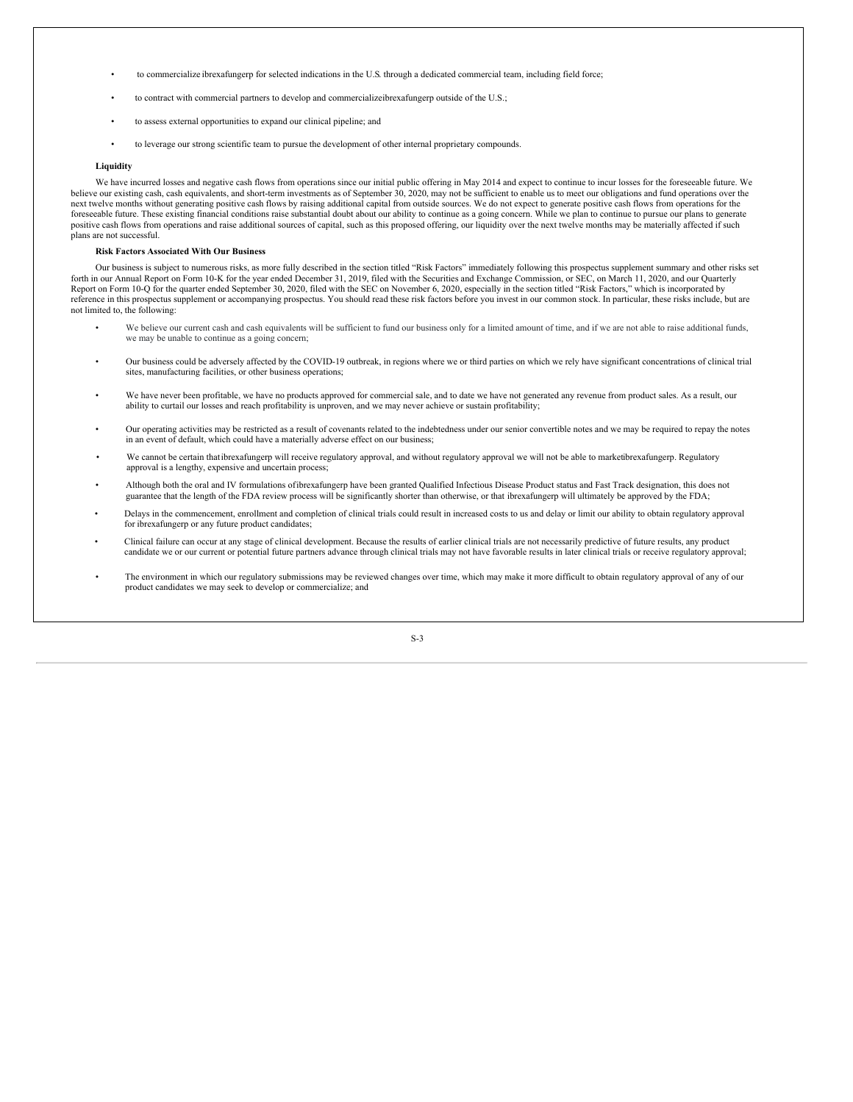- to commercialize ibrexafungerp for selected indications in the U.S. through a dedicated commercial team, including field force;
- to contract with commercial partners to develop and commercializeibrexafungerp outside of the U.S.;
- to assess external opportunities to expand our clinical pipeline; and
- to leverage our strong scientific team to pursue the development of other internal proprietary compounds.

# **Liquidity**

We have incurred losses and negative cash flows from operations since our initial public offering in May 2014 and expect to continue to incur losses for the foreseeable future. We believe our existing cash, cash equivalents, and short-term investments as of September 30, 2020, may not be sufficient to enable us to meet our obligations and fund operations over the next twelve months without generating positive cash flows by raising additional capital from outside sources. We do not expect to generate positive cash flows from operations for the foreseeable future. These existing financial conditions raise substantial doubt about our ability to continue as a going concern. While we plan to continue to pursue our plans to generate positive cash flows from operations and raise additional sources of capital, such as this proposed offering, our liquidity over the next twelve months may be materially affected if such plans are not successful.

#### **Risk Factors Associated With Our Business**

Our business is subject to numerous risks, as more fully described in the section titled "Risk Factors" immediately following this prospectus supplement summary and other risks set forth in our Annual Report on Form 10-K for the year ended December 31, 2019, filed with the Securities and Exchange Commission, or SEC, on March 11, 2020, and our Quarterly Report on Form 10-Q for the quarter ended September 30, 2020, filed with the SEC on November 6, 2020, especially in the section titled "Risk Factors," which is incorporated by reference in this prospectus supplement or accompanying prospectus. You should read these risk factors before you invest in our common stock. In particular, these risks include, but are not limited to, the following:

- We believe our current cash and cash equivalents will be sufficient to fund our business only for a limited amount of time, and if we are not able to raise additional funds, we may be unable to continue as a going concern;
- Our business could be adversely affected by the COVID-19 outbreak, in regions where we or third parties on which we rely have significant concentrations of clinical trial sites, manufacturing facilities, or other business operations;
- We have never been profitable, we have no products approved for commercial sale, and to date we have not generated any revenue from product sales. As a result, our ability to curtail our losses and reach profitability is unproven, and we may never achieve or sustain profitability;
- Our operating activities may be restricted as a result of covenants related to the indebtedness under our senior convertible notes and we may be required to repay the notes in an event of default, which could have a materially adverse effect on our business;
- We cannot be certain thatibrexafungerp will receive regulatory approval, and without regulatory approval we will not be able to marketibrexafungerp. Regulatory approval is a lengthy, expensive and uncertain process;
- Although both the oral and IV formulations ofibrexafungerp have been granted Qualified Infectious Disease Product status and Fast Track designation, this does not guarantee that the length of the FDA review process will be significantly shorter than otherwise, or that ibrexafungerp will ultimately be approved by the FDA;
- Delays in the commencement, enrollment and completion of clinical trials could result in increased costs to us and delay or limit our ability to obtain regulatory approval for ibrexafungerp or any future product candidates;
- Clinical failure can occur at any stage of clinical development. Because the results of earlier clinical trials are not necessarily predictive of future results, any product candidate we or our current or potential future partners advance through clinical trials may not have favorable results in later clinical trials or receive regulatory approval;
- The environment in which our regulatory submissions may be reviewed changes over time, which may make it more difficult to obtain regulatory approval of any of our product candidates we may seek to develop or commercialize; and

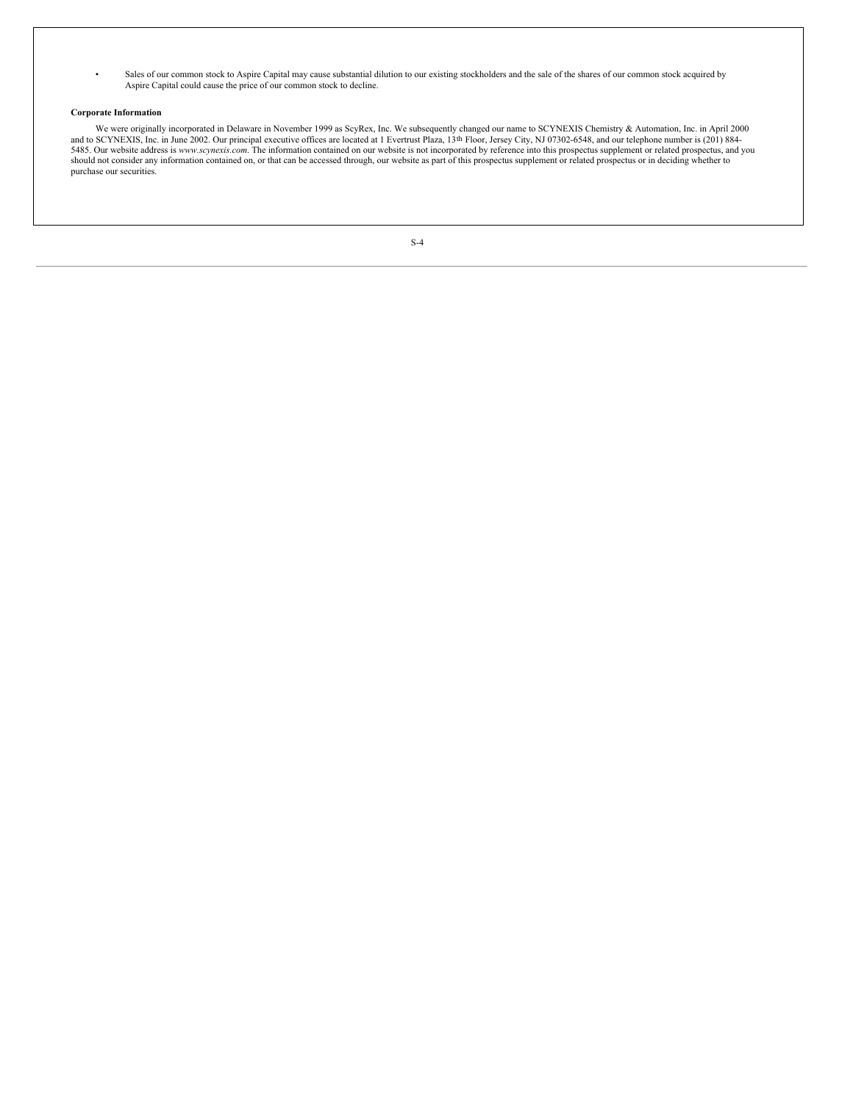• Sales of our common stock to Aspire Capital may cause substantial dilution to our existing stockholders and the sale of the shares of our common stock acquired by Aspire Capital could cause the price of our common stock to decline.

# **Corporate Information**

We were originally incorporated in Delaware in November 1999 as ScyRex, Inc. We subsequently changed our name to SCYNEXIS Chemistry & Automation, Inc. in April 2000<br>and to SCYNEXIS, Inc. in June 2002. Our principal executi 5485. Our website address is *www.scynexis.com*. The information contained on our website is not incorporated by reference into this prospectus supplement or related prospectus, and you should not consider any information contained on, or that can be accessed through, our website as part of this prospectus supplement or related prospectus or in deciding whether to purchase our securities.

| ۰. |  |
|----|--|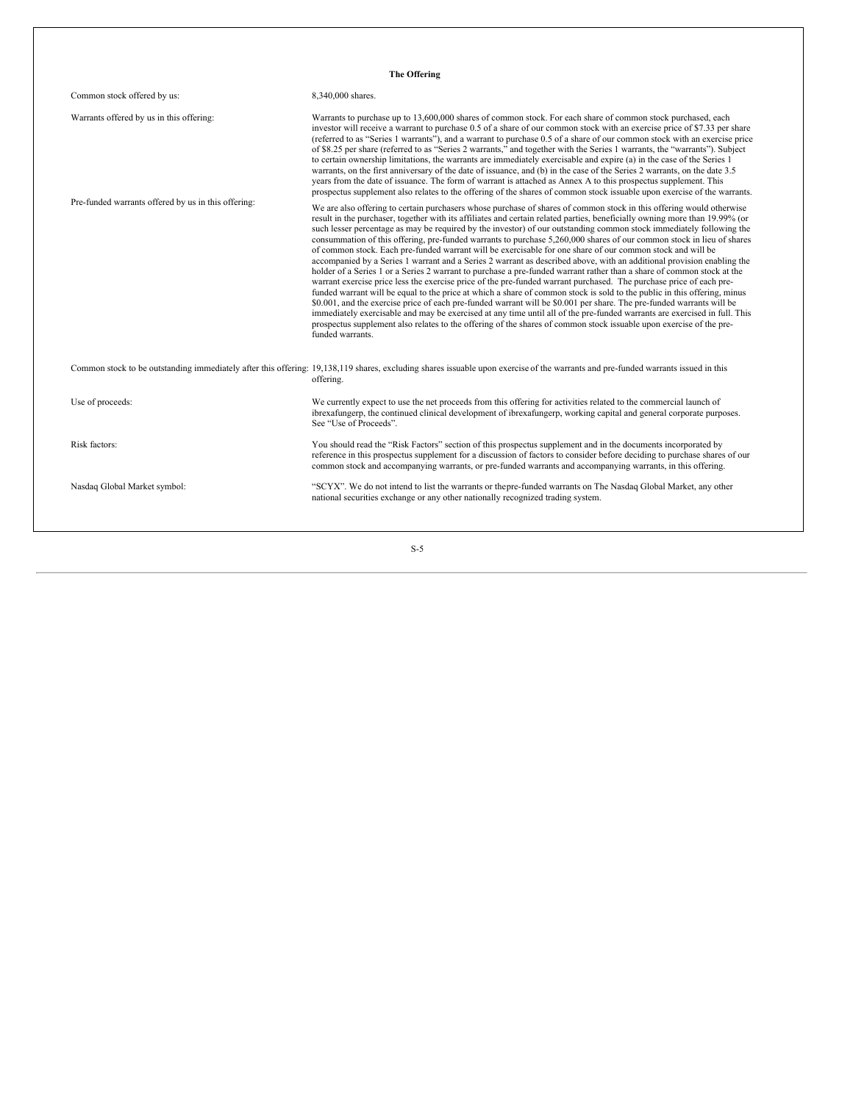| The Offering                                        |                                                                                                                                                                                                                                                                                                                                                                                                                                                                                                                                                                                                                                                                                                                                                                                                                                                                                                                                                                                                                                                                                                                                                                                                                                                                                                                                                                                                                                                                                                                            |  |  |
|-----------------------------------------------------|----------------------------------------------------------------------------------------------------------------------------------------------------------------------------------------------------------------------------------------------------------------------------------------------------------------------------------------------------------------------------------------------------------------------------------------------------------------------------------------------------------------------------------------------------------------------------------------------------------------------------------------------------------------------------------------------------------------------------------------------------------------------------------------------------------------------------------------------------------------------------------------------------------------------------------------------------------------------------------------------------------------------------------------------------------------------------------------------------------------------------------------------------------------------------------------------------------------------------------------------------------------------------------------------------------------------------------------------------------------------------------------------------------------------------------------------------------------------------------------------------------------------------|--|--|
| Common stock offered by us:                         | 8,340,000 shares.                                                                                                                                                                                                                                                                                                                                                                                                                                                                                                                                                                                                                                                                                                                                                                                                                                                                                                                                                                                                                                                                                                                                                                                                                                                                                                                                                                                                                                                                                                          |  |  |
| Warrants offered by us in this offering:            | Warrants to purchase up to 13,600,000 shares of common stock. For each share of common stock purchased, each<br>investor will receive a warrant to purchase 0.5 of a share of our common stock with an exercise price of \$7.33 per share<br>(referred to as "Series 1 warrants"), and a warrant to purchase 0.5 of a share of our common stock with an exercise price<br>of \$8.25 per share (referred to as "Series 2 warrants," and together with the Series 1 warrants, the "warrants"). Subject<br>to certain ownership limitations, the warrants are immediately exercisable and expire (a) in the case of the Series 1<br>warrants, on the first anniversary of the date of issuance, and (b) in the case of the Series 2 warrants, on the date 3.5<br>years from the date of issuance. The form of warrant is attached as Annex A to this prospectus supplement. This<br>prospectus supplement also relates to the offering of the shares of common stock issuable upon exercise of the warrants.                                                                                                                                                                                                                                                                                                                                                                                                                                                                                                                  |  |  |
| Pre-funded warrants offered by us in this offering: | We are also offering to certain purchasers whose purchase of shares of common stock in this offering would otherwise<br>result in the purchaser, together with its affiliates and certain related parties, beneficially owning more than 19.99% (or<br>such lesser percentage as may be required by the investor) of our outstanding common stock immediately following the<br>consummation of this offering, pre-funded warrants to purchase 5,260,000 shares of our common stock in lieu of shares<br>of common stock. Each pre-funded warrant will be exercisable for one share of our common stock and will be<br>accompanied by a Series 1 warrant and a Series 2 warrant as described above, with an additional provision enabling the<br>holder of a Series 1 or a Series 2 warrant to purchase a pre-funded warrant rather than a share of common stock at the<br>warrant exercise price less the exercise price of the pre-funded warrant purchased. The purchase price of each pre-<br>funded warrant will be equal to the price at which a share of common stock is sold to the public in this offering, minus<br>\$0.001, and the exercise price of each pre-funded warrant will be \$0.001 per share. The pre-funded warrants will be<br>immediately exercisable and may be exercised at any time until all of the pre-funded warrants are exercised in full. This<br>prospectus supplement also relates to the offering of the shares of common stock issuable upon exercise of the pre-<br>funded warrants. |  |  |
|                                                     | Common stock to be outstanding immediately after this offering: 19,138,119 shares, excluding shares issuable upon exercise of the warrants and pre-funded warrants issued in this<br>offering.                                                                                                                                                                                                                                                                                                                                                                                                                                                                                                                                                                                                                                                                                                                                                                                                                                                                                                                                                                                                                                                                                                                                                                                                                                                                                                                             |  |  |
| Use of proceeds:                                    | We currently expect to use the net proceeds from this offering for activities related to the commercial launch of<br>ibrexafungerp, the continued clinical development of ibrexafungerp, working capital and general corporate purposes.<br>See "Use of Proceeds".                                                                                                                                                                                                                                                                                                                                                                                                                                                                                                                                                                                                                                                                                                                                                                                                                                                                                                                                                                                                                                                                                                                                                                                                                                                         |  |  |
| Risk factors:                                       | You should read the "Risk Factors" section of this prospectus supplement and in the documents incorporated by<br>reference in this prospectus supplement for a discussion of factors to consider before deciding to purchase shares of our<br>common stock and accompanying warrants, or pre-funded warrants and accompanying warrants, in this offering.                                                                                                                                                                                                                                                                                                                                                                                                                                                                                                                                                                                                                                                                                                                                                                                                                                                                                                                                                                                                                                                                                                                                                                  |  |  |
| Nasdaq Global Market symbol:                        | "SCYX". We do not intend to list the warrants or thepre-funded warrants on The Nasdaq Global Market, any other<br>national securities exchange or any other nationally recognized trading system.                                                                                                                                                                                                                                                                                                                                                                                                                                                                                                                                                                                                                                                                                                                                                                                                                                                                                                                                                                                                                                                                                                                                                                                                                                                                                                                          |  |  |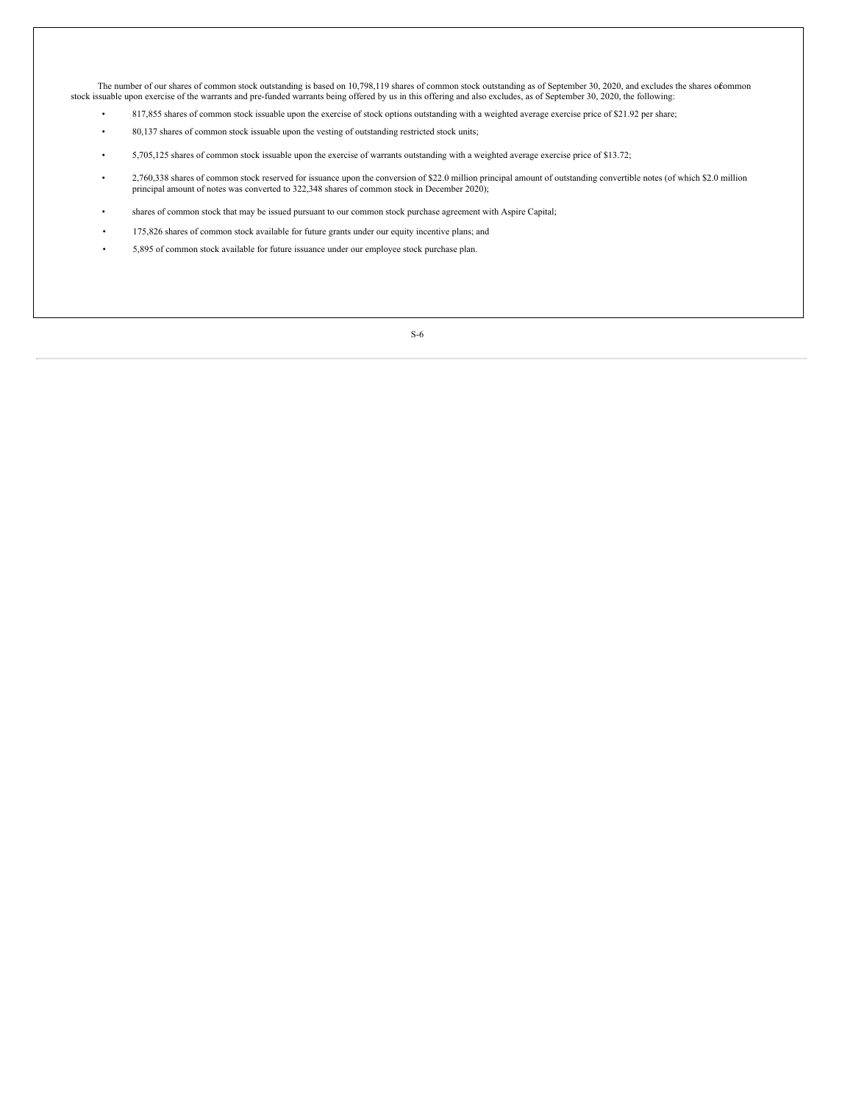The number of our shares of common stock outstanding is based on 10,798,119 shares of common stock outstanding as of September 30, 2020, and excludes the shares ofcommon stock issuable upon exercise of the warrants and pre-funded warrants being offered by us in this offering and also excludes, as of September 30, 2020, the following:

- 817,855 shares of common stock issuable upon the exercise of stock options outstanding with a weighted average exercise price of \$21.92 per share;
- 80,137 shares of common stock issuable upon the vesting of outstanding restricted stock units;
- 5,705,125 shares of common stock issuable upon the exercise of warrants outstanding with a weighted average exercise price of \$13.72;
- 2,760,338 shares of common stock reserved for issuance upon the conversion of \$22.0 million principal amount of outstanding convertible notes (of which \$2.0 million principal amount of notes was converted to 322,348 shar
- shares of common stock that may be issued pursuant to our common stock purchase agreement with Aspire Capital;
- 175,826 shares of common stock available for future grants under our equity incentive plans; and
- 5,895 of common stock available for future issuance under our employee stock purchase plan.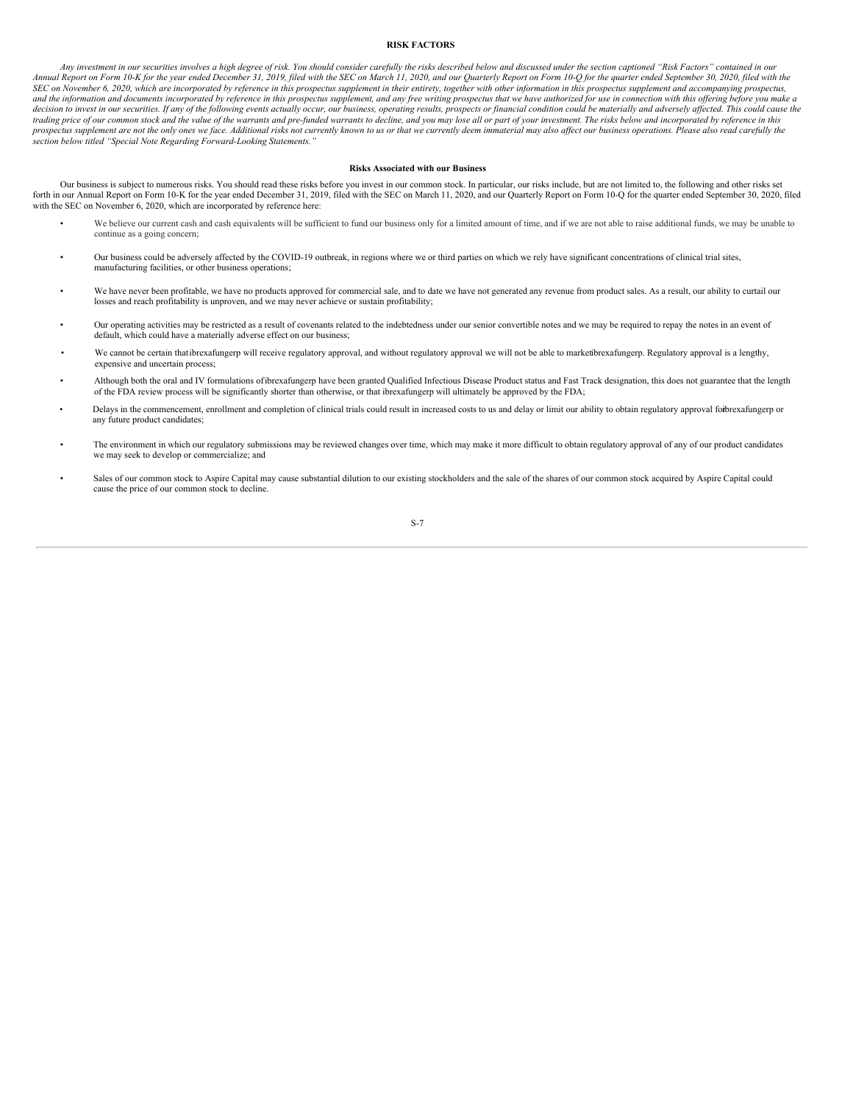# <span id="page-10-0"></span>**RISK FACTORS**

Any investment in our securities involves a high degree of risk. You should consider carefully the risks described below and discussed under the section captioned "Risk Factors" contained in our Annual Report on Form 10-K for the year ended December 31, 2019, filed with the SEC on March 11, 2020, and our Quarterly Report on Form 10-Q for the quarter ended September 30, 2020, filed with the SEC on November 6, 2020, which are incorporated by reference in this prospectus supplement in their entirety, together with other information in this prospectus supplement and accompanying prospectus, and the information and documents incorporated by reference in this prospectus supplement, and any free writing prospectus that we have authorized for use in connection with this offering before you make a decision to invest in our securities. If any of the following events actually occur, our business, operating results, prospects or financial condition could be materially and adversely affected. This could cause the trading price of our common stock and the value of the warrants and pre-funded warrants to decline, and you may lose all or part of your investment. The risks below and incorporated by reference in this prospectus supplement are not the only ones we face. Additional risks not currently known to us or that we currently deem immaterial may also affect our business operations. Please also read carefully the *section below titled "Special Note Regarding Forward-Looking Statements."*

# **Risks Associated with our Business**

Our business is subject to numerous risks. You should read these risks before you invest in our common stock. In particular, our risks include, but are not limited to, the following and other risks set forth in our Annual Report on Form 10-K for the year ended December 31, 2019, filed with the SEC on March 11, 2020, and our Quarterly Report on Form 10-Q for the quarter ended September 30, 2020, filed with the SEC on November 6, 2020, which are incorporated by reference here:

- We believe our current cash and cash equivalents will be sufficient to fund our business only for a limited amount of time, and if we are not able to raise additional funds, we may be unable to continue as a going concern;
- Our business could be adversely affected by the COVID-19 outbreak, in regions where we or third parties on which we rely have significant concentrations of clinical trial sites, manufacturing facilities, or other business operations;
- We have never been profitable, we have no products approved for commercial sale, and to date we have not generated any revenue from product sales. As a result, our ability to curtail our losses and reach profitability is unproven, and we may never achieve or sustain profitability;
- Our operating activities may be restricted as a result of covenants related to the indebtedness under our senior convertible notes and we may be required to repay the notes in an event of default, which could have a materially adverse effect on our business;
- We cannot be certain thatibrexafungerp will receive regulatory approval, and without regulatory approval we will not be able to marketibrexafungerp. Regulatory approval is a lengthy, expensive and uncertain process;
- Although both the oral and IV formulations ofibrexafungerp have been granted Qualified Infectious Disease Product status and Fast Track designation, this does not guarantee that the length of the FDA review process will be significantly shorter than otherwise, or that ibrexafungerp will ultimately be approved by the FDA;
- Delays in the commencement, enrollment and completion of clinical trials could result in increased costs to us and delay or limit our ability to obtain regulatory approval foirbrexafungerp or any future product candidates;
- The environment in which our regulatory submissions may be reviewed changes over time, which may make it more difficult to obtain regulatory approval of any of our product candidates we may seek to develop or commercialize; and
- Sales of our common stock to Aspire Capital may cause substantial dilution to our existing stockholders and the sale of the shares of our common stock acquired by Aspire Capital could cause the price of our common stock to decline.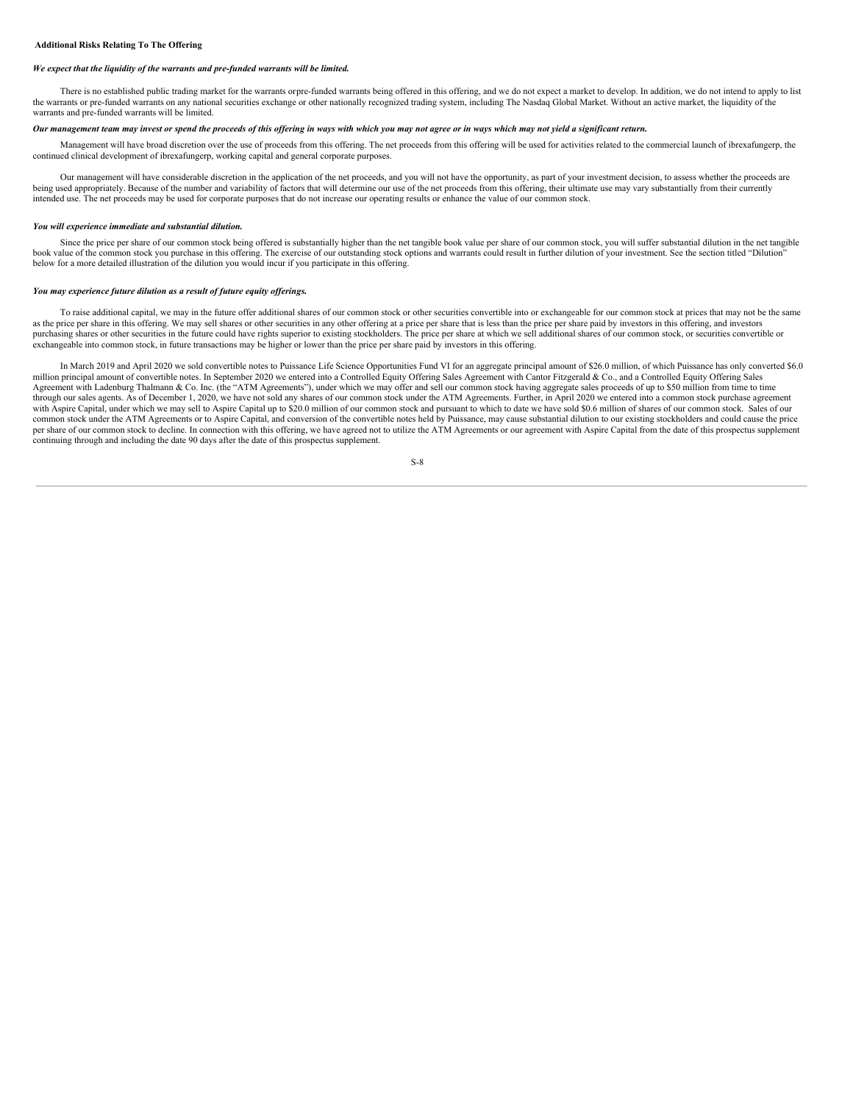# *We expect that the liquidity of the warrants and pre-funded warrants will be limited.*

There is no established public trading market for the warrants orpre-funded warrants being offered in this offering, and we do not expect a market to develop. In addition, we do not intend to apply to list the warrants or pre-funded warrants on any national securities exchange or other nationally recognized trading system, including The Nasdaq Global Market. Without an active market, the liquidity of the warrants and pre-funded warrants will be limited.

# Our management team may invest or spend the proceeds of this offering in ways with which you may not agree or in ways which may not yield a significant return.

Management will have broad discretion over the use of proceeds from this offering. The net proceeds from this offering will be used for activities related to the commercial launch of ibrexafungerp, the continued clinical development of ibrexafungerp, working capital and general corporate purposes.

Our management will have considerable discretion in the application of the net proceeds, and you will not have the opportunity, as part of your investment decision, to assess whether the proceeds are being used appropriately. Because of the number and variability of factors that will determine our use of the net proceeds from this offering, their ultimate use may vary substantially from their currently intended use. The net proceeds may be used for corporate purposes that do not increase our operating results or enhance the value of our common stock.

# *You will experience immediate and substantial dilution.*

Since the price per share of our common stock being offered is substantially higher than the net tangible book value per share of our common stock, you will suffer substantial dilution in the net tangible book value of the common stock you purchase in this offering. The exercise of our outstanding stock options and warrants could result in further dilution of your investment. See the section titled "Dilution" below for a more detailed illustration of the dilution you would incur if you participate in this offering.

#### *You may experience future dilution as a result of future equity of erings.*

To raise additional capital, we may in the future offer additional shares of our common stock or other securities convertible into or exchangeable for our common stock at prices that may not be the same as the price per share in this offering. We may sell shares or other securities in any other offering at a price per share that is less than the price per share paid by investors in this offering, and investors purchasing shares or other securities in the future could have rights superior to existing stockholders. The price per share at which we sell additional shares of our common stock, or securities convertible or exchangeable into common stock, in future transactions may be higher or lower than the price per share paid by investors in this offering.

In March 2019 and April 2020 we sold convertible notes to Puissance Life Science Opportunities Fund VI for an aggregate principal amount of \$26.0 million, of which Puissance has only converted \$6.0 million principal amount of convertible notes. In September 2020 we entered into a Controlled Equity Offering Sales Agreement with Cantor Fitzgerald & Co., and a Controlled Equity Offering Sales Agreement with Ladenburg Thalmann & Co. Inc. (the "ATM Agreements"), under which we may offer and sell our common stock having aggregate sales proceeds of up to \$50 million from time to time through our sales agents. As of December 1, 2020, we have not sold any shares of our common stock under the ATM Agreements. Further, in April 2020 we entered into a common stock purchase agreement with Aspire Capital, under which we may sell to Aspire Capital up to \$20.0 million of our common stock and pursuant to which to date we have sold \$0.6 million of shares of our common stock. Sales of our common stock under the ATM Agreements or to Aspire Capital, and conversion of the convertible notes held by Puissance, may cause substantial dilution to our existing stockholders and could cause the price per share of our common stock to decline. In connection with this offering, we have agreed not to utilize the ATM Agreements or our agreement with Aspire Capital from the date of this prospectus supplement continuing through and including the date 90 days after the date of this prospectus supplement.

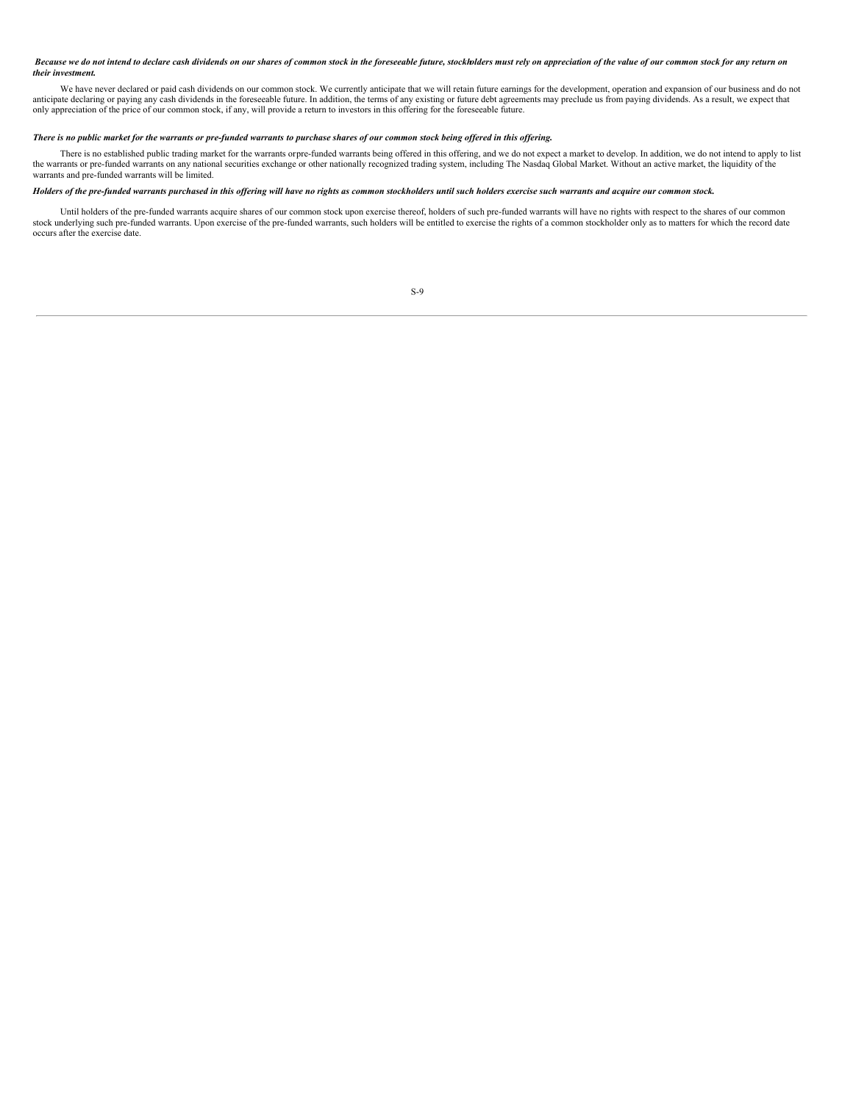# Because we do not intend to declare cash dividends on our shares of common stock in the foreseeable future, stockholders must rely on appreciation of the value of our common stock for any return on *their investment.*

We have never declared or paid cash dividends on our common stock. We currently anticipate that we will retain future earnings for the development, operation and expansion of our business and do not anticipate declaring or paying any cash dividends in the foreseeable future. In addition, the terms of any existing or future debt agreements may preclude us from paying dividends. As a result, we expect that only appreciation of the price of our common stock, if any, will provide a return to investors in this offering for the foreseeable future.

# There is no public market for the warrants or pre-funded warrants to purchase shares of our common stock being offered in this offering.

There is no established public trading market for the warrants orpre-funded warrants being offered in this offering, and we do not expect a market to develop. In addition, we do not intend to apply to list the warrants or pre-funded warrants on any national securities exchange or other nationally recognized trading system, including The Nasdaq Global Market. Without an active market, the liquidity of the warrants and pre-funded warrants will be limited.

# Holders of the pre-funded warrants purchased in this offering will have no rights as common stockholders until such holders exercise such warrants and acquire our common stock.

Until holders of the pre-funded warrants acquire shares of our common stock upon exercise thereof, holders of such pre-funded warrants will have no rights with respect to the shares of our common stock underlying such pre-funded warrants. Upon exercise of the pre-funded warrants, such holders will be entitled to exercise the rights of a common stockholder only as to matters for which the record date occurs after the exercise date.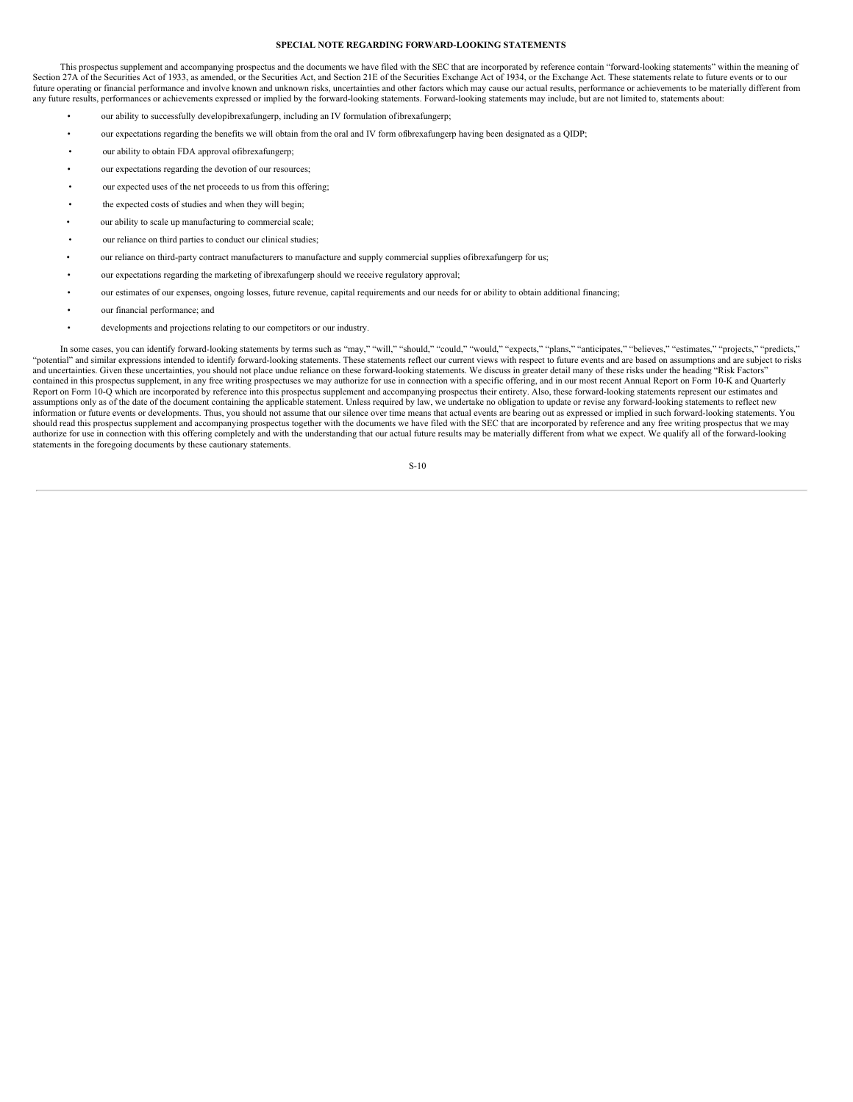# <span id="page-13-0"></span>**SPECIAL NOTE REGARDING FORWARD-LOOKING STATEMENTS**

This prospectus supplement and accompanying prospectus and the documents we have filed with the SEC that are incorporated by reference contain "forward-looking statements" within the meaning of Section 27A of the Securities Act of 1933, as amended, or the Securities Act, and Section 21E of the Securities Exchange Act of 1934, or the Exchange Act. These statements relate to future events or to our future operating or financial performance and involve known and unknown risks, uncertainties and other factors which may cause our actual results, performance or achievements to be materially different from any future results, performances or achievements expressed or implied by the forward-looking statements. Forward-looking statements may include, but are not limited to, statements about:

- our ability to successfully developibrexafungerp, including an IV formulation ofibrexafungerp;
- our expectations regarding the benefits we will obtain from the oral and IV form ofibrexafungerp having been designated as a QIDP;
- our ability to obtain FDA approval offbrexafungerp;
- our expectations regarding the devotion of our resources;
- our expected uses of the net proceeds to us from this offering;
- the expected costs of studies and when they will begin;
- our ability to scale up manufacturing to commercial scale;
- our reliance on third parties to conduct our clinical studies;
- our reliance on third-party contract manufacturers to manufacture and supply commercial supplies ofibrexafungerp for us;
- our expectations regarding the marketing of ibrexafungerp should we receive regulatory approval;
- our estimates of our expenses, ongoing losses, future revenue, capital requirements and our needs for or ability to obtain additional financing;
- our financial performance; and
- developments and projections relating to our competitors or our industry.

In some cases, you can identify forward-looking statements by terms such as "may," "will," "should," "could," "expects," "plans," "anticipates," "believes," "estimates," "projects," "predicts," "potential" and similar expressions intended to identify forward-looking statements. These statements reflect our current views with respect to future events and are based on assumptions and are subject to risks and uncertainties. Given these uncertainties, you should not place undue reliance on these forward-looking statements. We discuss in greater detail many of these risks under the heading "Risk Factors" contained in this prospectus supplement, in any free writing prospectuses we may authorize for use in connection with a specific offering, and in our most recent Annual Report on Form 10-K and Quarterly Report on Form 10-Q which are incorporated by reference into this prospectus supplement and accompanying prospectus their entirety. Also, these forward-looking statements represent our estimates and assumptions only as of the date of the document containing the applicable statement. Unless required by law, we undertake no obligation to update or revise any forward-looking statements to reflect new information or future events or developments. Thus, you should not assume that our silence over time means that actual events are bearing out as expressed or implied in such forward-looking statements. You should read this prospectus supplement and accompanying prospectus together with the documents we have filed with the SEC that are incorporated by reference and any free writing prospectus that we may<br>authorize for use in statements in the foregoing documents by these cautionary statements.

S-10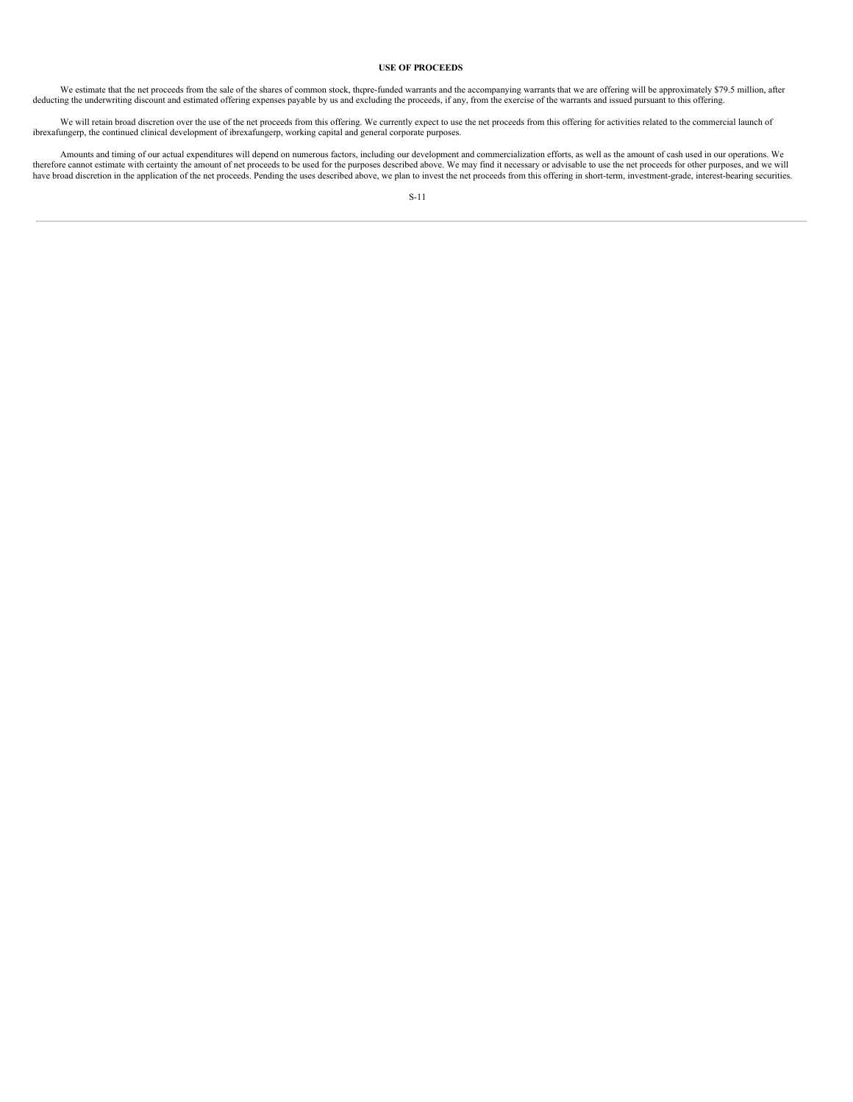# <span id="page-14-0"></span>**USE OF PROCEEDS**

We estimate that the net proceeds from the sale of the shares of common stock, thepre-funded warrants and the accompanying warrants that we are offering will be approximately \$79.5 million, after deducting the underwriting

We will retain broad discretion over the use of the net proceeds from this offering. We currently expect to use the net proceeds from this offering for activities related to the commercial launch of ibrexafungerp, working

Amounts and timing of our actual expenditures will depend on numerous factors, including our development and commercialization efforts, as well as the amount of cash used in our operations. We therefore cannot estimate with certainty the amount of net proceeds to be used for the purposes described above. We may find it necessary or advisable to use the net proceeds for other purposes, and we will have broad discretion in the application of the net proceeds. Pending the uses described above, we plan to invest the net proceeds from this offering in short-term, investment-grade, interest-bearing securities.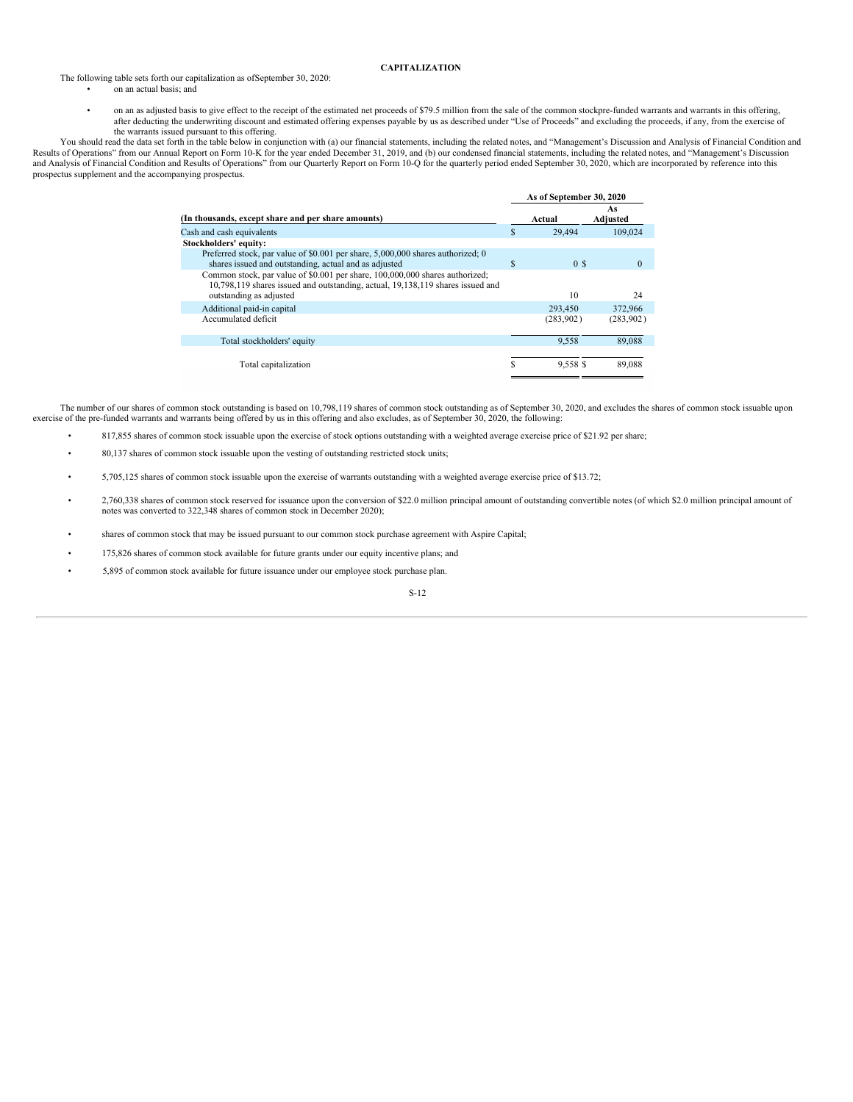# <span id="page-15-0"></span>**CAPITALIZATION**

# The following table sets forth our capitalization as ofSeptember 30, 2020:

- on an actual basis; and
- on an as adjusted basis to give effect to the receipt of the estimated net proceeds of \$79.5 million from the sale of the common stockpre-funded warrants and warrants in this offering, after deducting the underwriting discount and estimated offering expenses payable by us as described under "Use of Proceeds" and excluding the proceeds, if any, from the exercise of the warrants issued pursuant to this offering.

You should read the data set forth in the table below in conjunction with (a) our financial statements, including the related notes, and "Management's Discussion and Analysis of Financial Condition and Results of Operations" from our Annual Report on Form 10-K for the year ended December 31, 2019, and (b) our condensed financial statements, including the related notes, and "Management's Discussion and Analysis of Financial Condition and Results of Operations" from our Quarterly Report on Form 10-Q for the quarterly period ended September 30, 2020, which are incorporated by reference into this prospectus supplement and the accompanying prospectus.

|                                                                                                                                                                                           |   | As of September 30, 2020 |                |  |  |
|-------------------------------------------------------------------------------------------------------------------------------------------------------------------------------------------|---|--------------------------|----------------|--|--|
| (In thousands, except share and per share amounts)                                                                                                                                        |   | Actual                   | As<br>Adjusted |  |  |
| Cash and cash equivalents                                                                                                                                                                 | S | 29,494                   | 109.024        |  |  |
| Stockholders' equity:                                                                                                                                                                     |   |                          |                |  |  |
| Preferred stock, par value of \$0.001 per share, 5,000,000 shares authorized; 0<br>shares issued and outstanding, actual and as adjusted                                                  | S | 0 <sup>s</sup>           | $\Omega$       |  |  |
| Common stock, par value of \$0.001 per share, 100,000,000 shares authorized;<br>10,798,119 shares issued and outstanding, actual, 19,138,119 shares issued and<br>outstanding as adjusted |   | 10                       | 24             |  |  |
| Additional paid-in capital                                                                                                                                                                |   | 293,450                  | 372,966        |  |  |
| Accumulated deficit                                                                                                                                                                       |   | (283,902)                | (283,902)      |  |  |
| Total stockholders' equity                                                                                                                                                                |   | 9.558                    | 89,088         |  |  |
| Total capitalization                                                                                                                                                                      | S | 9,558 \$                 | 89,088         |  |  |

The number of our shares of common stock outstanding is based on 10,798,119 shares of common stock outstanding as of September 30, 2020, and excludes the shares of common stock issuable upon exercise of the pre-funded warrants and warrants being offered by us in this offering and also excludes, as of September 30, 2020, the following:

- 817,855 shares of common stock issuable upon the exercise of stock options outstanding with a weighted average exercise price of \$21.92 per share;
- 80,137 shares of common stock issuable upon the vesting of outstanding restricted stock units;
- 5,705,125 shares of common stock issuable upon the exercise of warrants outstanding with a weighted average exercise price of \$13.72;
- 2,760,338 shares of common stock reserved for issuance upon the conversion of \$22.0 million principal amount of outstanding convertible notes (of which \$2.0 million principal amount of notes was converted to 322,348 shares of common stock in December 2020);
- shares of common stock that may be issued pursuant to our common stock purchase agreement with Aspire Capital;
- 175,826 shares of common stock available for future grants under our equity incentive plans; and
- 5,895 of common stock available for future issuance under our employee stock purchase plan.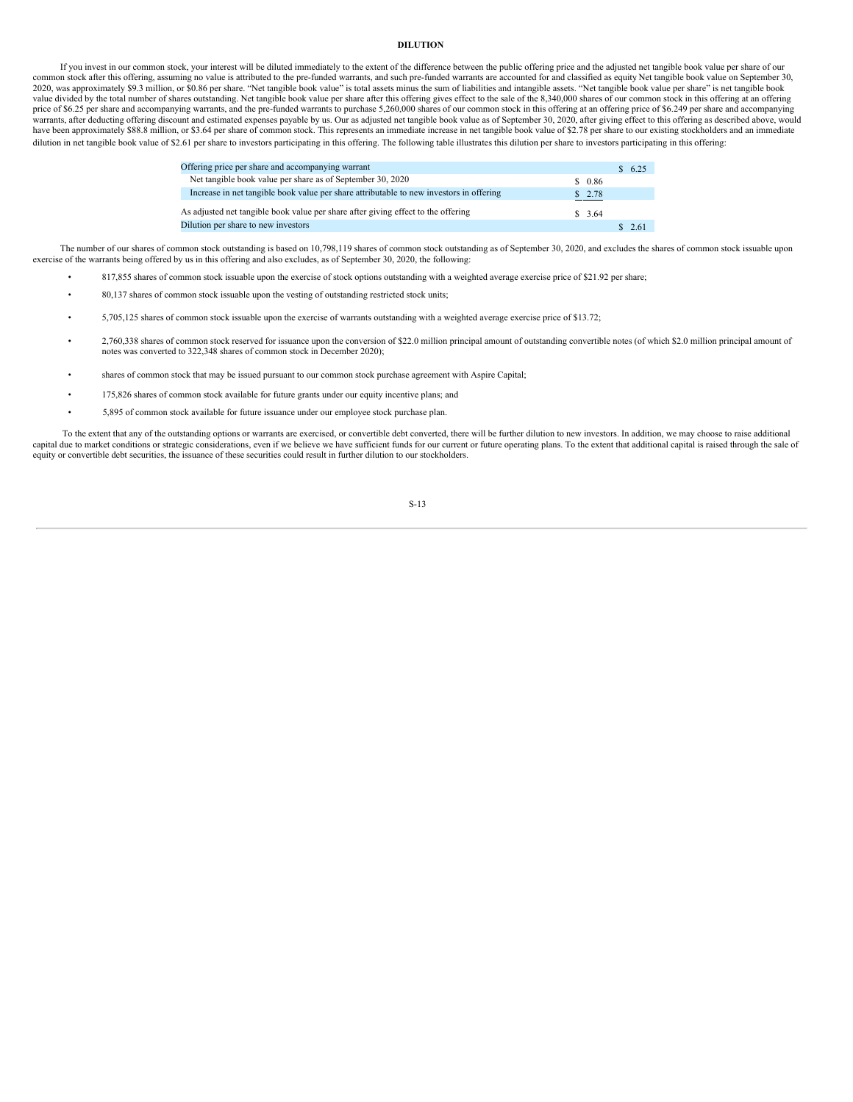# <span id="page-16-0"></span>**DILUTION**

If you invest in our common stock, your interest will be diluted immediately to the extent of the difference between the public offering price and the adjusted net tangible book value per share of our common stock after this offering, assuming no value is attributed to the pre-funded warrants, and such pre-funded warrants are accounted for and classified as equity. Net tangible book value on September 30, 2020, was approximately \$9.3 million, or \$0.86 per share. "Net tangible book value" is total assets minus the sum of liabilities and intangible assets. "Net tangible book value per share" is net tangible book value divided by the total number of shares outstanding. Net tangible book value per share after this offering gives effect to the sale of the 8,340,000 shares of our common stock in this offering at an offering price of \$6.25 per share and accompanying warrants, and the pre-funded warrants to purchase 5,260,000 shares of our common stock in this offering at an offering price of \$6.249 per share and accompanying warrants, after deducting offering discount and estimated expenses payable by us. Our as adjusted net tangible book value as of September 30, 2020, after giving effect to this offering as described above, would have been approximately \$88.8 million, or \$3.64 per share of common stock. This represents an immediate increase in net tangible book value of \$2.78 per share to our existing stockholders and an immediate dilution in net tangible book value of \$2.61 per share to investors participating in this offering. The following table illustrates this dilution per share to investors participating in this offering:

| Offering price per share and accompanying warrant                                       |        | \$6.25 |  |
|-----------------------------------------------------------------------------------------|--------|--------|--|
| Net tangible book value per share as of September 30, 2020                              | \$0.86 |        |  |
| Increase in net tangible book value per share attributable to new investors in offering | \$2.78 |        |  |
| As adjusted net tangible book value per share after giving effect to the offering       | \$3.64 |        |  |
| Dilution per share to new investors                                                     |        | \$2.61 |  |

The number of our shares of common stock outstanding is based on 10,798,119 shares of common stock outstanding as of September 30, 2020, and excludes the shares of common stock issuable upon exercise of the warrants being offered by us in this offering and also excludes, as of September 30, 2020, the following:

- 817,855 shares of common stock issuable upon the exercise of stock options outstanding with a weighted average exercise price of \$21.92 per share;
- 80,137 shares of common stock issuable upon the vesting of outstanding restricted stock units;
- 5,705,125 shares of common stock issuable upon the exercise of warrants outstanding with a weighted average exercise price of \$13.72;
- 2,760,338 shares of common stock reserved for issuance upon the conversion of \$22.0 million principal amount of outstanding convertible notes (of which \$2.0 million principal amount of notes was converted to 322,348 shares of common stock in December 2020);
- shares of common stock that may be issued pursuant to our common stock purchase agreement with Aspire Capital;
- 175,826 shares of common stock available for future grants under our equity incentive plans; and
- 5,895 of common stock available for future issuance under our employee stock purchase plan.

To the extent that any of the outstanding options or warrants are exercised, or convertible debt converted, there will be further dilution to new investors. In addition, we may choose to raise additional capital due to market conditions or strategic considerations, even if we believe we have sufficient funds for our current or future operating plans. To the extent that additional capital is raised through the sale of equity or convertible debt securities, the issuance of these securities could result in further dilution to our stockholders.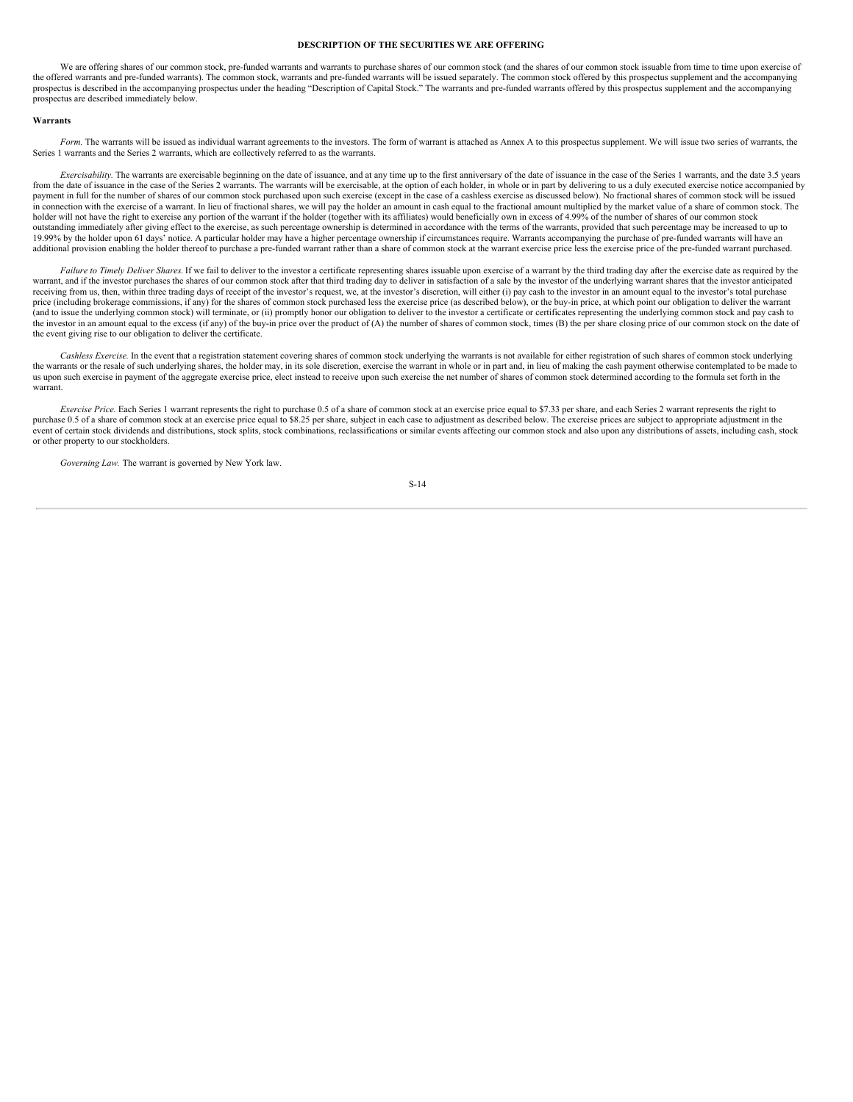# <span id="page-17-0"></span>**DESCRIPTION OF THE SECURITIES WE ARE OFFERING**

We are offering shares of our common stock, pre-funded warrants and warrants to purchase shares of our common stock (and the shares of our common stock issuable from time to time upon exercise of the offered warrants and pre-funded warrants). The common stock, warrants and pre-funded warrants will be issued separately. The common stock offered by this prospectus supplement and the accompanying prospectus is described in the accompanying prospectus under the heading "Description of Capital Stock." The warrants and pre-funded warrants offered by this prospectus supplement and the accompanying prospectus are described immediately below.

#### **Warrants**

Form. The warrants will be issued as individual warrant agreements to the investors. The form of warrant is attached as Annex A to this prospectus supplement. We will issue two series of warrants, the Series 1 warrants and the Series 2 warrants, which are collectively referred to as the warrants.

*Exercisability.* The warrants are exercisable beginning on the date of issuance, and at any time up to the first anniversary of the date of issuance in the case of the Series 1 warrants, and the date 3.5 years from the date of issuance in the case of the Series 2 warrants. The warrants will be exercisable, at the option of each holder, in whole or in part by delivering to us a duly executed exercise notice accompanied by payment in full for the number of shares of our common stock purchased upon such exercise (except in the case of a cashless exercise as discussed below). No fractional shares of common stock will be issued in connection with the exercise of a warrant. In lieu of fractional shares, we will pay the holder an amount in cash equal to the fractional amount multiplied by the market value of a share of common stock. The holder will not have the right to exercise any portion of the warrant if the holder (together with its affiliates) would beneficially own in excess of 4.99% of the number of shares of our common stock outstanding immediately after giving effect to the exercise, as such percentage ownership is determined in accordance with the terms of the warrants, provided that such percentage may be increased to up to 19.99% by the holder upon 61 days' notice. A particular holder may have a higher percentage ownership if circumstances require. Warrants accompanying the purchase of pre-funded warrants will have an additional provision enabling the holder thereof to purchase a pre-funded warrant rather than a share of common stock at the warrant exercise price less the exercise price of the pre-funded warrant purchased.

Failure to Timely Deliver Shares. If we fail to deliver to the investor a certificate representing shares issuable upon exercise of a warrant by the third trading day after the exercise date as required by the warrant, and if the investor purchases the shares of our common stock after that third trading day to deliver in satisfaction of a sale by the investor of the underlying warrant shares that the investor anticipated receiving from us, then, within three trading days of receipt of the investor's request, we, at the investor's discretion, will either (i) pay cash to the investor in an amount equal to the investor's total purchase price (including brokerage commissions, if any) for the shares of common stock purchased less the exercise price (as described below), or the buy-in price, at which point our obligation to deliver the warrant (and to issue the underlying common stock) will terminate, or (ii) promptly honor our obligation to deliver to the investor a certificate or certificates representing the underlying common stock and pay cash to the investor in an amount equal to the excess (if any) of the buy-in price over the product of (A) the number of shares of common stock, times (B) the per share closing price of our common stock on the date of the event giving rise to our obligation to deliver the certificate.

*Cashless Exercise.* In the event that a registration statement covering shares of common stock underlying the warrants is not available for either registration of such shares of common stock underlying the warrants or the resale of such underlying shares, the holder may, in its sole discretion, exercise the warrant in whole or in part and, in lieu of making the cash payment otherwise contemplated to be made to us upon such exercise in payment of the aggregate exercise price, elect instead to receive upon such exercise the net number of shares of common stock determined according to the formula set forth in the warrant.

*Exercise Price.* Each Series 1 warrant represents the right to purchase 0.5 of a share of common stock at an exercise price equal to \$7.33 per share, and each Series 2 warrant represents the right to purchase 0.5 of a share of common stock at an exercise price equal to \$8.25 per share, subject in each case to adjustment as described below. The exercise prices are subject to appropriate adjustment in the event of certain stock dividends and distributions, stock splits, stock combinations, reclassifications or similar events affecting our common stock and also upon any distributions of assets, including cash, stock or other property to our stockholders.

*Governing Law.* The warrant is governed by New York law.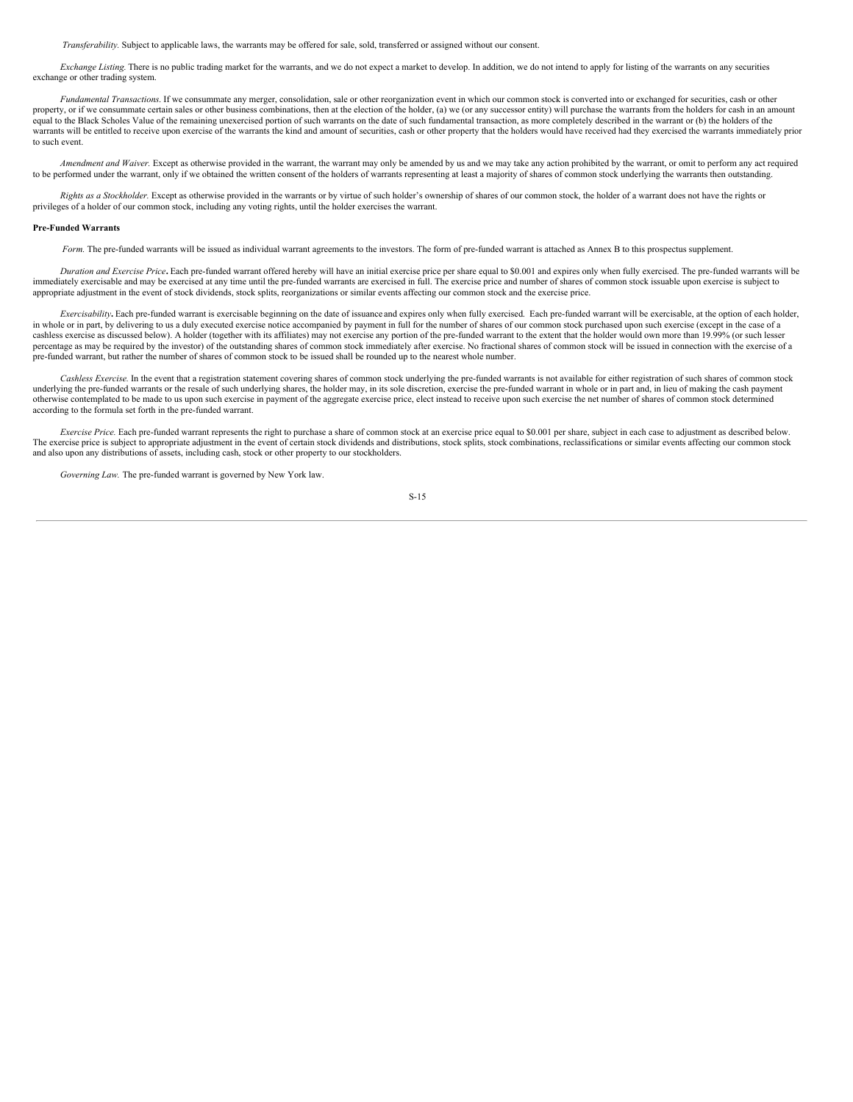*Transferability.* Subject to applicable laws, the warrants may be offered for sale, sold, transferred or assigned without our consent.

*Exchange Listing.* There is no public trading market for the warrants, and we do not expect a market to develop. In addition, we do not intend to apply for listing of the warrants on any securities exchange or other trading system.

*Fundamental Transactions*. If we consummate any merger, consolidation, sale or other reorganization event in which our common stock is converted into or exchanged for securities, cash or other property, or if we consummate certain sales or other business combinations, then at the election of the holder, (a) we (or any successor entity) will purchase the warrants from the holders for cash in an amount equal to the Black Scholes Value of the remaining unexercised portion of such warrants on the date of such fundamental transaction, as more completely described in the warrant or (b) the holders of the warrants will be entitled to receive upon exercise of the warrants the kind and amount of securities, cash or other property that the holders would have received had they exercised the warrants immediately prior to such event.

*Amendment and Waiver.* Except as otherwise provided in the warrant, the warrant may only be amended by us and we may take any action prohibited by the warrant, or omit to perform any act required to be performed under the warrant, only if we obtained the written consent of the holders of warrants representing at least a majority of shares of common stock underlying the warrants then outstanding.

*Rights as a Stockholder.* Except as otherwise provided in the warrants or by virtue of such holder's ownership of shares of our common stock, the holder of a warrant does not have the rights or privileges of a holder of our common stock, including any voting rights, until the holder exercises the warrant.

#### **Pre-Funded Warrants**

Form. The pre-funded warrants will be issued as individual warrant agreements to the investors. The form of pre-funded warrant is attached as Annex B to this prospectus supplement.

Duration and Exercise Price. Each pre-funded warrant offered hereby will have an initial exercise price per share equal to \$0.001 and expires only when fully exercised. The pre-funded warrants will be immediately exercisable and may be exercised at any time until the pre-funded warrants are exercised in full. The exercise price and number of shares of common stock issuable upon exercise is subject to appropriate adjustment in the event of stock dividends, stock splits, reorganizations or similar events affecting our common stock and the exercise price.

*Exercisability***.** Each pre-funded warrant is exercisable beginning on the date of issuance and expires only when fully exercised. Each pre-funded warrant will be exercisable, at the option of each holder, in whole or in part, by delivering to us a duly executed exercise notice accompanied by payment in full for the number of shares of our common stock purchased upon such exercise (except in the case of a cashless exercise as discussed below). A holder (together with its affiliates) may not exercise any portion of the pre-funded warrant to the extent that the holder would own more than 19.99% (or such lesser percentage as may be required by the investor) of the outstanding shares of common stock immediately after exercise. No fractional shares of common stock will be issued in connection with the exercise of a pre-funded warrant, but rather the number of shares of common stock to be issued shall be rounded up to the nearest whole number.

*Cashless Exercise.* In the event that a registration statement covering shares of common stock underlying the pre-funded warrants is not available for either registration of such shares of common stock underlying the pre-funded warrants or the resale of such underlying shares, the holder may, in its sole discretion, exercise the pre-funded warrant in whole or in part and, in lieu of making the cash payment otherwise contemplated to be made to us upon such exercise in payment of the aggregate exercise price, elect instead to receive upon such exercise the net number of shares of common stock determined according to the formula set forth in the pre-funded warrant.

*Exercise Price.* Each pre-funded warrant represents the right to purchase a share of common stock at an exercise price equal to \$0.001 per share, subject in each case to adjustment as described below. The exercise price is subject to appropriate adjustment in the event of certain stock dividends and distributions, stock splits, stock combinations, reclassifications or similar events affecting our common stock and also upon any distributions of assets, including cash, stock or other property to our stockholders.

*Governing Law.* The pre-funded warrant is governed by New York law.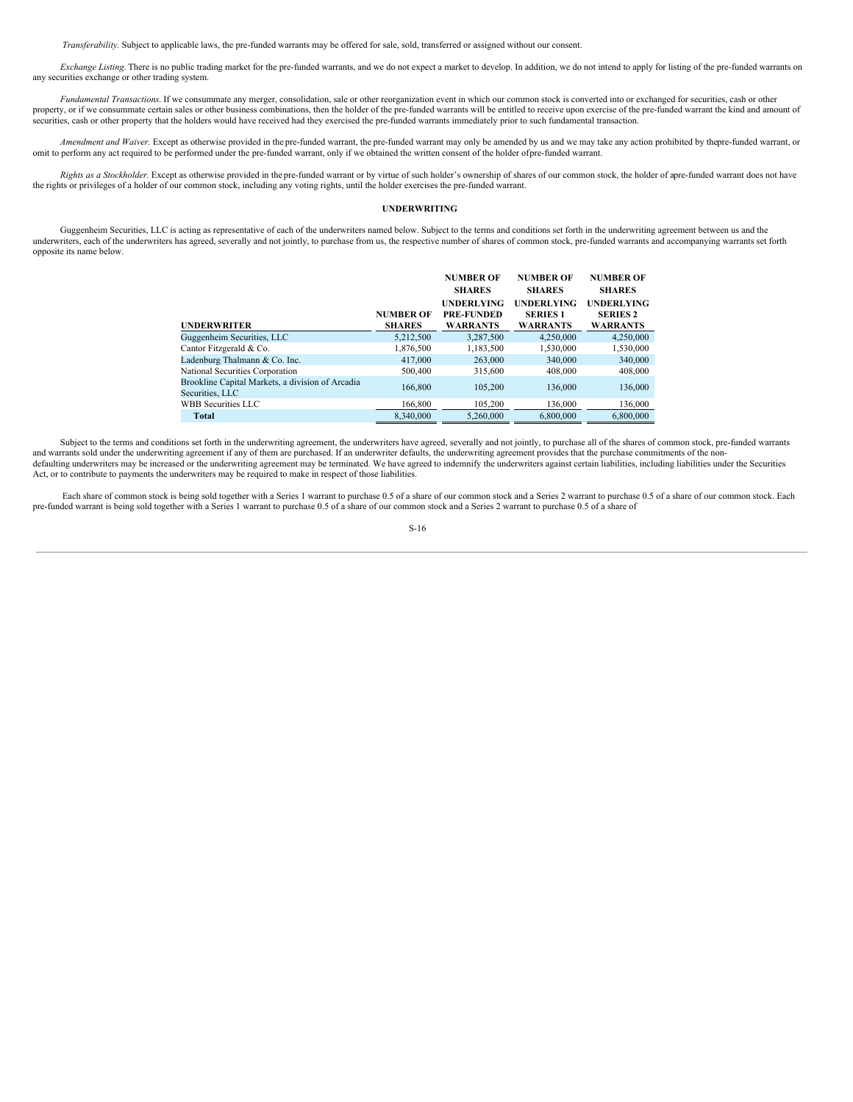*Transferability.* Subject to applicable laws, the pre-funded warrants may be offered for sale, sold, transferred or assigned without our consent.

*Exchange Listing*. There is no public trading market for the pre-funded warrants, and we do not expect a market to develop. In addition, we do not intend to apply for listing of the pre-funded warrants on any securities exchange or other trading system.

*Fundamental Transactions*. If we consummate any merger, consolidation, sale or other reorganization event in which our common stock is converted into or exchanged for securities, cash or other property, or if we consummate certain sales or other business combinations, then the holder of the pre-funded warrants will be entitled to receive upon exercise of the pre-funded warrant the kind and amount of securities, cash or other property that the holders would have received had they exercised the pre-funded warrants immediately prior to such fundamental transaction.

*Amendment and Waiver.* Except as otherwise provided in the pre-funded warrant, the pre-funded warrant may only be amended by us and we may take any action prohibited by thepre-funded warrant, or omit to perform any act required to be performed under the pre-funded warrant, only if we obtained the written consent of the holder ofpre-funded warrant.

Rights as a Stockholder. Except as otherwise provided in the pre-funded warrant or by virtue of such holder's ownership of shares of our common stock, the holder of apre-funded warrant does not have the rights or privileges of a holder of our common stock, including any voting rights, until the holder exercises the pre-funded warrant.

# <span id="page-19-0"></span>**UNDERWRITING**

Guggenheim Securities, LLC is acting as representative of each of the underwriters named below. Subject to the terms and conditions set forth in the underwriting agreement between us and the underwriters, each of the underwriters has agreed, severally and not jointly, to purchase from us, the respective number of shares of common stock, pre-funded warrants and accompanying warrants set forth opposite its name below.

|                                                                     |                  | <b>NUMBER OF</b>  | <b>NUMBER OF</b>  | <b>NUMBER OF</b>  |
|---------------------------------------------------------------------|------------------|-------------------|-------------------|-------------------|
|                                                                     |                  | <b>SHARES</b>     | <b>SHARES</b>     | <b>SHARES</b>     |
|                                                                     |                  | <b>UNDERLYING</b> | <b>UNDERLYING</b> | <b>UNDERLYING</b> |
|                                                                     | <b>NUMBER OF</b> | <b>PRE-FUNDED</b> | <b>SERIES 1</b>   | <b>SERIES 2</b>   |
| <b>UNDERWRITER</b>                                                  | <b>SHARES</b>    | <b>WARRANTS</b>   | <b>WARRANTS</b>   | <b>WARRANTS</b>   |
| Guggenheim Securities, LLC                                          | 5.212.500        | 3.287.500         | 4.250,000         | 4.250,000         |
| Cantor Fitzgerald & Co.                                             | 1,876,500        | 1,183,500         | 1,530,000         | 1,530,000         |
| Ladenburg Thalmann & Co. Inc.                                       | 417,000          | 263,000           | 340,000           | 340,000           |
| National Securities Corporation                                     | 500,400          | 315,600           | 408,000           | 408,000           |
| Brookline Capital Markets, a division of Arcadia<br>Securities, LLC | 166,800          | 105.200           | 136,000           | 136,000           |
| WBB Securities LLC                                                  | 166,800          | 105.200           | 136,000           | 136,000           |
| <b>Total</b>                                                        | 8.340.000        | 5.260,000         | 6,800,000         | 6,800,000         |

Subject to the terms and conditions set forth in the underwriting agreement, the underwriters have agreed, severally and not jointly, to purchase all of the shares of common stock, pre-funded warrants and warrants sold under the underwriting agreement if any of them are purchased. If an underwriter defaults, the underwriting agreement provides that the purchase commitments of the non-<br>defaulting underwriters may be incr Act, or to contribute to payments the underwriters may be required to make in respect of those liabilities.

Each share of common stock is being sold together with a Series 1 warrant to purchase 0.5 of a share of our common stock and a Series 2 warrant to purchase 0.5 of a share of our common stock. Each pre-funded warrant is being sold together with a Series 1 warrant to purchase 0.5 of a share of our common stock and a Series 2 warrant to purchase 0.5 of a share of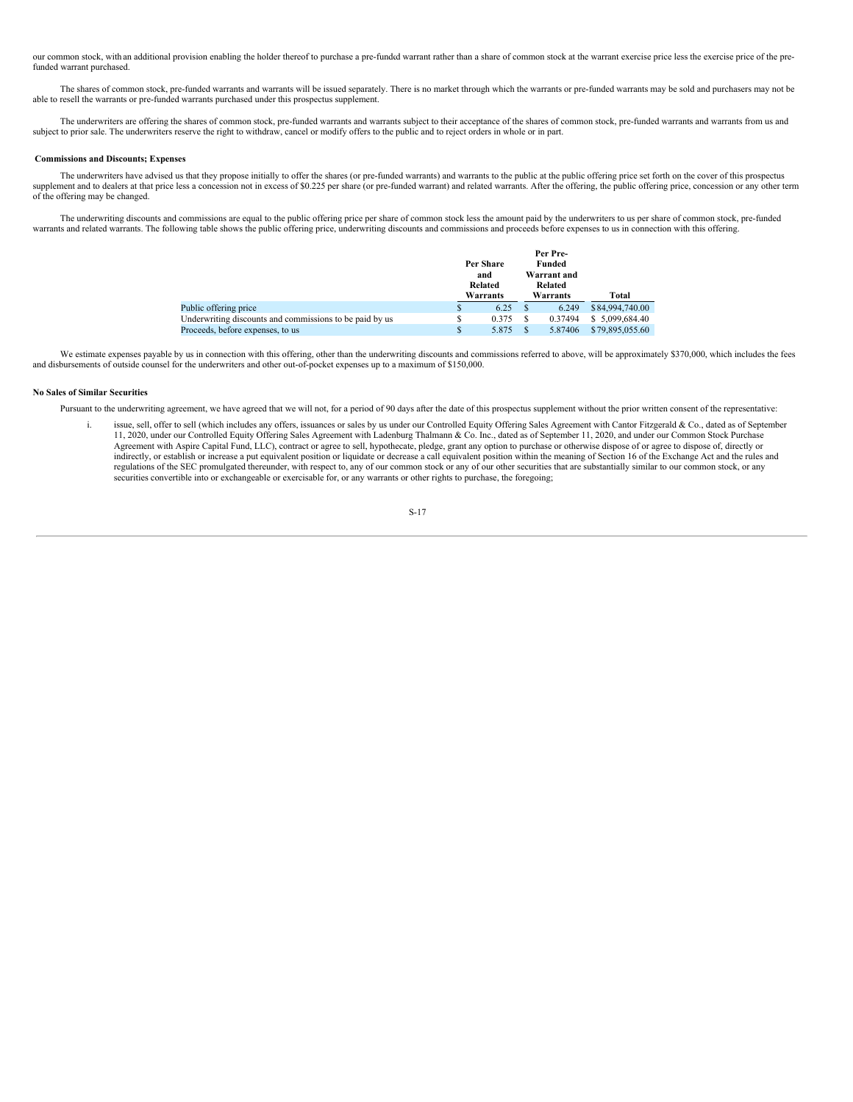our common stock, with an additional provision enabling the holder thereof to purchase a pre-funded warrant rather than a share of common stock at the warrant exercise price less the exercise price of the prefunded warrant purchased.

The shares of common stock, pre-funded warrants and warrants will be issued separately. There is no market through which the warrants or pre-funded warrants may be sold and purchasers may not be able to resell the warrants or pre-funded warrants purchased under this prospectus supplement.

The underwriters are offering the shares of common stock, pre-funded warrants and warrants subject to their acceptance of the shares of common stock, pre-funded warrants and warrants from us and subject to prior sale. The underwriters reserve the right to withdraw, cancel or modify offers to the public and to reject orders in whole or in part.

# **Commissions and Discounts; Expenses**

The underwriters have advised us that they propose initially to offer the shares (or pre-funded warrants) and warrants to the public at the public offering price set forth on the cover of this prospectus supplement and to dealers at that price less a concession not in excess of \$0.225 per share (or pre-funded warrant) and related warrants. After the offering, the public offering price, concession or any other term of the offering may be changed.

The underwriting discounts and commissions are equal to the public offering price per share of common stock less the amount paid by the underwriters to us per share of common stock, pre-funded warrants and related warrants. The following table shows the public offering price, underwriting discounts and commissions and proceeds before expenses to us in connection with this offering.

|                                                         |             | Per Share<br>and<br>Related | Per Pre-<br>Funded<br>Warrant and<br>Related |                 |
|---------------------------------------------------------|-------------|-----------------------------|----------------------------------------------|-----------------|
|                                                         |             | Warrants                    | Warrants                                     | Total           |
| Public offering price                                   | S           | 6.25                        | 6.249                                        | \$84,994,740.00 |
| Underwriting discounts and commissions to be paid by us | S           | 0.375                       | 0.37494                                      | \$5,099,684.40  |
| Proceeds, before expenses, to us                        | $\mathbf S$ | 5.875                       | 5.87406                                      | \$79,895,055.60 |

We estimate expenses payable by us in connection with this offering, other than the underwriting discounts and commissions referred to above, will be approximately \$370,000, which includes the fees and disbursements of outside counsel for the underwriters and other out-of-pocket expenses up to a maximum of \$150,000.

# **No Sales of Similar Securities**

Pursuant to the underwriting agreement, we have agreed that we will not, for a period of 90 days after the date of this prospectus supplement without the prior written consent of the representative:

issue, sell, offer to sell (which includes any offers, issuances or sales by us under our Controlled Equity Offering Sales Agreement with Cantor Fitzgerald & Co., dated as of September 11, 2020, under our Controlled Equity Offering Sales Agreement with Ladenburg Thalmann & Co. Inc., dated as of September 11, 2020, and under our Common Stock Purchase Agreement with Aspire Capital Fund, LLC), contract or agree to sell, hypothecate, pledge, grant any option to purchase or otherwise dispose of or agree to dispose of, directly or indirectly, or establish or increase a put equivalent position or liquidate or decrease a call equivalent position within the meaning of Section 16 of the Exchange Act and the rules and regulations of the SEC promulgated thereunder, with respect to, any of our common stock or any of our other securities that are substantially similar to our common stock, or any securities convertible into or exchangeable or exercisable for, or any warrants or other rights to purchase, the foregoing;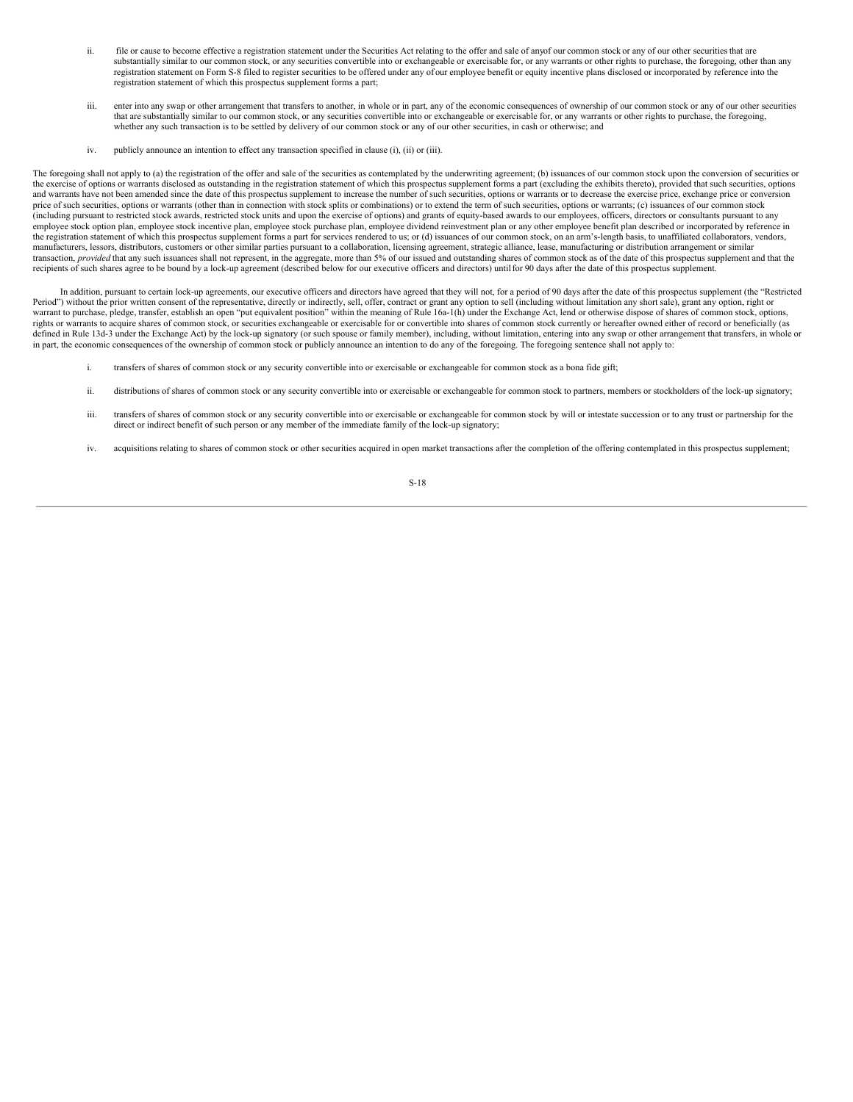- ii. file or cause to become effective a registration statement under the Securities Act relating to the offer and sale of anyof our common stock or any of our other securities that are substantially similar to our common stock, or any securities convertible into or exchangeable or exercisable for, or any warrants or other rights to purchase, the foregoing, other than any registration statement on Form S-8 filed to register securities to be offered under any of our employee benefit or equity incentive plans disclosed or incorporated by reference into the registration statement of which this prospectus supplement forms a part;
- iii. enter into any swap or other arrangement that transfers to another, in whole or in part, any of the economic consequences of ownership of our common stock or any of our other securities that are substantially similar to our common stock, or any securities convertible into or exchangeable or exercisable for, or any warrants or other rights to purchase, the foregoing, whether any such transaction is to be settled by delivery of our common stock or any of our other securities, in cash or otherwise; and
- iv. publicly announce an intention to effect any transaction specified in clause (i), (ii) or (iii).

The foregoing shall not apply to (a) the registration of the offer and sale of the securities as contemplated by the underwriting agreement; (b) issuances of our common stock upon the conversion of securities or the exercise of options or warrants disclosed as outstanding in the registration statement of which this prospectus supplement forms a part (excluding the exhibits thereto), provided that such securities, options and warrants have not been amended since the date of this prospectus supplement to increase the number of such securities, options or warrants or to decrease the exercise price, exchange price or conversion price of such securities, options or warrants (other than in connection with stock splits or combinations) or to extend the term of such securities, options or warrants; (c) issuances of our common stock (including pursuant to restricted stock awards, restricted stock units and upon the exercise of options) and grants of equity-based awards to our employees, officers, directors or consultants pursuant to any employee stock option plan, employee stock incentive plan, employee stock purchase plan, employee dividend reinvestment plan or any other employee benefit plan described or incorporated by reference in the registration statement of which this prospectus supplement forms a part for services rendered to us; or (d) issuances of our common stock, on an arm's-length basis, to unaffiliated collaborators, vendors, manufacturers, lessors, distributors, customers or other similar parties pursuant to a collaboration, licensing agreement, strategic alliance, lease, manufacturing or distribution arrangement or similar transaction, *provided* that any such issuances shall not represent, in the aggregate, more than 5% of our issued and outstanding shares of common stock as of the date of this prospectus supplement and that the recipients of such shares agree to be bound by a lock-up agreement (described below for our executive officers and directors) untilfor 90 days after the date of this prospectus supplement.

In addition, pursuant to certain lock-up agreements, our executive officers and directors have agreed that they will not, for a period of 90 days after the date of this prospectus supplement (the "Restricted Period") without the prior written consent of the representative, directly or indirectly, sell, offer, contract or grant any option to sell (including without limitation any short sale), grant any option, right or warrant to purchase, pledge, transfer, establish an open "put equivalent position" within the meaning of Rule 16a-1(h) under the Exchange Act, lend or otherwise dispose of shares of common stock, options, rights or warrants to acquire shares of common stock, or securities exchangeable or exercisable for or convertible into shares of common stock currently or hereafter owned either of record or beneficially (as defined in Rule 13d-3 under the Exchange Act) by the lock-up signatory (or such spouse or family member), including, without limitation, entering into any swap or other arrangement that transfers, in whole or in part, the economic consequences of the ownership of common stock or publicly announce an intention to do any of the foregoing. The foregoing sentence shall not apply to:

- i. transfers of shares of common stock or any security convertible into or exercisable or exchangeable for common stock as a bona fide gift;
- ii. distributions of shares of common stock or any security convertible into or exercisable or exchangeable for common stock to partners, members or stockholders of the lock-up signatory;
- iii. transfers of shares of common stock or any security convertible into or exercisable or exchangeable for common stock by will or intestate succession or to any trust or partnership for the direct or indirect benefit of such person or any member of the immediate family of the lock-up signatory;
- iv. acquisitions relating to shares of common stock or other securities acquired in open market transactions after the completion of the offering contemplated in this prospectus supplement;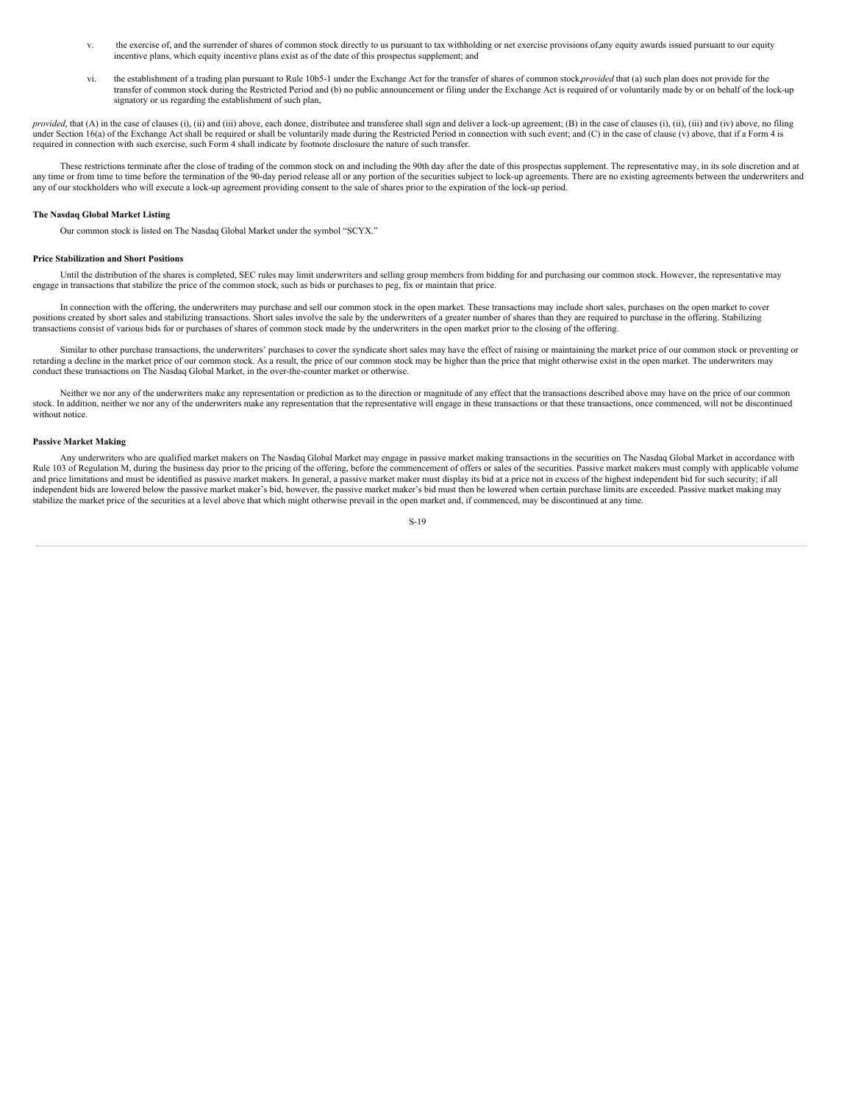- v. the exercise of, and the surrender of shares of common stock directly to us pursuant to tax withholding or net exercise provisions of,any equity awards issued pursuant to our equity incentive plans, which equity incentive plans exist as of the date of this prospectus supplement; and
- vi. the establishment of a trading plan pursuant to Rule 10b5-1 under the Exchange Act for the transfer of shares of common stock,*provided* that (a) such plan does not provide for the transfer of common stock during the Restricted Period and (b) no public announcement or filing under the Exchange Act is required of or voluntarily made by or on behalf of the lock-up signatory or us regarding the establishment of such plan,

provided, that (A) in the case of clauses (i), (ii) and (iii) above, each donee, distributee and transferee shall sign and deliver a lock-up agreement; (B) in the case of clauses (i), (ii), (iii) and (iv) above, no filing under Section 16(a) of the Exchange Act shall be required or shall be voluntarily made during the Restricted Period in connection with such event; and (C) in the case of clause (v) above, that if a Form 4 is required in connection with such exercise, such Form 4 shall indicate by footnote disclosure the nature of such transfer.

These restrictions terminate after the close of trading of the common stock on and including the 90th day after the date of this prospectus supplement. The representative may, in its sole discretion and at any time or from time to time before the termination of the 90-day period release all or any portion of the securities subject to lock-up agreements. There are no existing agreements between the underwriters and any time o any of our stockholders who will execute a lock-up agreement providing consent to the sale of shares prior to the expiration of the lock-up period.

#### **The Nasdaq Global Market Listing**

Our common stock is listed on The Nasdaq Global Market under the symbol "SCYX."

#### **Price Stabilization and Short Positions**

Until the distribution of the shares is completed, SEC rules may limit underwriters and selling group members from bidding for and purchasing our common stock. However, the representative may engage in transactions that stabilize the price of the common stock, such as bids or purchases to peg, fix or maintain that price.

In connection with the offering, the underwriters may purchase and sell our common stock in the open market. These transactions may include short sales, purchases on the open market to cover positions created by short sales and stabilizing transactions. Short sales involve the sale by the underwriters of a greater number of shares than they are required to purchase in the offering. Stabilizing transactions consist of various bids for or purchases of shares of common stock made by the underwriters in the open market prior to the closing of the offering.

Similar to other purchase transactions, the underwriters' purchases to cover the syndicate short sales may have the effect of raising or maintaining the market price of our common stock or preventing or retarding a decline in the market price of our common stock. As a result, the price of our common stock may be higher than the price that might otherwise exist in the open market. The underwriters may conduct these transactions on The Nasdaq Global Market, in the over-the-counter market or otherwise.

Neither we nor any of the underwriters make any representation or prediction as to the direction or magnitude of any effect that the transactions described above may have on the price of our common stock. In addition, neither we nor any of the underwriters make any representation that the representative will engage in these transactions or that these transactions, once commenced, will not be discontinued without notice.

# **Passive Market Making**

Any underwriters who are qualified market makers on The Nasdaq Global Market may engage in passive market making transactions in the securities on The Nasdaq Global Market in accordance with Rule 103 of Regulation M, during the business day prior to the pricing of the offering, before the commencement of offers or sales of the securities. Passive market makers must comply with applicable volume and price limitations and must be identified as passive market makers. In general, a passive market maker must display its bid at a price not in excess of the highest independent bid for such security; if all independent bids are lowered below the passive market maker's bid, however, the passive market maker's bid must then be lowered when certain purchase limits are exceeded. Passive market making may stabilize the market price of the securities at a level above that which might otherwise prevail in the open market and, if commenced, may be discontinued at any time.

$$
S-19
$$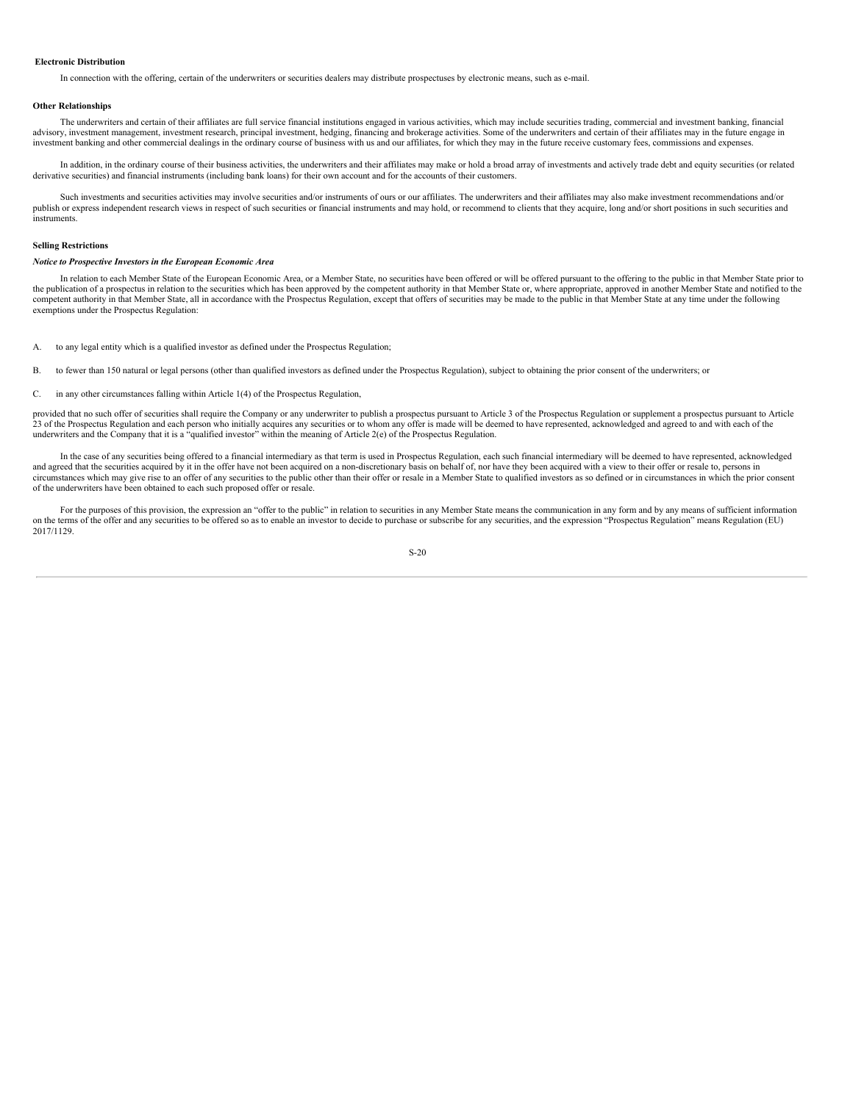#### **Electronic Distribution**

In connection with the offering, certain of the underwriters or securities dealers may distribute prospectuses by electronic means, such as e-mail.

#### **Other Relationships**

The underwriters and certain of their affiliates are full service financial institutions engaged in various activities, which may include securities trading, commercial and investment banking, financial advisory, investment management, investment research, principal investment, hedging, financing and brokerage activities. Some of the underwriters and certain of their affiliates may in the future engage in investment banking and other commercial dealings in the ordinary course of business with us and our affiliates, for which they may in the future receive customary fees, commissions and expenses.

In addition, in the ordinary course of their business activities, the underwriters and their affiliates may make or hold a broad array of investments and actively trade debt and equity securities (or related derivative securities) and financial instruments (including bank loans) for their own account and for the accounts of their customers.

Such investments and securities activities may involve securities and/or instruments of ours or our affiliates. The underwriters and their affiliates may also make investment recommendations and/or publish or express independent research views in respect of such securities or financial instruments and may hold, or recommend to clients that they acquire, long and/or short positions in such securities and instruments.

# **Selling Restrictions**

#### *Notice to Prospective Investors in the European Economic Area*

In relation to each Member State of the European Economic Area, or a Member State, no securities have been offered or will be offered pursuant to the offering to the public in that Member State prior to the publication of a prospectus in relation to the securities which has been approved by the competent authority in that Member State or, where appropriate, approved in another Member State and notified to the competent authority in that Member State, all in accordance with the Prospectus Regulation, except that offers of securities may be made to the public in that Member State at any time under the following exemptions under the Prospectus Regulation:

- A. to any legal entity which is a qualified investor as defined under the Prospectus Regulation;
- B. to fewer than 150 natural or legal persons (other than qualified investors as defined under the Prospectus Regulation), subject to obtaining the prior consent of the underwriters; or
- C. in any other circumstances falling within Article 1(4) of the Prospectus Regulation,

provided that no such offer of securities shall require the Company or any underwriter to publish a prospectus pursuant to Article 3 of the Prospectus Regulation or supplement a prospectus pursuant to Article 23 of the Prospectus Regulation and each person who initially acquires any securities or to whom any offer is made will be deemed to have represented, acknowledged and agreed to and with each of the underwriters and the Co

In the case of any securities being offered to a financial intermediary as that term is used in Prospectus Regulation, each such financial intermediary will be deemed to have represented, acknowledged and agreed that the securities acquired by it in the offer have not been acquired on a non-discretionary basis on behalf of, nor have they been acquired with a view to their offer or resale to, persons in circumstances which may give rise to an offer of any securities to the public other than their offer or resale in a Member State to qualified investors as so defined or in circumstances in which the prior consent of the underwriters have been obtained to each such proposed offer or resale.

For the purposes of this provision, the expression an "offer to the public" in relation to securities in any Member State means the communication in any form and by any means of sufficient information on the terms of the offer and any securities to be offered so as to enable an investor to decide to purchase or subscribe for any securities, and the expression "Prospectus Regulation" means Regulation (EU) 2017/1129.

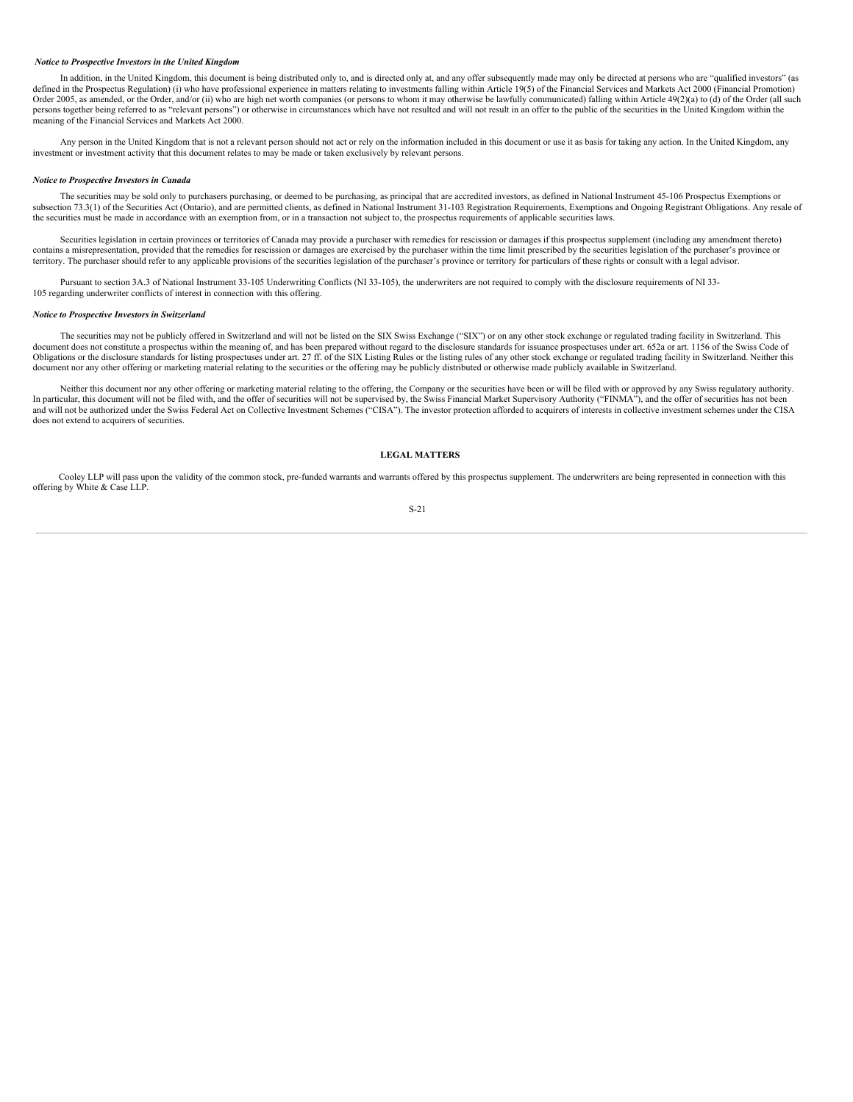# *Notice to Prospective Investors in the United Kingdom*

In addition, in the United Kingdom, this document is being distributed only to, and is directed only at, and any offer subsequently made may only be directed at persons who are "qualified investors" (as defined in the Prospectus Regulation) (i) who have professional experience in matters relating to investments falling within Article 19(5) of the Financial Services and Markets Act 2000 (Financial Promotion) Order 2005, as amended, or the Order, and/or (ii) who are high net worth companies (or persons to whom it may otherwise be lawfully communicated) falling within Article 49(2)(a) to (d) of the Order (all such persons together being referred to as "relevant persons") or otherwise in circumstances which have not resulted and will not result in an offer to the public of the securities in the United Kingdom within the meaning of the Financial Services and Markets Act 2000.

Any person in the United Kingdom that is not a relevant person should not act or rely on the information included in this document or use it as basis for taking any action. In the United Kingdom, any investment or investment activity that this document relates to may be made or taken exclusively by relevant persons.

#### *Notice to Prospective Investors in Canada*

The securities may be sold only to purchasers purchasing, or deemed to be purchasing, as principal that are accredited investors, as defined in National Instrument 45-106 Prospectus Exemptions or subsection 73.3(1) of the Securities Act (Ontario), and are permitted clients, as defined in National Instrument 31-103 Registration Requirements, Exemptions and Ongoing Registrant Obligations. Any resale of the securities must be made in accordance with an exemption from, or in a transaction not subject to, the prospectus requirements of applicable securities laws.

Securities legislation in certain provinces or territories of Canada may provide a purchaser with remedies for rescission or damages if this prospectus supplement (including any amendment thereto) contains a misrepresentation, provided that the remedies for rescission or damages are exercised by the purchaser within the time limit prescribed by the securities legislation of the purchaser's province or territory. The purchaser should refer to any applicable provisions of the securities legislation of the purchaser's province or territory for particulars of these rights or consult with a legal advisor.

Pursuant to section 3A.3 of National Instrument 33-105 Underwriting Conflicts (NI 33-105), the underwriters are not required to comply with the disclosure requirements of NI 33-105 regarding underwriter conflicts of interest in connection with this offering.

# *Notice to Prospective Investors in Switzerland*

The securities may not be publicly offered in Switzerland and will not be listed on the SIX Swiss Exchange ("SIX") or on any other stock exchange or regulated trading facility in Switzerland. This document does not constitute a prospectus within the meaning of, and has been prepared without regard to the disclosure standards for issuance prospectuses under art. 652a or art. 1156 of the Swiss Code of<br>Obligations or t document nor any other offering or marketing material relating to the securities or the offering may be publicly distributed or otherwise made publicly available in Switzerland.

Neither this document nor any other offering or marketing material relating to the offering, the Company or the securities have been or will be filed with or approved by any Swiss regulatory authority. In particular, this document will not be filed with, and the offer of securities will not be supervised by, the Swiss Financial Market Supervisory Authority ("FINMA"), and the offer of securities has not been and will not be authorized under the Swiss Federal Act on Collective Investment Schemes ("CISA"). The investor protection afforded to acquirers of interests in collective investment schemes under the CISA does not extend to acquirers of securities.

#### <span id="page-24-0"></span>**LEGAL MATTERS**

Cooley LLP will pass upon the validity of the common stock, pre-funded warrants and warrants offered by this prospectus supplement. The underwriters are being represented in connection with this offering by White & Case LLP.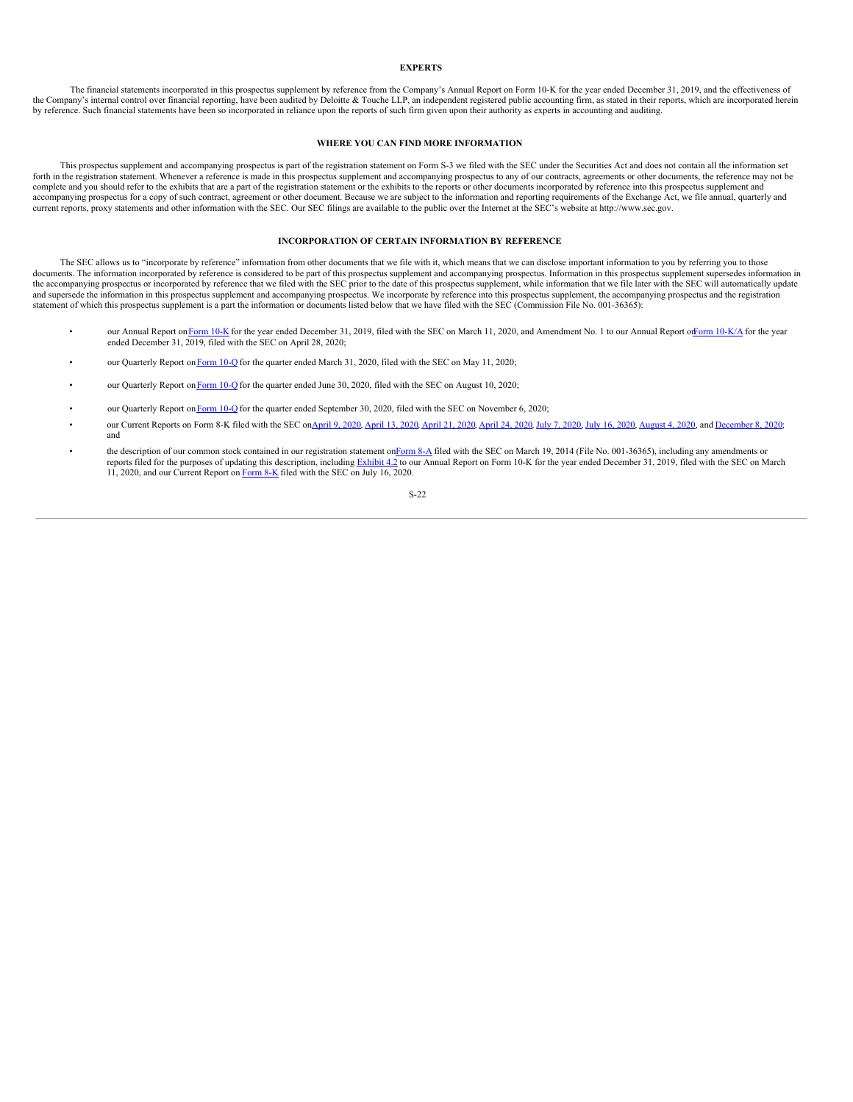# <span id="page-25-0"></span>**EXPERTS**

The financial statements incorporated in this prospectus supplement by reference from the Company's Annual Report on Form 10-K for the year ended December 31, 2019, and the effectiveness of the Company's internal control over financial reporting, have been audited by Deloitte & Touche LLP, an independent registered public accounting firm, as stated in their reports, which are incorporated herein by reference. Such financial statements have been so incorporated in reliance upon the reports of such firm given upon their authority as experts in accounting and auditing.

# <span id="page-25-1"></span>**WHERE YOU CAN FIND MORE INFORMATION**

This prospectus supplement and accompanying prospectus is part of the registration statement on Form S-3 we filed with the SEC under the Securities Act and does not contain all the information set forth in the registration statement. Whenever a reference is made in this prospectus supplement and accompanying prospectus to any of our contracts, agreements or other documents, the reference may not be complete and you should refer to the exhibits that are a part of the registration statement or the exhibits to the reports or other documents incorporated by reference into this prospectus supplement and accompanying prospectus for a copy of such contract, agreement or other document. Because we are subject to the information and reporting requirements of the Exchange Act, we file annual, quarterly and current reports, proxy statements and other information with the SEC. Our SEC filings are available to the public over the Internet at the SEC's website at http://www.sec.gov.

#### <span id="page-25-2"></span>**INCORPORATION OF CERTAIN INFORMATION BY REFERENCE**

The SEC allows us to "incorporate by reference" information from other documents that we file with it, which means that we can disclose important information to you by referring you to those documents. The information incorporated by reference is considered to be part of this prospectus supplement and accompanying prospectus. Information in this prospectus supplement supersedes information in<br>the accompanying and supersede the information in this prospectus supplement and accompanying prospectus. We incorporate by reference into this prospectus supplement, the accompanying prospectus and the registration statement of which this prospectus supplement is a part the information or documents listed below that we have filed with the SEC (Commission File No. 001-36365):

- our Annual Report on [Form](http://www.sec.gov/Archives/edgar/data/1178253/000156459020009875/scyx-10k_20191231.htm) 10-K for the year ended December 31, 2019, filed with the SEC on March 11, 2020, and Amendment No. 1 to our Annual Report of Form [10-K/A](http://www.sec.gov/Archives/edgar/data/1178253/000156459020019188/scyx-10ka_20191231.htm) for the year ended December 31, 2019, filed with the SEC on
- our Quarterly Report on [Form](http://www.sec.gov/Archives/edgar/data/1178253/000156459020023868/scyx-10q_20200331.htm) 10-Q for the quarter ended March 31, 2020, filed with the SEC on May 11, 2020;
- our Quarterly Report on [Form](https://www.sec.gov/ix?doc=/Archives/edgar/data/1178253/000156459020038629/scyx-10q_20200630.htm) 10-Q for the quarter ended June 30, 2020, filed with the SEC on August 10, 2020;
- our Quarterly Report on [Form](https://www.sec.gov/ix?doc=/Archives/edgar/data/1178253/000156459020051687/scyx-10q_20200930.htm) 10-Q for the quarter ended September 30, 2020, filed with the SEC on November 6, 2020;
- our Current Reports on Form 8-K filed with the SEC on[April](http://www.sec.gov/Archives/edgar/data/1178253/000156459020018514/scyx-8k_20200421.htm) 9, [2020](http://www.sec.gov/Archives/edgar/data/1178253/000156459020032489/scyx-8k_20200716.htm), April 13, 2020, April 21, 2020, April 24, 2020, July 7, 2020, July 16, 2020, [August](http://www.sec.gov/Archives/edgar/data/1178253/000156459020035769/scyx-8k_20200803.htm) 4, 2020, and [December](https://www.sec.gov/ix?doc=/Archives/edgar/data/1178253/000156459020056378/scyx-8k_20201202.htm) 8, 2020; and
- the description of our common stock contained in our registration statement o[nForm](http://www.sec.gov/Archives/edgar/data/1178253/000119312514106556/d695245d8a12b.htm) 8-A filed with the SEC on March 19, 2014 (File No. 001-36365), including any amendments or reports filed for the purposes of updating this description, including [Exhibit](http://www.sec.gov/Archives/edgar/data/1178253/000156459020009875/scyx-ex42_253.htm) 4.2 to our Annual Report on Form 10-K for the year ended December 31, 2019, filed with the SEC on March 11, 2020, and our Current Report on [Form](http://www.sec.gov/Archives/edgar/data/1178253/000156459020032489/scyx-8k_20200716.htm) 8-K filed with the SEC on July 16, 2020.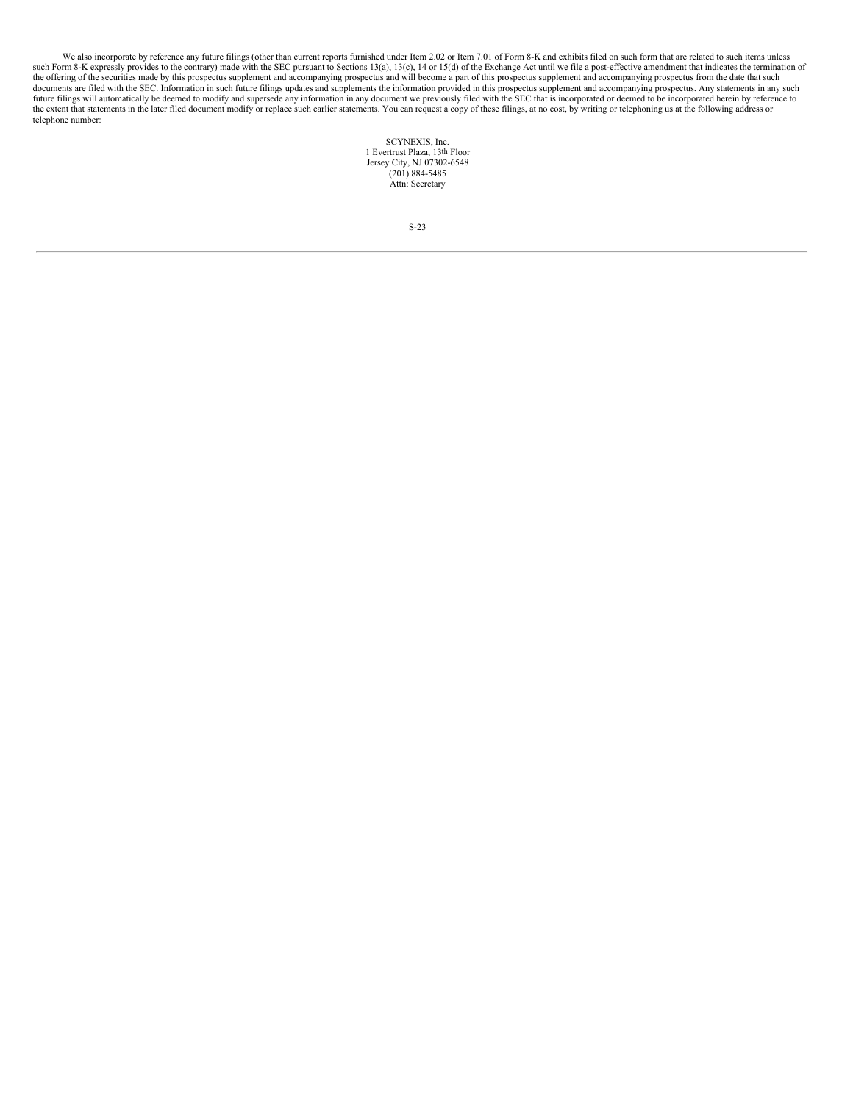We also incorporate by reference any future filings (other than current reports furnished under Item 2.02 or Item 7.01 of Form 8-K and exhibits filed on such form that are related to such items unless such Form 8-K express the offering of the securities made by this prospectus supplement and accompanying prospectus and will become a part of this prospectus supplement and accompanying prospectus from the date that such documents are filed wit future filings will automatically be deemed to modify and supersede any information in any document we previously filed with the SEC that is incorporated or deemed to be incorporated herein by reference to the extent that statements in the later filed document modify or replace such earlier statements. You can request a copy of these filings, at no cost, by writing or telephoning us at the following address or telephone number:

> SCYNEXIS, Inc. 1 Evertrust Plaza, 13th Floor Jersey City, NJ 07302-6548  $(201) 884 - 5485$ Attn: Secretary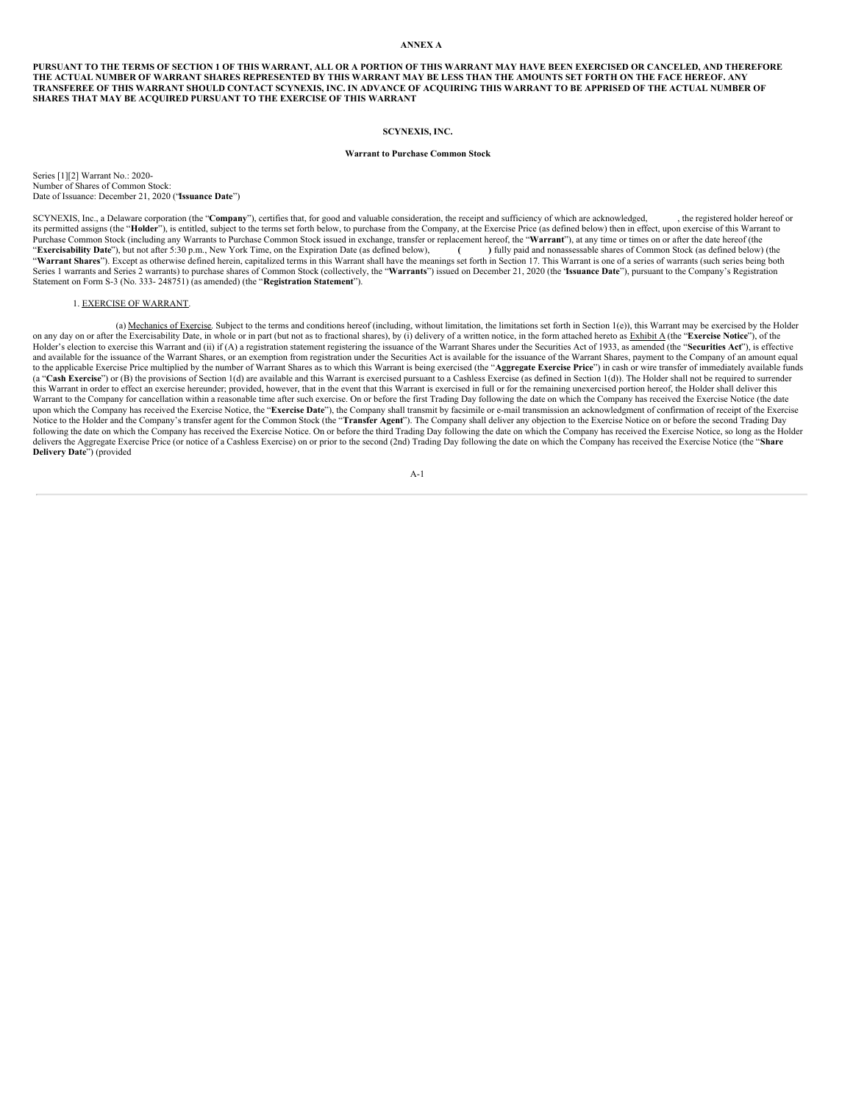# <span id="page-27-0"></span>**ANNEX A**

PURSUANT TO THE TERMS OF SECTION 1 OF THIS WARRANT, ALL OR A PORTION OF THIS WARRANT MAY HAVE BEEN EXERCISED OR CANCELED, AND THEREFORE THE ACTUAL NUMBER OF WARRANT SHARES REPRESENTED BY THIS WARRANT MAY BE LESS THAN THE AMOUNTS SET FORTH ON THE FACE HEREOF. ANY TRANSFEREE OF THIS WARRANT SHOULD CONTACT SCYNEXIS, INC. IN ADVANCE OF ACQUIRING THIS WARRANT TO BE APPRISED OF THE ACTUAL NUMBER OF **SHARES THAT MAY BE ACQUIRED PURSUANT TO THE EXERCISE OF THIS WARRANT**

# **SCYNEXIS, INC.**

# **Warrant to Purchase Common Stock**

Series [1][2] Warrant No.: 2020- Number of Shares of Common Stock: Date of Issuance: December 21, 2020 ("**Issuance Date**")

SCYNEXIS, Inc., a Delaware corporation (the "**Company**"), certifies that, for good and valuable consideration, the receipt and sufficiency of which are acknowledged, , the registered holder hereof or its permitted assigns (the "**Holder**"), is entitled, subject to the terms set forth below, to purchase from the Company, at the Exercise Price (as defined below) then in effect, upon exercise of this Warrant to Purchase Common Stock (including any Warrants to Purchase Common Stock issued in exchange, transfer or replacement hereof, the "**Warrant**"), at any time or times on or after the date hereof (the "**Exercisability Date**"), b "**Exercisability Date**"), but not after 5:30 p.m., New York Time, on the Expiration Date (as defined below), "**Warrant Shares**"). Except as otherwise defined herein, capitalized terms in this Warrant shall have the meanings set forth in Section 17. This Warrant is one of a series of warrants (such series being both Series 1 warrants and Series 2 warrants) to purchase shares of Common Stock (collectively, the "**Warrants**") issued on December 21, 2020 (the "**Issuance Date**"), pursuant to the Company's Registration Statement on Form S-3 (No. 333- 248751) (as amended) (the "**Registration Statement**").

# 1. EXERCISE OF WARRANT.

(a) Mechanics of Exercise. Subject to the terms and conditions hereof (including, without limitation, the limitations set forth in Section 1(e)), this Warrant may be exercised by the Holder on any day on or after the Exercisability Date, in whole or in part (but not as to fractional shares), by (i) delivery of a written notice, in the form attached hereto as Exhibit A (the "Exercise Notice"), of the Holder's election to exercise this Warrant and (ii) if (A) a registration statement registering the issuance of the Warrant Shares under the Securities Act of 1933, as amended (the "Securities Act"), is effective and available for the issuance of the Warrant Shares, or an exemption from registration under the Securities Act is available for the issuance of the Warrant Shares, payment to the Company of an amount equal to the applicable Exercise Price multiplied by the number of Warrant Shares as to which this Warrant is being exercised (the "Aggregate Exercise Price") in cash or wire transfer of immediately available funds (a "**Cash Exercise**") or (B) the provisions of Section 1(d) are available and this Warrant is exercised pursuant to a Cashless Exercise (as defined in Section 1(d)). The Holder shall not be required to surrender this Warrant in order to effect an exercise hereunder; provided, however, that in the event that this Warrant is exercised in full or for the remaining unexercised portion hereof, the Holder shall deliver this Warrant to the Company for cancellation within a reasonable time after such exercise. On or before the first Trading Day following the date on which the Company has received the Exercise Notice (the date upon which the Company has received the Exercise Notice, the "Exercise Date"), the Company shall transmit by facsimile or e-mail transmission an acknowledgment of confirmation of receipt of the Exercise Notice to the Holder and the Company's transfer agent for the Common Stock (the "**Transfer Agent**"). The Company shall deliver any objection to the Exercise Notice on or before the second Trading Day following the date on delivers the Aggregate Exercise Price (or notice of a Cashless Exercise) on or prior to the second (2nd) Trading Day following the date on which the Company has received the Exercise Notice (the "**Share Delivery Date**") (provided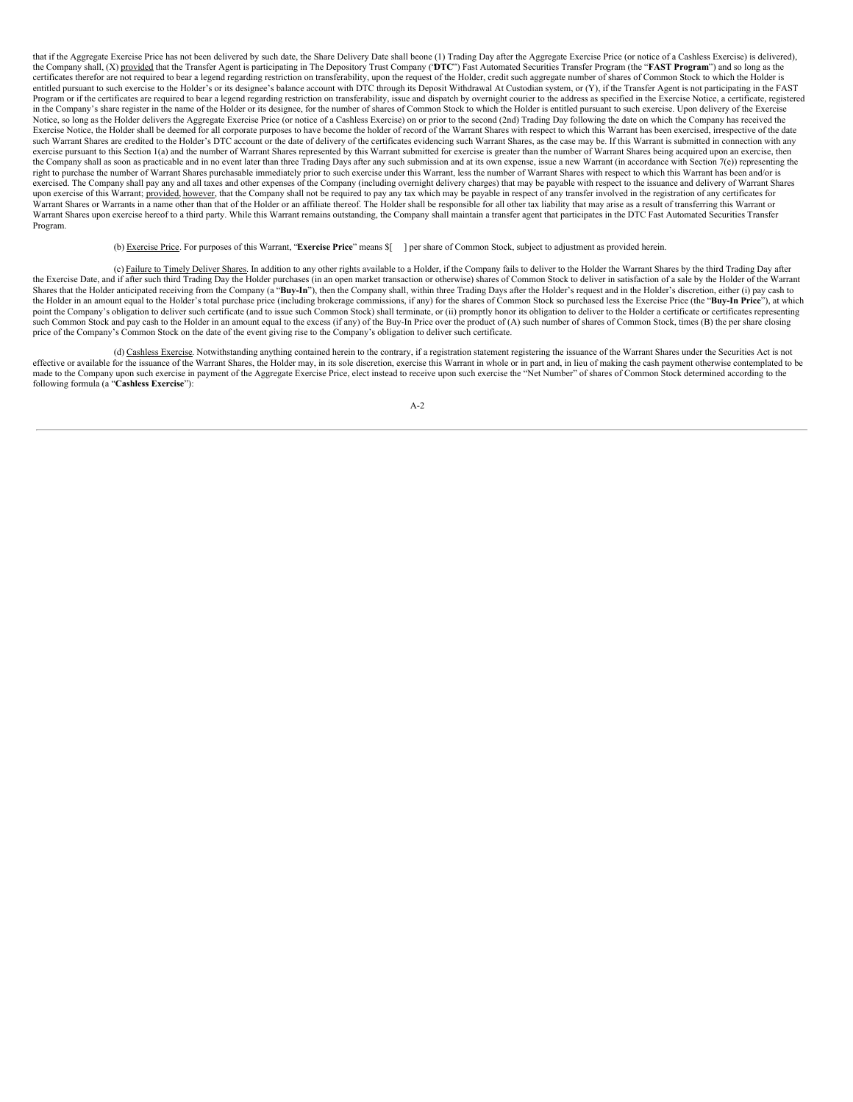that if the Aggregate Exercise Price has not been delivered by such date, the Share Delivery Date shall beone (1) Trading Day after the Aggregate Exercise Price (or notice of a Cashless Exercise) is delivered), the Company shall, (X) provided that the Transfer Agent is participating in The Depository Trust Company ("**DTC**") Fast Automated Securities Transfer Program (the "**FAST Program**") and so long as the certificates therefor are not required to bear a legend regarding restriction on transferability, upon the request of the Holder, credit such aggregate number of shares of Common Stock to which the Holder is entitled pursuant to such exercise to the Holder's or its designee's balance account with DTC through its Deposit Withdrawal At Custodian system, or (Y), if the Transfer Agent is not participating in the FAST Program or if the certificates are required to bear a legend regarding restriction on transferability, issue and dispatch by overnight courier to the address as specified in the Exercise Notice, a certificate, registered in the Company's share register in the name of the Holder or its designee, for the number of shares of Common Stock to which the Holder is entitled pursuant to such exercise. Upon delivery of the Exercise Notice, so long as the Holder delivers the Aggregate Exercise Price (or notice of a Cashless Exercise) on or prior to the second (2nd) Trading Day following the date on which the Company has received the Exercise Notice, the Holder shall be deemed for all corporate purposes to have become the holder of record of the Warrant Shares with respect to which this Warrant has been exercised, irrespective of the date such Warrant Shares are credited to the Holder's DTC account or the date of delivery of the certificates evidencing such Warrant Shares, as the case may be. If this Warrant is submitted in connection with any exercise pursuant to this Section 1(a) and the number of Warrant Shares represented by this Warrant submitted for exercise is greater than the number of Warrant Shares being acquired upon an exercise, then the Company shall as soon as practicable and in no event later than three Trading Days after any such submission and at its own expense, issue a new Warrant (in accordance with Section 7(e)) representing the right to purchase the number of Warrant Shares purchasable immediately prior to such exercise under this Warrant, less the number of Warrant Shares with respect to which this Warrant has been and/or is exercised. The Company shall pay any and all taxes and other expenses of the Company (including overnight delivery charges) that may be payable with respect to the issuance and delivery of Warrant Shares upon exercise of this Warrant; provided, however, that the Company shall not be required to pay any tax which may be payable in respect of any transfer involved in the registration of any certificates for Warrant Shares or Warrants in a name other than that of the Holder or an affiliate thereof. The Holder shall be responsible for all other tax liability that may arise as a result of transferring this Warrant or Warrant Shares upon exercise hereof to a third party. While this Warrant remains outstanding, the Company shall maintain a transfer agent that participates in the DTC Fast Automated Securities Transfer Program.

(b) Exercise Price. For purposes of this Warrant, "**Exercise Price**" means \$[ ] per share of Common Stock, subject to adjustment as provided herein.

(c) Failure to Timely Deliver Shares. In addition to any other rights available to a Holder, if the Company fails to deliver to the Holder the Warrant Shares by the third Trading Day after the Exercise Date, and if after such third Trading Day the Holder purchases (in an open market transaction or otherwise) shares of Common Stock to deliver in satisfaction of a sale by the Holder of the Warrant Shares that the Holder anticipated receiving from the Company (a "Buy-In"), then the Company shall, within three Trading Days after the Holder's request and in the Holder's discretion, either (i) pay cash to the Holder in an amount equal to the Holder's total purchase price (including brokerage commissions, if any) for the shares of Common Stock so purchased less the Exercise Price (the "**Buy-In Price**"), at which point the Company's obligation to deliver such certificate (and to issue such Common Stock) shall terminate, or (ii) promptly honor its obligation to deliver to the Holder a certificate or certificates representing such Common Stock and pay cash to the Holder in an amount equal to the excess (if any) of the Buy-In Price over the product of (A) such number of shares of Common Stock, times (B) the per share closing price of the Company's Common Stock on the date of the event giving rise to the Company's obligation to deliver such certificate.

(d) Cashless Exercise. Notwithstanding anything contained herein to the contrary, if a registration statement registering the issuance of the Warrant Shares under the Securities Act is not effective or available for the issuance of the Warrant Shares, the Holder may, in its sole discretion, exercise this Warrant in whole or in part and, in lieu of making the cash payment otherwise contemplated to be made to the Company upon such exercise in payment of the Aggregate Exercise Price, elect instead to receive upon such exercise the "Net Number" of shares of Common Stock determined according to the following formula (a "**Cashless Exercise**"):

 $A-2$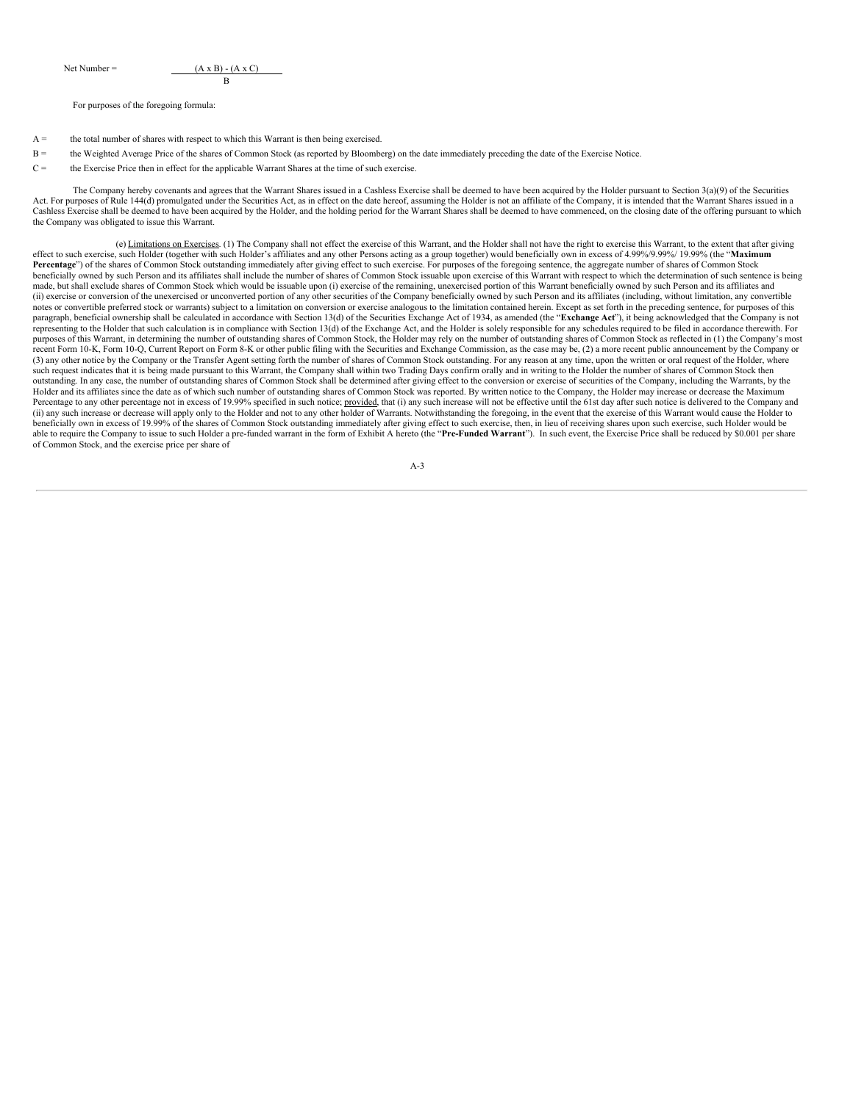Net Number =  $( A x B) - (A x C)$ B

For purposes of the foregoing formula:

- A = the total number of shares with respect to which this Warrant is then being exercised.
- B = the Weighted Average Price of the shares of Common Stock (as reported by Bloomberg) on the date immediately preceding the date of the Exercise Notice.
- C = the Exercise Price then in effect for the applicable Warrant Shares at the time of such exercise.

The Company hereby covenants and agrees that the Warrant Shares issued in a Cashless Exercise shall be deemed to have been acquired by the Holder pursuant to Section 3(a)(9) of the Securities Act. For purposes of Rule 144(d) promulgated under the Securities Act, as in effect on the date hereof, assuming the Holder is not an affiliate of the Company, it is intended that the Warrant Shares issued in a Cashless Exercise shall be deemed to have been acquired by the Holder, and the holding period for the Warrant Shares shall be deemed to have commenced, on the closing date of the offering pursuant to which the Company was obligated to issue this Warrant.

(e) Limitations on Exercises. (1) The Company shall not effect the exercise of this Warrant, and the Holder shall not have the right to exercise this Warrant, to the extent that after giving effect to such exercise, such Holder (together with such Holder's affiliates and any other Persons acting as a group together) would beneficially own in excess of 4.99%/9.99%/ 19.99% (the "**Maximum** Percentage") of the shares of Common Stock outstanding immediately after giving effect to such exercise. For purposes of the foregoing sentence, the aggregate number of shares of Common Stock beneficially owned by such Person and its affiliates shall include the number of shares of Common Stock issuable upon exercise of this Warrant with respect to which the determination of such sentence is being made, but shall exclude shares of Common Stock which would be issuable upon (i) exercise of the remaining, unexercised portion of this Warrant beneficially owned by such Person and its affiliates and (ii) exercise or conversion of the unexercised or unconverted portion of any other securities of the Company beneficially owned by such Person and its affiliates (including, without limitation, any convertible notes or convertible preferred stock or warrants) subject to a limitation on conversion or exercise analogous to the limitation contained herein. Except as set forth in the preceding sentence, for purposes of this paragraph, beneficial ownership shall be calculated in accordance with Section 13(d) of the Securities Exchange Act of 1934, as amended (the "**Exchange Act**"), it being acknowledged that the Company is not representing to the Holder that such calculation is in compliance with Section 13(d) of the Exchange Act, and the Holder is solely responsible for any schedules required to be filed in accordance therewith. For purposes of this Warrant, in determining the number of outstanding shares of Common Stock, the Holder may rely on the number of outstanding shares of Common Stock as reflected in (1) the Company's most recent Form 10-K, Form 10-Q, Current Report on Form 8-K or other public filing with the Securities and Exchange Commission, as the case may be, (2) a more recent public announcement by the Company or (3) any other notice by the Company or the Transfer Agent setting forth the number of shares of Common Stock outstanding. For any reason at any time, upon the written or oral request of the Holder, where such request indicates that it is being made pursuant to this Warrant, the Company shall within two Trading Days confirm orally and in writing to the Holder the number of shares of Common Stock then outstanding. In any case, the number of outstanding shares of Common Stock shall be determined after giving effect to the conversion or exercise of securities of the Company, including the Warrants, by the Holder and its affiliates since the date as of which such number of outstanding shares of Common Stock was reported. By written notice to the Company, the Holder may increase or decrease the Maximum Percentage to any other percentage not in excess of 19.99% specified in such notice; provided, that (i) any such increase will not be effective until the 61st day after such notice is delivered to the Company and Percentag (ii) any such increase or decrease will apply only to the Holder and not to any other holder of Warrants. Notwithstanding the foregoing, in the event that the exercise of this Warrant would cause the Holder to beneficially own in excess of 19.99% of the shares of Common Stock outstanding immediately after giving effect to such exercise, then, in lieu of receiving shares upon such exercise, such Holder would be able to require the Company to issue to such Holder a pre-funded warrant in the form of Exhibit A hereto (the "Pre-Funded Warrant"). In such event, the Exercise Price shall be reduced by \$0.001 per share of Common Stock, and the exercise price per share of

|  | × |
|--|---|
|  |   |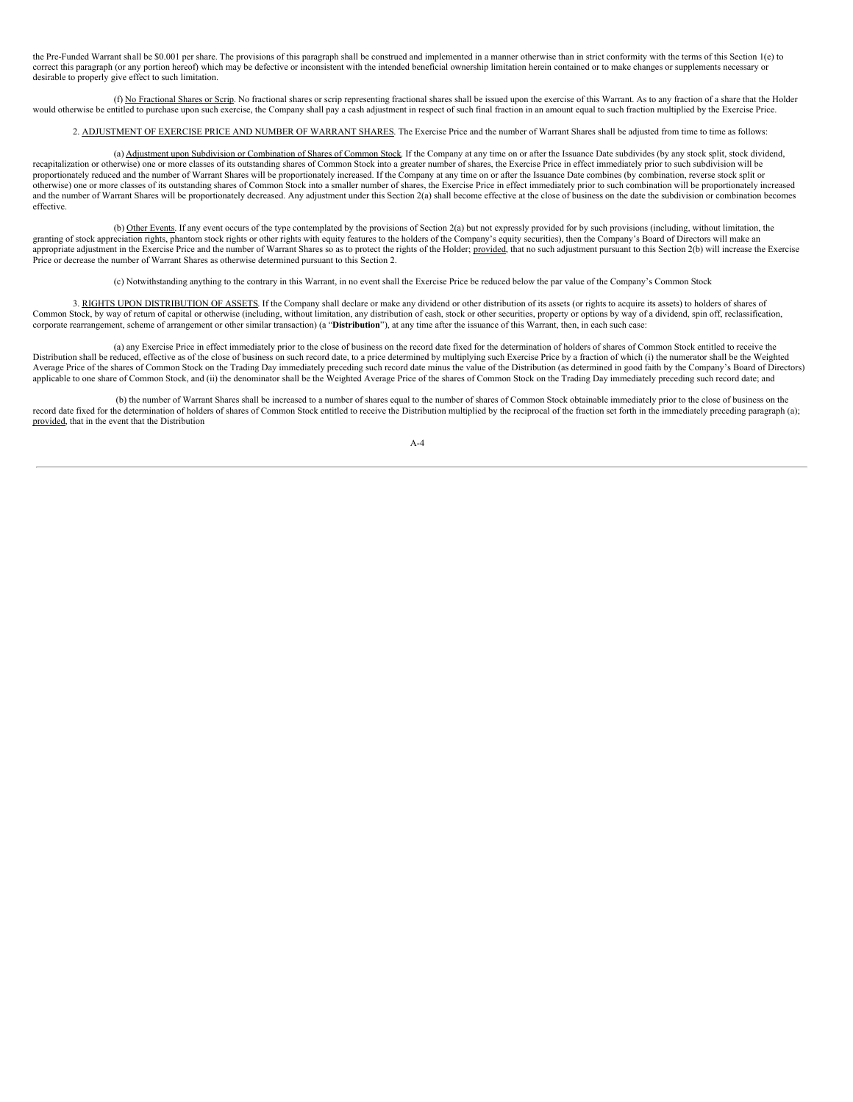the Pre-Funded Warrant shall be \$0.001 per share. The provisions of this paragraph shall be construed and implemented in a manner otherwise than in strict conformity with the terms of this Section 1(e) to correct this paragraph (or any portion hereof) which may be defective or inconsistent with the intended beneficial ownership limitation herein contained or to make changes or supplements necessary or desirable to properly give effect to such limitation.

(f) No Fractional Shares or Scrip. No fractional shares or scrip representing fractional shares shall be issued upon the exercise of this Warrant. As to any fraction of a share that the Holder would otherwise be entitled to purchase upon such exercise, the Company shall pay a cash adjustment in respect of such final fraction in an amount equal to such fraction multiplied by the Exercise Price.

2. ADJUSTMENT OF EXERCISE PRICE AND NUMBER OF WARRANT SHARES. The Exercise Price and the number of Warrant Shares shall be adjusted from time to time as follows:

(a) Adjustment upon Subdivision or Combination of Shares of Common Stock. If the Company at any time on or after the Issuance Date subdivides (by any stock split, stock dividend, recapitalization or otherwise) one or more classes of its outstanding shares of Common Stock into a greater number of shares, the Exercise Price in effect immediately prior to such subdivision will be proportionately reduced and the number of Warrant Shares will be proportionately increased. If the Company at any time on or after the Issuance Date combines (by combination, reverse stock split or otherwise) one or more classes of its outstanding shares of Common Stock into a smaller number of shares, the Exercise Price in effect immediately prior to such combination will be proportionately increased and the number of Warrant Shares will be proportionately decreased. Any adjustment under this Section 2(a) shall become effective at the close of business on the date the subdivision or combination becomes effective.

(b) Other Events. If any event occurs of the type contemplated by the provisions of Section 2(a) but not expressly provided for by such provisions (including, without limitation, the granting of stock appreciation rights, phantom stock rights or other rights with equity features to the holders of the Company's equity securities), then the Company's Board of Directors will make an appropriate adjustment in the Exercise Price and the number of Warrant Shares so as to protect the rights of the Holder; provided, that no such adjustment pursuant to this Section 2(b) will increase the Exercise Price or decrease the number of Warrant Shares as otherwise determined pursuant to this Section 2.

(c) Notwithstanding anything to the contrary in this Warrant, in no event shall the Exercise Price be reduced below the par value of the Company's Common Stock

3. RIGHTS UPON DISTRIBUTION OF ASSETS. If the Company shall declare or make any dividend or other distribution of its assets (or rights to acquire its assets) to holders of shares of Common Stock, by way of return of capital or otherwise (including, without limitation, any distribution of cash, stock or other securities, property or options by way of a dividend, spin off, reclassification, corporate rearrangement, scheme of arrangement or other similar transaction) (a "**Distribution**"), at any time after the issuance of this Warrant, then, in each such case:

(a) any Exercise Price in effect immediately prior to the close of business on the record date fixed for the determination of holders of shares of Common Stock entitled to receive the Distribution shall be reduced, effective as of the close of business on such record date, to a price determined by multiplying such Exercise Price by a fraction of which (i) the numerator shall be the Weighted Average Price of the shares of Common Stock on the Trading Day immediately preceding such record date minus the value of the Distribution (as determined in good faith by the Company's Board of Directors) applicable to one share of Common Stock, and (ii) the denominator shall be the Weighted Average Price of the shares of Common Stock on the Trading Day immediately preceding such record date; and

(b) the number of Warrant Shares shall be increased to a number of shares equal to the number of shares of Common Stock obtainable immediately prior to the close of business on the record date fixed for the determination of holders of shares of Common Stock entitled to receive the Distribution multiplied by the reciprocal of the fraction set forth in the immediately preceding paragraph (a); provided, that in the event that the Distribution

A-4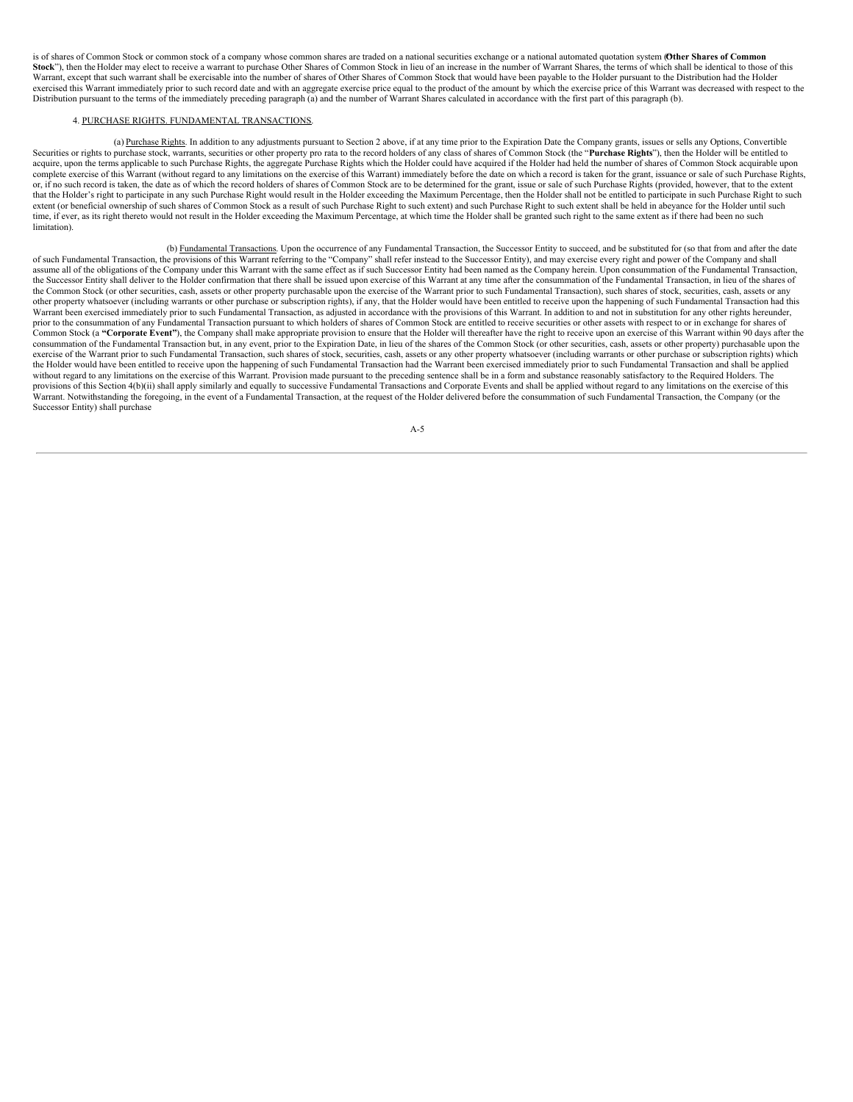is of shares of Common Stock or common stock of a company whose common shares are traded on a national securities exchange or a national automated quotation system (Other Shares of Common **Stock**"), then the Holder may elect to receive a warrant to purchase Other Shares of Common Stock in lieu of an increase in the number of Warrant Shares, the terms of which shall be identical to those of this Warrant, except that such warrant shall be exercisable into the number of shares of Other Shares of Common Stock that would have been payable to the Holder pursuant to the Distribution had the Holder exercised this Warrant immediately prior to such record date and with an aggregate exercise price equal to the product of the amount by which the exercise price of this Warrant was decreased with respect to the Distribution pursuant to the terms of the immediately preceding paragraph (a) and the number of Warrant Shares calculated in accordance with the first part of this paragraph (b).

# 4. PURCHASE RIGHTS. FUNDAMENTAL TRANSACTIONS.

(a) Purchase Rights. In addition to any adjustments pursuant to Section 2 above, if at any time prior to the Expiration Date the Company grants, issues or sells any Options, Convertible Securities or rights to purchase stock, warrants, securities or other property pro rata to the record holders of any class of shares of Common Stock (the "**Purchase Rights**"), then the Holder will be entitled to acquire, upon the terms applicable to such Purchase Rights, the aggregate Purchase Rights which the Holder could have acquired if the Holder had held the number of shares of Common Stock acquirable upon complete exercise of this Warrant (without regard to any limitations on the exercise of this Warrant) immediately before the date on which a record is taken for the grant, issuance or sale of such Purchase Rights, or, if no such record is taken, the date as of which the record holders of shares of Common Stock are to be determined for the grant, issue or sale of such Purchase Rights (provided, however, that to the extent that the Holder's right to participate in any such Purchase Right would result in the Holder exceeding the Maximum Percentage, then the Holder shall not be entitled to participate in such Purchase Right to such extent (or beneficial ownership of such shares of Common Stock as a result of such Purchase Right to such extent) and such Purchase Right to such extent shall be held in abeyance for the Holder until such time, if ever, as its right thereto would not result in the Holder exceeding the Maximum Percentage, at which time the Holder shall be granted such right to the same extent as if there had been no such limitation).

(b) Fundamental Transactions. Upon the occurrence of any Fundamental Transaction, the Successor Entity to succeed, and be substituted for (so that from and after the date of such Fundamental Transaction, the provisions of this Warrant referring to the "Company" shall refer instead to the Successor Entity), and may exercise every right and power of the Company and shall assume all of the obligations of the Company under this Warrant with the same effect as if such Successor Entity had been named as the Company herein. Upon consummation of the Fundamental Transaction, the Successor Entity shall deliver to the Holder confirmation that there shall be issued upon exercise of this Warrant at any time after the consummation of the Fundamental Transaction, in lieu of the shares of the Common Stock (or other securities, cash, assets or other property purchasable upon the exercise of the Warrant prior to such Fundamental Transaction), such shares of stock, securities, cash, assets or any other property whatsoever (including warrants or other purchase or subscription rights), if any, that the Holder would have been entitled to receive upon the happening of such Fundamental Transaction had this Warrant been exercised immediately prior to such Fundamental Transaction, as adjusted in accordance with the provisions of this Warrant. In addition to and not in substitution for any other rights hereunder, prior to the consummation of any Fundamental Transaction pursuant to which holders of shares of Common Stock are entitled to receive securities or other assets with respect to or in exchange for shares of Common Stock (a "Corporate Event"), the Company shall make appropriate provision to ensure that the Holder will thereafter have the right to receive upon an exercise of this Warrant within 90 days after the consummation of the Fundamental Transaction but, in any event, prior to the Expiration Date, in lieu of the shares of the Common Stock (or other securities, cash, assets or other property) purchasable upon the exercise of the Warrant prior to such Fundamental Transaction, such shares of stock, securities, cash, assets or any other property whatsoever (including warrants or other purchase or subscription rights) which the Holder would have been entitled to receive upon the happening of such Fundamental Transaction had the Warrant been exercised immediately prior to such Fundamental Transaction and shall be applied without regard to any limitations on the exercise of this Warrant. Provision made pursuant to the preceding sentence shall be in a form and substance reasonably satisfactory to the Required Holders. The provisions of this Section 4(b)(ii) shall apply similarly and equally to successive Fundamental Transactions and Corporate Events and shall be applied without regard to any limitations on the exercise of this Warrant. Notwithstanding the foregoing, in the event of a Fundamental Transaction, at the request of the Holder delivered before the consummation of such Fundamental Transaction, the Company (or the Successor Entity) shall purchase

A-5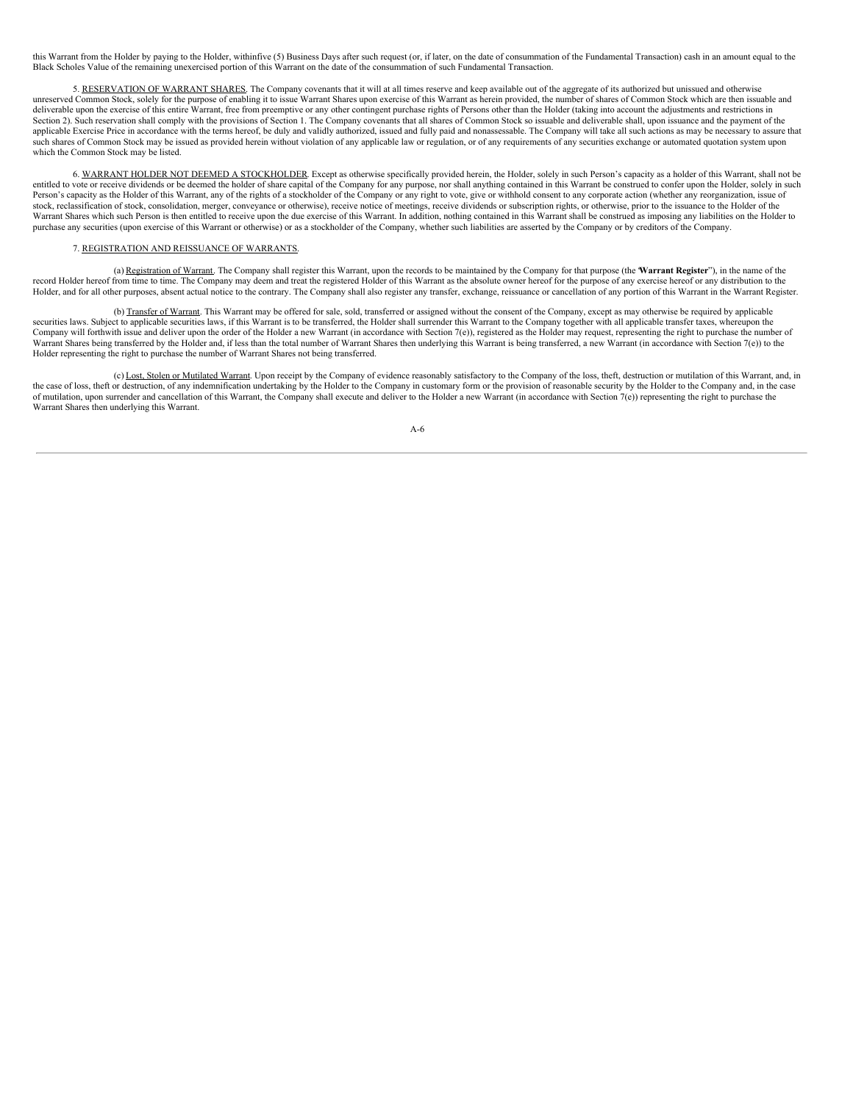this Warrant from the Holder by paying to the Holder, withinfive (5) Business Days after such request (or, if later, on the date of consummation of the Fundamental Transaction) cash in an amount equal to the Black Scholes Value of the remaining unexercised portion of this Warrant on the date of the consummation of such Fundamental Transaction.

5. RESERVATION OF WARRANT SHARES. The Company covenants that it will at all times reserve and keep available out of the aggregate of its authorized but unissued and otherwise unreserved Common Stock, solely for the purpose of enabling it to issue Warrant Shares upon exercise of this Warrant as herein provided, the number of shares of Common Stock which are then issuable and deliverable upon the exercise of this entire Warrant, free from preemptive or any other contingent purchase rights of Persons other than the Holder (taking into account the adjustments and restrictions in Section 2). Such reservation shall comply with the provisions of Section 1. The Company covenants that all shares of Common Stock so issuable and deliverable shall, upon issuance and the payment of the applicable Exercise Price in accordance with the terms hereof, be duly and validly authorized, issued and fully paid and nonassessable. The Company will take all such actions as may be necessary to assure that such shares of Common Stock may be issued as provided herein without violation of any applicable law or regulation, or of any requirements of any securities exchange or automated quotation system upon which the Common Stock may be listed.

6. WARRANT HOLDER NOT DEEMED A STOCKHOLDER. Except as otherwise specifically provided herein, the Holder, solely in such Person's capacity as a holder of this Warrant, shall not be entitled to vote or receive dividends or be deemed the holder of share capital of the Company for any purpose, nor shall anything contained in this Warrant be construed to confer upon the Holder, solely in such Person's capacity as the Holder of this Warrant, any of the rights of a stockholder of the Company or any right to vote, give or withhold consent to any corporate action (whether any reorganization, issue of stock, reclassification of stock, consolidation, merger, conveyance or otherwise), receive notice of meetings, receive dividends or subscription rights, or otherwise, prior to the issuance to the Holder of the Warrant Shares which such Person is then entitled to receive upon the due exercise of this Warrant. In addition, nothing contained in this Warrant shall be construed as imposing any liabilities on the Holder to purchase any securities (upon exercise of this Warrant or otherwise) or as a stockholder of the Company, whether such liabilities are asserted by the Company or by creditors of the Company.

# 7. REGISTRATION AND REISSUANCE OF WARRANTS.

(a) Registration of Warrant. The Company shall register this Warrant, upon the records to be maintained by the Company for that purpose (the "**Warrant Register**"), in the name of the record Holder hereof from time to time. The Company may deem and treat the registered Holder of this Warrant as the absolute owner hereof for the purpose of any exercise hereof or any distribution to the<br>Holder, and for al

(b) Transfer of Warrant. This Warrant may be offered for sale, sold, transferred or assigned without the consent of the Company, except as may otherwise be required by applicable securities laws. Subject to applicable securities laws, if this Warrant is to be transferred, the Holder shall surrender this Warrant to the Company together with all applicable transfer taxes, whereupon the Company will forthwith issue and deliver upon the order of the Holder a new Warrant (in accordance with Section 7(e)), registered as the Holder may request, representing the right to purchase the number of Warrant Shares being transferred by the Holder and, if less than the total number of Warrant Shares then underlying this Warrant is being transferred, a new Warrant (in accordance with Section 7(e)) to the Holder representing the right to purchase the number of Warrant Shares not being transferred.

(c) Lost, Stolen or Mutilated Warrant. Upon receipt by the Company of evidence reasonably satisfactory to the Company of the loss, theft, destruction or mutilation of this Warrant, and, in the case of loss, theft or destruction, of any indemnification undertaking by the Holder to the Company in customary form or the provision of reasonable security by the Holder to the Company and, in the case of mutilation, upon surrender and cancellation of this Warrant, the Company shall execute and deliver to the Holder a new Warrant (in accordance with Section 7(e)) representing the right to purchase the Warrant Shares then underlying this Warrant.

A-6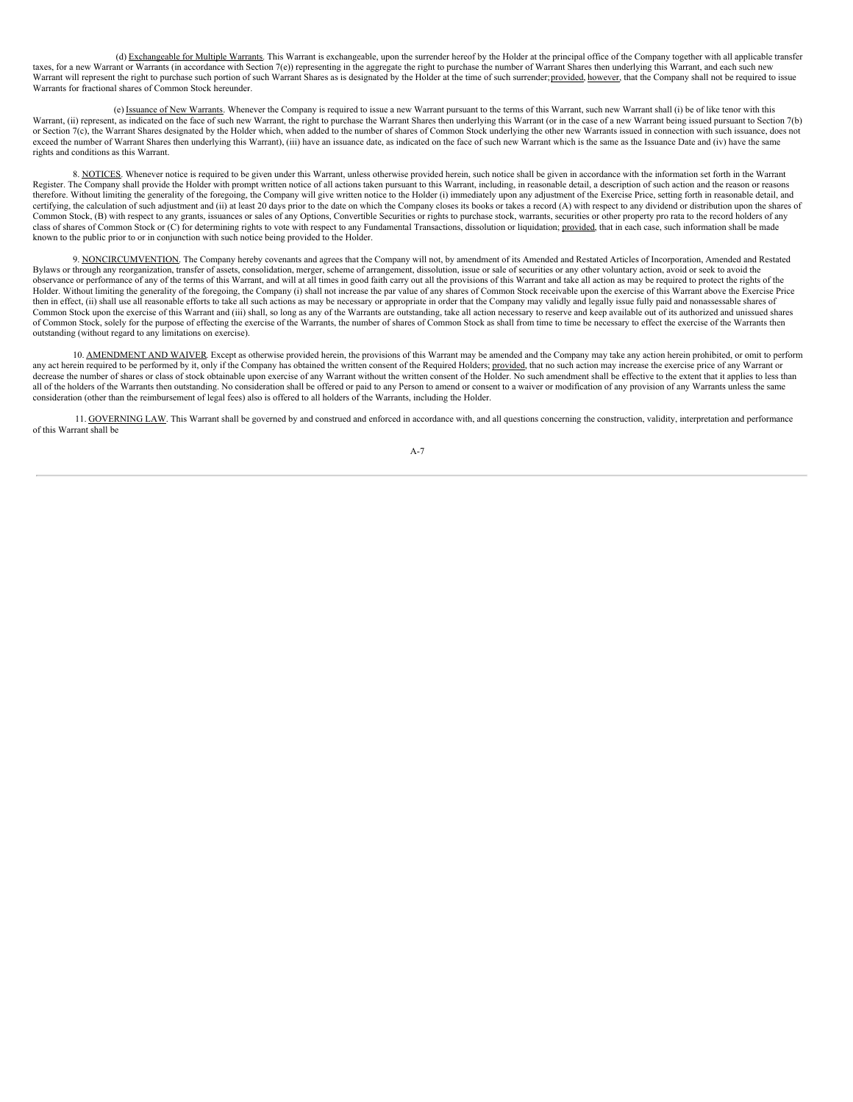(d) Exchangeable for Multiple Warrants. This Warrant is exchangeable, upon the surrender hereof by the Holder at the principal office of the Company together with all applicable transfer taxes, for a new Warrant or Warrants (in accordance with Section 7(e)) representing in the aggregate the right to purchase the number of Warrant Shares then underlying this Warrant, and each such new Warrant will represent the right to purchase such portion of such Warrant Shares as is designated by the Holder at the time of such surrender; provided, however, that the Company shall not be required to issue Warrants for fractional shares of Common Stock hereunder.

(e) Issuance of New Warrants. Whenever the Company is required to issue a new Warrant pursuant to the terms of this Warrant, such new Warrant shall (i) be of like tenor with this Warrant, (ii) represent, as indicated on the face of such new Warrant, the right to purchase the Warrant Shares then underlying this Warrant (or in the case of a new Warrant being issued pursuant to Section 7(b) or Section 7(c), the Warrant Shares designated by the Holder which, when added to the number of shares of Common Stock underlying the other new Warrants issued in connection with such issuance, does not exceed the number of Warrant Shares then underlying this Warrant), (iii) have an issuance date, as indicated on the face of such new Warrant which is the same as the Issuance Date and (iv) have the same rights and conditions as this Warrant.

8. NOTICES. Whenever notice is required to be given under this Warrant, unless otherwise provided herein, such notice shall be given in accordance with the information set forth in the Warrant Register. The Company shall provide the Holder with prompt written notice of all actions taken pursuant to this Warrant, including, in reasonable detail, a description of such action and the reason or reasons reasons therefore. Without limiting the generality of the foregoing, the Company will give written notice to the Holder (i) immediately upon any adjustment of the Exercise Price, setting forth in reasonable detail, and certifying, the calculation of such adjustment and (ii) at least 20 days prior to the date on which the Company closes its books or takes a record (A) with respect to any dividend or distribution upon the shares of Common Stock, (B) with respect to any grants, issuances or sales of any Options, Convertible Securities or rights to purchase stock, warrants, securities or other property pro rata to the record holders of any class of shares of Common Stock or (C) for determining rights to vote with respect to any Fundamental Transactions, dissolution or liquidation; provided, that in each case, such information shall be made known to the public prior to or in conjunction with such notice being provided to the Holder.

9. NONCIRCUMVENTION. The Company hereby covenants and agrees that the Company will not, by amendment of its Amended and Restated Articles of Incorporation, Amended and Restated Bylaws or through any reorganization, transfer of assets, consolidation, merger, scheme of arrangement, dissolution, issue or sale of securities or any other voluntary action, avoid or seek to avoid the observance or performance of any of the terms of this Warrant, and will at all times in good faith carry out all the provisions of this Warrant and take all action as may be required to protect the rights of the Holder. Without limiting the generality of the foregoing, the Company (i) shall not increase the par value of any shares of Common Stock receivable upon the exercise of this Warrant above the Exercise Price then in effect, (ii) shall use all reasonable efforts to take all such actions as may be necessary or appropriate in order that the Company may validly and legally issue fully paid and nonassessable shares of Common Stock upon the exercise of this Warrant and (iii) shall, so long as any of the Warrants are outstanding, take all action necessary to reserve and keep available out of its authorized and unissued shares of Common Stock, solely for the purpose of effecting the exercise of the Warrants, the number of shares of Common Stock as shall from time to time be necessary to effect the exercise of the Warrants then outstanding (without regard to any limitations on exercise).

10. <u>AMENDMENT AND WAIVER</u>. Except as otherwise provided herein, the provisions of this Warrant may be amended and the Company may take any action herein prohibited, or omit to perform<br>any act herein required to be perform decrease the number of shares or class of stock obtainable upon exercise of any Warrant without the written consent of the Holder. No such amendment shall be effective to the extent that it applies to less than decrease th all of the holders of the Warrants then outstanding. No consideration shall be offered or paid to any Person to amend or consent to a waiver or modification of any provision of any Warrants unless the same consideration (other than the reimbursement of legal fees) also is offered to all holders of the Warrants, including the Holder.

11. GOVERNING LAW. This Warrant shall be governed by and construed and enforced in accordance with, and all questions concerning the construction, validity, interpretation and performance of this Warrant shall be

A-7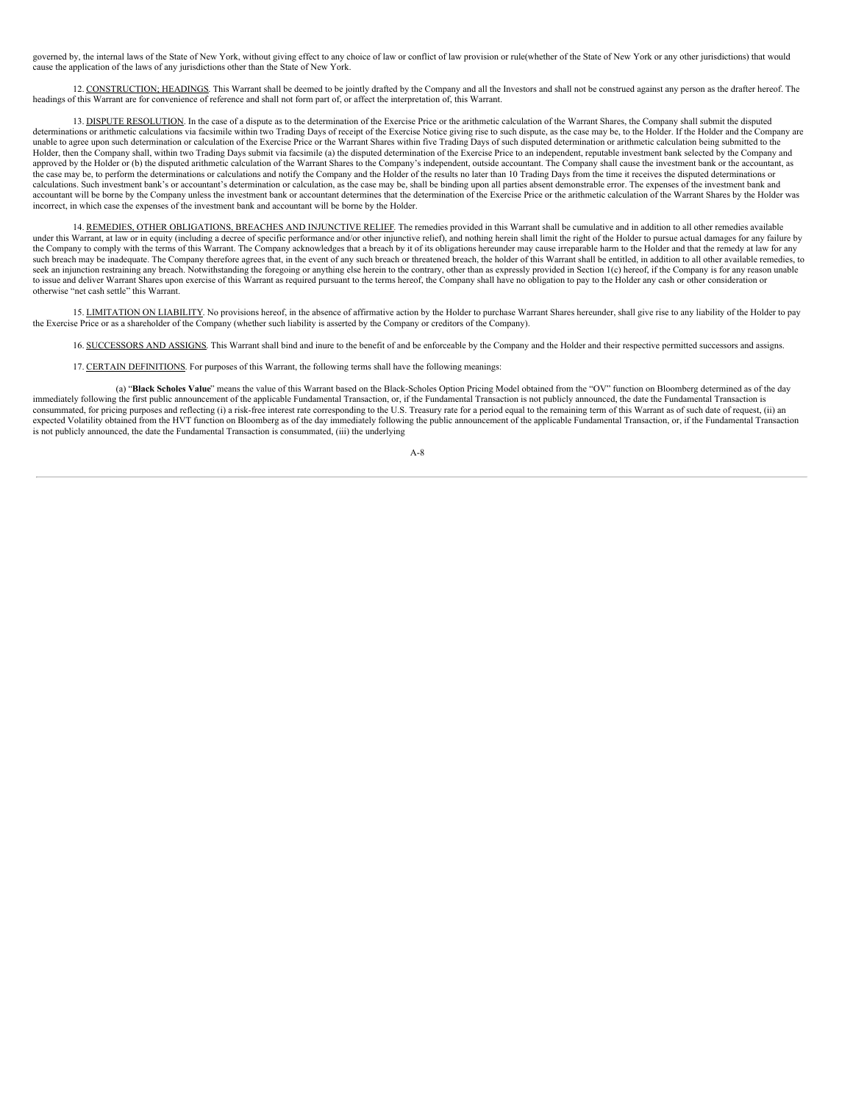governed by, the internal laws of the State of New York, without giving effect to any choice of law or conflict of law provision or rule(whether of the State of New York or any other jurisdictions) that would cause the application of the laws of any jurisdictions other than the State of New York.

12. CONSTRUCTION; HEADINGS. This Warrant shall be deemed to be jointly drafted by the Company and all the Investors and shall not be construed against any person as the drafter hereof. The headings of this Warrant are for convenience of reference and shall not form part of, or affect the interpretation of, this Warrant.

13. DISPUTE RESOLUTION. In the case of a dispute as to the determination of the Exercise Price or the arithmetic calculation of the Warrant Shares, the Company shall submit the disputed determinations or arithmetic calculations via facsimile within two Trading Days of receipt of the Exercise Notice giving rise to such dispute, as the case may be, to the Holder. If the Holder and the Company are unable to agree upon such determination or calculation of the Exercise Price or the Warrant Shares within five Trading Days of such disputed determination or arithmetic calculation being submitted to the Holder, then the Company shall, within two Trading Days submit via facsimile (a) the disputed determination of the Exercise Price to an independent, reputable investment bank selected by the Company and approved by the Holder or (b) the disputed arithmetic calculation of the Warrant Shares to the Company's independent, outside accountant. The Company shall cause the investment bank or the accountant, as the case may be, to perform the determinations or calculations and notify the Company and the Holder of the results no later than 10 Trading Days from the time it receives the disputed determinations or calculations. Such investment bank's or accountant's determination or calculation, as the case may be, shall be binding upon all parties absent demonstrable error. The expenses of the investment bank and accountant will be borne by the Company unless the investment bank or accountant determines that the determination of the Exercise Price or the arithmetic calculation of the Warrant Shares by the Holder was incorrect, in which case the expenses of the investment bank and accountant will be borne by the Holder.

14. REMEDIES, OTHER OBLIGATIONS, BREACHES AND INJUNCTIVE RELIEF. The remedies provided in this Warrant shall be cumulative and in addition to all other remedies available under this Warrant, at law or in equity (including a decree of specific performance and/or other injunctive relief), and nothing herein shall limit the right of the Holder to pursue actual damages for any failure by the Company to comply with the terms of this Warrant. The Company acknowledges that a breach by it of its obligations hereunder may cause irreparable harm to the Holder and that the remedy at law for any such breach may be inadequate. The Company therefore agrees that, in the event of any such breach or threatened breach, the holder of this Warrant shall be entitled, in addition to all other available remedies, to seek an injunction restraining any breach. Notwithstanding the foregoing or anything else herein to the contrary, other than as expressly provided in Section 1(c) hereof, if the Company is for any reason unable to issue and deliver Warrant Shares upon exercise of this Warrant as required pursuant to the terms hereof, the Company shall have no obligation to pay to the Holder any cash or other consideration or otherwise "net cash settle" this Warrant.

15. LIMITATION ON LIABILITY. No provisions hereof, in the absence of affirmative action by the Holder to purchase Warrant Shares hereunder, shall give rise to any liability of the Holder to pay the Exercise Price or as a shareholder of the Company (whether such liability is asserted by the Company or creditors of the Company).

16. SUCCESSORS AND ASSIGNS. This Warrant shall bind and inure to the benefit of and be enforceable by the Company and the Holder and their respective permitted successors and assigns.

17. CERTAIN DEFINITIONS. For purposes of this Warrant, the following terms shall have the following meanings:

(a) "**Black Scholes Value**" means the value of this Warrant based on the Black-Scholes Option Pricing Model obtained from the "OV" function on Bloomberg determined as of the day immediately following the first public announcement of the applicable Fundamental Transaction, or, if the Fundamental Transaction is not publicly announced, the date the Fundamental Transaction is consummated, for pricing purposes and reflecting (i) a risk-free interest rate corresponding to the U.S. Treasury rate for a period equal to the remaining term of this Warrant as of such date of request, (ii) an expected Volatility obtained from the HVT function on Bloomberg as of the day immediately following the public announcement of the applicable Fundamental Transaction, or, if the Fundamental Transaction is not publicly announced, the date the Fundamental Transaction is consummated, (iii) the underlying

 $A - 8$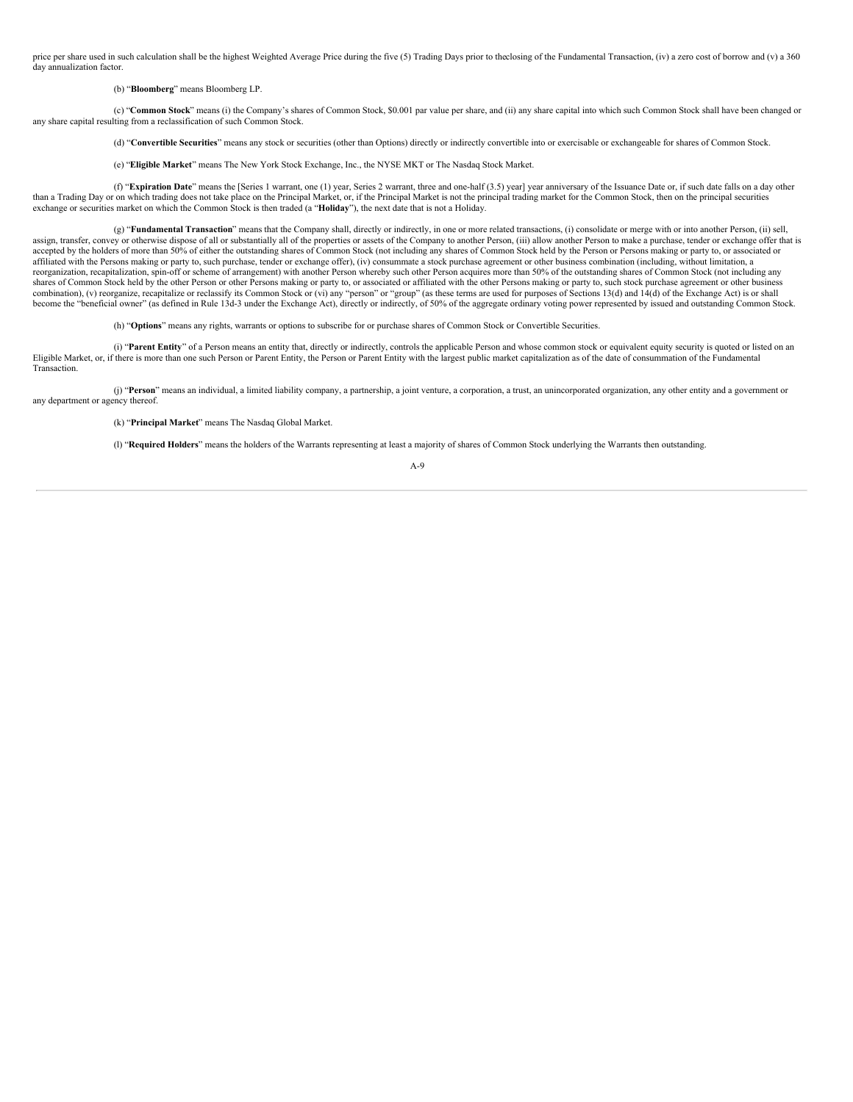price per share used in such calculation shall be the highest Weighted Average Price during the five (5) Trading Days prior to theclosing of the Fundamental Transaction, (iv) a zero cost of borrow and (v) a 360 day annualization factor.

#### (b) "**Bloomberg**" means Bloomberg LP.

(c) "**Common Stock**" means (i) the Company's shares of Common Stock, \$0.001 par value per share, and (ii) any share capital into which such Common Stock shall have been changed or any share capital resulting from a reclassification of such Common Stock.

(d) "**Convertible Securities**" means any stock or securities (other than Options) directly or indirectly convertible into or exercisable or exchangeable for shares of Common Stock.

(e) "**Eligible Market**" means The New York Stock Exchange, Inc., the NYSE MKT or The Nasdaq Stock Market.

(f) "**Expiration Date**" means the [Series 1 warrant, one (1) year, Series 2 warrant, three and one-half (3.5) year] year anniversary of the Issuance Date or, if such date falls on a day other than a Trading Day or on which trading does not take place on the Principal Market, or, if the Principal Market is not the principal trading market for the Common Stock, then on the principal securities exchange or securities market on which the Common Stock is then traded (a "**Holiday**"), the next date that is not a Holiday.

(g) "**Fundamental Transaction**" means that the Company shall, directly or indirectly, in one or more related transactions, (i) consolidate or merge with or into another Person, (ii) sell, assign, transfer, convey or otherwise dispose of all or substantially all of the properties or assets of the Company to another Person, (iii) allow another Person to make a purchase, tender or exchange offer that is accepted by the holders of more than 50% of either the outstanding shares of Common Stock (not including any shares of Common Stock held by the Person or Persons making or party to, or associated or affiliated with the Persons making or party to, such purchase, tender or exchange offer), (iv) consummate a stock purchase agreement or other business combination (including, without limitation, a reorganization, recapitalization, spin-off or scheme of arrangement) with another Person whereby such other Person acquires more than 50% of the outstanding shares of Common Stock (not including any shares of Common Stock held by the other Person or other Persons making or party to, or associated or affiliated with the other Persons making or party to, such stock purchase agreement or other business combination), (v) reorganize, recapitalize or reclassify its Common Stock or (vi) any "person" or "group" (as these terms are used for purposes of Sections 13(d) and 14(d) of the Exchange Act) is or shall become the "beneficial owner" (as defined in Rule 13d-3 under the Exchange Act), directly or indirectly, of 50% of the aggregate ordinary voting power represented by issued and outstanding Common Stock.

(h) "**Options**" means any rights, warrants or options to subscribe for or purchase shares of Common Stock or Convertible Securities.

(i) "**Parent Entity**" of a Person means an entity that, directly or indirectly, controls the applicable Person and whose common stock or equivalent equity security is quoted or listed on an Eligible Market, or, if there is more than one such Person or Parent Entity, the Person or Parent Entity with the largest public market capitalization as of the date of consummation of the Fundamental Transaction.

(j) "**Person**" means an individual, a limited liability company, a partnership, a joint venture, a corporation, a trust, an unincorporated organization, any other entity and a government or any department or agency thereof.

(k) "**Principal Market**" means The Nasdaq Global Market.

(l) "**Required Holders**" means the holders of the Warrants representing at least a majority of shares of Common Stock underlying the Warrants then outstanding.

# A-9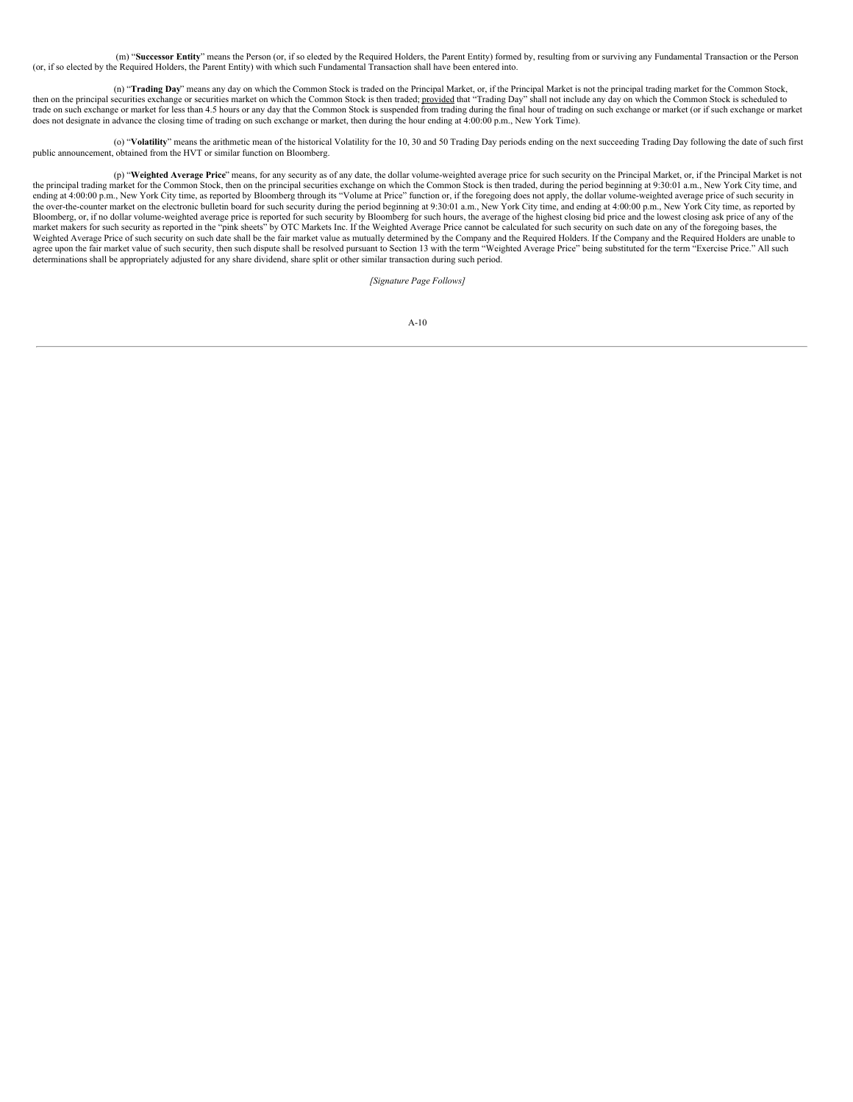(m) "**Successor Entity**" means the Person (or, if so elected by the Required Holders, the Parent Entity) formed by, resulting from or surviving any Fundamental Transaction or the Person (or, if so elected by the Required Holders, the Parent Entity) with which such Fundamental Transaction shall have been entered into.

(n) "**Trading Day**" means any day on which the Common Stock is traded on the Principal Market, or, if the Principal Market is not the principal trading market for the Common Stock, then on the principal securities exchange or securities market on which the Common Stock is then traded; provided that "Trading Day" shall not include any day on which the Common Stock is scheduled to trade on such exchange or market for less than 4.5 hours or any day that the Common Stock is suspended from trading during the final hour of trading on such exchange or market (or if such exchange or market does not designate in advance the closing time of trading on such exchange or market, then during the hour ending at 4:00:00 p.m., New York Time).

(o) "**Volatility**" means the arithmetic mean of the historical Volatility for the 10, 30 and 50 Trading Day periods ending on the next succeeding Trading Day following the date of such first public announcement, obtained from the HVT or similar function on Bloomberg.

(p) "**Weighted Average Price**" means, for any security as of any date, the dollar volume-weighted average price for such security on the Principal Market, or, if the Principal Market is not the principal trading market for the Common Stock, then on the principal securities exchange on which the Common Stock is then traded, during the period beginning at 9:30:01 a.m., New York City time, and ending at 4:00:00 the over-the-counter market on the electronic bulletin board for such security during the period beginning at 9:30:01 a.m., New York City time, and ending at 4:00:00 p.m., New York City time, as reported by Bloomberg, or, if no dollar volume-weighted average price is reported for such security by Bloomberg for such hours, the average of the highest closing bid price and the lowest closing ask price of any of the market makers for such security as reported in the "pink sheets" by OTC Markets Inc. If the Weighted Average Price cannot be calculated for such security on such date on any of the foregoing bases, the Weighted Average Price of such security on such date shall be the fair market value as mutually determined by the Company and the Required Holders. If the Company and the Required Holders are unable to agree upon the fair market value of such security, then such dispute shall be resolved pursuant to Section 13 with the term "Weighted Average Price" being substituted for the term "Exercise Price." All such determinations shall be appropriately adjusted for any share dividend, share split or other similar transaction during such period.

*[Signature Page Follows]*

|  | ۱<br>×<br>۰, |
|--|--------------|
|--|--------------|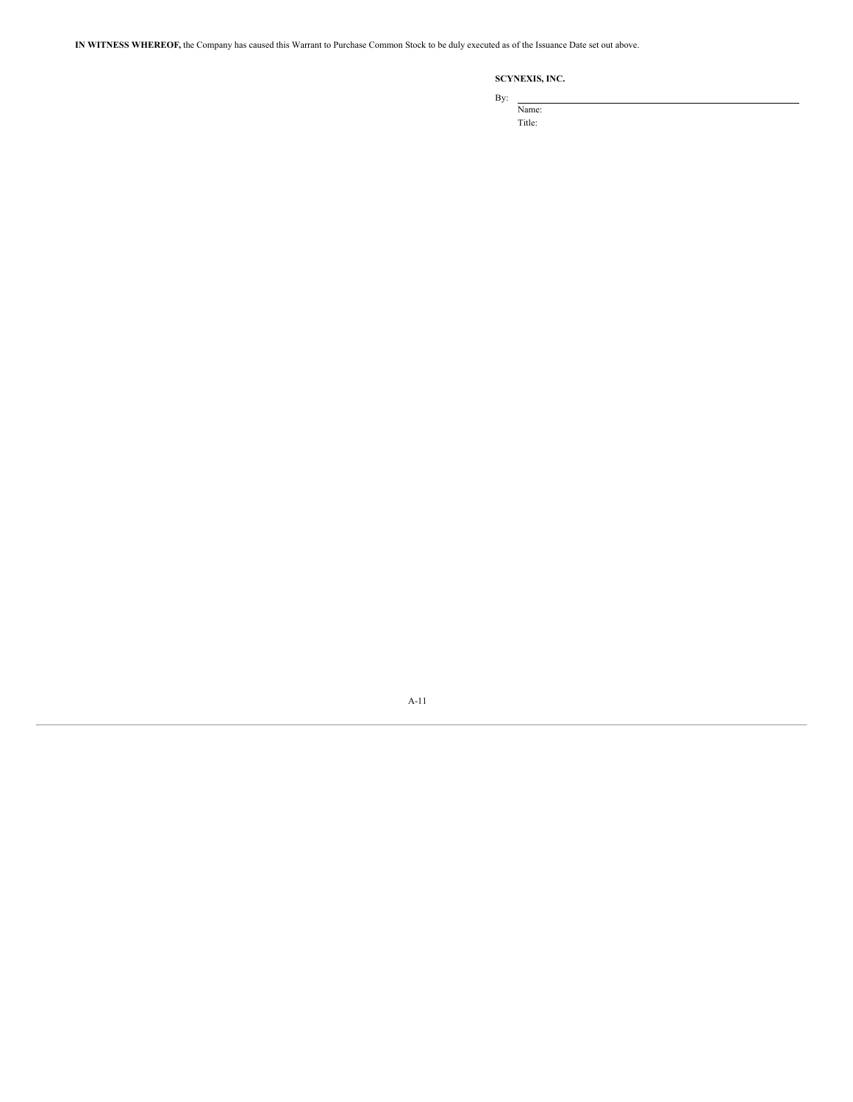**IN WITNESS WHEREOF,** the Company has caused this Warrant to Purchase Common Stock to be duly executed as of the Issuance Date set out above.

# **SCYNEXIS, INC.**

By:

Name: Title:

A-11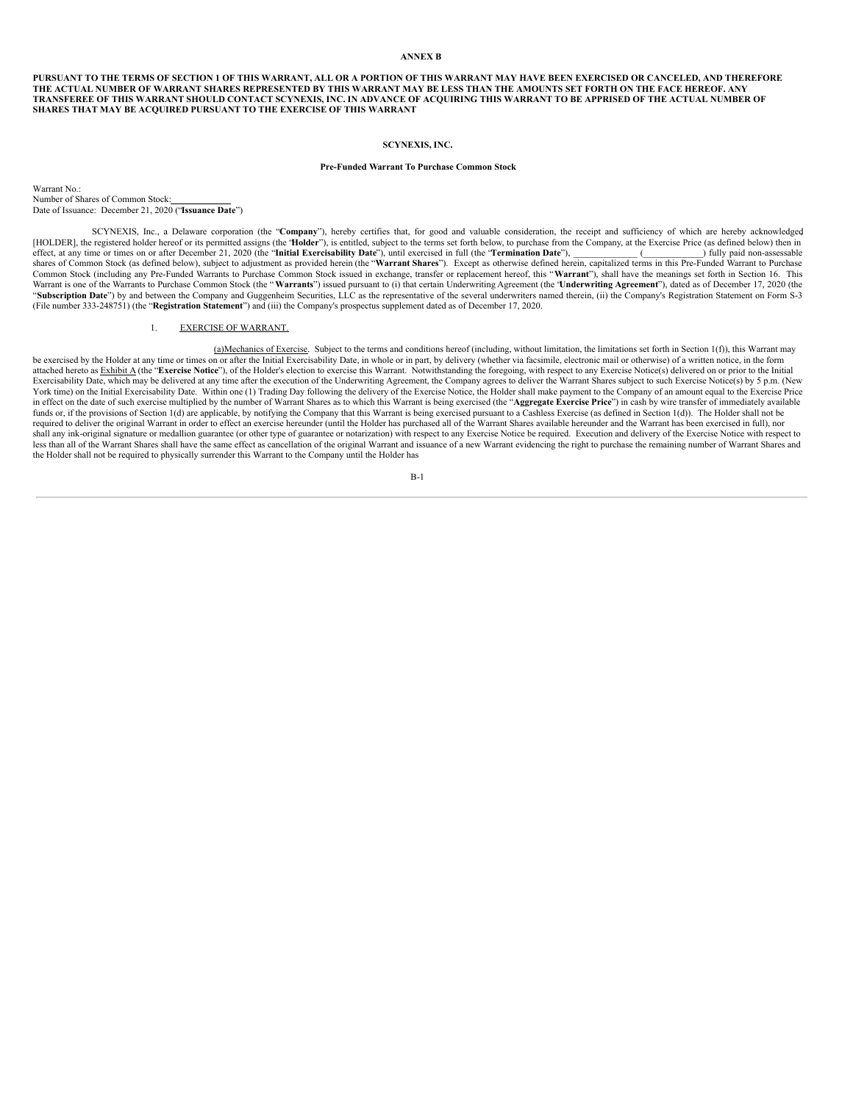## **ANNEX B**

PURSUANT TO THE TERMS OF SECTION 1 OF THIS WARRANT, ALL OR A PORTION OF THIS WARRANT MAY HAVE BEEN EXERCISED OR CANCELED, AND THEREFORE THE ACTUAL NUMBER OF WARRANT SHARES REPRESENTED BY THIS WARRANT MAY BE LESS THAN THE AMOUNTS SET FORTH ON THE FACE HEREOF. ANY TRANSFEREE OF THIS WARRANT SHOULD CONTACT SCYNEXIS, INC. IN ADVANCE OF ACQUIRING THIS WARRANT TO BE APPRISED OF THE ACTUAL NUMBER OF **SHARES THAT MAY BE ACQUIRED PURSUANT TO THE EXERCISE OF THIS WARRANT**

### **SCYNEXIS, INC.**

### **Pre-Funded Warrant To Purchase Common Stock**

Warrant No.: Number of Shares of Common Stock: Date of Issuance: December 21, 2020 ("**Issuance Date**")

SCYNEXIS, Inc., a Delaware corporation (the "**Company**"), hereby certifies that, for good and valuable consideration, the receipt and sufficiency of which are hereby acknowledged, [HOLDER], the registered holder hereof or its permitted assigns (the "**Holder**"), is entitled, subject to the terms set forth below, to purchase from the Company, at the Exercise Price (as defined below) then in effect, at effect, at any time or times on or after December 21, 2020 (the "Initial Exercisability Date"), until exercised in full (the "Termination Date"), shares of Common Stock (as defined below), subject to adjustment as provided herein (the "**Warrant Shares**"). Except as otherwise defined herein, capitalized terms in this Pre-Funded Warrant to Purchase Common Stock (including any Pre-Funded Warrants to Purchase Common Stock issued in exchange, transfer or replacement hereof, this "Warrant"), shall have the meanings set forth in Section 16. This Warrants to Purchase Commo "**Subscription Date**") by and between the Company and Guggenheim Securities, LLC as the representative of the several underwriters named therein, (ii) the Company's Registration Statement on Form S-3 (File number 333-248751) (the "**Registration Statement**") and (iii) the Company's prospectus supplement dated as of December 17, 2020.

## 1. EXERCISE OF WARRANT.

(a)Mechanics of Exercise. Subject to the terms and conditions hereof (including, without limitation, the limitations set forth in Section 1(f)), this Warrant may be exercised by the Holder at any time or times on or after the Initial Exercisability Date, in whole or in part, by delivery (whether via facsimile, electronic mail or otherwise) of a written notice, in the form attached hereto as Exhibit A (the "Exercise Notice"), of the Holder's election to exercise this Warrant. Notwithstanding the foregoing, with respect to any Exercise Notice(s) delivered on or prior to the Initial Exercisability Date, which may be delivered at any time after the execution of the Underwriting Agreement, the Company agrees to deliver the Warrant Shares subject to such Exercise Notice(s) by 5 p.m. (New York time) on the Initial Exercisability Date. Within one (1) Trading Day following the delivery of the Exercise Notice, the Holder shall make payment to the Company of an amount equal to the Exercise Price in effect on the date of such exercise multiplied by the number of Warrant Shares as to which this Warrant is being exercised (the "Aggregate Exercise Price") in cash by wire transfer of immediately available funds or, if the provisions of Section 1(d) are applicable, by notifying the Company that this Warrant is being exercised pursuant to a Cashless Exercise (as defined in Section 1(d)). The Holder shall not be required to deliver the original Warrant in order to effect an exercise hereunder (until the Holder has purchased all of the Warrant Shares available hereunder and the Warrant has been exercised in full), nor shall any ink-original signature or medallion guarantee (or other type of guarantee or notarization) with respect to any Exercise Notice be required. Execution and delivery of the Exercise Notice with respect to any includ less than all of the Warrant Shares shall have the same effect as cancellation of the original Warrant and issuance of a new Warrant evidencing the right to purchase the remaining number of Warrant Shares and the Holder shall not be required to physically surrender this Warrant to the Company until the Holder has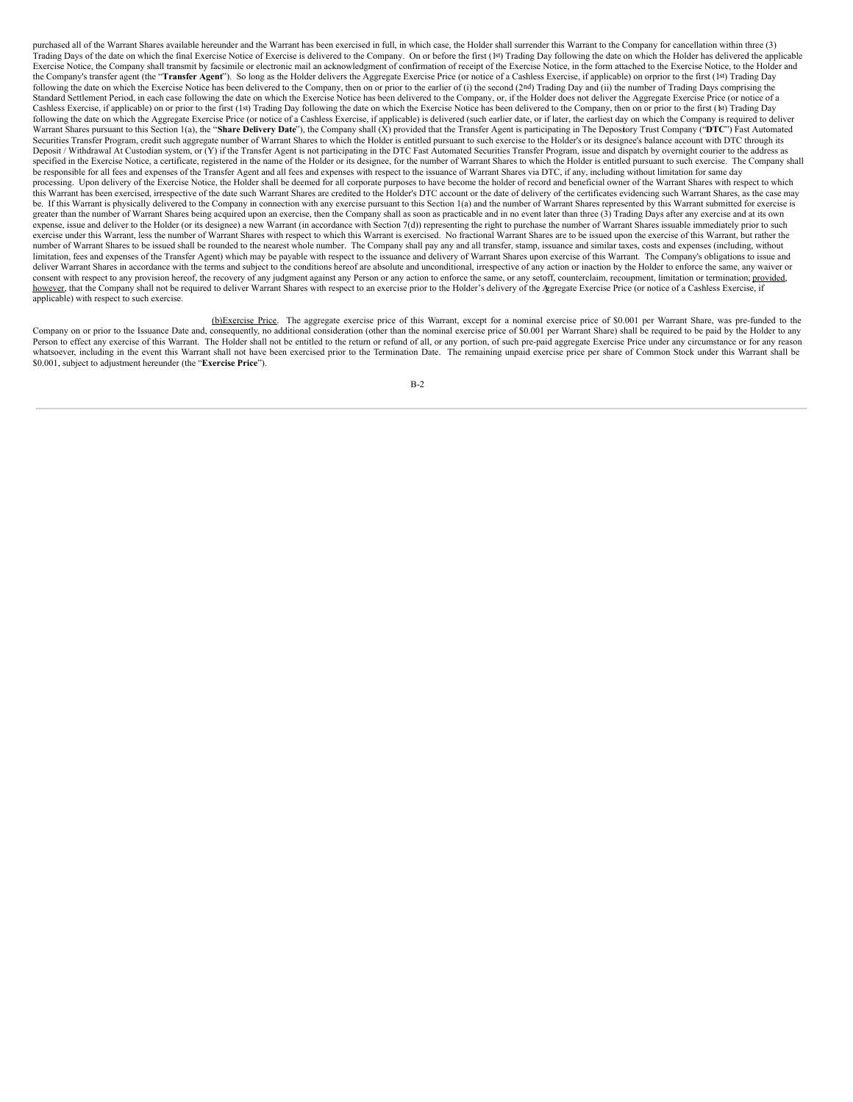purchased all of the Warrant Shares available hereunder and the Warrant has been exercised in full, in which case, the Holder shall surrender this Warrant to the Company for cancellation within three (3) .<br>Trading Days of the date on which the final Exercise Notice of Exercise is delivered to the Company. On or before the first (1st) Trading Day following the date on which the Holder has delivered the applicable Exercise Notice, the Company shall transmit by facsimile or electronic mail an acknowledgment of confirmation of receipt of the Exercise Notice, in the form attached to the Exercise Notice, to the Holder and the Company's transfer agent (the "Transfer Agent"). So long as the Holder delivers the Aggregate Exercise Price (or notice of a Cashless Exercise, if applicable) on orprior to the first (1st) Trading Day following the date on which the Exercise Notice has been delivered to the Company, then on or prior to the earlier of (i) the second (2nd) Trading Day and (ii) the number of Trading Days comprising the Standard Settlement Period, in each case following the date on which the Exercise Notice has been delivered to the Company, or, if the Holder does not deliver the Aggregate Exercise Price (or notice of a Cashless Exercise, if applicable) on or prior to the first (1st) Trading Day following the date on which the Exercise Notice has been delivered to the Company, then on or prior to the first (1st) Trading Day following the date on which the Aggregate Exercise Price (or notice of a Cashless Exercise, if applicable) is delivered (such earlier date, or if later, the earliest day on which the Company is required to deliver Warrant Shares pursuant to this Section 1(a), the "Share Delivery Date"), the Company shall (X) provided that the Transfer Agent is participating in The Depository Trust Company ("DTC") Fast Automated Securities Transfer Program, credit such aggregate number of Warrant Shares to which the Holder is entitled pursuant to such exercise to the Holder's or its designee's balance account with DTC through its Deposit / Withdrawal At Custodian system, or (Y) if the Transfer Agent is not participating in the DTC Fast Automated Securities Transfer Program, issue and dispatch by overnight courier to the address as specified in the Exercise Notice, a certificate, registered in the name of the Holder or its designee, for the number of Warrant Shares to which the Holder is entitled pursuant to such exercise. The Company shall be responsible for all fees and expenses of the Transfer Agent and all fees and expenses with respect to the issuance of Warrant Shares via DTC, if any, including without limitation for same day processing. Upon delivery of the Exercise Notice, the Holder shall be deemed for all corporate purposes to have become the holder of record and beneficial owner of the Warrant Shares with respect to which this Warrant has been exercised, irrespective of the date such Warrant Shares are credited to the Holder's DTC account or the date of delivery of the certificates evidencing such Warrant Shares, as the case may be. If this Warrant is physically delivered to the Company in connection with any exercise pursuant to this Section 1(a) and the number of Warrant Shares represented by this Warrant submitted for exercise is greater than the number of Warrant Shares being acquired upon an exercise, then the Company shall as soon as practicable and in no event later than three (3) Trading Days after any exercise and at its own expense, issue and deliver to the Holder (or its designee) a new Warrant (in accordance with Section 7(d)) representing the right to purchase the number of Warrant Shares issuable immediately prior to such exercise under this Warrant, less the number of Warrant Shares with respect to which this Warrant is exercised. No fractional Warrant Shares are to be issued upon the exercise of this Warrant, but rather the number of Warrant Shares to be issued shall be rounded to the nearest whole number. The Company shall pay any and all transfer, stamp, issuance and similar taxes, costs and expenses (including, without limitation, fees and expenses of the Transfer Agent) which may be payable with respect to the issuance and delivery of Warrant Shares upon exercise of this Warrant. The Company's obligations to issue and deliver Warrant Shares in accordance with the terms and subject to the conditions hereof are absolute and unconditional, irrespective of any action or inaction by the Holder to enforce the same, any waiver or consent with respect to any provision hereof, the recovery of any judgment against any Person or any action to enforce the same, or any setoff, counterclaim, recoupment, limitation or termination; provided, however, that the Company shall not be required to deliver Warrant Shares with respect to an exercise prior to the Holder's delivery of the Aggregate Exercise Price (or notice of a Cashless Exercise, if applicable) with respect to such exercise.

b)Exercise Price. The aggregate exercise price of this Warrant, except for a nominal exercise price of \$0.001 per Warrant Share, was pre-funded to the Company on or prior to the Issuance Date and, consequently, no addition Person to effect any exercise of this Warrant. The Holder shall not be entitled to the return or refund of all, or any portion, of such pre-paid aggregate Exercise Price under any circumstance or for any reason whatsoever, including in the event this Warrant shall not have been exercised prior to the Termination Date. The remaining unpaid exercise price per share of Common Stock under this Warrant shall be \$0.001, subject to adjustment hereunder (the "**Exercise Price**").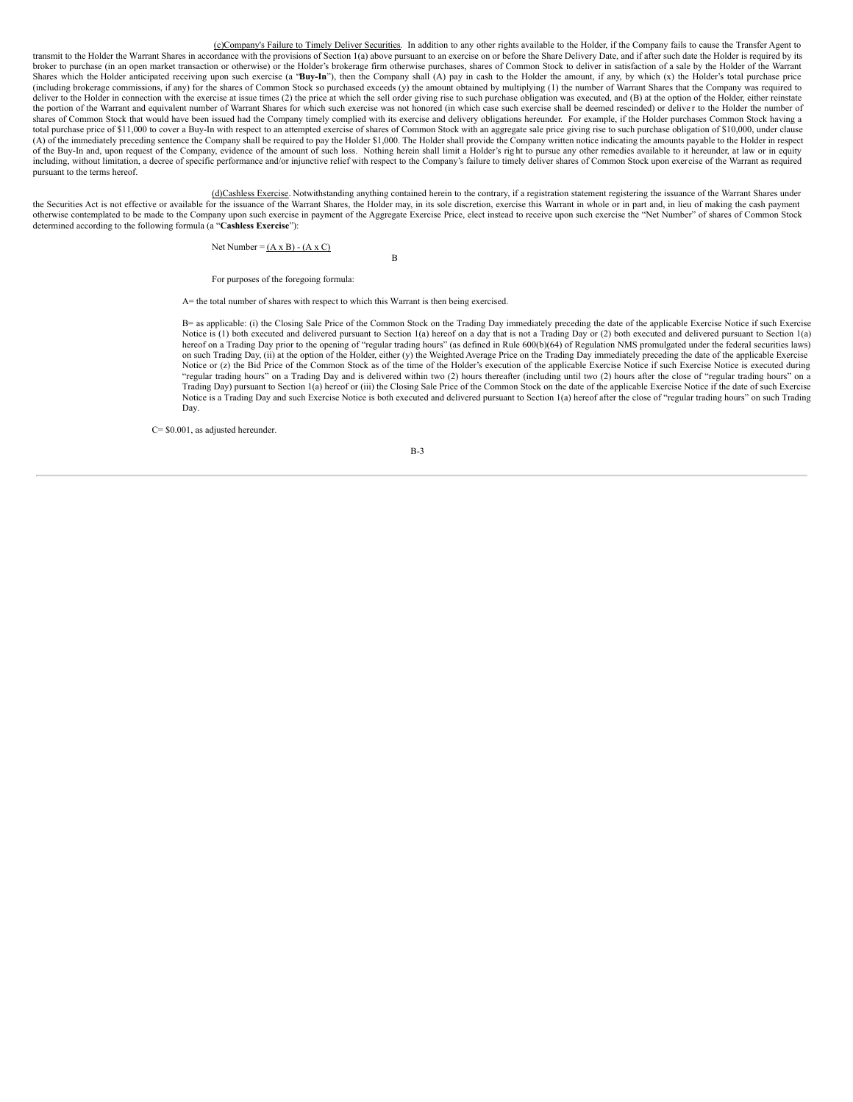(c)Company's Failure to Timely Deliver Securities. In addition to any other rights available to the Holder, if the Company fails to cause the Transfer Agent to transmit to the Holder the Warrant Shares in accordance with the provisions of Section 1(a) above pursuant to an exercise on or before the Share Delivery Date, and if after such date the Holder is required by its broker to purchase (in an open market transaction or otherwise) or the Holder's brokerage firm otherwise purchases, shares of Common Stock to deliver in satisfaction of a sale by the Holder of the Warrant Shares which the Holder anticipated receiving upon such exercise (a "Buy-In"), then the Company shall (A) pay in cash to the Holder the amount, if any, by which (x) the Holder's total purchase price (including brokerage commissions, if any) for the shares of Common Stock so purchased exceeds (y) the amount obtained by multiplying (1) the number of Warrant Shares that the Company was required to deliver to the Holder in connection with the exercise at issue times (2) the price at which the sell order giving rise to such purchase obligation was executed, and (B) at the option of the Holder, either reinstate the portion of the Warrant and equivalent number of Warrant Shares for which such exercise was not honored (in which case such exercise shall be deemed rescinded) or deliver to the Holder the number of shares of Common Stock that would have been issued had the Company timely complied with its exercise and delivery obligations hereunder. For example, if the Holder purchases Common Stock having a total purchase price of \$11,000 to cover a Buy-In with respect to an attempted exercise of shares of Common Stock with an aggregate sale price giving rise to such purchase obligation of \$10,000, under clause (A) of the immediately preceding sentence the Company shall be required to pay the Holder \$1,000. The Holder shall provide the Company written notice indicating the amounts payable to the Holder in respect of the Buy-In and, upon request of the Company, evidence of the amount of such loss. Nothing herein shall limit a Holder's rig ht to pursue any other remedies available to it hereunder, at law or in equity including, without limitation, a decree of specific performance and/or injunctive relief with respect to the Company's failure to timely deliver shares of Common Stock upon exercise of the Warrant as required pursuant to the terms hereof.

(d)Cashless Exercise. Notwithstanding anything contained herein to the contrary, if a registration statement registering the issuance of the Warrant Shares under the Securities Act is not effective or available for the issuance of the Warrant Shares, the Holder may, in its sole discretion, exercise this Warrant in whole or in part and, in lieu of making the cash payment otherwise contemplated to be made to the Company upon such exercise in payment of the Aggregate Exercise Price, elect instead to receive upon such exercise the "Net Number" of shares of Common Stock determined according to the following formula (a "**Cashless Exercise**"):

B

Net Number =  $(A \times B) - (A \times C)$ 

For purposes of the foregoing formula:

A= the total number of shares with respect to which this Warrant is then being exercised.

B= as applicable: (i) the Closing Sale Price of the Common Stock on the Trading Day immediately preceding the date of the applicable Exercise Notice if such Exercise Notice is (1) both executed and delivered pursuant to Section 1(a) hereof on a day that is not a Trading Day or (2) both executed and delivered pursuant to Section 1(a) hereof on a Trading Day prior to the opening of "regular trading hours" (as defined in Rule 600(b)(64) of Regulation NMS promulgated under the federal securities laws) on such Trading Day, (ii) at the option of the Holder, either (y) the Weighted Average Price on the Trading Day immediately preceding the date of the applicable Exercise Notice or (z) the Bid Price of the Common Stock as of the time of the Holder's execution of the applicable Exercise Notice if such Exercise Notice is executed during "regular trading hours" on a Trading Day and is delivered within two (2) hours thereafter (including until two (2) hours after the close of "regular trading hours" on a Trading Day) pursuant to Section 1(a) hereof or (iii) the Closing Sale Price of the Common Stock on the date of the applicable Exercise Notice if the date of such Exercise Notice is a Trading Day and such Exercise Notice is both executed and delivered pursuant to Section 1(a) hereof after the close of "regular trading hours" on such Trading Day.

C= \$0.001, as adjusted hereunder.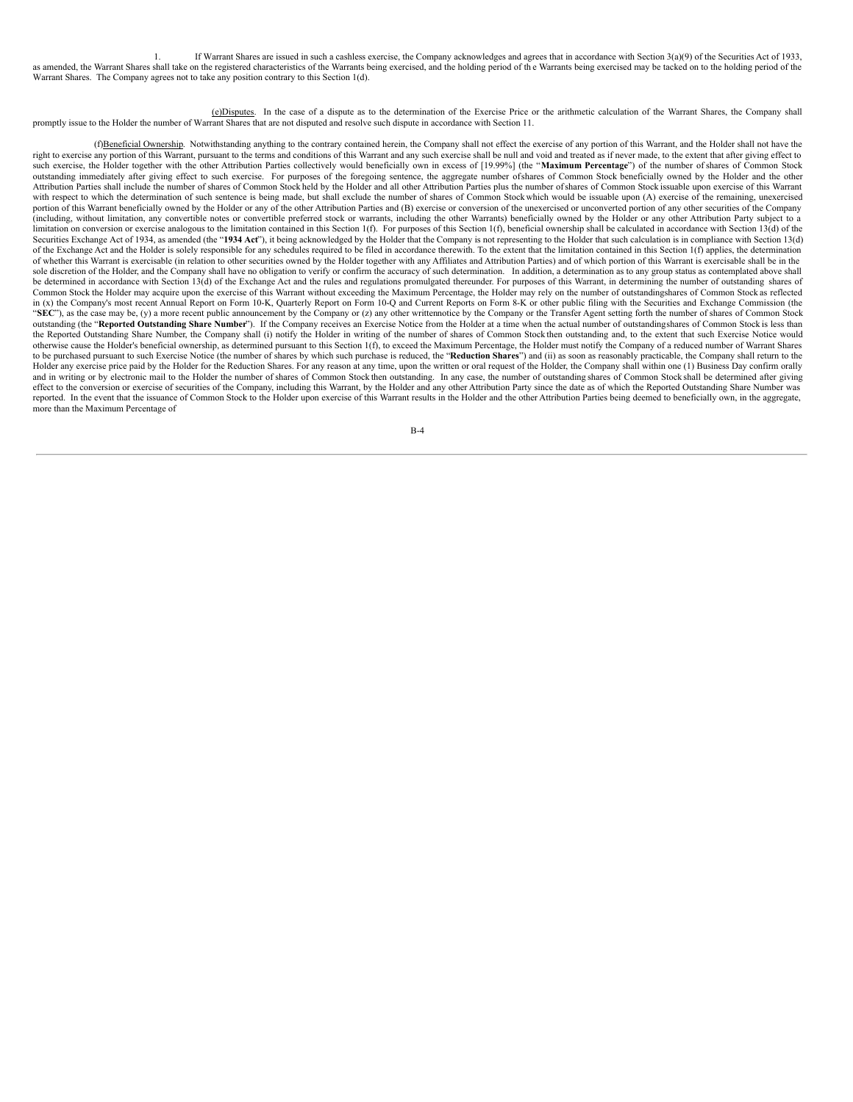1. If Warrant Shares are issued in such a cashless exercise, the Company acknowledges and agrees that in accordance with Section 3(a)(9) of the Securities Act of 1933, as amended, the Warrant Shares shall take on the registered characteristics of the Warrants being exercised, and the holding period of the Warrants being exercised may be tacked on to the holding period of the Warrant Shares. The Company agrees not to take any position contrary to this Section 1(d).

(e)Disputes. In the case of a dispute as to the determination of the Exercise Price or the arithmetic calculation of the Warrant Shares, the Company shall<br>promptly issue to the Holder the number of Warrant Shares that are

(f)Beneficial Ownership. Notwithstanding anything to the contrary contained herein, the Company shall not effect the exercise of any portion of this Warrant, and the Holder shall not have the right to exercise any portion of this Warrant, pursuant to the terms and conditions of this Warrant and any such exercise shall be null and void and treated as if never made, to the extent that after giving effect to such exercise, the Holder together with the other Attribution Parties collectively would beneficially own in excess of [19.99%] (the "**Maximum Percentage**") of the number of shares of Common Stock outstanding immediately after giving effect to such exercise. For purposes of the foregoing sentence, the aggregate number ofshares of Common Stock beneficially owned by the Holder and the other Attribution Parties shall include the number of shares of Common Stock held by the Holder and all other Attribution Parties plus the number ofshares of Common Stock issuable upon exercise of this Warrant with respect to which the determination of such sentence is being made, but shall exclude the number of shares of Common Stock which would be issuable upon (A) exercise of the remaining, unexercised portion of this Warrant beneficially owned by the Holder or any of the other Attribution Parties and (B) exercise or conversion of the unexercised or unconverted portion of any other securities of the Company (including, without limitation, any convertible notes or convertible preferred stock or warrants, including the other Warrants) beneficially owned by the Holder or any other Attribution Party subject to a limitation on conversion or exercise analogous to the limitation contained in this Section 1(f). For purposes of this Section 1(f), beneficial ownership shall be calculated in accordance with Section 13(d) of the limitati Securities Exchange Act of 1934, as amended (the "**1934 Act**"), it being acknowledged by the Holder that the Company is not representing to the Holder that such calculation is in compliance with Section 13(d) of the Exchange Act and the Holder is solely responsible for any schedules required to be filed in accordance therewith. To the extent that the limitation contained in this Section 1(f) applies, the determination of whether this Warrant is exercisable (in relation to other securities owned by the Holder together with any Affiliates and Attribution Parties) and of which portion of this Warrant is exercisable shall be in the sole discretion of the Holder, and the Company shall have no obligation to verify or confirm the accuracy of such determination. In addition, a determination as to any group status as contemplated above shall be determined in accordance with Section 13(d) of the Exchange Act and the rules and regulations promulgated thereunder. For purposes of this Warrant, in determining the number of outstanding shares of Common Stock the Holder may acquire upon the exercise of this Warrant without exceeding the Maximum Percentage, the Holder may rely on the number of outstandingshares of Common Stock as reflected in (x) the Company's most recent Annual Report on Form 10-K, Quarterly Report on Form 10-Q and Current Reports on Form 8-K or other public filing with the Securities and Exchange Commission (the "**SEC**"), as the case may be, (y) a more recent public announcement by the Company or (z) any other writtennotice by the Company or the Transfer Agent setting forth the number of shares of Common Stock outstanding (the "**Reported Outstanding Share Number**"). If the Company receives an Exercise Notice from the Holder at a time when the actual number of outstandingshares of Common Stock is less than the Reported Outstanding Share Number, the Company shall (i) notify the Holder in writing of the number of shares of Common Stock then outstanding and, to the extent that such Exercise Notice would otherwise cause the Holder's beneficial ownership, as determined pursuant to this Section 1(f), to exceed the Maximum Percentage, the Holder must notify the Company of a reduced number of Warrant Shares to be purchased pursuant to such Exercise Notice (the number of shares by which such purchase is reduced, the "**Reduction Shares**") and (ii) as soon as reasonably practicable, the Company shall return to the Holder any exercise price paid by the Holder for the Reduction Shares. For any reason at any time, upon the written or oral request of the Holder, the Company shall within one (1) Business Day confirm orally and in writing or by electronic mail to the Holder the number of shares of Common Stock then outstanding. In any case, the number of outstanding shares of Common Stock shall be determined after giving effect to the conversion or exercise of securities of the Company, including this Warrant, by the Holder and any other Attribution Party since the date as of which the Reported Outstanding Share Number was reported. In the event that the issuance of Common Stock to the Holder upon exercise of this Warrant results in the Holder and the other Attribution Parties being deemed to beneficially own, in the aggregate, more than the Maximum Percentage of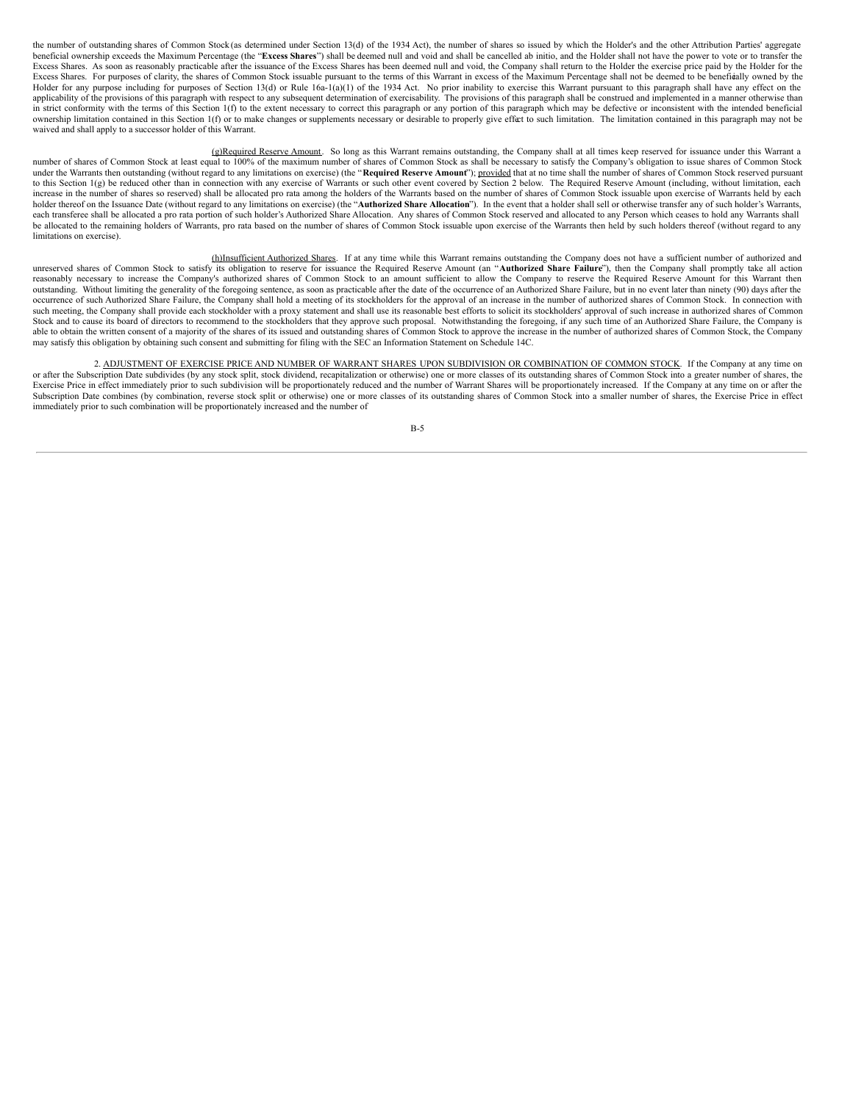the number of outstanding shares of Common Stock (as determined under Section 13(d) of the 1934 Act), the number of shares so issued by which the Holder's and the other Attribution Parties' aggregate beneficial ownership exceeds the Maximum Percentage (the "**Excess Shares**") shall be deemed null and void and shall be cancelled ab initio, and the Holder shall not have the power to vote or to transfer the Excess Shares. As soon as reasonably practicable after the issuance of the Excess Shares has been deemed null and void, the Company shall return to the Holder the exercise price paid by the Holder for the Excess Shares. For purposes of clarity, the shares of Common Stock issuable pursuant to the terms of this Warrant in excess of the Maximum Percentage shall not be deemed to be beneficially owned by the Holder for any purpose including for purposes of Section 13(d) or Rule 16a-1(a)(1) of the 1934 Act. No prior inability to exercise this Warrant pursuant to this paragraph shall have any effect on the applicability of the provisions of this paragraph with respect to any subsequent determination of exercisability. The provisions of this paragraph shall be construed and implemented in a manner otherwise than in strict conformity with the terms of this Section 1(f) to the extent necessary to correct this paragraph or any portion of this paragraph which may be defective or inconsistent with the intended beneficial ownership limitation contained in this Section 1(f) or to make changes or supplements necessary or desirable to properly give effect to such limitation. The limitation contained in this paragraph may not be waived and shall apply to a successor holder of this Warrant.

g)Required Reserve Amount. So long as this Warrant remains outstanding, the Company shall at all times keep reserved for issuance under this Warrant a<br>number of shares of Common Stock as shall be necessary to satisfy the C under the Warrants then outstanding (without regard to any limitations on exercise) (the "**Required Reserve Amount**"); provided that at no time shall the number of shares of Common Stock reserved pursuant to this Section 1(g) be reduced other than in connection with any exercise of Warrants or such other event covered by Section 2 below. The Required Reserve Amount (including, without limitation, each increase in the number of shares so reserved) shall be allocated pro rata among the holders of the Warrants based on the number of shares of Common Stock issuable upon exercise of Warrants held by each holder thereof on the Issuance Date (without regard to any limitations on exercise) (the "Authorized Share Allocation"). In the event that a holder shall sell or otherwise transfer any of such holder's Warrants, each transferee shall be allocated a pro rata portion of such holder's Authorized Share Allocation. Any shares of Common Stock reserved and allocated to any Person which ceases to hold any Warrants shall be allocated to the remaining holders of Warrants, pro rata based on the number of shares of Common Stock issuable upon exercise of the Warrants then held by such holders thereof (without regard to any limitations on exercise).

(h)Insufficient Authorized Shares. If at any time while this Warrant remains outstanding the Company does not have a sufficient number of authorized and unreserved shares of Common Stock to satisfy its obligation to reserve for issuance the Required Reserve Amount (an "**Authorized Share Failure**"), then the Company shall promptly take all action reasonably necessary to increase the Company's authorized shares of Common Stock to an amount sufficient to allow the Company to reserve the Required Reserve Amount for this Warrant then outstanding. Without limiting the generality of the foregoing sentence, as soon as practicable after the date of the occurrence of an Authorized Share Failure, but in no event later than ninety (90) days after the occurrence of such Authorized Share Failure, the Company shall hold a meeting of its stockholders for the approval of an increase in the number of authorized shares of Common Stock. In connection with such meeting, the Company shall provide each stockholder with a proxy statement and shall use its reasonable best efforts to solicit its stockholders' approval of such increase in authorized shares of Common Stock and to cause its board of directors to recommend to the stockholders that they approve such proposal. Notwithstanding the foregoing, if any such time of an Authorized Share Failure, the Company is able to obtain the written consent of a majority of the shares of its issued and outstanding shares of Common Stock to approve the increase in the number of authorized shares of Common Stock, the Company may satisfy this obligation by obtaining such consent and submitting for filing with the SEC an Information Statement on Schedule 14C.

2. ADJUSTMENT OF EXERCISE PRICE AND NUMBER OF WARRANT SHARES UPON SUBDIVISION OR COMBINATION OF COMMON STOCK. If the Company at any time on or after the Subscription Date subdivides (by any stock split, stock dividend, recapitalization or otherwise) one or more classes of its outstanding shares of Common Stock into a greater number of shares, the Exercise Price in effect immediately prior to such subdivision will be proportionately reduced and the number of Warrant Shares will be proportionately increased. If the Company at any time on or after the Subscription Date combines (by combination, reverse stock split or otherwise) one or more classes of its outstanding shares of Common Stock into a smaller number of shares, the Exercise Price in effect immediately prior to such combination will be proportionately increased and the number of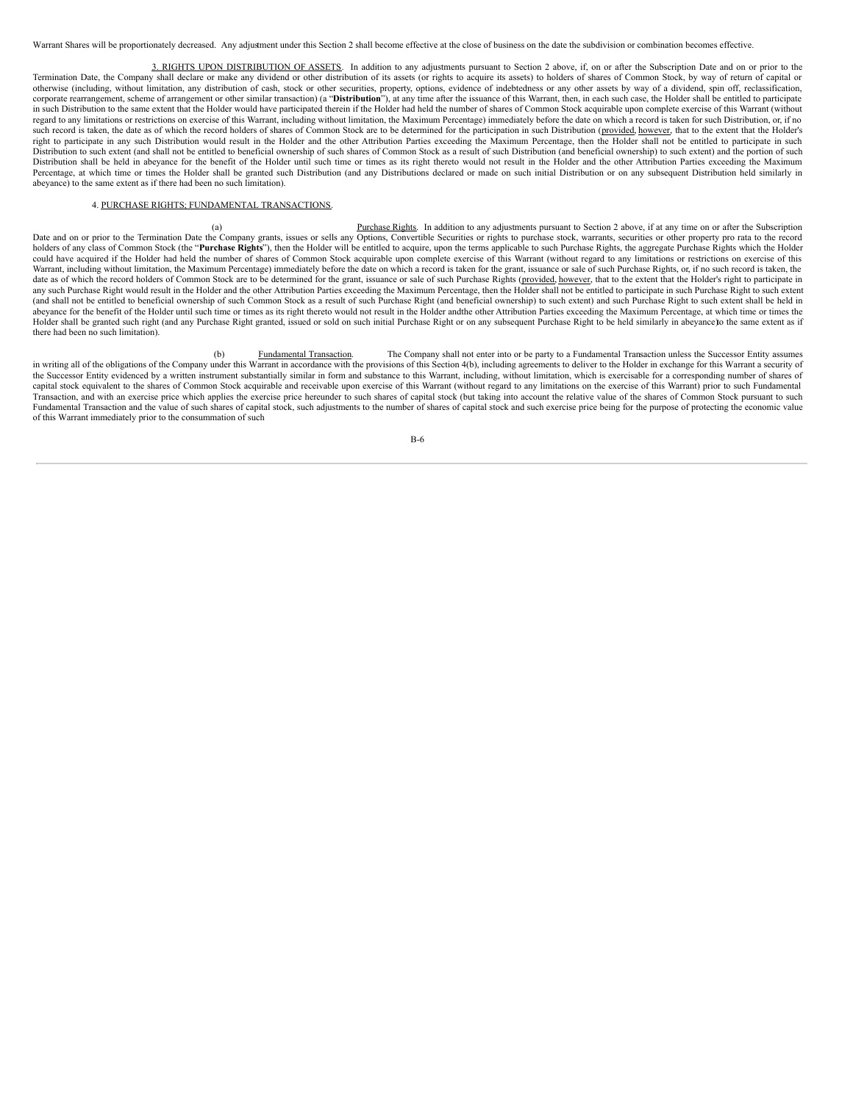Warrant Shares will be proportionately decreased. Any adjustment under this Section 2 shall become effective at the close of business on the date the subdivision or combination becomes effective.

3. RIGHTS UPON DISTRIBUTION OF ASSETS. In addition to any adjustments pursuant to Section 2 above, if, on or after the Subscription Date and on or prior to the Termination Date, the Company shall declare or make any dividend or other distribution of its assets (or rights to acquire its assets) to holders of shares of Common Stock, by way of return of capital or otherwise (including, without limitation, any distribution of cash, stock or other securities, property, options, evidence of indebtedness or any other assets by way of a dividend, spin off, reclassification, corporate rearrangement, scheme of arrangement or other similar transaction) (a "Distribution"), at any time after the issuance of this Warrant, then, in each such case, the Holder shall be entitled to participate in such Distribution to the same extent that the Holder would have participated therein if the Holder had held the number of shares of Common Stock acquirable upon complete exercise of this Warrant (without regard to any limitations or restrictions on exercise of this Warrant, including without limitation, the Maximum Percentage) immediately before the date on which a record is taken for such Distribution, or, if no such record is taken, the date as of which the record holders of shares of Common Stock are to be determined for the participation in such Distribution (provided, however, that to the extent that the Holder's right to participate in any such Distribution would result in the Holder and the other Attribution Parties exceeding the Maximum Percentage, then the Holder shall not be entitled to participate in such Distribution to such extent (and shall not be entitled to beneficial ownership of such shares of Common Stock as a result of such Distribution (and beneficial ownership) to such extent) and the portion of such Distribution shall be held in abeyance for the benefit of the Holder until such time or times as its right thereto would not result in the Holder and the other Attribution Parties exceeding the Maximum Percentage, at which time or times the Holder shall be granted such Distribution (and any Distributions declared or made on such initial Distribution or on any subsequent Distribution held similarly in abeyance) to the same extent as if there had been no such limitation).

## 4. PURCHASE RIGHTS; FUNDAMENTAL TRANSACTIONS.

Purchase Rights. In addition to any adjustments pursuant to Section 2 above, if at any time on or after the Subscription Date and on or prior to the Termination Date the Company grants, issues or sells any Options, Convertible Securities or rights to purchase stock, warrants, securities or other property pro rata to the record holders of any class of Common Stock (the "Purchase Rights"), then the Holder will be entitled to acquire, upon the terms applicable to such Purchase Rights, the aggregate Purchase Rights which the Holder could have acquired if the Holder had held the number of shares of Common Stock acquirable upon complete exercise of this Warrant (without regard to any limitations or restrictions on exercise of this Warrant, including without limitation, the Maximum Percentage) immediately before the date on which a record is taken for the grant, issuance or sale of such Purchase Rights, or, if no such record is taken, the date as of which the record holders of Common Stock are to be determined for the grant, issuance or sale of such Purchase Rights (provided, however, that to the extent that the Holder's right to participate in any such Purchase Right would result in the Holder and the other Attribution Parties exceeding the Maximum Percentage, then the Holder shall not be entitled to participate in such Purchase Right to such extent (and shall not be entitled to beneficial ownership of such Common Stock as a result of such Purchase Right (and beneficial ownership) to such extent) and such Purchase Right to such extent shall be held in abeyance for the benefit of the Holder until such time or times as its right thereto would not result in the Holder andthe other Attribution Parties exceeding the Maximum Percentage, at which time or times the Holder shall be granted such right (and any Purchase Right granted, issued or sold on such initial Purchase Right or on any subsequent Purchase Right to be held similarly in abeyance to the same extent as if there had been no such limitation).

(b) Fundamental Transaction. The Company shall not enter into or be party to a Fundamental Transaction unless the Successor Entity assumes in writing all of the obligations of the Company under this Warrant in accordance with the provisions of this Section 4(b), including agreements to deliver to the Holder in exchange for this Warrant a security of the Successor Entity evidenced by a written instrument substantially similar in form and substance to this Warrant, including, without limitation, which is exercisable for a corresponding number of shares of capital stock equivalent to the shares of Common Stock acquirable and receivable upon exercise of this Warrant (without regard to any limitations on the exercise of this Warrant) prior to such Fundamental Transaction, and with an exercise price which applies the exercise price hereunder to such shares of capital stock (but taking into account the relative value of the shares of Common Stock pursuant to such Fundamental Transaction and the value of such shares of capital stock, such adjustments to the number of shares of capital stock and such exercise price being for the purpose of protecting the economic value of this Warrant immediately prior to the consummation of such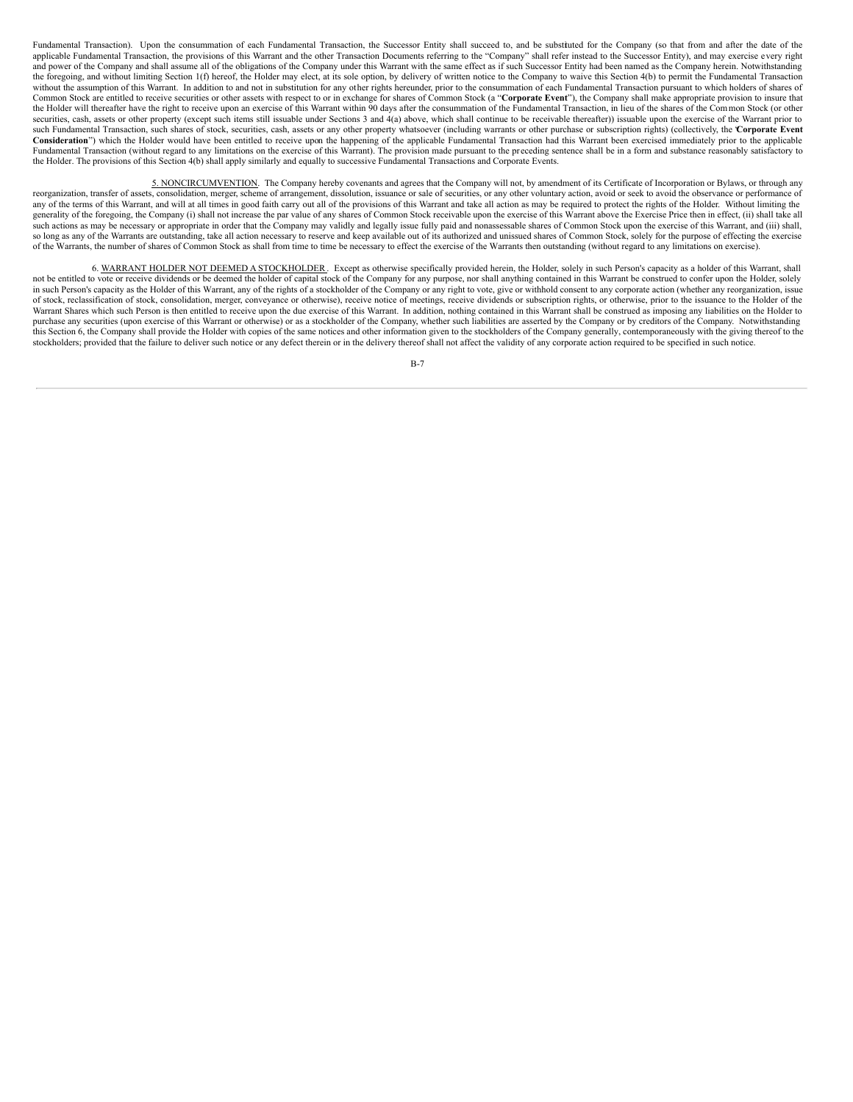Fundamental Transaction). Upon the consummation of each Fundamental Transaction, the Successor Entity shall succeed to, and be substituted for the Company (so that from and after the date of the applicable Fundamental Transaction, the provisions of this Warrant and the other Transaction Documents referring to the "Company" shall refer instead to the Successor Entity), and may exercise every right and power of the Company and shall assume all of the obligations of the Company under this Warrant with the same effect as if such Successor Entity had been named as the Company herein. Notwithstanding the foregoing, and without limiting Section 1(f) hereof, the Holder may elect, at its sole option, by delivery of written notice to the Company to waive this Section 4(b) to permit the Fundamental Transaction without the assumption of this Warrant. In addition to and not in substitution for any other rights hereunder, prior to the consummation of each Fundamental Transaction pursuant to which holders of shares of Common Stock are entitled to receive securities or other assets with respect to or in exchange for shares of Common Stock (a "**Corporate Event**"), the Company shall make appropriate provision to insure that the Holder will thereafter have the right to receive upon an exercise of this Warrant within 90 days after the consummation of the Fundamental Transaction, in lieu of the shares of the Common Stock (or other securities, cash, assets or other property (except such items still issuable under Sections 3 and 4(a) above, which shall continue to be receivable thereafter)) issuable upon the exercise of the Warrant prior to such Fundamental Transaction, such shares of stock, securities, cash, assets or any other property whatsoever (including warrants or other purchase or subscription rights) (collectively, the "**Corporate Event** Consideration") which the Holder would have been entitled to receive upon the happening of the applicable Fundamental Transaction had this Warrant been exercised immediately prior to the applicable Fundamental Transaction (without regard to any limitations on the exercise of this Warrant). The provision made pursuant to the preceding sentence shall be in a form and substance reasonably satisfactory to the Holder. The provisions of this Section 4(b) shall apply similarly and equally to successive Fundamental Transactions and Corporate Events.

5. NONCIRCUMVENTION. The Company hereby covenants and agrees that the Company will not, by amendment of its Certificate of Incorporation or Bylaws, or through any reorganization, transfer of assets, consolidation, merger, scheme of arrangement, dissolution, issuance or sale of securities, or any other voluntary action, avoid or seek to avoid the observance or performance of any of the terms of this Warrant, and will at all times in good faith carry out all of the provisions of this Warrant and take all action as may be required to protect the rights of the Holder. Without limiting the generality of the foregoing, the Company (i) shall not increase the par value of any shares of Common Stock receivable upon the exercise of this Warrant above the Exercise Price then in effect, (ii) shall take all such actions as may be necessary or appropriate in order that the Company may validly and legally issue fully paid and nonassessable shares of Common Stock upon the exercise of this Warrant, and (iii) shall, so long as any of the Warrants are outstanding, take all action necessary to reserve and keep available out of its authorized and unissued shares of Common Stock, solely for the purpose of effecting the exercise of the Warrants, the number of shares of Common Stock as shall from time to time be necessary to effect the exercise of the Warrants then outstanding (without regard to any limitations on exercise).

6. WARRANT HOLDER NOT DEEMED A STOCKHOLDER. Except as otherwise specifically provided herein, the Holder, solely in such Person's capacity as a holder of this Warrant, shall not be entitled to vote or receive dividends or be deemed the holder of capital stock of the Company for any purpose, nor shall anything contained in this Warrant be construed to confer upon the Holder, solely in such Person's capacity as the Holder of this Warrant, any of the rights of a stockholder of the Company or any right to vote, give or withhold consent to any corporate action (whether any reorganization, issue of stock, reclassification of stock, consolidation, merger, conveyance or otherwise), receive notice of meetings, receive dividends or subscription rights, or otherwise, prior to the issuance to the Holder of the Warrant Shares which such Person is then entitled to receive upon the due exercise of this Warrant. In addition, nothing contained in this Warrant shall be construed as imposing any liabilities on the Holder to purchase any securities (upon exercise of this Warrant or otherwise) or as a stockholder of the Company, whether such liabilities are asserted by the Company or by creditors of the Company. Notwithstanding this Section 6, the Company shall provide the Holder with copies of the same notices and other information given to the stockholders of the Company generally, contemporaneously with the giving thereof to the stockholders; provided that the failure to deliver such notice or any defect therein or in the delivery thereof shall not affect the validity of any corporate action required to be specified in such notice.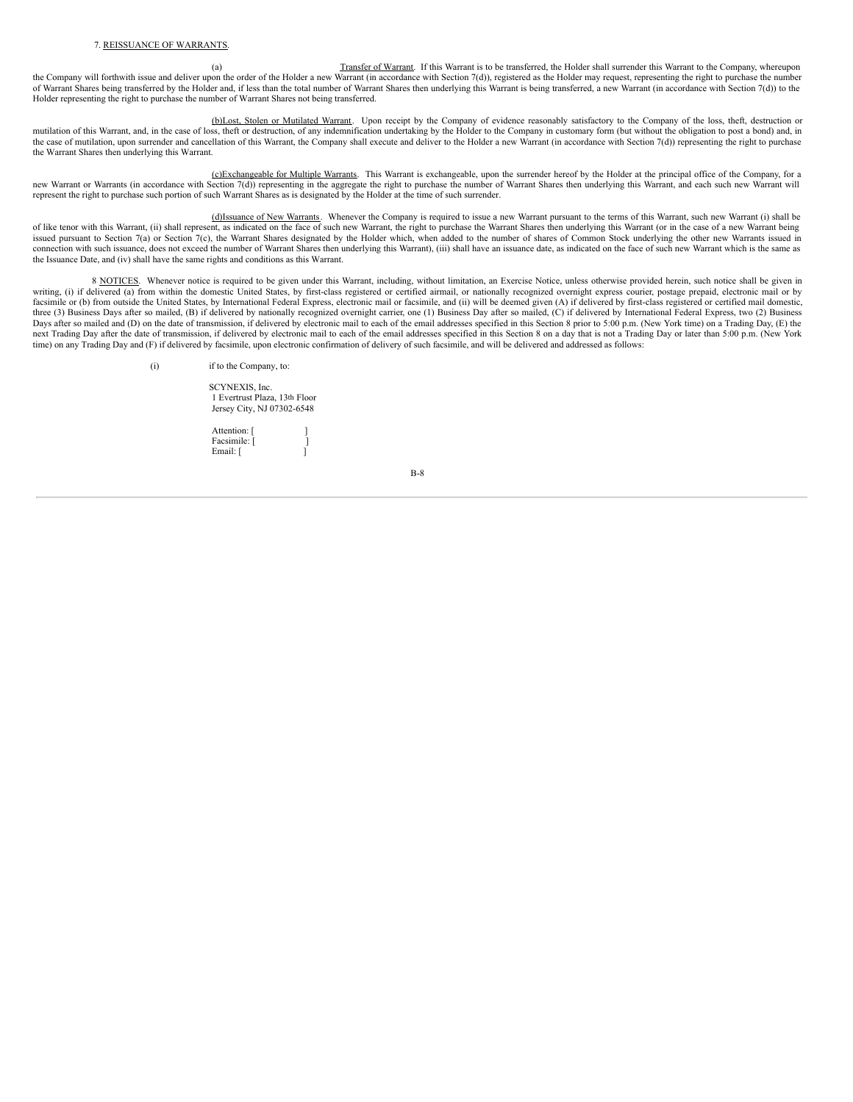(a) Transfer of Warrant. If this Warrant is to be transferred, the Holder shall surrender this Warrant to the Company, whereupon the Company will forthwith issue and deliver upon the order of the Holder a new Warrant (in accordance with Section 7(d)), registered as the Holder may request, representing the right to purchase the number of Warrant Shares being transferred by the Holder and, if less than the total number of Warrant Shares then underlying this Warrant is being transferred, a new Warrant (in accordance with Section 7(d)) to the Holder representing the right to purchase the number of Warrant Shares not being transferred.

(b)Lost, Stolen or Mutilated Warrant. Upon receipt by the Company of evidence reasonably satisfactory to the Company of the loss, theft, destruction or mutilation of this Warrant, and, in the case of loss, theft or destruction, of any indemnification undertaking by the Holder to the Company in customary form (but without the obligation to post a bond) and, in the case of mutilation, upon surrender and cancellation of this Warrant, the Company shall execute and deliver to the Holder a new Warrant (in accordance with Section 7(d)) representing the right to purchase the Warrant Shares then underlying this Warrant.

(c)Exchangeable for Multiple Warrants. This Warrant is exchangeable, upon the surrender hereof by the Holder at the principal office of the Company, for a new Warrant or Warrants (in accordance with Section 7(d)) representing in the aggregate the right to purchase the number of Warrant Shares then underlying this Warrant, and each such new Warrant will represent the right to purchase such portion of such Warrant Shares as is designated by the Holder at the time of such surrender.

(d)Issuance of New Warrants. Whenever the Company is required to issue a new Warrant pursuant to the terms of this Warrant, such new Warrant (i) shall be of like tenor with this Warrant, (ii) shall represent, as indicated on the face of such new Warrant, the right to purchase the Warrant Shares then underlying this Warrant (or in the case of a new Warrant being issued pursuant to Section 7(a) or Section 7(c), the Warrant Shares designated by the Holder which, when added to the number of shares of Common Stock underlying the other new Warrants issued in connection with such issuance, does not exceed the number of Warrant Shares then underlying this Warrant), (iii) shall have an issuance date, as indicated on the face of such new Warrant which is the same as the Issuance Date, and (iv) shall have the same rights and conditions as this Warrant.

8 NOTICES. Whenever notice is required to be given under this Warrant, including, without limitation, an Exercise Notice, unless otherwise provided herein, such notice shall be given in writing, (i) if delivered (a) from within the domestic United States, by first-class registered or certified airmail, or nationally recognized overnight express courier, postage prepaid, electronic mail or by facsimile or (b) from outside the United States, by International Federal Express, electronic mail or facsimile, and (ii) will be deemed given (A) if delivered by first-class registered or certified mail domestic, three (3) Business Days after so mailed, (B) if delivered by nationally recognized overnight carrier, one (1) Business Day after so mailed, (C) if delivered by International Federal Express, two (2) Business Days after so mailed and (D) on the date of transmission, if delivered by electronic mail to each of the email addresses specified in this Section 8 prior to 5:00 p.m. (New York time) on a Trading Day, (E) the next Trading Day after the date of transmission, if delivered by electronic mail to each of the email addresses specified in this Section 8 on a day that is not a Trading Day or later than 5:00 p.m. (New York time) on any Trading Day and (F) if delivered by facsimile, upon electronic confirmation of delivery of such facsimile, and will be delivered and addressed as follows:

(i) if to the Company, to:

SCYNEXIS, Inc. 1 Evertrust Plaza, 13th Floor Jersey City, NJ 07302-6548

Attention: [ Facsimile: [ ] Email: [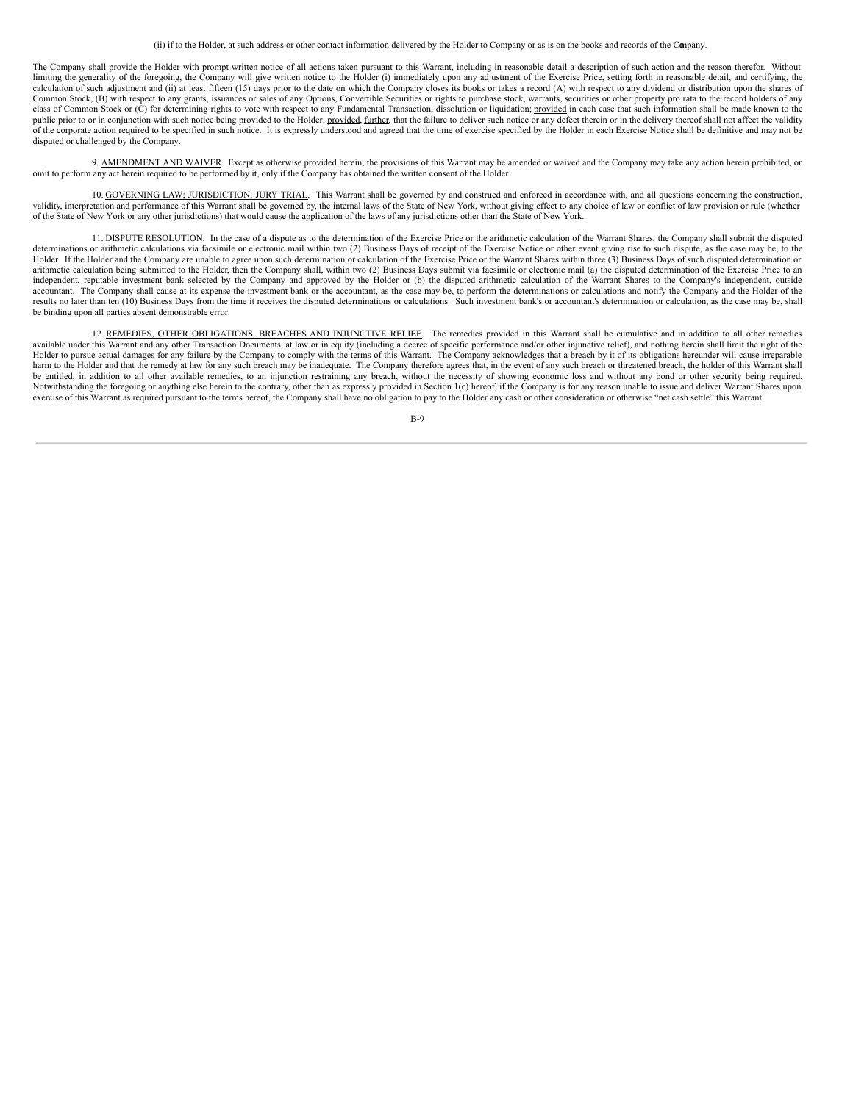(ii) if to the Holder, at such address or other contact information delivered by the Holder to Company or as is on the books and records of the Company.

The Company shall provide the Holder with prompt written notice of all actions taken pursuant to this Warrant, including in reasonable detail a description of such action and the reason therefor. Without limiting the generality of the foregoing, the Company will give written notice to the Holder (i) immediately upon any adjustment of the Exercise Price, setting forth in reasonable detail, and certifying, the calculation of such adjustment and (ii) at least fifteen (15) days prior to the date on which the Company closes its books or takes a record (A) with respect to any dividend or distribution upon the shares of Common Stock, (B) with respect to any grants, issuances or sales of any Options, Convertible Securities or rights to purchase stock, warrants, securities or other property pro rata to the record holders of any class of Common Stock or (C) for determining rights to vote with respect to any Fundamental Transaction, dissolution or liquidation; provided in each case that such information shall be made known to the public prior to or in conjunction with such notice being provided to the Holder; provided, further, that the failure to deliver such notice or any defect therein or in the delivery thereof shall not affect the validity of the corporate action required to be specified in such notice. It is expressly understood and agreed that the time of exercise specified by the Holder in each Exercise Notice shall be definitive and may not be disputed or challenged by the Company.

9. AMENDMENT AND WAIVER. Except as otherwise provided herein, the provisions of this Warrant may be amended or waived and the Company may take any action herein prohibited, or omit to perform any act herein required to be performed by it, only if the Company has obtained the written consent of the Holder.

10. GOVERNING LAW; JURISDICTION; JURY TRIAL. This Warrant shall be governed by and construed and enforced in accordance with, and all questions concerning the construction, validity, interpretation and performance of this Warrant shall be governed by, the internal laws of the State of New York, without giving effect to any choice of law or conflict of law provision or rule (whether of the State of New York or any other jurisdictions) that would cause the application of the laws of any jurisdictions other than the State of New York.

11. DISPUTE RESOLUTION. In the case of a dispute as to the determination of the Exercise Price or the arithmetic calculation of the Warrant Shares, the Company shall submit the disputed determinations or arithmetic calculations via facsimile or electronic mail within two (2) Business Days of receipt of the Exercise Notice or other event giving rise to such dispute, as the case may be, to the Holder. If the Holder and the Company are unable to agree upon such determination or calculation of the Exercise Price or the Warrant Shares within three (3) Business Days of such disputed determination or arithmetic calculation being submitted to the Holder, then the Company shall, within two (2) Business Days submit via facsimile or electronic mail (a) the disputed determination of the Exercise Price to an independent, reputable investment bank selected by the Company and approved by the Holder or (b) the disputed arithmetic calculation of the Warrant Shares to the Company's independent, outside accountant. The Company shall cause at its expense the investment bank or the accountant, as the case may be, to perform the determinations or calculations and notify the Company and the Holder of the results no later than ten (10) Business Days from the time it receives the disputed determinations or calculations. Such investment bank's or accountant's determination or calculation, as the case may be, shall be binding upon all parties absent demonstrable error.

12. REMEDIES, OTHER OBLIGATIONS, BREACHES AND INJUNCTIVE RELIEF. The remedies provided in this Warrant shall be cumulative and in addition to all other remedies available under this Warrant and any other Transaction Documents, at law or in equity (including a decree of specific performance and/or other injunctive relief), and nothing herein shall limit the right of the Holder to pursue actual damages for any failure by the Company to comply with the terms of this Warrant. The Company acknowledges that a breach by it of its obligations hereunder will cause irreparable harm to the Holder and that the remedy at law for any such breach may be inadequate. The Company therefore agrees that, in the event of any such breach or threatened breach, the holder of this Warrant shall be entitled, in addition to all other available remedies, to an injunction restraining any breach, without the necessity of showing economic loss and without any bond or other security being required. Notwithstanding the foregoing or anything else herein to the contrary, other than as expressly provided in Section 1(c) hereof, if the Company is for any reason unable to issue and deliver Warrant Shares upon exercise of this Warrant as required pursuant to the terms hereof, the Company shall have no obligation to pay to the Holder any cash or other consideration or otherwise "net cash settle" this Warrant.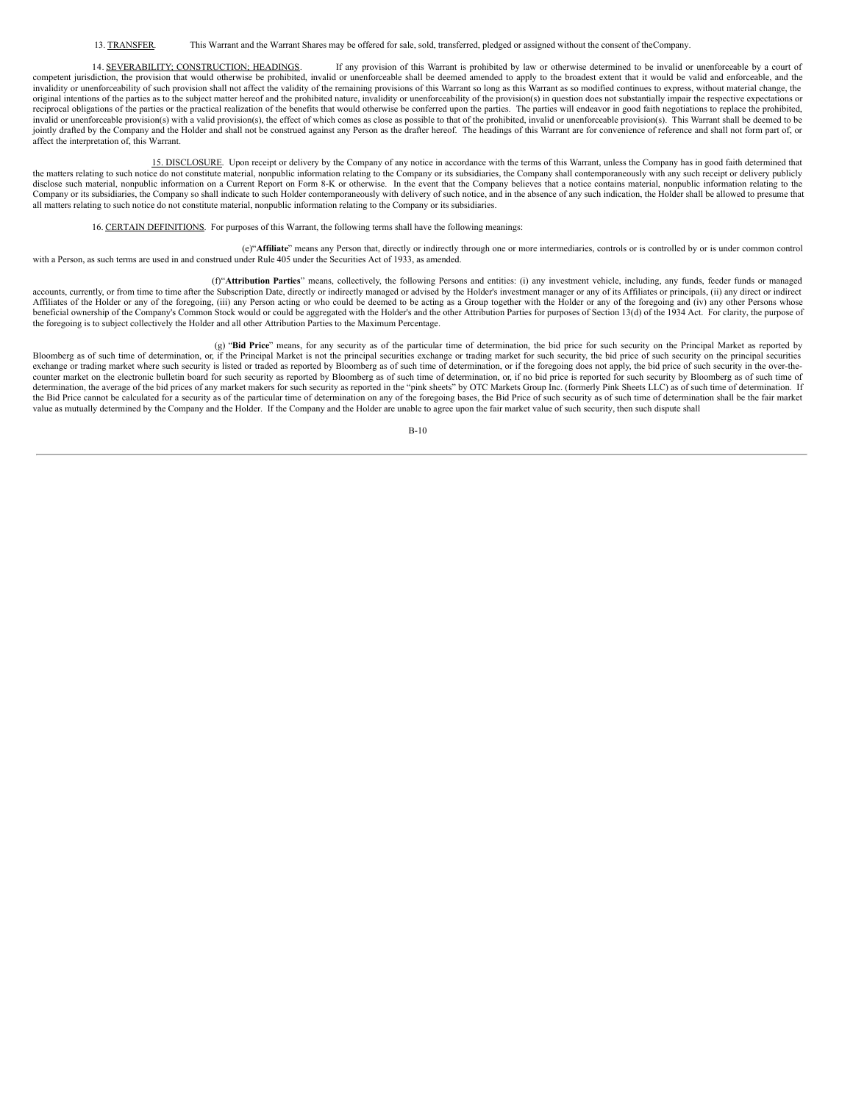14. SEVERABILITY; CONSTRUCTION; HEADINGS. If any provision of this Warrant is prohibited by law or otherwise determined to be invalid or unenforceable by a court of competent jurisdiction, the provision that would otherwise be prohibited, invalid or unenforceable shall be deemed amended to apply to the broadest extent that it would be valid and enforceable, and the invalidity or unenforceability of such provision shall not affect the validity of the remaining provisions of this Warrant so long as this Warrant as so modified continues to express, without material change, the original intentions of the parties as to the subject matter hereof and the prohibited nature, invalidity or unenforceability of the provision(s) in question does not substantially impair the respective expectations or reciprocal obligations of the parties or the practical realization of the benefits that would otherwise be conferred upon the parties. The parties will endeavor in good faith negotiations to replace the prohibited, invalid or unenforceable provision(s) with a valid provision(s), the effect of which comes as close as possible to that of the prohibited, invalid or unenforceable provision(s). This Warrant shall be deemed to be jointly drafted by the Company and the Holder and shall not be construed against any Person as the drafter hereof. The headings of this Warrant are for convenience of reference and shall not form part of, or affect the interpretation of, this Warrant.

15. DISCLOSURE. Upon receipt or delivery by the Company of any notice in accordance with the terms of this Warrant, unless the Company has in good faith determined that the matters relating to such notice do not constitute material, nonpublic information relating to the Company or its subsidiaries, the Company shall contemporaneously with any such receipt or delivery publicly disclose such material, nonpublic information on a Current Report on Form 8-K or otherwise. In the event that the Company believes that a notice contains material, nonpublic information relating to the Company or its subsidiaries, the Company so shall indicate to such Holder contemporaneously with delivery of such notice, and in the absence of any such indication, the Holder shall be allowed to presume that all matters relating to such notice do not constitute material, nonpublic information relating to the Company or its subsidiaries.

## 16. CERTAIN DEFINITIONS. For purposes of this Warrant, the following terms shall have the following meanings:

(e)"**Affiliate**" means any Person that, directly or indirectly through one or more intermediaries, controls or is controlled by or is under common control with a Person, as such terms are used in and construed under Rule 405 under the Securities Act of 1933, as amended.

(f)"**Attribution Parties**" means, collectively, the following Persons and entities: (i) any investment vehicle, including, any funds, feeder funds or managed accounts, currently, or from time to time after the Subscription Date, directly or indirectly managed or advised by the Holder's investment manager or any of its Affiliates or principals, (ii) any direct or indirect Affiliates of the Holder or any of the foregoing, (iii) any Person acting or who could be deemed to be acting as a Group together with the Holder or any of the foregoing and (iv) any other Persons whose beneficial ownership of the Company's Common Stock would or could be aggregated with the Holder's and the other Attribution Parties for purposes of Section 13(d) of the 1934 Act. For clarity, the purpose of the foregoing is to subject collectively the Holder and all other Attribution Parties to the Maximum Percentage.

(g) "**Bid Price**" means, for any security as of the particular time of determination, the bid price for such security on the Principal Market as reported by Bloomberg as of such time of determination, or, if the Principal Market is not the principal securities exchange or trading market for such security, the bid price of such security on the principal securities exchange or trading market where such security is listed or traded as reported by Bloomberg as of such time of determination, or if the foregoing does not apply, the bid price of such security in the over-thecounter market on the electronic bulletin board for such security as reported by Bloomberg as of such time of determination, or, if no bid price is reported for such security by Bloomberg as of such time of determination, the average of the bid prices of any market makers for such security as reported in the "pink sheets" by OTC Markets Group Inc. (formerly Pink Sheets LLC) as of such time of determination. If the Bid Price cannot be calculated for a security as of the particular time of determination on any of the foregoing bases, the Bid Price of such security as of such time of determination shall be the fair market value as mutually determined by the Company and the Holder. If the Company and the Holder are unable to agree upon the fair market value of such security, then such dispute shall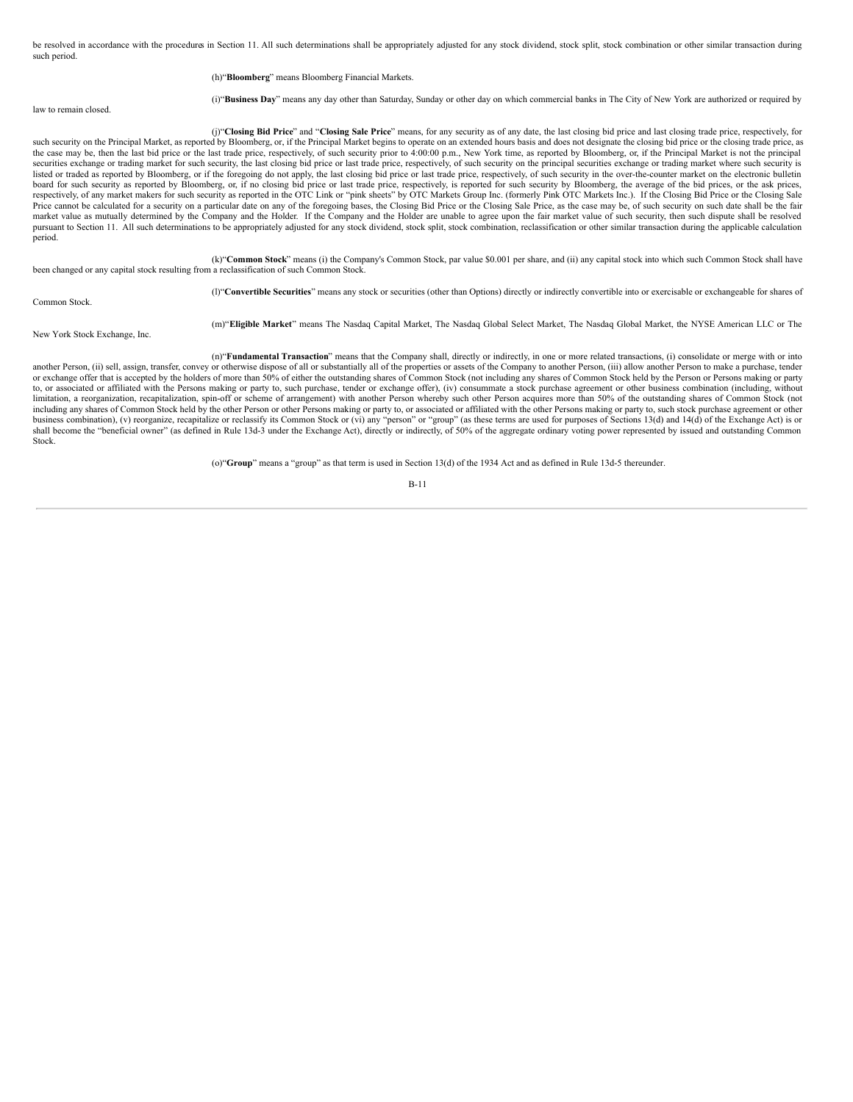be resolved in accordance with the procedures in Section 11. All such determinations shall be appropriately adjusted for any stock dividend, stock split, stock combination or other similar transaction during such period.

### (h)"**Bloomberg**" means Bloomberg Financial Markets.

law to remain closed.

(i)"**Business Day**" means any day other than Saturday, Sunday or other day on which commercial banks in The City of New York are authorized or required by

(j)"**Closing Bid Price**" and "**Closing Sale Price**" means, for any security as of any date, the last closing bid price and last closing trade price, respectively, for such security on the Principal Market, as reported by Bloomberg, or, if the Principal Market begins to operate on an extended hours basis and does not designate the closing bid price or the closing trade price, as the case may be, then the last bid price or the last trade price, respectively, of such security prior to 4:00:00 p.m., New York time, as reported by Bloomberg, or, if the Principal Market is not the principal securities exchange or trading market for such security, the last closing bid price or last trade price, respectively, of such security on the principal securities exchange or trading market where such security is listed or traded as reported by Bloomberg, or if the foregoing do not apply, the last closing bid price or last trade price, respectively, of such security in the over-the-counter market on the electronic bulletin board for such security as reported by Bloomberg, or, if no closing bid price or last trade price, respectively, is reported for such security by Bloomberg, the average of the bid prices, or the ask prices, respectively, of any market makers for such security as reported in the OTC Link or "pink sheets" by OTC Markets Group Inc. (formerly Pink OTC Markets Inc.). If the Closing Bid Price or the Closing Sale Price cannot be calculated for a security on a particular date on any of the foregoing bases, the Closing Bid Price or the Closing Sale Price, as the case may be, of such security on such date shall be the fair market value as mutually determined by the Company and the Holder. If the Company and the Holder are unable to agree upon the fair market value of such security, then such dispute shall be resolved pursuant to Section 11. All such determinations to be appropriately adjusted for any stock dividend, stock split, stock combination, reclassification or other similar transaction during the applicable calculation period.

(k)"**Common Stock**" means (i) the Company's Common Stock, par value \$0.001 per share, and (ii) any capital stock into which such Common Stock shall have been changed or any capital stock resulting from a reclassification of such Common Stock.

(l)"**Convertible Securities**" means any stock or securities (other than Options) directly or indirectly convertible into or exercisable or exchangeable for shares of

Common Stock.

New York Stock Exchange, Inc.

(m)"**Eligible Market**" means The Nasdaq Capital Market, The Nasdaq Global Select Market, The Nasdaq Global Market, the NYSE American LLC or The

(n)"**Fundamental Transaction**" means that the Company shall, directly or indirectly, in one or more related transactions, (i) consolidate or merge with or into another Person, (ii) sell, assign, transfer, convey or otherwise dispose of all or substantially all of the properties or assets of the Company to another Person, (iii) allow another Person to make a purchase, tender or exchange offer that is accepted by the holders of more than 50% of either the outstanding shares of Common Stock (not including any shares of Common Stock held by the Person or Persons making or party to, or associated or affiliated with the Persons making or party to, such purchase, tender or exchange offer), (iv) consummate a stock purchase agreement or other business combination (including, without limitation, a reorganization, recapitalization, spin-off or scheme of arrangement) with another Person whereby such other Person acquires more than 50% of the outstanding shares of Common Stock (not including any shares of Common Stock held by the other Person or other Persons making or party to, or associated or affiliated with the other Persons making or party to, such stock purchase agreement or other business combination), (v) reorganize, recapitalize or reclassify its Common Stock or (vi) any "person" or "group" (as these terms are used for purposes of Sections 13(d) and 14(d) of the Exchange Act) is or shall become the "beneficial owner" (as defined in Rule 13d-3 under the Exchange Act), directly or indirectly, of 50% of the aggregate ordinary voting power represented by issued and outstanding Common standing Common Stock.

(o)"**Group**" means a "group" as that term is used in Section 13(d) of the 1934 Act and as defined in Rule 13d-5 thereunder.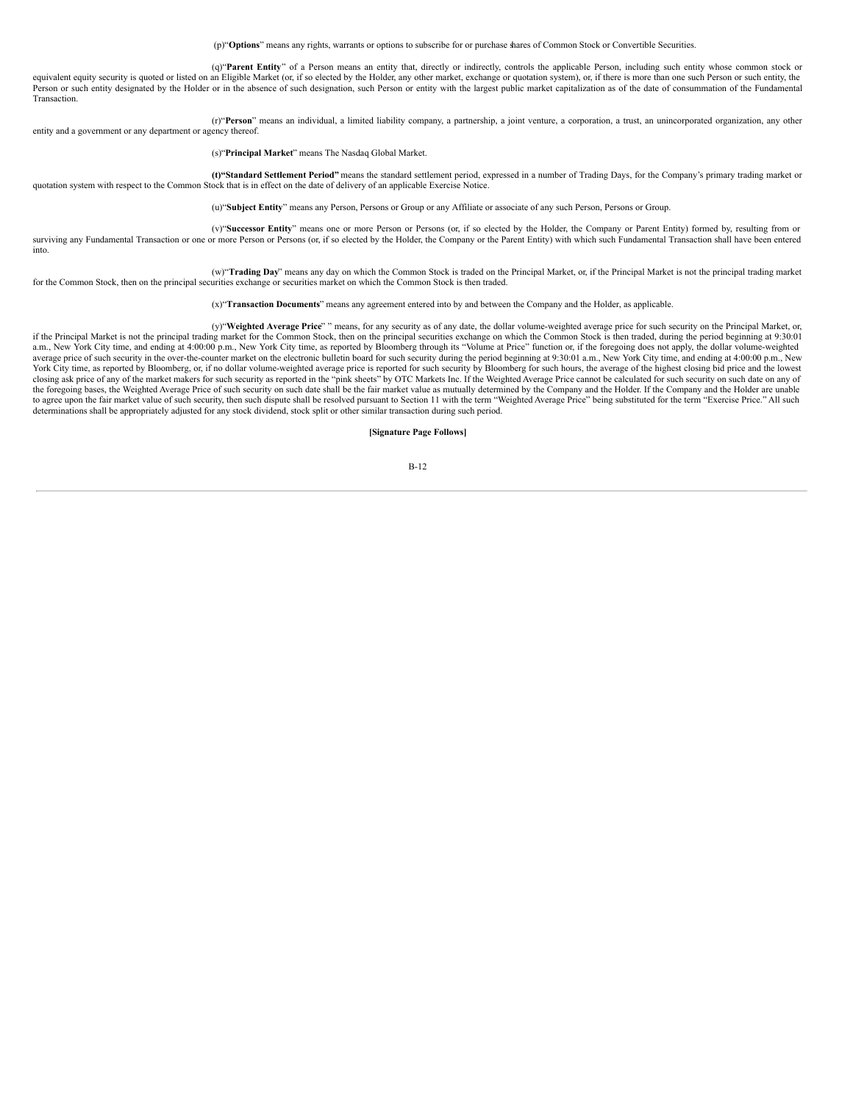(p)"**Options**" means any rights, warrants or options to subscribe for or purchase shares of Common Stock or Convertible Securities.

(q)"**Parent Entity**" of a Person means an entity that, directly or indirectly, controls the applicable Person, including such entity whose common stock or equivalent equity security is quoted or listed on an Eligible Market (or, if so elected by the Holder, any other market, exchange or quotation system), or, if there is more than one such Person or such entity, the Person or such entity designated by the Holder or in the absence of such designation, such Person or entity with the largest public market capitalization as of the date of consummation of the Fundamental Transaction.

(r)"**Person**" means an individual, a limited liability company, a partnership, a joint venture, a corporation, a trust, an unincorporated organization, any other entity and a government or any department or agency thereof.

(s)"**Principal Market**" means The Nasdaq Global Market.

**(t)"Standard Settlement Period"** means the standard settlement period, expressed in a number of Trading Days, for the Company's primary trading market or quotation system with respect to the Common Stock that is in effect on the date of delivery of an applicable Exercise Notice.

(u)"**Subject Entity**" means any Person, Persons or Group or any Affiliate or associate of any such Person, Persons or Group.

(v)"**Successor Entity**" means one or more Person or Persons (or, if so elected by the Holder, the Company or Parent Entity) formed by, resulting from or surviving any Fundamental Transaction or one or more Person or Persons (or, if so elected by the Holder, the Company or the Parent Entity) with which such Fundamental Transaction shall have been entered into.

(w)"**Trading Day**" means any day on which the Common Stock is traded on the Principal Market, or, if the Principal Market is not the principal trading market for the Common Stock, then on the principal securities exchange or securities market on which the Common Stock is then traded.

(x)"**Transaction Documents**" means any agreement entered into by and between the Company and the Holder, as applicable.

(y)"**Weighted Average Price**" " means, for any security as of any date, the dollar volume-weighted average price for such security on the Principal Market, or, if the Principal Market is not the principal trading market for the Common Stock, then on the principal securities exchange on which the Common Stock is then traded, during the period beginning at 9:30:01 a.m., New York City time, and ending at 4:00:00 p.m., New York City time, as reported by Bloomberg through its "Volume at Price" function or, if the foregoing does not apply, the dollar volume-weighted average price of such security in the over-the-counter market on the electronic bulletin board for such security during the period beginning at 9:30:01 a.m., New York City time, and ending at 4:00:00 p.m., New York City time, as reported by Bloomberg, or, if no dollar volume-weighted average price is reported for such security by Bloomberg for such hours, the average of the highest closing bid price and the lowest<br>closing ask pr the foregoing bases, the Weighted Average Price of such security on such date shall be the fair market value as mutually determined by the Company and the Holder. If the Company and the Holder are unable to agree upon the fair market value of such security, then such dispute shall be resolved pursuant to Section 11 with the term "Weighted Average Price" being substituted for the term "Exercise Price." All such determinations shall be appropriately adjusted for any stock dividend, stock split or other similar transaction during such period.

**[Signature Page Follows]**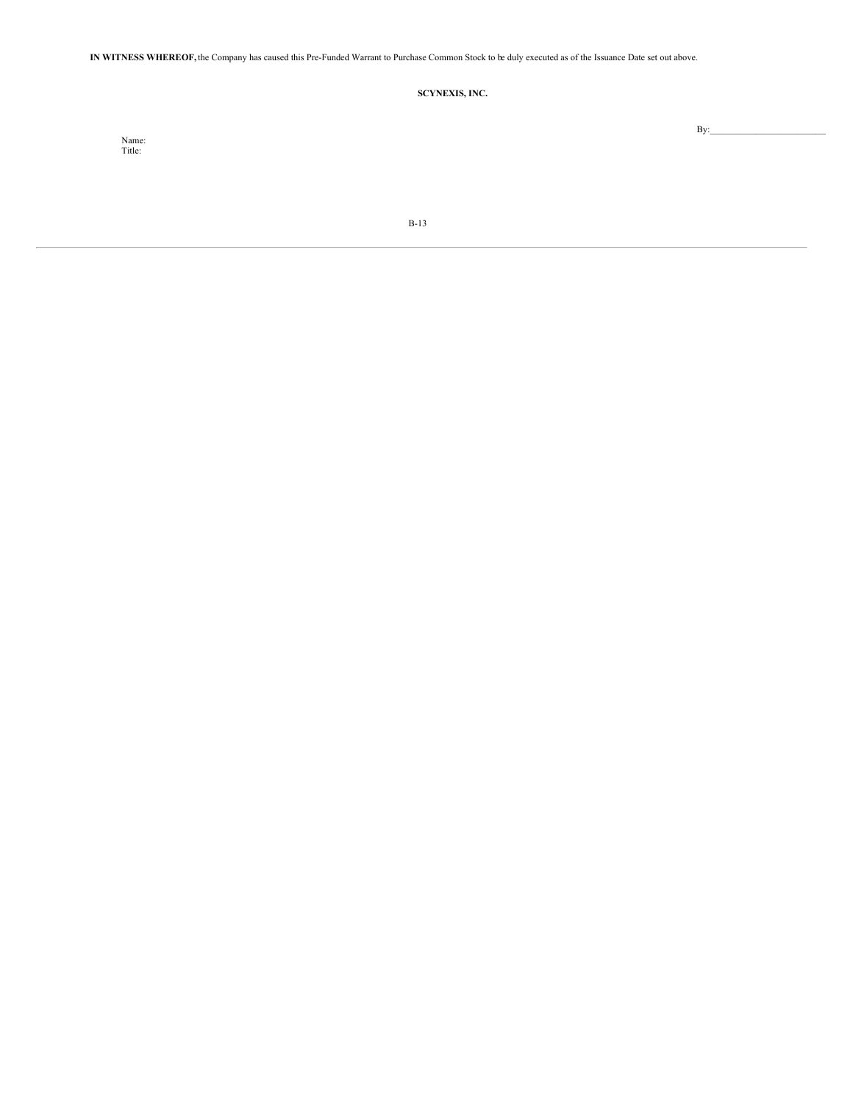**IN WITNESS WHEREOF,** the Company has caused this Pre-Funded Warrant to Purchase Common Stock to be duly executed as of the Issuance Date set out above.

# **SCYNEXIS, INC.**

Name: Title:

 $By:$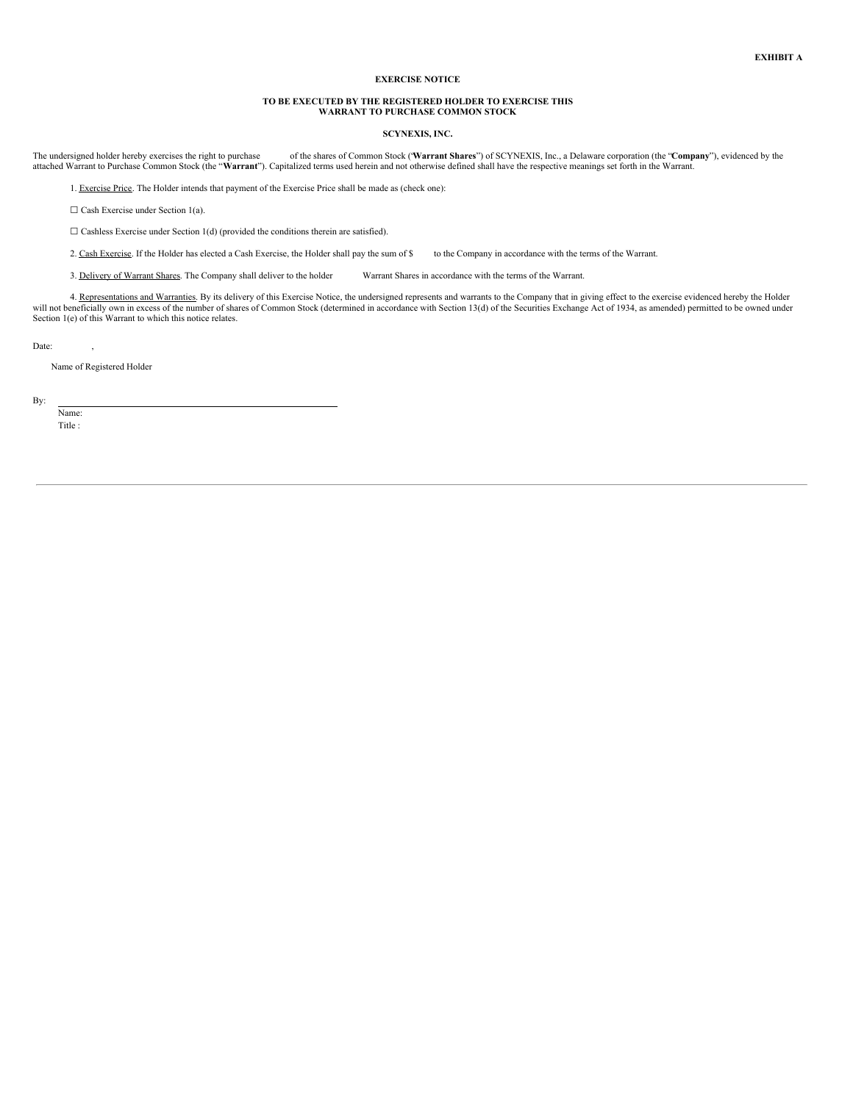## **EXERCISE NOTICE**

### **TO BE EXECUTED BY THE REGISTERED HOLDER TO EXERCISE THIS WARRANT TO PURCHASE COMMON STOCK**

### **SCYNEXIS, INC.**

The undersigned holder hereby exercises the right to purchase of the shares of Common Stock ('Warrant Shares'') of SCYNEXIS, Inc., a Delaware corporation (the "Company"), evidenced by the stached Warrant to Purchase Common

1. Exercise Price. The Holder intends that payment of the Exercise Price shall be made as (check one):

 $\Box$  Cash Exercise under Section 1(a).

 $\Box$  Cashless Exercise under Section 1(d) (provided the conditions therein are satisfied).

2. Cash Exercise. If the Holder has elected a Cash Exercise, the Holder shall pay the sum of \$ to the Company in accordance with the terms of the Warrant.

3. Delivery of Warrant Shares. The Company shall deliver to the holder Warrant Shares in accordance with the terms of the Warrant.

4. Representations and Warranties. By its delivery of this Exercise Notice, the undersigned represents and warrants to the Company that in giving effect to the exercise evidenced hereby the Holder will not beneficially own in excess of the number of shares of Common Stock (determined in accordance with Section 13(d) of the Securities Exchange Act of 1934, as amended) permitted to be owned under Section 1(e) of this Warrant to which this notice relates.

Date: ,

Name of Registered Holder

By:

Name: Title :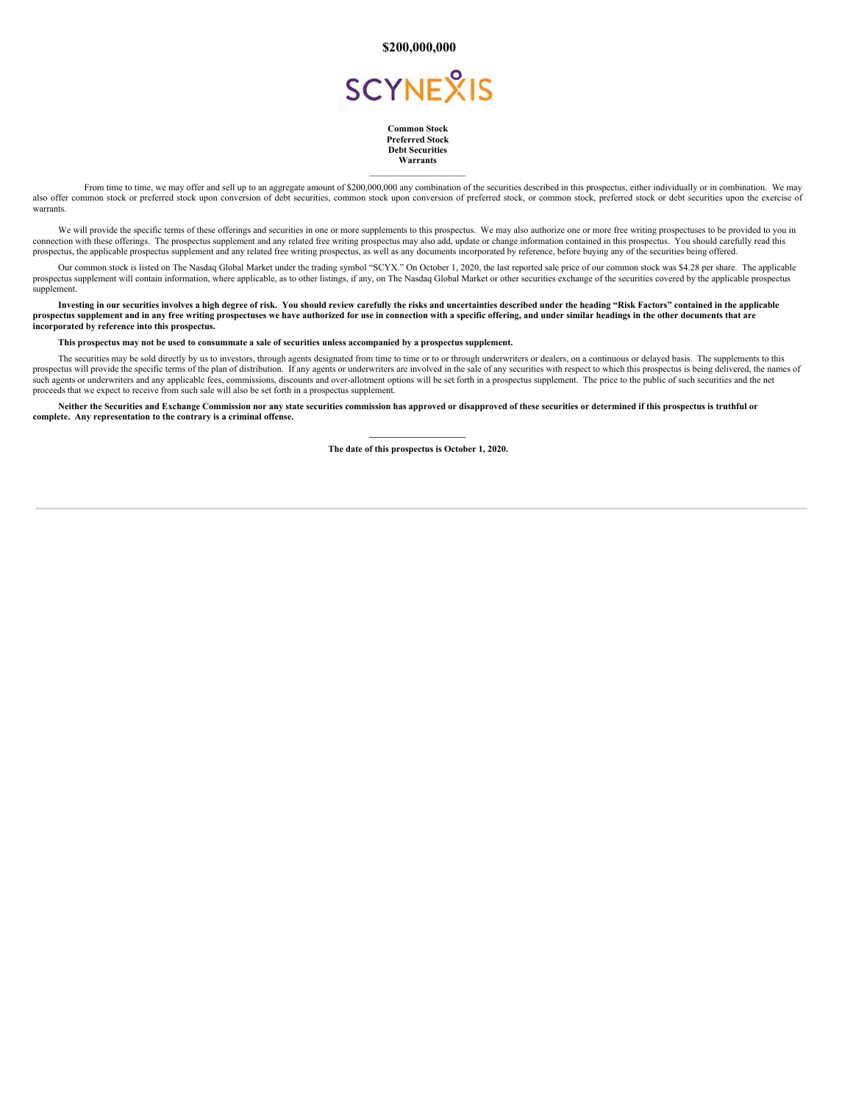**\$200,000,000**



**Common Stock Preferred Stock Debt Securities Warrants**  $\mathcal{L}_\text{max}$ 

From time to time, we may offer and sell up to an aggregate amount of \$200,000,000 any combination of the securities described in this prospectus, either individually or in combination. We may also offer common stock or preferred stock upon conversion of debt securities, common stock upon conversion of preferred stock, or common stock, preferred stock or debt securities upon the exercise of warrants

We will provide the specific terms of these offerings and securities in one or more supplements to this prospectus. We may also authorize one or more free writing prospectuses to be provided to you in connection with these offerings. The prospectus supplement and any related free writing prospectus may also add, update or change information contained in this prospectus. You should carefully read this prospectus, the applicable prospectus supplement and any related free writing prospectus, as well as any documents incorporated by reference, before buying any of the securities being offered.

Our common stock is listed on The Nasdaq Global Market under the trading symbol "SCYX." On October 1, 2020, the last reported sale price of our common stock was \$4.28 per share. The applicable prospectus supplement will contain information, where applicable, as to other listings, if any, on The Nasdaq Global Market or other securities exchange of the securities covered by the applicable prospectus supplement.

Investing in our securities involves a high degree of risk. You should review carefully the risks and uncertainties described under the heading "Risk Factors" contained in the applicable prospectus supplement and in any free writing prospectuses we have authorized for use in connection with a specific offering, and under similar headings in the other documents that are **incorporated by reference into this prospectus.**

### This prospectus may not be used to consummate a sale of securities unless accompanied by a prospectus supplement.

The securities may be sold directly by us to investors, through agents designated from time to time or to or through underwriters or dealers, on a continuous or delayed basis. The supplements to this prospectus will provide the specific terms of the plan of distribution. If any agents or underwriters are involved in the sale of any securities with respect to which this prospectus is being delivered, the names of such agents or underwriters and any applicable fees, commissions, discounts and over-allotment options will be set forth in a prospectus supplement. The price to the public of such securities and the net proceeds that we expect to receive from such sale will also be set forth in a prospectus supplement.

Neither the Securities and Exchange Commission nor any state securities commission has approved or disapproved of these securities or determined if this prospectus is truthful or **complete. Any representation to the contrary is a criminal offense.**

> **\_\_\_\_\_\_\_\_\_\_\_\_\_\_\_\_\_\_\_\_\_ The date of this prospectus is October 1, 2020.**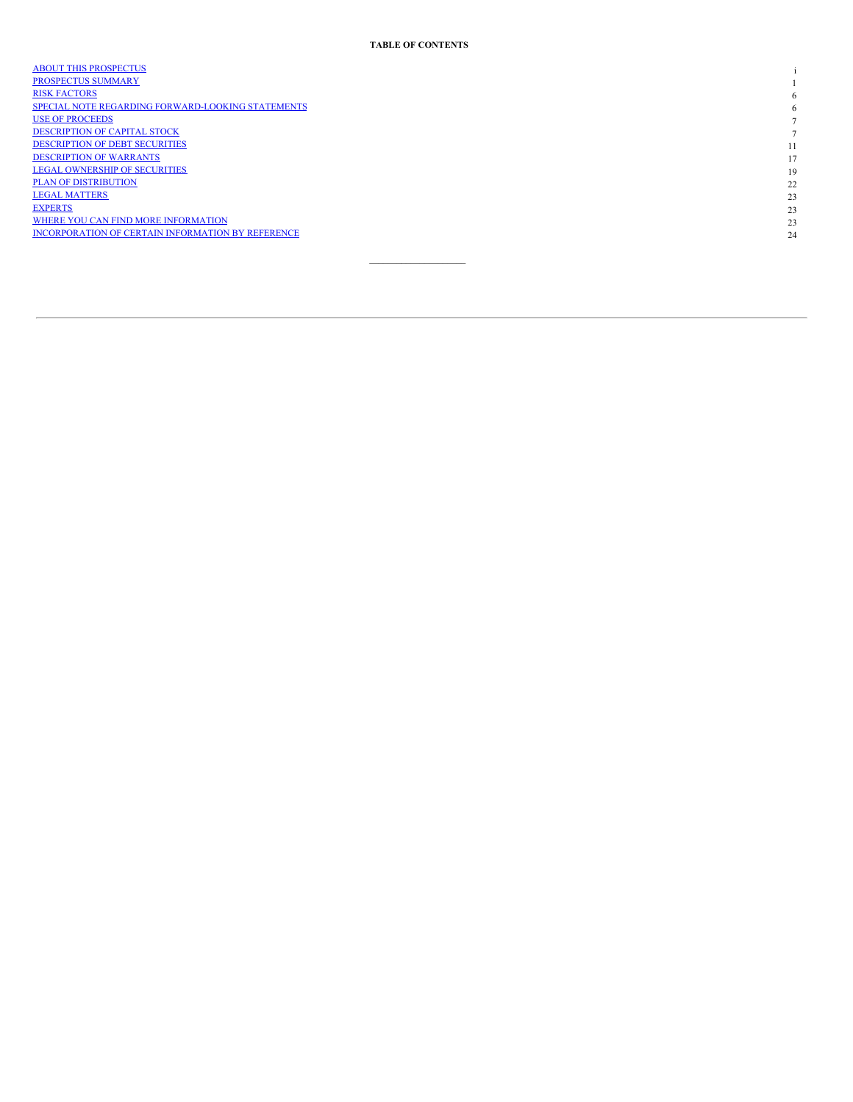| <b>ABOUT THIS PROSPECTUS</b>                      |    |
|---------------------------------------------------|----|
| PROSPECTUS SUMMARY                                |    |
| <b>RISK FACTORS</b>                               | 6  |
| SPECIAL NOTE REGARDING FORWARD-LOOKING STATEMENTS | 6  |
| <b>USE OF PROCEEDS</b>                            |    |
| <b>DESCRIPTION OF CAPITAL STOCK</b>               |    |
| <b>DESCRIPTION OF DEBT SECURITIES</b>             | 11 |
| <b>DESCRIPTION OF WARRANTS</b>                    | 17 |
| <b>LEGAL OWNERSHIP OF SECURITIES</b>              | 19 |
| <b>PLAN OF DISTRIBUTION</b>                       | 22 |
| <b>LEGAL MATTERS</b>                              | 23 |
| <b>EXPERTS</b>                                    | 23 |
| WHERE YOU CAN FIND MORE INFORMATION               | 23 |
| INCORPORATION OF CERTAIN INFORMATION BY REFERENCE | 24 |
|                                                   |    |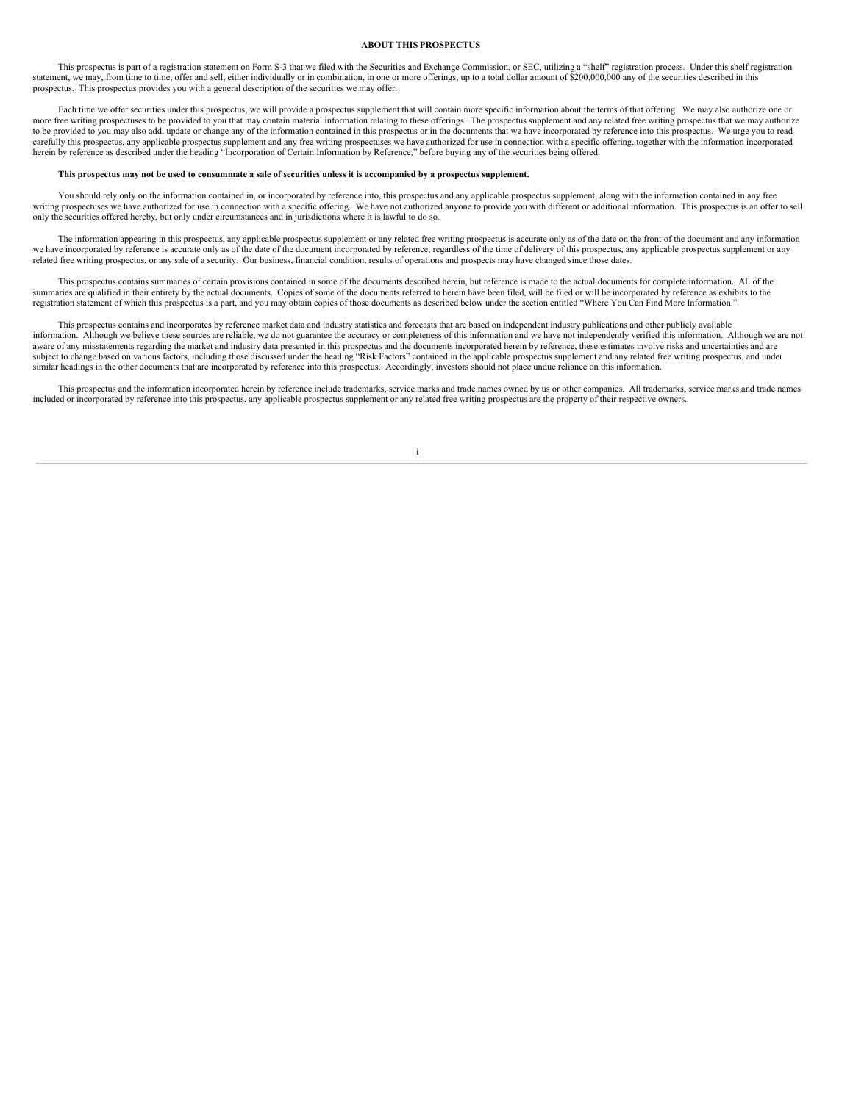## <span id="page-54-0"></span>**ABOUT THIS PROSPECTUS**

This prospectus is part of a registration statement on Form S-3 that we filed with the Securities and Exchange Commission, or SEC, utilizing a "shelf" registration process. Under this shelf registration statement, we may, from time to time, offer and sell, either individually or in combination, in one or more offerings, up to a total dollar amount of \$200,000,000 any of the securities described in this prospectus. This prospectus provides you with a general description of the securities we may offer.

Each time we offer securities under this prospectus, we will provide a prospectus supplement that will contain more specific information about the terms of that offering. We may also authorize one or more free writing prospectuses to be provided to you that may contain material information relating to these offerings. The prospectus supplement and any related free writing prospectus that we may authorize to be provided to you may also add, update or change any of the information contained in this prospectus or in the documents that we have incorporated by reference into this prospectus. We urge you to read carefully this prospectus, any applicable prospectus supplement and any free writing prospectuses we have authorized for use in connection with a specific offering, together with the information incorporated herein by reference as described under the heading "Incorporation of Certain Information by Reference," before buying any of the securities being offered.

#### This prospectus may not be used to consummate a sale of securities unless it is accompanied by a prospectus supplement.

You should rely only on the information contained in, or incorporated by reference into, this prospectus and any applicable prospectus supplement, along with the information contained in any free writing prospectuses we ha

The information appearing in this prospectus, any applicable prospectus supplement or any related free writing prospectus is accurate only as of the date on the front of the document and any information we have incorporated by reference is accurate only as of the date of the document incorporated by reference, regardless of the time of delivery of this prospectus, any applicable prospectus supplement or any related free writing prospectus, or any sale of a security. Our business, financial condition, results of operations and prospects may have changed since those dates.

This prospectus contains summaries of certain provisions contained in some of the documents described herein, but reference is made to the actual documents for complete information. All of the summaries are qualified in their entirety by the actual documents. Copies of some of the documents referred to herein have been filed, will be filed or will be incorporated by reference as exhibits to the registration statement of which this prospectus is a part, and you may obtain copies of those documents as described below under the section entitled "Where You Can Find More Information."

This prospectus contains and incorporates by reference market data and industry statistics and forecasts that are based on independent industry publications and other publicly available information. Although we believe these sources are reliable, we do not guarantee the accuracy or completeness of this information and we have not independently verified this information. Although we are not aware of any misstatements regarding the market and industry data presented in this prospectus and the documents incorporated herein by reference, these estimates involve risks and uncertainties and are subject to change based on various factors, including those discussed under the heading "Risk Factors" contained in the applicable prospectus supplement and any related free writing prospectus, and under similar headings in the other documents that are incorporated by reference into this prospectus. Accordingly, investors should not place undue reliance on this information.

This prospectus and the information incorporated herein by reference include trademarks, service marks and trade names owned by us or other companies. All trademarks, service marks and trade names included or incorporated by reference into this prospectus, any applicable prospectus supplement or any related free writing prospectus are the property of their respective owners.

i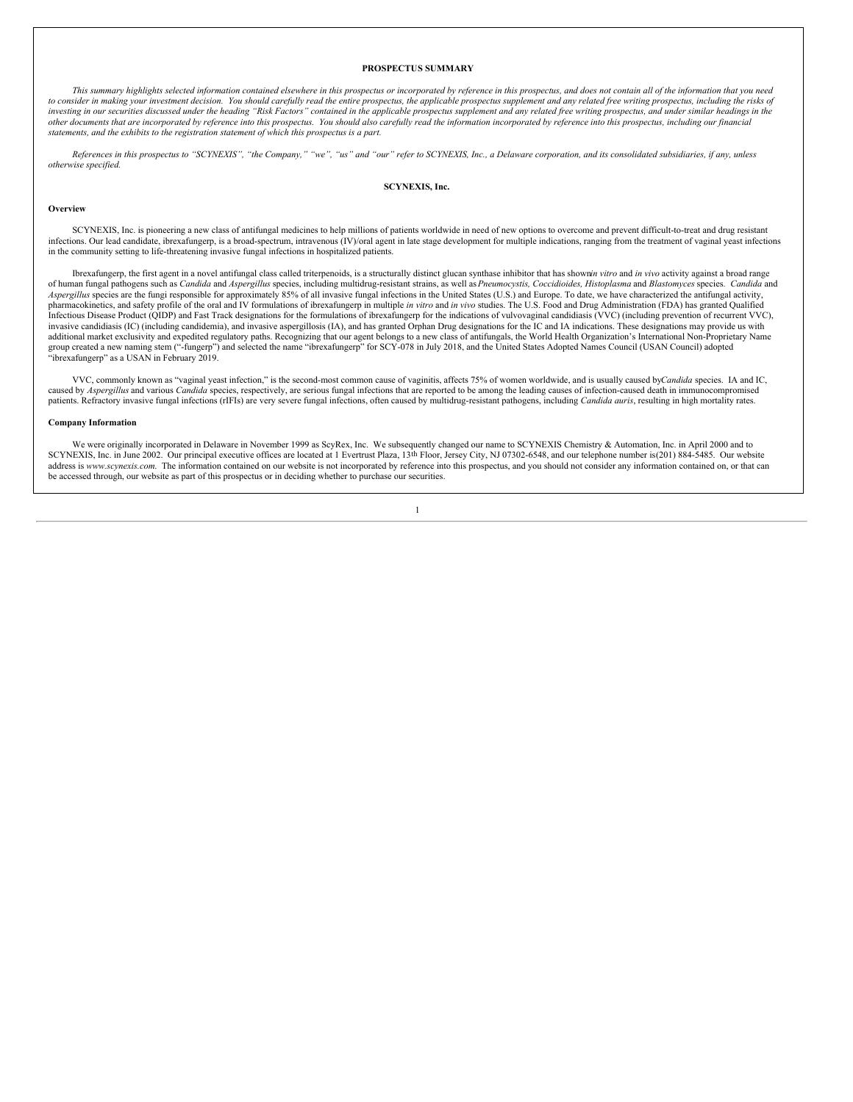#### <span id="page-55-0"></span>**PROSPECTUS SUMMARY**

This summary highlights selected information contained elsewhere in this prospectus or incorporated by reference in this prospectus, and does not contain all of the information that you need to consider in making your investment decision. You should carefully read the entire prospectus, the applicable prospectus supplement and any related free writing prospectus, including the risks of investing in our securities discussed under the heading "Risk Factors" contained in the applicable prospectus supplement and any related free writing prospectus, and under similar headings in the<br>other documents that are i *statements, and the exhibits to the registration statement of which this prospectus is a part.*

References in this prospectus to "SCYNEXIS", "the Company," "we", "us" and "our" refer to SCYNEXIS, Inc., a Delaware corporation, and its consolidated subsidiaries, if any, unless *otherwise specified.*

### **SCYNEXIS, Inc.**

### **Overview**

SCYNEXIS, Inc. is pioneering a new class of antifungal medicines to help millions of patients worldwide in need of new options to overcome and prevent difficult-to-treat and drug resistant infections. Our lead candidate, ibrexafungerp, is a broad-spectrum, intravenous (IV)/oral agent in late stage development for multiple indications, ranging from the treatment of vaginal yeast infections in the community setting to life-threatening invasive fungal infections in hospitalized patients.

Ibrexafungerp, the first agent in a novel antifungal class called triterpenoids, is a structurally distinct glucan synthase inhibitor that has shownin vitro and in vivo activity against a broad range of human fungal pathogens such as Candida and Aspergillus species, including multidrug-resistant strains, as well as Pneumocystis, Coccidioides, Histoplasma and Blastomyces species. Candida and *Aspergillus* species are the fungi responsible for approximately 85% of all invasive fungal infections in the United States (U.S.) and Europe. To date, we have characterized the antifungal activity, pharmacokinetics, and safety profile of the oral and IV formulations of ibrexafungerp in multiple *in vitro* and *in vivo* studies. The U.S. Food and Drug Administration (FDA) has granted Qualified Infectious Disease Product (QIDP) and Fast Track designations for the formulations of ibrexafungerp for the indications of vulvovaginal candidiasis (VVC) (including prevention of recurrent VVC), invasive candidiasis (IC) (including candidemia), and invasive aspergillosis (IA), and has granted Orphan Drug designations for the IC and IA indications. These designations may provide us with additional market exclusivity and expedited regulatory paths. Recognizing that our agent belongs to a new class of antifungals, the World Health Organization's International Non-Proprietary Name group created a new naming stem ("-fungerp") and selected the name "ibrexafungerp" for SCY-078 in July 2018, and the United States Adopted Names Council (USAN Council) adopted "ibrexafungerp" as a USAN in February 2019.

VVC, commonly known as "vaginal yeast infection," is the second-most common cause of vaginitis, affects 75% of women worldwide, and is usually caused by*Candida* species. IA and IC, caused by *Aspergillus* and various *Candida* species, respectively, are serious fungal infections that are reported to be among the leading causes of infection-caused death in immunocompromised patients. Refractory invasive fungal infections (rIFIs) are very severe fungal infections, often caused by multidrug-resistant pathogens, including *Candida auris*, resulting in high mortality rates.

### **Company Information**

We were originally incorporated in Delaware in November 1999 as ScyRex, Inc. We subsequently changed our name to SCYNEXIS Chemistry & Automation, Inc. in April 2000 and to SCYNEXIS, Inc. in June 2002. Our principal executive offices are located at 1 Evertrust Plaza, 13th Floor, Jersey City, NJ 07302-6548, and our telephone number is(201) 884-5485. Our website address is www.scynexis.com. The information contained on our website is not incorporated by reference into this prospectus, and you should not consider any information contained on, or that can be accessed through, our website as part of this prospectus or in deciding whether to purchase our securities.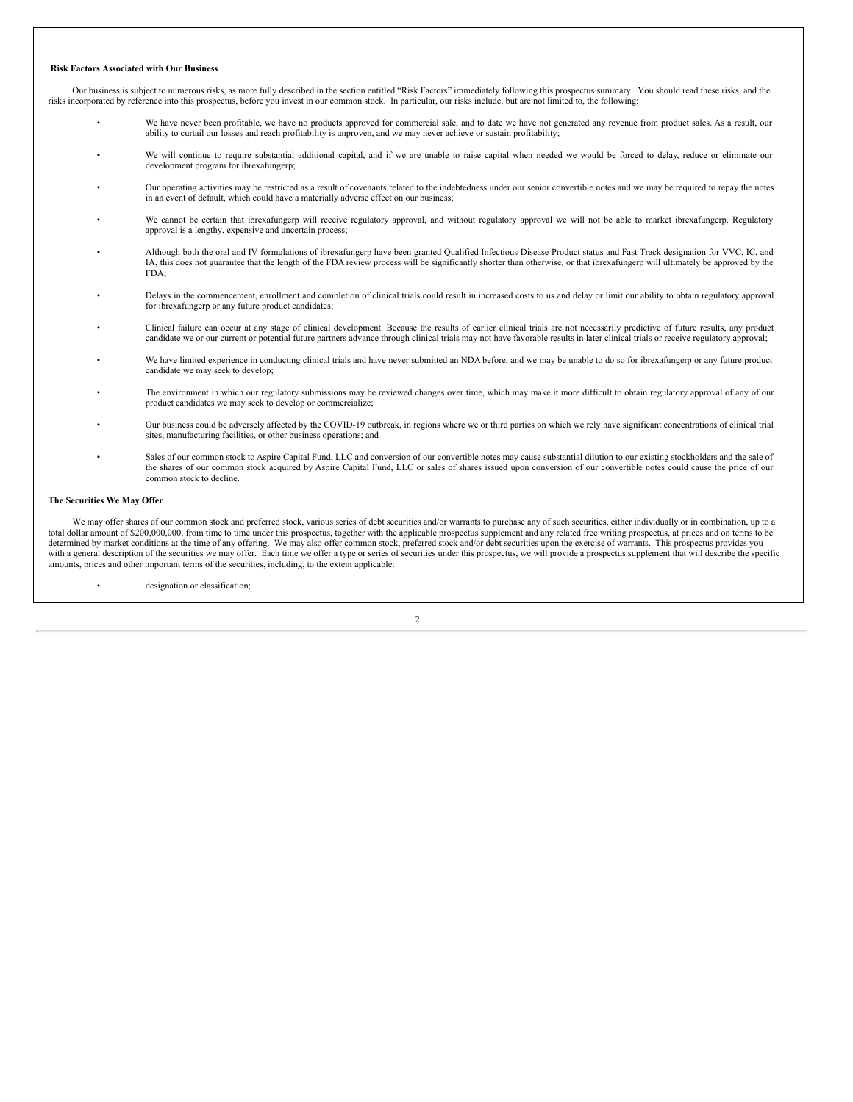## **Risk Factors Associated with Our Business**

Our business is subject to numerous risks, as more fully described in the section entitled "Risk Factors" immediately following this prospectus summary. You should read these risks, and the risks incorporated by reference into this prospectus, before you invest in our common stock. In particular, our risks include, but are not limited to, the following:

- We have never been profitable, we have no products approved for commercial sale, and to date we have not generated any revenue from product sales. As a result, our ability to curtail our losses and reach profitability is unproven, and we may never achieve or sustain profitability;
- We will continue to require substantial additional capital, and if we are unable to raise capital when needed we would be forced to delay, reduce or eliminate our development program for ibrexafungerp;
- Our operating activities may be restricted as a result of covenants related to the indebtedness under our senior convertible notes and we may be required to repay the notes in an event of default, which could have a materially adverse effect on our business;
- We cannot be certain that ibrexafungerp will receive regulatory approval, and without regulatory approval we will not be able to market ibrexafungerp. Regulatory approval is a lengthy, expensive and uncertain process;
- Although both the oral and IV formulations of ibrexafungerp have been granted Qualified Infectious Disease Product status and Fast Track designation for VVC, IC, and IA, this does not guarantee that the length of the FDA review process will be significantly shorter than otherwise, or that ibrexafungerp will ultimately be approved by the  $FDA$
- Delays in the commencement, enrollment and completion of clinical trials could result in increased costs to us and delay or limit our ability to obtain regulatory approval for ibrexafungerp or any future product candidates;
- Clinical failure can occur at any stage of clinical development. Because the results of earlier clinical trials are not necessarily predictive of future results, any product candidate we or our current or potential future partners advance through clinical trials may not have favorable results in later clinical trials or receive regulatory approval;
- We have limited experience in conducting clinical trials and have never submitted an NDA before, and we may be unable to do so for ibrexafungerp or any future product candidate we may seek to develop;
- The environment in which our regulatory submissions may be reviewed changes over time, which may make it more difficult to obtain regulatory approval of any of our product candidates we may seek to develop or commercialize;
- Our business could be adversely affected by the COVID-19 outbreak, in regions where we or third parties on which we rely have significant concentrations of clinical trial sites, manufacturing facilities, or other business operations; and
- Sales of our common stock to Aspire Capital Fund, LLC and conversion of our convertible notes may cause substantial dilution to our existing stockholders and the sale of the shares of our common stock acquired by Aspire Capital Fund, LLC or sales of shares issued upon conversion of our convertible notes could cause the price of our common stock to decline.

## **The Securities We May Offer**

We may offer shares of our common stock and preferred stock, various series of debt securities and/or warrants to purchase any of such securities, either individually or in combination, up to a total dollar amount of \$200,000,000, from time to time under this prospectus, together with the applicable prospectus supplement and any related free writing prospectus, at prices and on terms to be determined by market conditions at the time of any offering. We may also offer common stock, preferred stock and/or debt securities upon the exercise of warrants. This prospectus provides you with a general description of the securities we may offer. Each time we offer a type or series of securities under this prospectus, we will provide a prospectus supplement that will describe the specific amounts, prices and other important terms of the securities, including, to the extent applicable:

designation or classification;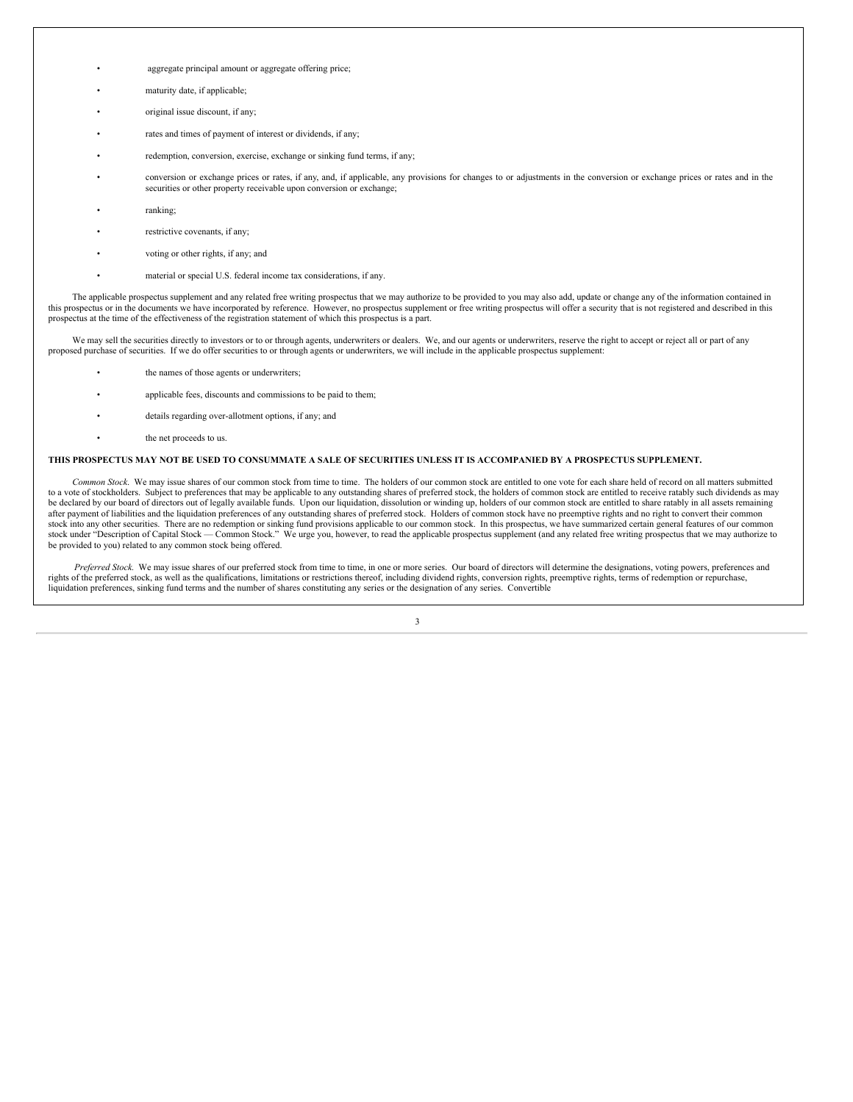- aggregate principal amount or aggregate offering price;
- maturity date, if applicable:
- original issue discount, if any;
- rates and times of payment of interest or dividends, if any;
- redemption, conversion, exercise, exchange or sinking fund terms, if any;
- conversion or exchange prices or rates, if any, and, if applicable, any provisions for changes to or adjustments in the conversion or exchange prices or rates and in the securities or other property receivable upon conversion or exchange;
- ranking;
- restrictive covenants, if any;
- voting or other rights, if any; and
- material or special U.S. federal income tax considerations, if any.

The applicable prospectus supplement and any related free writing prospectus that we may authorize to be provided to you may also add, update or change any of the information contained in this prospectus or in the documents we have incorporated by reference. However, no prospectus supplement or free writing prospectus will offer a security that is not registered and described in this prospectus at the time of the effectiveness of the registration statement of which this prospectus is a part.

We may sell the securities directly to investors or to or through agents, underwriters or dealers. We, and our agents or underwriters, reserve the right to accept or reject all or part of any proposed purchase of securities. If we do offer securities to or through agents or underwriters, we will include in the applicable prospectus supplement:

- the names of those agents or underwriters:
- applicable fees, discounts and commissions to be paid to them;
- details regarding over-allotment options, if any; and
- the net proceeds to us.

## THIS PROSPECTUS MAY NOT BE USED TO CONSUMMATE A SALE OF SECURITIES UNLESS IT IS ACCOMPANIED BY A PROSPECTUS SUPPLEMENT.

*Common Stock*. We may issue shares of our common stock from time to time. The holders of our common stock are entitled to one vote for each share held of record on all matters submitted to a vote of stockholders. Subject to preferences that may be applicable to any outstanding shares of preferred stock, the holders of common stock are entitled to receive ratably such dividends as may be declared by our board of directors out of legally available funds. Upon our liquidation, dissolution or winding up, holders of our common stock are entitled to share ratably in all assets remaining after payment of liabilities and the liquidation preferences of any outstanding shares of preferred stock. Holders of common stock have no preemptive rights and no right to convert their common stock into any other securities. There are no redemption or sinking fund provisions applicable to our common stock. In this prospectus, we have summarized certain general features of our common stock unto any once securities. There are no recemption or suming called yerselective supplement of capital Stock under "Description of Capital Stock — Common Stock." We urge you, however, to read the applicable prospectus be provided to you) related to any common stock being offered.

*Preferred Stock.* We may issue shares of our preferred stock from time to time, in one or more series. Our board of directors will determine the designations, voting powers, preferences and rights of the preferred stock, as well as the qualifications, limitations or restrictions thereof, including dividend rights, conversion rights, preemptive rights, terms of redemption or repurchase, liquidation preferences, sinking fund terms and the number of shares constituting any series or the designation of any series. Convertible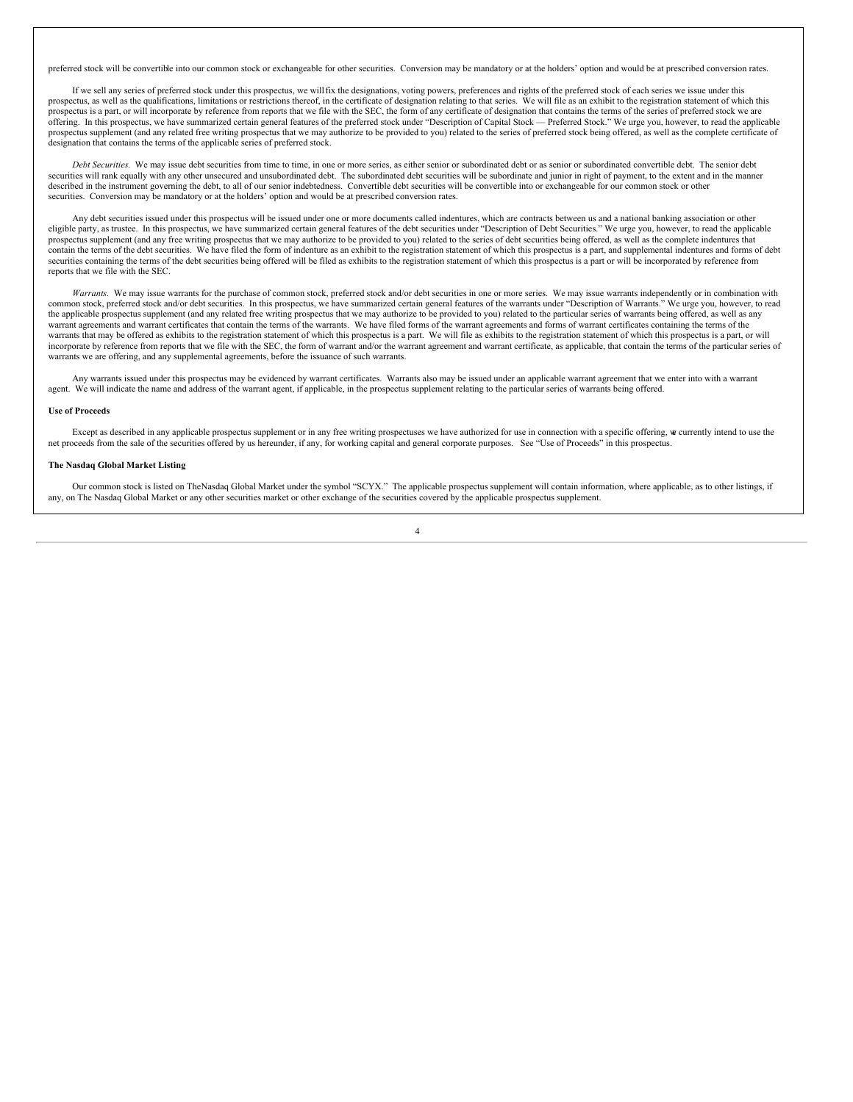preferred stock will be convertible into our common stock or exchangeable for other securities. Conversion may be mandatory or at the holders' option and would be at prescribed conversion rates.

If we sell any series of preferred stock under this prospectus, we willfix the designations, voting powers, preferences and rights of the preferred stock of each series we issue under this prospectus, as well as the qualifications, limitations or restrictions thereof, in the certificate of designation relating to that series. We will file as an exhibit to the registration statement of which this prospectus is a part, or will incorporate by reference from reports that we file with the SEC, the form of any certificate of designation that contains the terms of the series of preferred stock we are offering. In this prospectus, we have summarized certain general features of the preferred stock under "Description of Capital Stock — Preferred Stock." We urge you, however, to read the applicable prospectus supplement (and any related free writing prospectus that we may authorize to be provided to you) related to the series of preferred stock being offered, as well as the complete certificate of designation that contains the terms of the applicable series of preferred stock.

*Debt Securities.* We may issue debt securities from time to time, in one or more series, as either senior or subordinated debt or as senior or subordinated convertible debt. The senior debt securities will rank equally with any other unsecured and unsubordinated debt. The subordinated debt securities will be subordinate and junior in right of payment, to the extent and in the manner described in the instrument governing the debt, to all of our senior indebtedness. Convertible debt securities will be convertible into or exchangeable for our common stock or other securities. Conversion may be mandatory or at the holders' option and would be at prescribed conversion rates.

Any debt securities issued under this prospectus will be issued under one or more documents called indentures, which are contracts between us and a national banking association or other eligible party, as trustee. In this prospectus, we have summarized certain general features of the debt securities under "Description of Debt Securities." We urge you, however, to read the applicable prospectus supplement (and any free writing prospectus that we may authorize to be provided to you) related to the series of debt securities being offered, as well as the complete indentures that contain the terms of the debt securities. We have filed the form of indenture as an exhibit to the registration statement of which this prospectus is a part, and supplemental indentures and forms of debt securities containing the terms of the debt securities being offered will be filed as exhibits to the registration statement of which this prospectus is a part or will be incorporated by reference from reports that we file with the SEC.

Warrants. We may issue warrants for the purchase of common stock, preferred stock and/or debt securities in one or more series. We may issue warrants independently or in combination with common stock, preferred stock and/or debt securities. In this prospectus, we have summarized certain general features of the warrants under "Description of Warrants." We urge you, however, to read the applicable prospectus supplement (and any related free writing prospectus that we may authorize to be provided to you) related to the particular series of warrants being offered, as well as any warrant agreements and warrant certificates that contain the terms of the warrants. We have filed forms of the warrant agreements and forms of warrant certificates containing the terms of the warrants that may be offered as exhibits to the registration statement of which this prospectus is a part. We will file as exhibits to the registration statement of which this prospectus is a part, or will incorporate by reference from reports that we file with the SEC, the form of warrant and/or the warrant agreement and warrant certificate, as applicable, that contain the terms of the particular series of warrants we are offering, and any supplemental agreements, before the issuance of such warrants.

Any warrants issued under this prospectus may be evidenced by warrant certificates. Warrants also may be issued under an applicable warrant agreement that we enter into with a warrant agent. We will indicate the name and address of the warrant agent, if applicable, in the prospectus supplement relating to the particular series of warrants being offered.

### **Use of Proceeds**

Except as described in any applicable prospectus supplement or in any free writing prospectuses we have authorized for use in connection with a specific offering, we currently intend to use the net proceeds from the sale of the securities offered by us hereunder, if any, for working capital and general corporate purposes. See "Use of Proceeds" in this prospectus.

## **The Nasdaq Global Market Listing**

Our common stock is listed on TheNasdaq Global Market under the symbol "SCYX." The applicable prospectus supplement will contain information, where applicable, as to other listings, if any, on The Nasdaq Global Market or any other securities market or other exchange of the securities covered by the applicable prospectus supplement.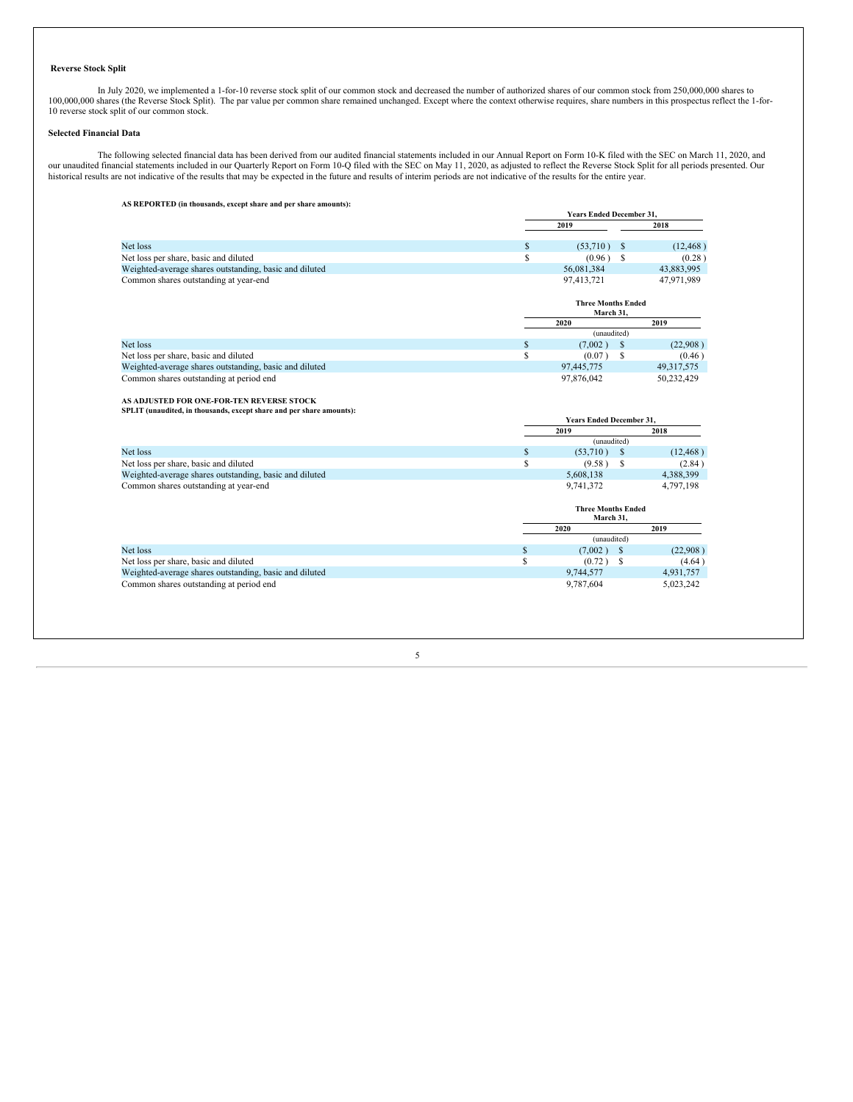## **Reverse Stock Split**

In July 2020, we implemented a 1-for-10 reverse stock split of our common stock and decreased the number of authorized shares of our common stock from 250,000,000 shares to 100,000,000 shares (the Reverse Stock Split). The

## **Selected Financial Data**

**AS REPORTED (in thousands, except share and per share amounts):**

The following selected financial data has been derived from our audited financial statements included in our Annual Report on Form 10-K filed with the SEC on March 11, 2020, and<br>our unaudited financial statements included historical results are not indicative of the results that may be expected in the future and results of interim periods are not indicative of the results for the entire year.

|                                                                      |          | <b>Years Ended December 31,</b>        |               |                     |
|----------------------------------------------------------------------|----------|----------------------------------------|---------------|---------------------|
|                                                                      |          | 2019                                   |               | 2018                |
| Net loss                                                             | S        | (53,710)                               | <sup>\$</sup> | (12, 468)           |
| Net loss per share, basic and diluted                                | S        | (0.96)                                 | S             | (0.28)              |
| Weighted-average shares outstanding, basic and diluted               |          | 56,081,384                             |               | 43,883,995          |
| Common shares outstanding at year-end                                |          | 97,413,721                             |               | 47,971,989          |
|                                                                      |          | <b>Three Months Ended</b><br>March 31, |               |                     |
|                                                                      |          | 2020                                   |               | 2019                |
|                                                                      |          | (unaudited)                            |               |                     |
| Net loss                                                             | \$       | (7,002)                                | $\mathbb{S}$  | (22,908)            |
| Net loss per share, basic and diluted                                | \$       | (0.07)                                 | \$            | (0.46)              |
| Weighted-average shares outstanding, basic and diluted               |          | 97,445,775                             |               | 49, 317, 575        |
| Common shares outstanding at period end                              |          | 97,876,042                             |               | 50,232,429          |
| AS ADJUSTED FOR ONE-FOR-TEN REVERSE STOCK                            |          |                                        |               |                     |
| SPLIT (unaudited, in thousands, except share and per share amounts): |          |                                        |               |                     |
|                                                                      |          | <b>Years Ended December 31,</b>        |               |                     |
|                                                                      |          | 2019                                   |               | 2018                |
| Net loss                                                             |          | (unaudited)                            |               |                     |
| Net loss per share, basic and diluted                                | \$<br>\$ | (53,710)<br>(9.58)                     | \$<br>S       | (12, 468)           |
| Weighted-average shares outstanding, basic and diluted               |          | 5,608,138                              |               | (2.84)<br>4,388,399 |
| Common shares outstanding at year-end                                |          | 9,741,372                              |               | 4,797,198           |
|                                                                      |          |                                        |               |                     |
|                                                                      |          | <b>Three Months Ended</b><br>March 31, |               |                     |
|                                                                      |          | 2020                                   |               | 2019                |
|                                                                      |          | (unaudited)                            |               |                     |
| Net loss                                                             | \$       | (7,002)                                | <sup>\$</sup> | (22,908)            |
| Net loss per share, basic and diluted                                | \$       | (0.72)                                 | \$            | (4.64)              |
| Weighted-average shares outstanding, basic and diluted               |          | 9,744,577                              |               | 4,931,757           |
| Common shares outstanding at period end                              |          | 9,787,604                              |               | 5,023,242           |
|                                                                      |          |                                        |               |                     |
|                                                                      |          |                                        |               |                     |
|                                                                      |          |                                        |               |                     |
|                                                                      |          |                                        |               |                     |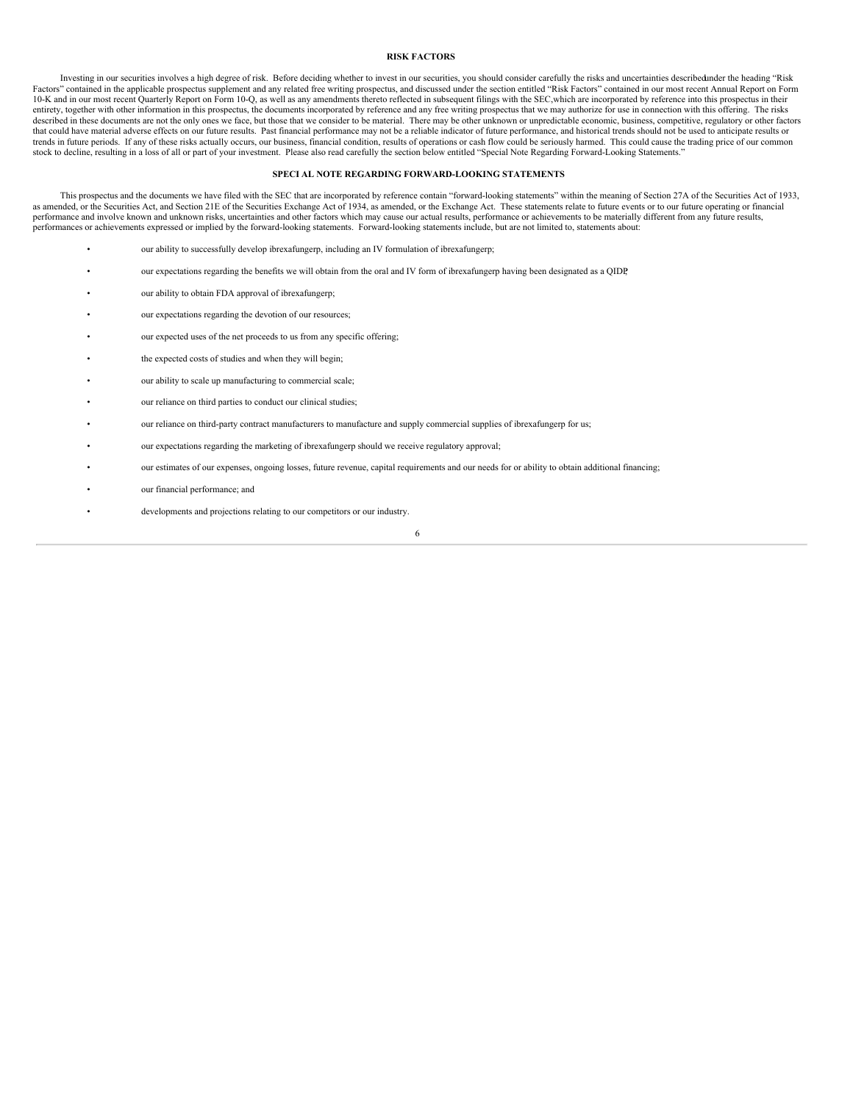## <span id="page-60-0"></span>**RISK FACTORS**

Investing in our securities involves a high degree of risk. Before deciding whether to invest in our securities, you should consider carefully the risks and uncertainties described mder the heading "Risk Factors" contained 10-K and in our most recent Quarterly Report on Form 10-Q, as well as any amendments thereto reflected in subsequent filings with the SEC, which are incorporated by reference into this prospectus in their entirety, together with other information in this prospectus, the documents incorporated by reference and any free writing prospectus that we may authorize for use in connection with this offering. The risks described in these documents are not the only ones we face, but those that we consider to be material. There may be other unknown or unpredictable economic, business, competitive, regulatory or other factors that could have material adverse effects on our future results. Past financial performance may not be a reliable indicator of future performance, and historical trends should not be used to anticipate results or trends in future periods. If any of these risks actually occurs, our business, financial condition, results of operations or cash flow could be seriously harmed. This could cause the trading price of our common stock to decline, resulting in a loss of all or part of your investment. Please also read carefully the section below entitled "Special Note Regarding Forward-Looking Statements."

## <span id="page-60-1"></span>**SPECI AL NOTE REGARDING FORWARD-LOOKING STATEMENTS**

This prospectus and the documents we have filed with the SEC that are incorporated by reference contain "forward-looking statements" within the meaning of Section 27A of the Securities Act of 1933, as amended, or the Securities Act, and Section 21E of the Securities Exchange Act of 1934, as amended, or the Exchange Act. These statements relate to future events or to our future operating or financial as amended, or th performance and involve known and unknown risks, uncertainties and other factors which may cause our actual results, performance or achievements to be materially different from any future results, performances or achievements expressed or implied by the forward-looking statements. Forward-looking statements include, but are not limited to, statements about:

- our ability to successfully develop ibrexafungerp, including an IV formulation of ibrexafungerp;
- our expectations regarding the benefits we will obtain from the oral and IV form of ibrexafungerp having been designated as a QIDP;
- our ability to obtain FDA approval of ibrexafungerp;
- our expectations regarding the devotion of our resources;
- our expected uses of the net proceeds to us from any specific offering;
- the expected costs of studies and when they will begin;
- our ability to scale up manufacturing to commercial scale;
- our reliance on third parties to conduct our clinical studies;
- our reliance on third-party contract manufacturers to manufacture and supply commercial supplies of ibrexafungerp for us;
- our expectations regarding the marketing of ibrexafungerp should we receive regulatory approval;
- our estimates of our expenses, ongoing losses, future revenue, capital requirements and our needs for or ability to obtain additional financing;
- our financial performance; and
	- developments and projections relating to our competitors or our industry.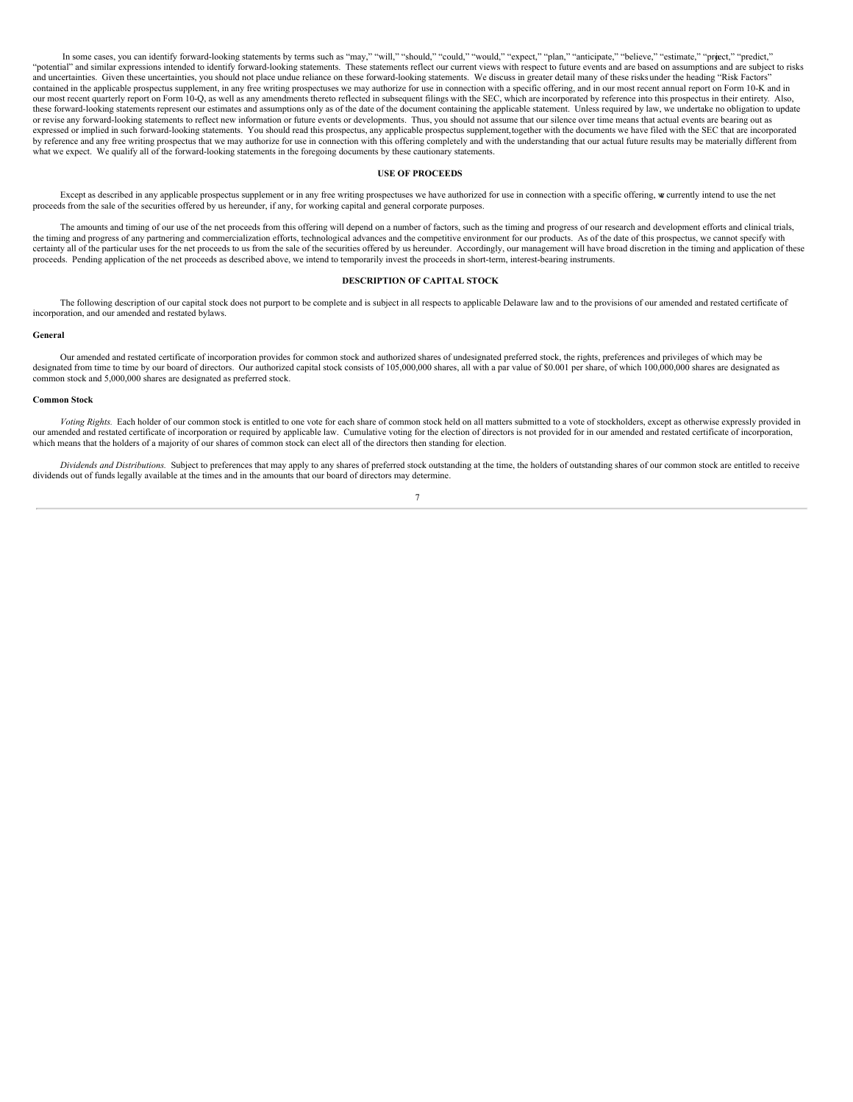In some cases, you can identify forward-looking statements by terms such as "may," "will," "should," "could," "would," "expect," "plan," "anticipate," "believe," "estimate," "project," "predict," "potential" and similar expressions intended to identify forward-looking statements. These statements reflect our current views with respect to future events and are based on assumptions and are subject to risks and uncertainties. Given these uncertainties, you should not place undue reliance on these forward-looking statements. We discuss in greater detail many of these risks under the heading "Risk Factors" contained in the applicable prospectus supplement, in any free writing prospectuses we may authorize for use in connection with a specific offering, and in our most recent annual report on Form 10-K and in our most recent quarterly report on Form 10-Q, as well as any amendments thereto reflected in subsequent filings with the SEC, which are incorporated by reference into this prospectus in their entirety. Also, these forward-looking statements represent our estimates and assumptions only as of the date of the document containing the applicable statement. Unless required by law, we undertake no obligation to update or revise any forward-looking statements to reflect new information or future events or developments. Thus, you should not assume that our silence over time means that actual events are bearing out as expressed or implied in such forward-looking statements. You should read this prospectus, any applicable prospectus supplement,together with the documents we have filed with the SEC that are incorporated by reference and any free writing prospectus that we may authorize for use in connection with this offering completely and with the understanding that our actual future results may be materially different from what we expect. We qualify all of the forward-looking statements in the foregoing documents by these cautionary statements.

#### <span id="page-61-0"></span>**USE OF PROCEEDS**

Except as described in any applicable prospectus supplement or in any free writing prospectuses we have authorized for use in connection with a specific offering, we currently intend to use the net proceeds from the sale of the securities offered by us hereunder, if any, for working capital and general corporate purposes.

The amounts and timing of our use of the net proceeds from this offering will depend on a number of factors, such as the timing and progress of our research and development efforts and clinical trials, the timing and progress of any partnering and commercialization efforts, technological advances and the competitive environment for our products. As of the date of this prospectus, we cannot specify with certainty all of the particular uses for the net proceeds to us from the sale of the securities offered by us hereunder. Accordingly, our management will have broad discretion in the timing and application of these proceeds. Pending application of the net proceeds as described above, we intend to temporarily invest the proceeds in short-term, interest-bearing instruments.

## <span id="page-61-1"></span>**DESCRIPTION OF CAPITAL STOCK**

The following description of our capital stock does not purport to be complete and is subject in all respects to applicable Delaware law and to the provisions of our amended and restated certificate of incorporation, and our amended and restated bylaws.

## **General**

Our amended and restated certificate of incorporation provides for common stock and authorized shares of undesignated preferred stock, the rights, preferences and privileges of which may be designated from time to time by our board of directors. Our authorized capital stock consists of 105,000,000 shares, all with a par value of \$0.001 per share, of which 100,000,000 shares are designated as common stock and 5,000,000 shares are designated as preferred stock.

#### **Common Stock**

*Voting Rights.* Each holder of our common stock is entitled to one vote for each share of common stock held on all matters submitted to a vote of stockholders, except as otherwise expressly provided in our amended and restated certificate of incorporation or required by applicable law. Cumulative voting for the election of directors is not provided for in our amended and restated certificate of incorporation, which means that the holders of a majority of our shares of common stock can elect all of the directors then standing for election.

*Dividends and Distributions.* Subject to preferences that may apply to any shares of preferred stock outstanding at the time, the holders of outstanding shares of our common stock are entitled to receive dividends out of funds legally available at the times and in the amounts that our board of directors may determine.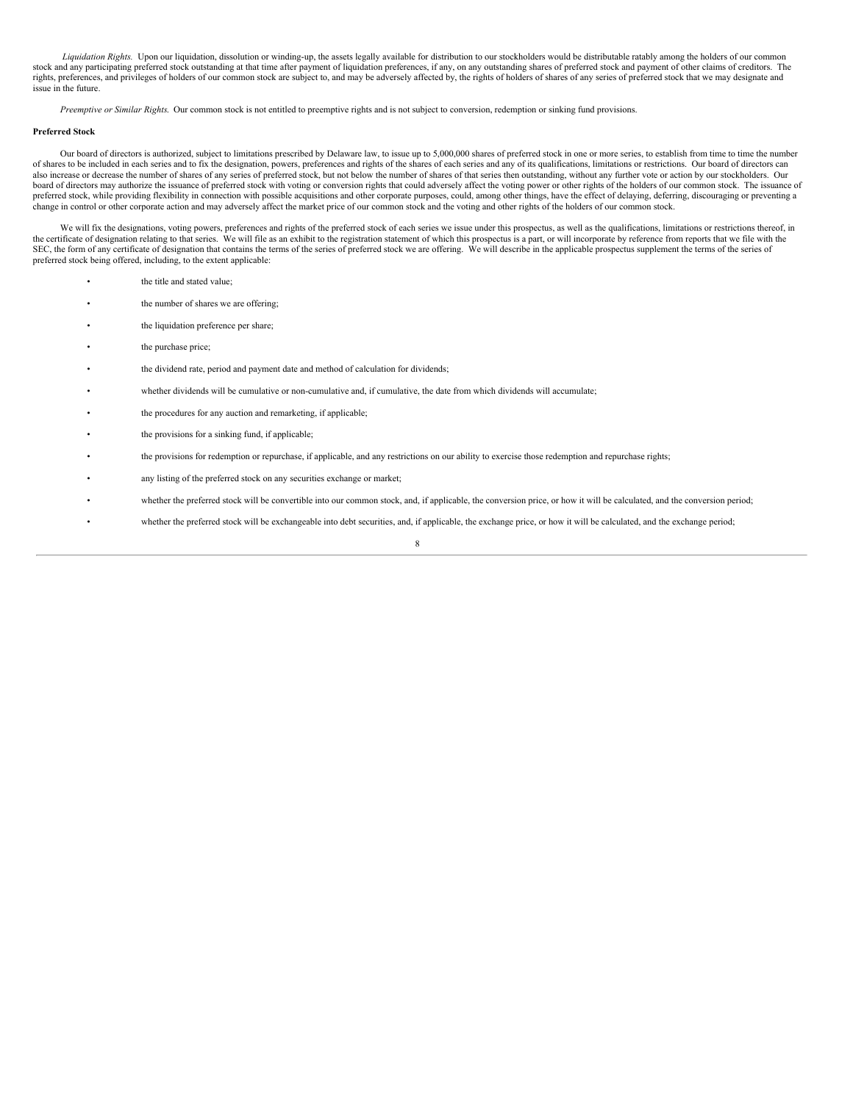Liquidation Rights. Upon our liquidation, dissolution or winding-up, the assets legally available for distribution to our stockholders would be distributable ratably among the holders of our common stock and any participating preferred stock outstanding at that time after payment of liquidation preferences, if any, on any outstanding shares of preferred stock and payment of other claims of creditors. The rights, preferences, and privileges of holders of our common stock are subject to, and may be adversely affected by, the rights of holders of shares of any series of preferred stock that we may designate and issue in the future.

*Preemptive or Similar Rights*. Our common stock is not entitled to preemptive rights and is not subject to conversion, redemption or sinking fund provisions.

## **Preferred Stock**

Our board of directors is authorized, subject to limitations prescribed by Delaware law, to issue up to 5,000,000 shares of preferred stock in one or more series, to establish from time to time the number of shares to be included in each series and to fix the designation, powers, preferences and rights of the shares of each series and any of its qualifications, limitations or restrictions. Our board of directors can also increase or decrease the number of shares of any series of preferred stock, but not below the number of shares of that series then outstanding, without any further vote or action by our stockholders. Our board of directors may authorize the issuance of preferred stock with voting or conversion rights that could adversely affect the voting power or other rights of the holders of our common stock. The issuance of preferred stock, while providing flexibility in connection with possible acquisitions and other corporate purposes, could, among other things, have the effect of delaying, deferring, discouraging or preventing a<br>change in

We will fix the designations, voting powers, preferences and rights of the preferred stock of each series we issue under this prospectus, as well as the qualifications, limitations or restrictions thereof, in the certificate of designation relating to that series. We will file as an exhibit to the registration statement of which this prospectus is a part, or will incorporate by reference from reports that we file with the SEC, the form of any certificate of designation that contains the terms of the series of preferred stock we are offering. We will describe in the applicable prospectus supplement the terms of the series of preferred stock being offered, including, to the extent applicable:

- the title and stated value;
- the number of shares we are offering;
- the liquidation preference per share;
- the purchase price;
- the dividend rate, period and payment date and method of calculation for dividends;
- whether dividends will be cumulative or non-cumulative and, if cumulative, the date from which dividends will accumulate;
- the procedures for any auction and remarketing, if applicable;
- the provisions for a sinking fund, if applicable;
- the provisions for redemption or repurchase, if applicable, and any restrictions on our ability to exercise those redemption and repurchase rights;
- any listing of the preferred stock on any securities exchange or market;
- whether the preferred stock will be convertible into our common stock, and, if applicable, the conversion price, or how it will be calculated, and the conversion period;
- whether the preferred stock will be exchangeable into debt securities, and, if applicable, the exchange price, or how it will be calculated, and the exchange period;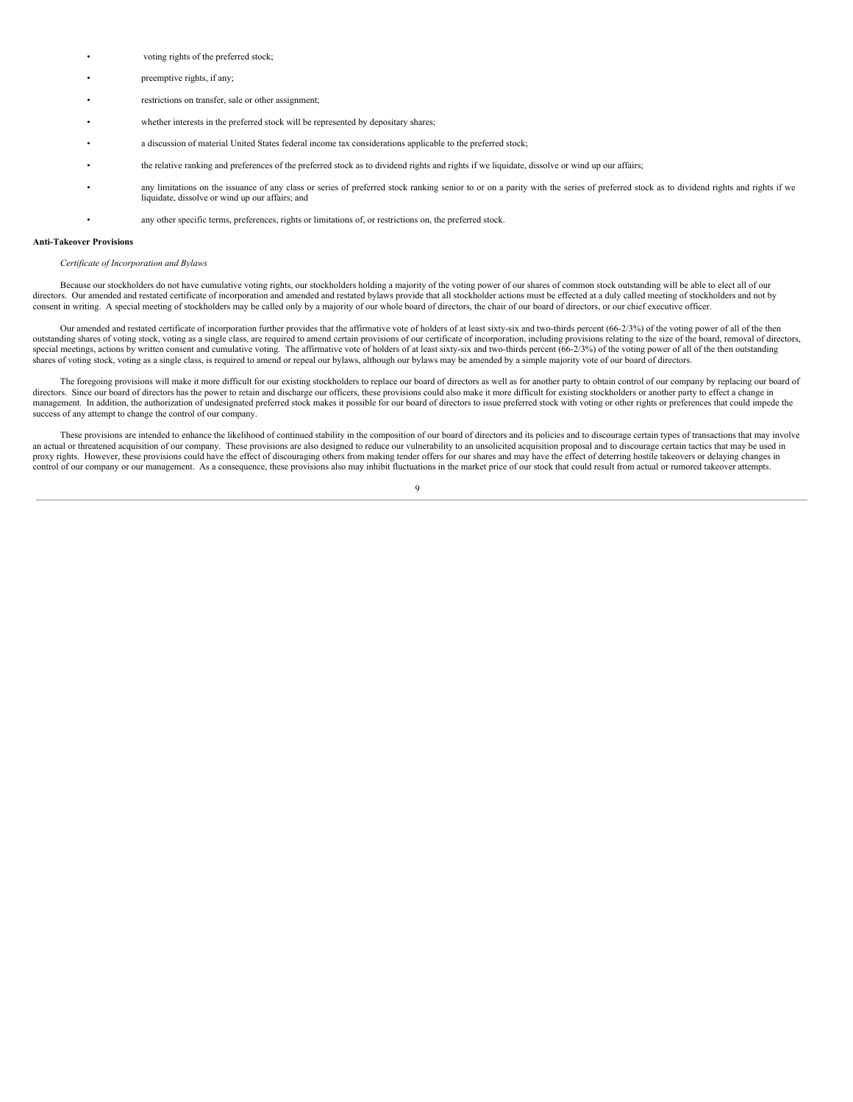- voting rights of the preferred stock:
- preemptive rights, if any:
- restrictions on transfer, sale or other assignment;
- whether interests in the preferred stock will be represented by depositary shares;
- a discussion of material United States federal income tax considerations applicable to the preferred stock;
- the relative ranking and preferences of the preferred stock as to dividend rights and rights if we liquidate, dissolve or wind up our affairs;
- any limitations on the issuance of any class or series of preferred stock ranking senior to or on a parity with the series of preferred stock as to dividend rights and rights if we liquidate, dissolve or wind up our affairs; and
	- any other specific terms, preferences, rights or limitations of, or restrictions on, the preferred stock.

#### **Anti-Takeover Provisions**

#### *Certificate of Incorporation and Bylaws*

Because our stockholders do not have cumulative voting rights, our stockholders holding a majority of the voting power of our shares of common stock outstanding will be able to elect all of our directors. Our amended and restated certificate of incorporation and amended and restated bylaws provide that all stockholder actions must be effected at a duly called meeting of stockholders and not by consent in writing. A special meeting of stockholders may be called only by a majority of our whole board of directors, the chair of our board of directors, or our chief executive officer.

Our amended and restated certificate of incorporation further provides that the affirmative vote of holders of at least sixty-six and two-thirds percent (66-2/3%) of the voting power of all of the then outstanding shares of voting stock, voting as a single class, are required to amend certain provisions of our certificate of incorporation, including provisions relating to the size of the board, removal of directors, special meetings, actions by written consent and cumulative voting. The affirmative vote of holders of at least sixty-six and two-thirds percent (66-2/3%) of the voting power of all of the then outstanding shares of voting stock, voting as a single class, is required to amend or repeal our bylaws, although our bylaws may be amended by a simple majority vote of our board of directors.

The foregoing provisions will make it more difficult for our existing stockholders to replace our board of directors as well as for another party to obtain control of our company by replacing our board of directors. Since our board of directors has the power to retain and discharge our officers, these provisions could also make it more difficult for existing stockholders or another party to effect a change in management. In addition, the authorization of undesignated preferred stock makes it possible for our board of directors to issue preferred stock with voting or other rights or preferences that could impede the success of any attempt to change the control of our company.

These provisions are intended to enhance the likelihood of continued stability in the composition of our board of directors and its policies and to discourage certain types of transactions that may involve an actual or threatened acquisition of our company. These provisions are also designed to reduce our vulnerability to an unsolicited acquisition proposal and to discourage certain tactics that may be used in proxy rights. However, these provisions could have the effect of discouraging others from making tender offers for our shares and may have the effect of deterring hostile takeovers or delaying changes in control of our company or our management. As a consequence, these provisions also may inhibit fluctuations in the market price of our stock that could result from actual or rumored takeover attempts.

 $\Omega$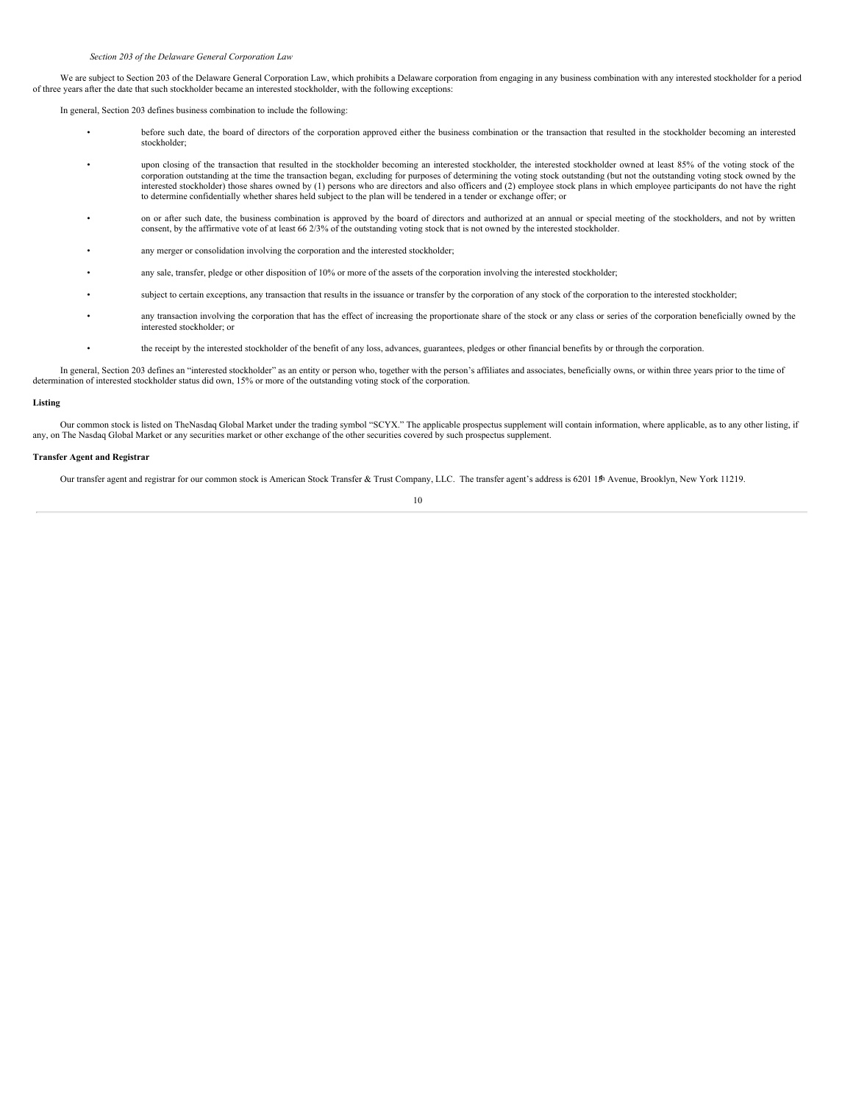We are subject to Section 203 of the Delaware General Corporation Law, which prohibits a Delaware corporation from engaging in any business combination with any interested stockholder for a period of three years after the date that such stockholder became an interested stockholder, with the following exceptions:

In general, Section 203 defines business combination to include the following:

- before such date, the board of directors of the corporation approved either the business combination or the transaction that resulted in the stockholder becoming an interested stockholder;
- upon closing of the transaction that resulted in the stockholder becoming an interested stockholder, the interested stockholder owned at least 85% of the voting stock of the corporation outstanding at the time the transaction began, excluding for purposes of determining the voting stock outstanding (but not the outstanding voting stock owned by the interested stockholder) those shares owned by (1) persons who are directors and also officers and (2) employee stock plans in which employee participants do not have the right to determine confidentially whether shares held subject to the plan will be tendered in a tender or exchange offer; or
- on or after such date, the business combination is approved by the board of directors and authorized at an annual or special meeting of the stockholders, and not by written consent, by the affirmative vote of at least 66
- any merger or consolidation involving the corporation and the interested stockholder:
- any sale, transfer, pledge or other disposition of 10% or more of the assets of the corporation involving the interested stockholder;
- subject to certain exceptions, any transaction that results in the issuance or transfer by the corporation of any stock of the corporation to the interested stockholder;
- any transaction involving the corporation that has the effect of increasing the proportionate share of the stock or any class or series of the corporation beneficially owned by the interested stockholder; or
	- the receipt by the interested stockholder of the benefit of any loss, advances, guarantees, pledges or other financial benefits by or through the corporation.

In general, Section 203 defines an "interested stockholder" as an entity or person who, together with the person's affiliates and associates, beneficially owns, or within three years prior to the time of determination of interested stockholder status did own, 15% or more of the outstanding voting stock of the corporation.

#### **Listing**

Our common stock is listed on TheNasdaq Global Market under the trading symbol "SCYX." The applicable prospectus supplement will contain information, where applicable, as to any other listing, if any, on The Nasdaq Global Market or any securities market or other exchange of the other securities covered by such prospectus supplement.

### **Transfer Agent and Registrar**

Our transfer agent and registrar for our common stock is American Stock Transfer & Trust Company, LLC. The transfer agent's address is 6201 19th Avenue, Brooklyn, New York 11219.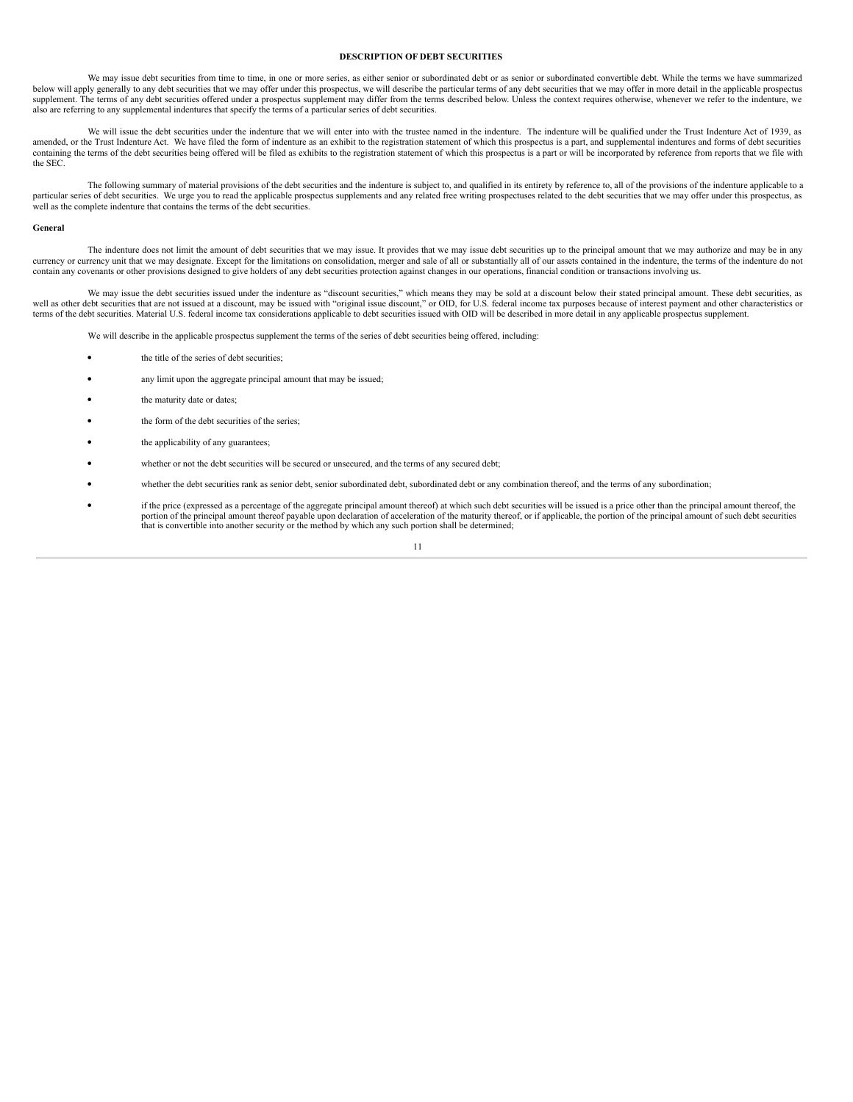## <span id="page-65-0"></span>**DESCRIPTION OF DEBT SECURITIES**

We may issue debt securities from time to time, in one or more series, as either senior or subordinated debt or as senior or subordinated convertible debt. While the terms we have summarized below will apply generally to any debt securities that we may offer under this prospectus, we will describe the particular terms of any debt securities that we may offer in more detail in the applicable prospectus supplement. The terms of any debt securities offered under a prospectus supplement may differ from the terms described below. Unless the context requires otherwise, whenever we refer to the indenture, we also are referring to any supplemental indentures that specify the terms of a particular series of debt securities.

We will issue the debt securities under the indenture that we will enter into with the trustee named in the indenture. The indenture will be qualified under the Trust Indenture Act of 1939, as amended, or the Trust Indenture Act. We have filed the form of indenture as an exhibit to the registration statement of which this prospectus is a part, and supplemental indentures and forms of debt securities containing the terms of the debt securities being offered will be filed as exhibits to the registration statement of which this prospectus is a part or will be incorporated by reference from reports that we file with the SEC.

The following summary of material provisions of the debt securities and the indenture is subject to, and qualified in its entirety by reference to, all of the provisions of the indenture applicable to a particular series of debt securities. We urge you to read the applicable prospectus supplements and any related free writing prospectuses related to the debt securities that we may offer under this prospectus, as well as the complete indenture that contains the terms of the debt securities.

## **General**

The indenture does not limit the amount of debt securities that we may issue. It provides that we may issue debt securities up to the principal amount that we may authorize and may be in any currency or currency unit that we may designate. Except for the limitations on consolidation, merger and sale of all or substantially all of our assets contained in the indenture, the terms of the indenture do not contain any covenants or other provisions designed to give holders of any debt securities protection against changes in our operations, financial condition or transactions involving us.

We may issue the debt securities issued under the indenture as "discount securities," which means they may be sold at a discount below their stated principal amount. These debt securities, as well as other debt securities that are not issued at a discount, may be issued with "original issue discount," or OID, for U.S. federal income tax purposes because of interest payment and other characteristics or terms of the debt securities. Material U.S. federal income tax considerations applicable to debt securities issued with OID will be described in more detail in any applicable prospectus supplement.

We will describe in the applicable prospectus supplement the terms of the series of debt securities being offered, including:

- the title of the series of debt securities;
- any limit upon the aggregate principal amount that may be issued;
- the maturity date or dates;
- the form of the debt securities of the series;
- the applicability of any guarantees:
- whether or not the debt securities will be secured or unsecured, and the terms of any secured debt;
- whether the debt securities rank as senior debt, senior subordinated debt, subordinated debt or any combination thereof, and the terms of any subordination;
- if the price (expressed as <sup>a</sup> percentage of the aggregate principal amount thereof) at which such debt securities will be issued is <sup>a</sup> price other than the principal amount thereof, the portion of the principal amount thereof payable upon declaration of acceleration of the maturity thereof, or if applicable, the portion of the principal amount of such debt securities that is convertible into another secur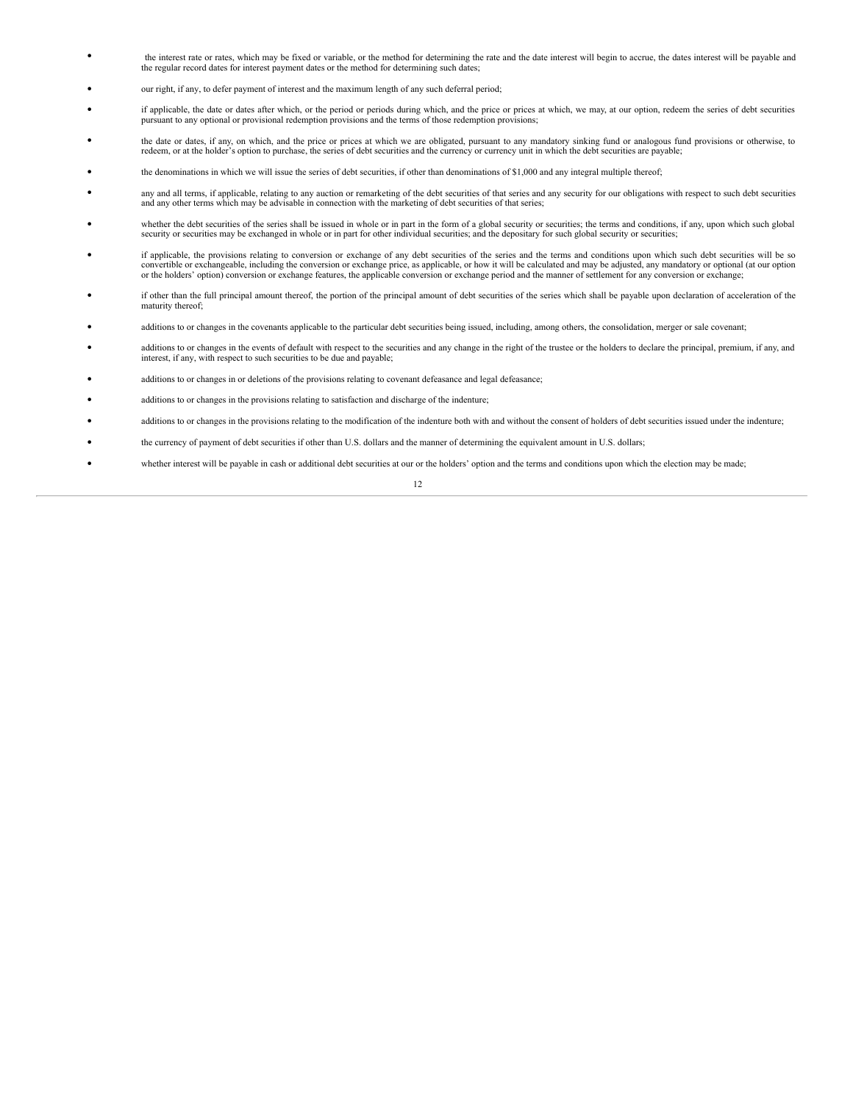- the interest rate or rates, which may be fixed or variable, or the method for determining the rate and the date interest will begin to accrue, the dates interest will be payable and the regular record dates for interest payment dates or the method for determining such dates;
- our right, if any, to defer payment of interest and the maximum length of any such deferral period;
- if applicable, the date or dates after which, or the period or periods during which, and the price or prices at which, we may, at our option, redeem the series of debt securities pursuant to any optional or provisional redemption provisions and the terms of those redemption provisions;
- the date or dates, if any, on which, and the price or prices at which we are obligated, pursuant to any mandatory sinking fund or analogous fund provisions or otherwise, to redeem, or at the holder's option to purchase,
- the denominations in which we will issue the series of debt securities, if other than denominations of \$1,000 and any integral multiple thereof;
- any and all terms, if applicable, relating to any auction or remarketing of the debt securities of that series and any security for our obligations with respect to such debt securities and any other terms which may be ad
- whether the debt securities of the series shall be issued in whole or in part in the form of a global security or securities; the terms and conditions, if any, upon which such global security or securities may be exchanged in whole or in part for other individual securities; and the depositary for such global security or securities;
- if applicable, the provisions relating to conversion or exchange of any debt securities of the series and the terms and conditions upon which such debt securities will be so convertible or exchangeable, including the con
- if other than the full principal amount thereof, the portion of the principal amount of debt securities of the series which shall be payable upon declaration of acceleration of the maturity thereof;
- additions to or changes in the covenants applicable to the particular debt securities being issued, including, among others, the consolidation, merger or sale covenant;
- additions to or changes in the events of default with respect to the securities and any change in the right of the trustee or the holders to declare the principal, premium, if any, and interest, if any, with respect to such securities to be due and payable;
- additions to or changes in or deletions of the provisions relating to covenant defeasance and legal defeasance;
- additions to or changes in the provisions relating to satisfaction and discharge of the indenture;
- additions to or changes in the provisions relating to the modification of the indenture both with and without the consent of holders of debt securities issued under the indenture;
- the currency of payment of debt securities if other than U.S. dollars and the manner of determining the equivalent amount in U.S. dollars;
- whether interest will be payable in cash or additional debt securities at our or the holders' option and the terms and conditions upon which the election may be made;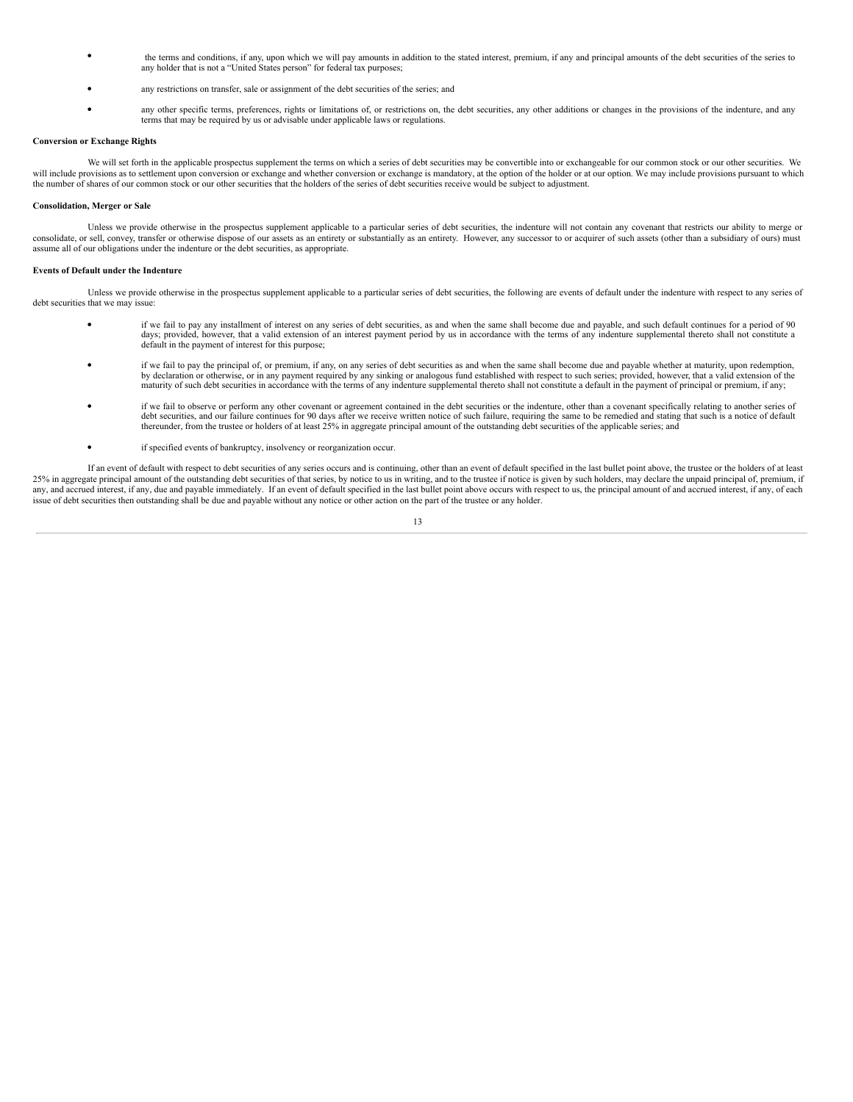- the terms and conditions, if any, upon which we will pay amounts in addition to the stated interest, premium, if any and principal amounts of the debt securities of the series to any holder that is not a "United States person" for federal tax purposes;
- any restrictions on transfer, sale or assignment of the debt securities of the series; and
- any other specific terms, preferences, rights or limitations of, or restrictions on, the debt securities, any other additions or changes in the provisions of the indenture, and any terms that may be required by us or advisable under applicable laws or regulations.

## **Conversion or Exchange Rights**

We will set forth in the applicable prospectus supplement the terms on which a series of debt securities may be convertible into or exchangeable for our common stock or our other securities. We will include provisions as to settlement upon conversion or exchange and whether conversion or exchange is mandatory, at the option of the holder or at our option. We may include provisions pursuant to which the number of shares of our common stock or our other securities that the holders of the series of debt securities receive would be subject to adjustment.

## **Consolidation, Merger or Sale**

Unless we provide otherwise in the prospectus supplement applicable to a particular series of debt securities, the indenture will not contain any covenant that restricts our ability to merge or consolidate, or sell, convey, transfer or otherwise dispose of our assets as an entirety or substantially as an entirety. However, any successor to or acquirer of such assets (other than a subsidiary of ours) must assume all of our obligations under the indenture or the debt securities, as appropriate.

### **Events of Default under the Indenture**

Unless we provide otherwise in the prospectus supplement applicable to a particular series of debt securities, the following are events of default under the indenture with respect to any series of debt securities that we may issue:

- if we fail to pay any installment of interest on any series of debt securities, as and when the same shall become due and payable, and such default continues for <sup>a</sup> period of <sup>90</sup> days; provided, however, that a valid extension of an interest payment period by us in accordance with the terms of any indenture supplemental thereto shall not constitute a default in the payment of interest for this purpose;
- if we fail to pay the principal of, or premium, if any, on any series of debt securities as and when the same shall become due and payable whether at maturity, upon redemption, by declaration or otherwise, or in any payment required by any sinking or analogous fund established with respect to such series; provided, however, that a valid extension of the maturity of such debt securities in accorda
- if we fail to observe or perform any other covenant or agreement contained in the debt securities or the indenture, other than <sup>a</sup> covenant specifically relating to another series of debt securities, and our failure continues for 90 days after we receive written notice of such failure, requiring the same to be remedied and stating that such is a notice of default thereunder, from the trustee or holders
- if specified events of bankruptcy, insolvency or reorganization occur.

If an event of default with respect to debt securities of any series occurs and is continuing, other than an event of default specified in the last bullet point above, the trustee or the holders of at least 25% in aggregate principal amount of the outstanding debt securities of that series, by notice to us in writing, and to the trustee if notice is given by such holders, may declare the unpaid principal of, premium, if<br>any, issue of debt securities then outstanding shall be due and payable without any notice or other action on the part of the trustee or any holder.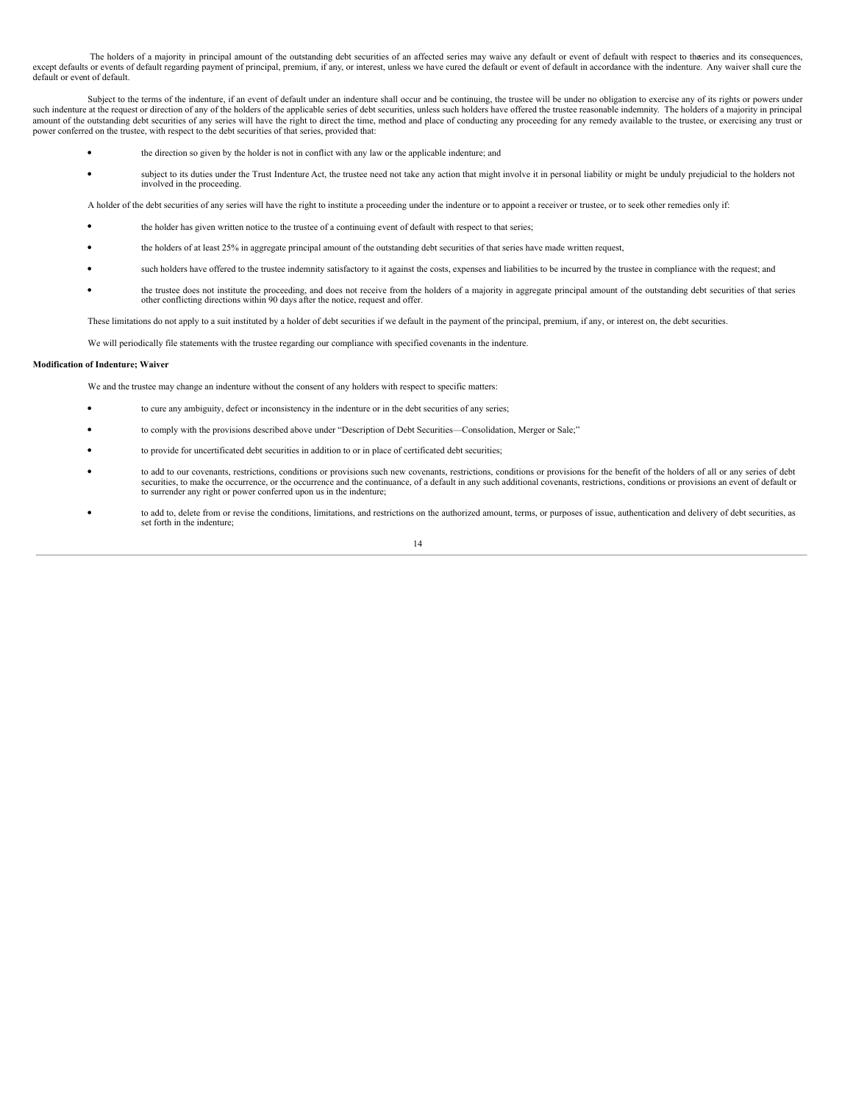The holders of a majority in principal amount of the outstanding debt securities of an affected series may waive any default or event of default with respect to theeries and its consequences, except defaults or events of default regarding payment of principal, premium, if any, or interest, unless we have cured the default or event of default in accordance with the indenture. Any waiver shall cure the default or event of default.

Subject to the terms of the indenture, if an event of default under an indenture shall occur and be continuing, the trustee will be under no obligation to exercise any of its rights or powers under such indenture at the request or direction of any of the holders of the applicable series of debt securities, unless such holders have offered the trustee reasonable indemnity. The holders of a majority in principal amount of the outstanding debt securities of any series will have the right to direct the time, method and place of conducting any proceeding for any remedy available to the trustee, or exercising any trust or power conferred on the trustee, with respect to the debt securities of that series, provided that:

- the direction so given by the holder is not in conflict with any law or the applicable indenture; and
- subject to its duties under the Trust Indenture Act, the trustee need not take any action that might involve it in personal liability or might be unduly prejudicial to the holders not involved in the proceeding.

A holder of the debt securities of any series will have the right to institute a proceeding under the indenture or to appoint a receiver or trustee, or to seek other remedies only if:

- the holder has given written notice to the trustee of a continuing event of default with respect to that series;
- the holders of at least 25% in aggregate principal amount of the outstanding debt securities of that series have made written request,
- such holders have offered to the trustee indemnity satisfactory to it against the costs, expenses and liabilities to be incurred by the trustee in compliance with the request; and
- the trustee does not institute the proceeding, and does not receive from the holders of a majority in aggregate principal amount of the outstanding debt securities of that series other conflicting directions within 90 days after the notice, request and offer.

These limitations do not apply to a suit instituted by a holder of debt securities if we default in the payment of the principal, premium, if any, or interest on, the debt securities.

We will periodically file statements with the trustee regarding our compliance with specified covenants in the indenture.

## **Modification of Indenture; Waiver**

We and the trustee may change an indenture without the consent of any holders with respect to specific matters:

- to cure any ambiguity, defect or inconsistency in the indenture or in the debt securities of any series;
- to comply with the provisions described above under "Description of Debt Securities—Consolidation, Merger or Sale;"
- to provide for uncertificated debt securities in addition to or in place of certificated debt securities;
- to add to our covenants, restrictions, conditions or provisions such new covenants, restrictions, conditions or provisions for the benefit of the holders of all or any series of debt securities, to make the occurrence, or the occurrence and the continuance, of a default in any such additional covenants, restrictions, conditions or provisions an event of default or to surrender any right or power conferred upon us in the indenture;
- to add to, delete from or revise the conditions, limitations, and restrictions on the authorized amount, terms, or purposes of issue, authentication and delivery of debt securities, as set forth in the indenture;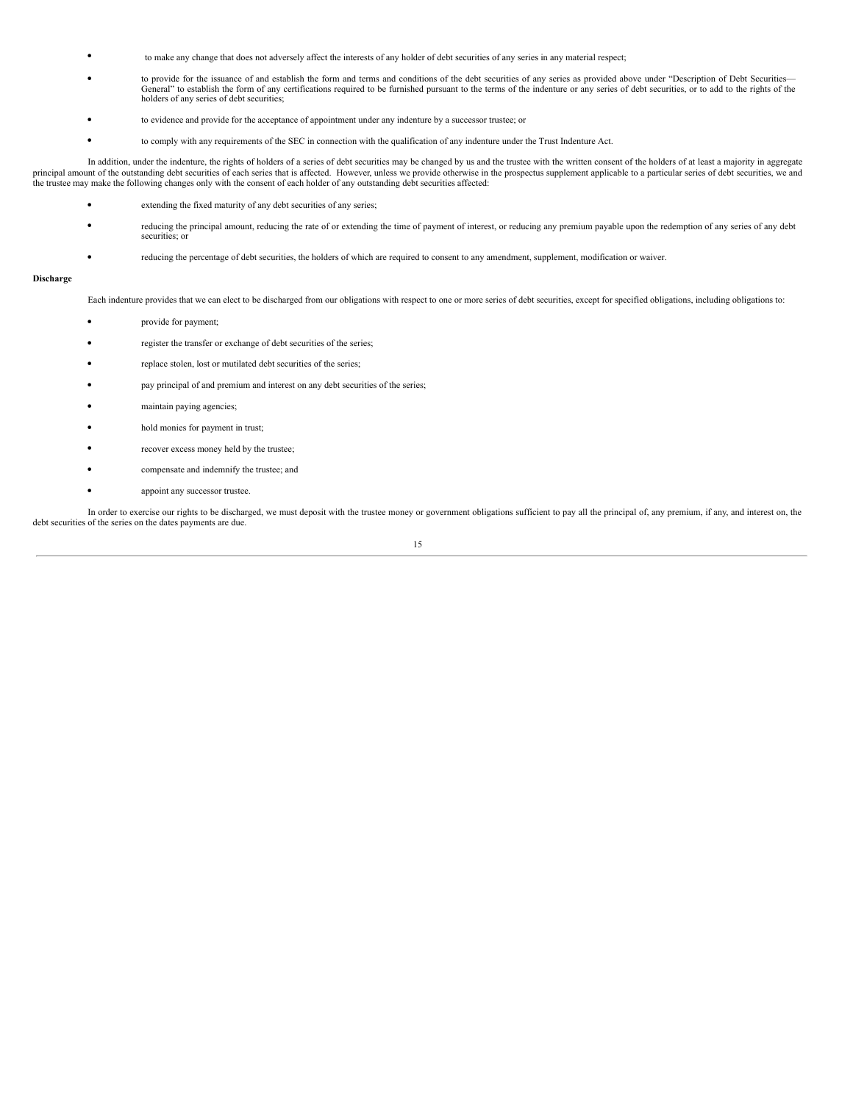- to make any change that does not adversely affect the interests of any holder of debt securities of any series in any material respect;
- to provide for the issuance of and establish the form and terms and conditions of the debt securities of any series as provided above under "Description of Debt Securities—<br>General" to establish the form of any certifica holders of any series of debt securities;
- to evidence and provide for the acceptance of appointment under any indenture by <sup>a</sup> successor trustee; or
	- to comply with any requirements of the SEC in connection with the qualification of any indenture under the Trust Indenture Act.

In addition, under the indenture, the rights of holders of a series of debt securities may be changed by us and the trustee with the written consent of the holders of at least a majority in aggregate principal amount of the outstanding debt securities of each series that is affected. However, unless we provide otherwise in the prospectus supplement applicable to a particular series of debt securities, we and the trustee may make the following changes only with the consent of each holder of any outstanding debt securities affected:

- extending the fixed maturity of any debt securities of any series;
- reducing the principal amount, reducing the rate of or extending the time of payment of interest, or reducing any premium payable upon the redemption of any series of any debt securities; or
- reducing the percentage of debt securities, the holders of which are required to consent to any amendment, supplement, modification or waiver.

## **Discharge**

Each indenture provides that we can elect to be discharged from our obligations with respect to one or more series of debt securities, except for specified obligations, including obligations to:

- provide for payment;
- register the transfer or exchange of debt securities of the series;
- replace stolen, lost or mutilated debt securities of the series;
- pay principal of and premium and interest on any debt securities of the series;
- maintain paying agencies;
- hold monies for payment in trust;
- recover excess money held by the trustee;
- compensate and indemnify the trustee; and
- appoint any successor trustee.

In order to exercise our rights to be discharged, we must deposit with the trustee money or government obligations sufficient to pay all the principal of, any premium, if any, and interest on, the debt securities of the series on the dates payments are due.

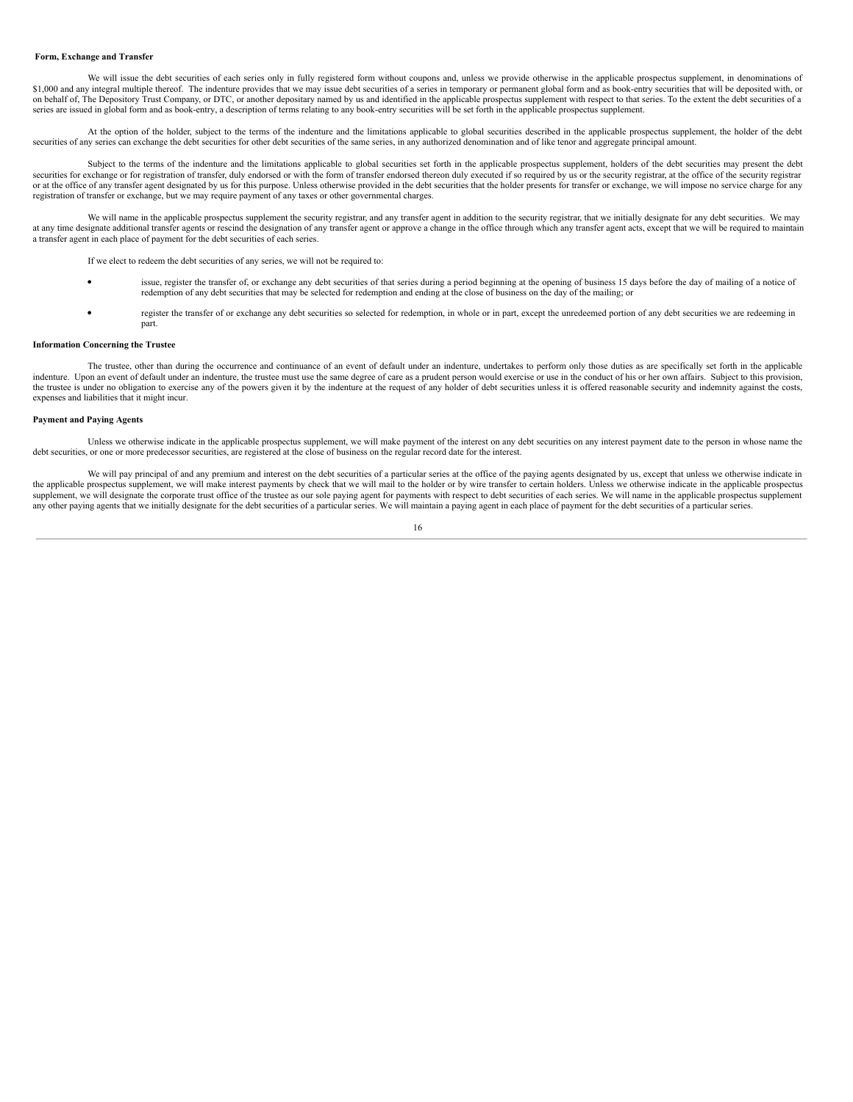#### **Form, Exchange and Transfer**

We will issue the debt securities of each series only in fully registered form without coupons and, unless we provide otherwise in the applicable prospectus supplement, in denominations of \$1,000 and any integral multiple thereof. The indenture provides that we may issue debt securities of a series in temporary or permanent global form and as book-entry securities that will be deposited with, or on behalf of, The Depository Trust Company, or DTC, or another depositary named by us and identified in the applicable prospectus supplement with respect to that series. To the extent the debt securities of a series are issued in global form and as book-entry, a description of terms relating to any book-entry securities will be set forth in the applicable prospectus supplement.

At the option of the holder, subject to the terms of the indenture and the limitations applicable to global securities described in the applicable prospectus supplement, the holder of the debt securities of any series can exchange the debt securities for other debt securities of the same series, in any authorized denomination and of like tenor and aggregate principal amount.

Subject to the terms of the indenture and the limitations applicable to global securities set forth in the applicable prospectus supplement, holders of the debt securities may present the debt securities for exchange or for registration of transfer, duly endorsed or with the form of transfer endorsed thereon duly executed if so required by us or the security registrar, at the office of the security registrar or at the office of any transfer agent designated by us for this purpose. Unless otherwise provided in the debt securities that the holder presents for transfer or exchange, we will impose no service charge for any registration of transfer or exchange, but we may require payment of any taxes or other governmental charges.

We will name in the applicable prospectus supplement the security registrar, and any transfer agent in addition to the security registrar, that we initially designate for any debt securities. We may at any time designate additional transfer agents or rescind the designation of any transfer agent or approve a change in the office through which any transfer agent acts, except that we will be required to maintain a transfer agent in each place of payment for the debt securities of each series.

If we elect to redeem the debt securities of any series, we will not be required to:

- issue, register the transfer of, or exchange any debt securities of that series during a period beginning at the opening of business 15 days before the day of mailing of a notice of redemption of any debt securities that may be selected for redemption and ending at the close of business on the day of the mailing; or
- register the transfer of or exchange any debt securities so selected for redemption, in whole or in part, except the unredeemed portion of any debt securities we are redeeming in part.

### **Information Concerning the Trustee**

The trustee, other than during the occurrence and continuance of an event of default under an indenture, undertakes to perform only those duties as are specifically set forth in the applicable indenture. Upon an event of default under an indenture, the trustee must use the same degree of care as a prudent person would exercise or use in the conduct of his or her own affairs. Subject to this provision, the trustee is under no obligation to exercise any of the powers given it by the indenture at the request of any holder of debt securities unless it is offered reasonable security and indemnity against the costs, expenses and liabilities that it might incur.

## **Payment and Paying Agents**

Unless we otherwise indicate in the applicable prospectus supplement, we will make payment of the interest on any debt securities on any interest payment date to the person in whose name the debt securities, or one or more predecessor securities, are registered at the close of business on the regular record date for the interest.

We will pay principal of and any premium and interest on the debt securities of a particular series at the office of the paying agents designated by us, except that unless we otherwise indicate in the applicable prospectus supplement, we will make interest payments by check that we will mail to the holder or by wire transfer to certain holders. Unless we otherwise indicate in the applicable prospectus supplement, we will designate the corporate trust office of the trustee as our sole paying agent for payments with respect to debt securities of each series. We will name in the applicable prospectus supplement any other paying agents that we initially designate for the debt securities of a particular series. We will maintain a paying agent in each place of payment for the debt securities of a particular series.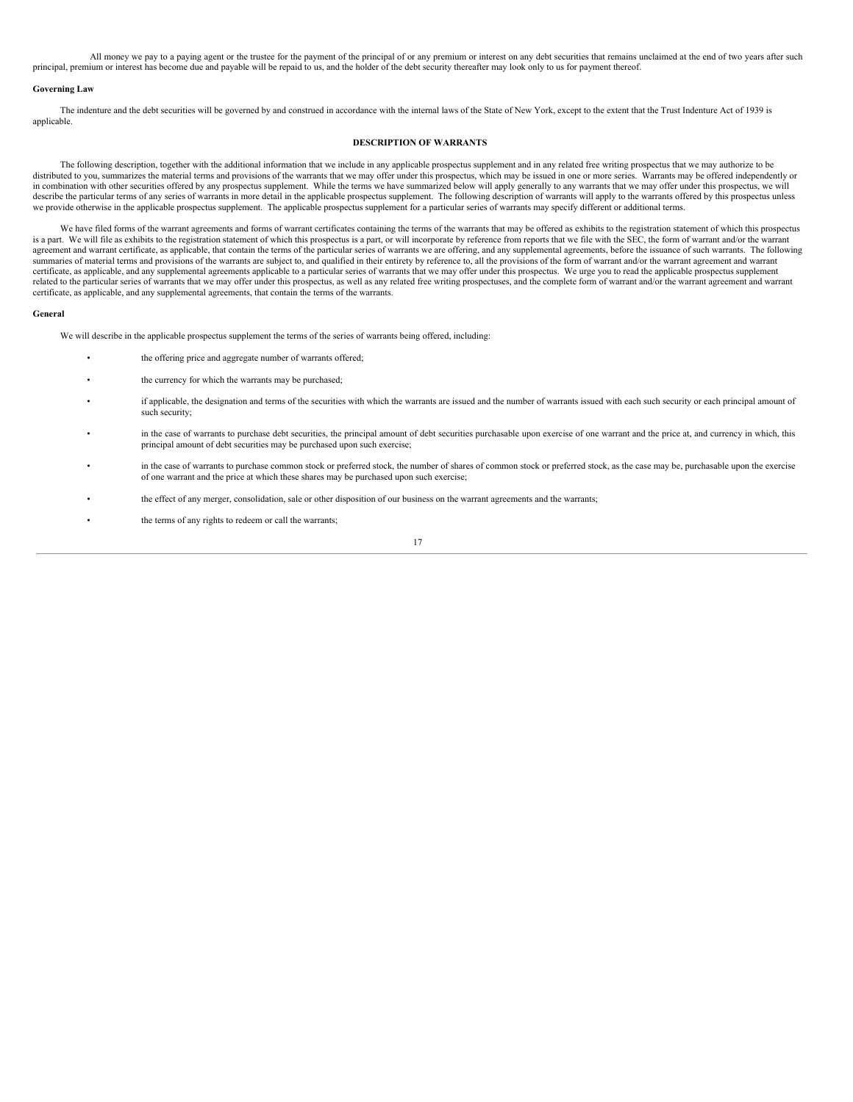All money we pay to a paying agent or the trustee for the payment of the principal of or any premium or interest on any debt securities that remains unclaimed at the end of two years after such principal, premium or interest has become due and payable will be repaid to us, and the holder of the debt security thereafter may look only to us for payment thereof.

### **Governing Law**

The indenture and the debt securities will be governed by and construed in accordance with the internal laws of the State of New York, except to the extent that the Trust Indenture Act of 1939 is applicable.

### <span id="page-71-0"></span>**DESCRIPTION OF WARRANTS**

The following description, together with the additional information that we include in any applicable prospectus supplement and in any related free writing prospectus that we may authorize to be distributed to you, summarizes the material terms and provisions of the warrants that we may offer under this prospectus, which may be issued in one or more series. Warrants may be offered independently or in combination with other securities offered by any prospectus supplement. While the terms we have summarized below will apply generally to any warrants that we may offer under this prospectus, we will describe the particular terms of any series of warrants in more detail in the applicable prospectus supplement. The following description of warrants will apply to the warrants offered by this prospectus unless we provide otherwise in the applicable prospectus supplement. The applicable prospectus supplement for a particular series of warrants may specify different or additional terms.

We have filed forms of the warrant agreements and forms of warrant certificates containing the terms of the warrants that may be offered as exhibits to the registration statement of which this prospectus is a part. We will file as exhibits to the registration statement of which this prospectus is a part, or will incorporate by reference from reports that we file with the SEC, the form of warrant and/or the warrant agreement and warrant certificate, as applicable, that contain the terms of the particular series of warrants we are offering, and any supplemental agreements, before the issuance of such warrants. The following summaries of material terms and provisions of the warrants are subject to, and qualified in their entirety by reference to, all the provisions of the form of warrant and/or the warrant agreement and warrant certificate, as applicable, and any supplemental agreements applicable to a particular series of warrants that we may offer under this prospectus. We urge you to read the applicable prospectus supplement related to the particular series of warrants that we may offer under this prospectus, as well as any related free writing prospectuses, and the complete form of warrant and/or the warrant agreement and warrant certificate, as applicable, and any supplemental agreements, that contain the terms of the warrants.

#### **General**

We will describe in the applicable prospectus supplement the terms of the series of warrants being offered, including:

- the offering price and aggregate number of warrants offered;
- the currency for which the warrants may be purchased;
- if applicable, the designation and terms of the securities with which the warrants are issued and the number of warrants issued with each such security or each principal amount of such security;
- in the case of warrants to purchase debt securities, the principal amount of debt securities purchasable upon exercise of one warrant and the price at, and currency in which, this principal amount of debt securities may be purchased upon such exercise;
- in the case of warrants to purchase common stock or preferred stock, the number of shares of common stock or preferred stock, as the case may be, purchasable upon the exercise of one warrant and the price at which these shares may be purchased upon such exercise;
- the effect of any merger, consolidation, sale or other disposition of our business on the warrant agreements and the warrants;
- the terms of any rights to redeem or call the warrants;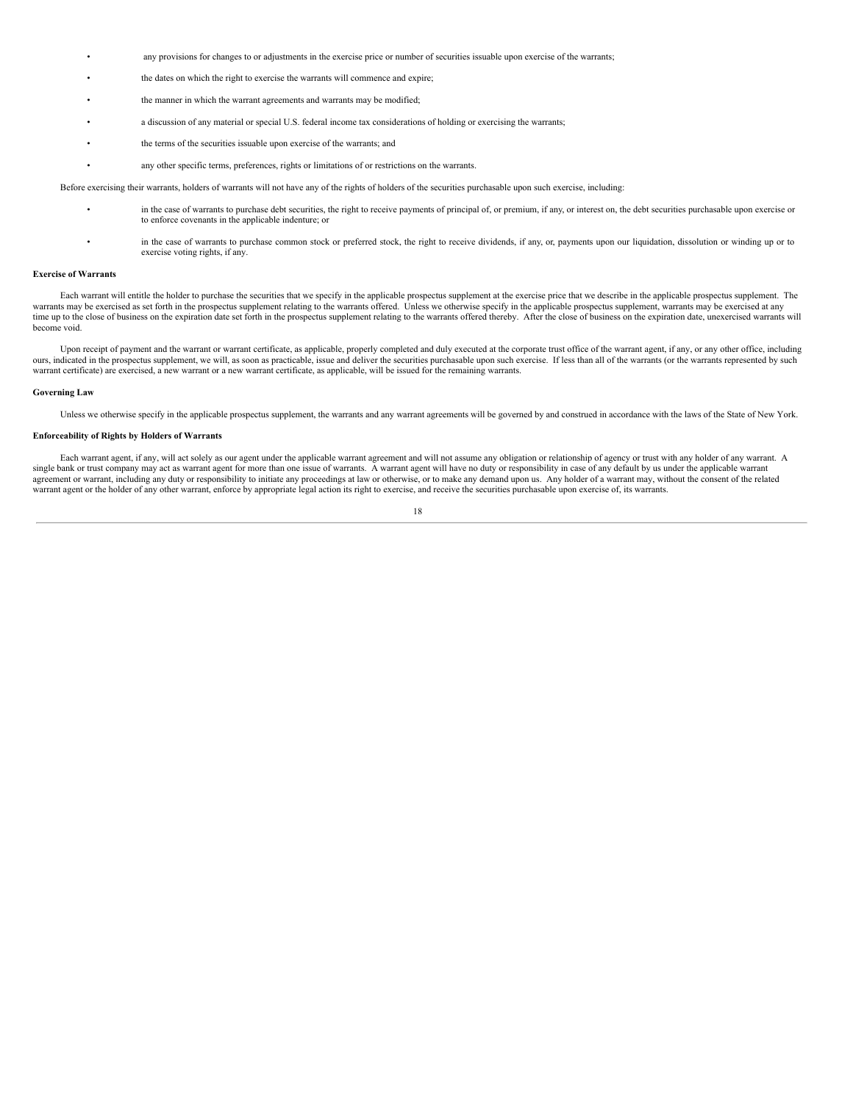- any provisions for changes to or adjustments in the exercise price or number of securities issuable upon exercise of the warrants;
- the dates on which the right to exercise the warrants will commence and expire;
- the manner in which the warrant agreements and warrants may be modified:
- a discussion of any material or special U.S. federal income tax considerations of holding or exercising the warrants;
- the terms of the securities issuable upon exercise of the warrants; and
- any other specific terms, preferences, rights or limitations of or restrictions on the warrants.

Before exercising their warrants, holders of warrants will not have any of the rights of holders of the securities purchasable upon such exercise, including:

- in the case of warrants to purchase debt securities, the right to receive payments of principal of, or premium, if any, or interest on, the debt securities purchasable upon exercise or to enforce covenants in the applicable indenture; or
- in the case of warrants to purchase common stock or preferred stock, the right to receive dividends, if any, or, payments upon our liquidation, dissolution or winding up or to exercise voting rights, if any.

#### **Exercise of Warrants**

Each warrant will entitle the holder to purchase the securities that we specify in the applicable prospectus supplement at the exercise price that we describe in the applicable prospectus supplement. The warrants may be exercised as set forth in the prospectus supplement relating to the warrants offered. Unless we otherwise specify in the applicable prospectus supplement, warrants may be exercised at any<br>time up to the clo become void.

Upon receipt of payment and the warrant or warrant certificate, as applicable, properly completed and duly executed at the corporate trust office of the warrant agent, if any, or any other office, including ours, indicated in the prospectus supplement, we will, as soon as practicable, issue and deliver the securities purchasable upon such exercise. If less than all of the warrants (or the warrants represented by such warrant certificate) are exercised, a new warrant or a new warrant certificate, as applicable, will be issued for the remaining warrants.

#### **Governing Law**

Unless we otherwise specify in the applicable prospectus supplement, the warrants and any warrant agreements will be governed by and construed in accordance with the laws of the State of New York.

#### **Enforceability of Rights by Holders of Warrants**

Each warrant agent, if any, will act solely as our agent under the applicable warrant agreement and will not assume any obligation or relationship of agency or trust with any holder of any warrant. A single bank or trust company may act as warrant agent for more than one issue of warrants. A warrant agent will have no duty or responsibility in case of any default by us under the applicable warrant agreement or warrant, including any duty or responsibility to initiate any proceedings at law or otherwise, or to make any demand upon us. Any holder of a warrant may, without the consent of the related warrant agent or the holder of any other warrant, enforce by appropriate legal action its right to exercise, and receive the securities purchasable upon exercise of, its warrants.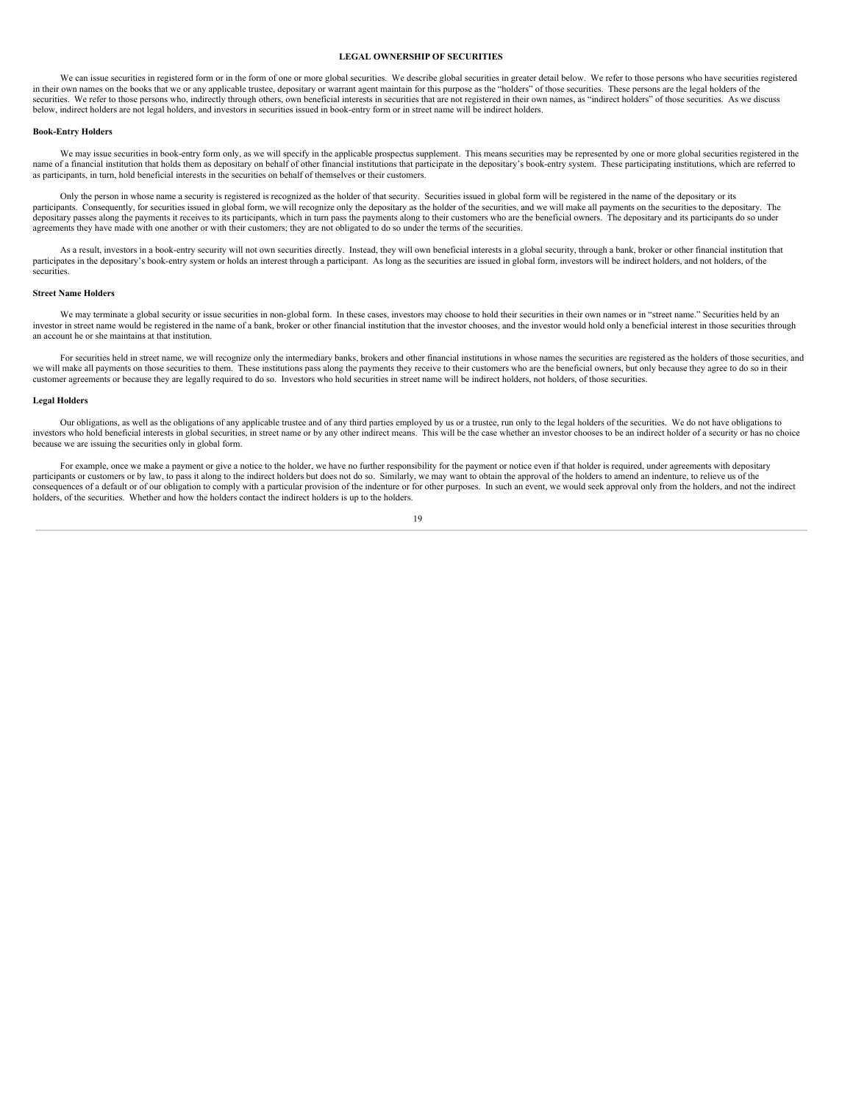#### **LEGAL OWNERSHIP OF SECURITIES**

We can issue securities in registered form or in the form of one or more global securities. We describe global securities in greater detail below. We refer to those persons who have securities registered in their own names on the books that we or any applicable trustee, depositary or warrant agent maintain for this purpose as the "holders" of those securities. These persons are the legal holders of the securities. We refer to those persons who, indirectly through others, own beneficial interests in securities that are not registered in their own names, as "indirect holders" of those securities. As we discuss below, indirect holders are not legal holders, and investors in securities issued in book-entry form or in street name will be indirect holders.

#### **Book-Entry Holders**

We may issue securities in book-entry form only, as we will specify in the applicable prospectus supplement. This means securities may be represented by one or more global securities registered in the name of a financial institution that holds them as depositary on behalf of other financial institutions that participate in the depositary's book-entry system. These participating institutions, which are referred to as participants, in turn, hold beneficial interests in the securities on behalf of themselves or their customers.

Only the person in whose name a security is registered is recognized as the holder of that security. Securities issued in global form will be registered in the name of the depositary or its participants. Consequently, for securities issued in global form, we will recognize only the depositary as the holder of the securities, and we will make all payments on the securities to the depositary. The participants. depositary passes along the payments it receives to its participants, which in turn pass the payments along to their customers who are the beneficial owners. The depositary and its participants do so under agreements they have made with one another or with their customers; they are not obligated to do so under the terms of the securities.

As a result, investors in a book-entry security will not own securities directly. Instead, they will own beneficial interests in a global security, through a bank, broker or other financial institution that participates in the depositary's book-entry system or holds an interest through a participant. As long as the securities are issued in global form, investors will be indirect holders, and not holders, of the securities.

#### **Street Name Holders**

We may terminate a global security or issue securities in non-global form. In these cases, investors may choose to hold their securities in their own names or in "street name." Securities held by an investor in street name would be registered in the name of a bank, broker or other financial institution that the investor chooses, and the investor would hold only a beneficial interest in those securities through an account he or she maintains at that institution.

For securities held in street name, we will recognize only the intermediary banks, brokers and other financial institutions in whose names the securities are registered as the holders of those securities, and we will make all payments on those securities to them. These institutions pass along the payments they receive to their customers who are the beneficial owners, but only because they agree to do so in their customer agreements or because they are legally required to do so. Investors who hold securities in street name will be indirect holders, not holders, of those securities.

### **Legal Holders**

Our obligations, as well as the obligations of any applicable trustee and of any third parties employed by us or a trustee, run only to the legal holders of the securities. We do not have obligations to investors who hold beneficial interests in global securities, in street name or by any other indirect means. This will be the case whether an investor chooses to be an indirect holder of a security or has no choice because we are issuing the securities only in global form.

For example, once we make a payment or give a notice to the holder, we have no further responsibility for the payment or notice even if that holder is required, under agreements with depositary participants or customers or by law, to pass it along to the indirect holders but does not do so. Similarly, we may want to obtain the approval of the holders to amend an indenture, to relieve us of the consequences of a default or of our obligation to comply with a particular provision of the indenture or for other purposes. In such an event, we would seek approval only from the holders, and not the indirect holders, of the securities. Whether and how the holders contact the indirect holders is up to the holders.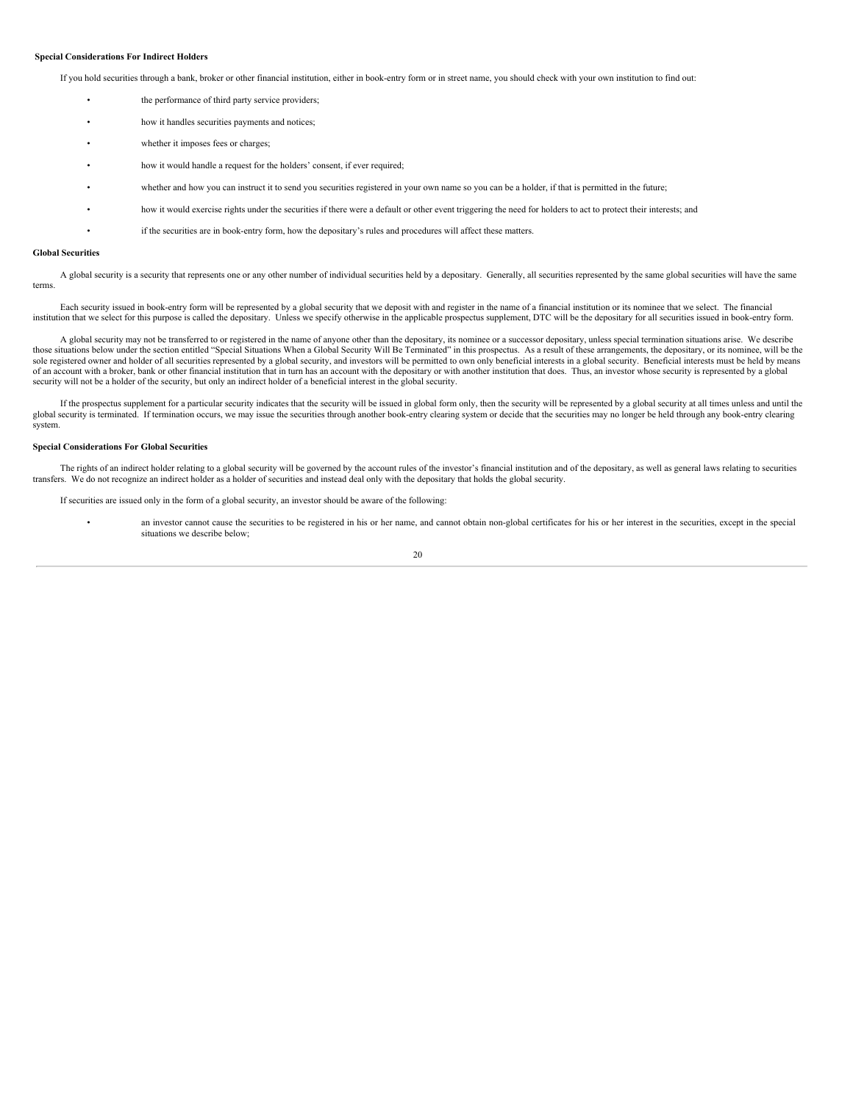#### **Special Considerations For Indirect Holders**

If you hold securities through a bank, broker or other financial institution, either in book-entry form or in street name, you should check with your own institution to find out:

- the performance of third party service providers:
- how it handles securities payments and notices;
- whether it imposes fees or charges;
- how it would handle a request for the holders' consent, if ever required;
- whether and how you can instruct it to send you securities registered in your own name so you can be a holder, if that is permitted in the future;
- how it would exercise rights under the securities if there were a default or other event triggering the need for holders to act to protect their interests; and
	- if the securities are in book-entry form, how the depositary's rules and procedures will affect these matters.

#### **Global Securities**

A global security is a security that represents one or any other number of individual securities held by a depositary. Generally, all securities represented by the same global securities will have the same terms.

Each security issued in book-entry form will be represented by a global security that we deposit with and register in the name of a financial institution or its nominee that we select. The financial institution that we select for this purpose is called the depositary. Unless we specify otherwise in the applicable prospectus supplement, DTC will be the depositary for all securities issued in book-entry form.

A global security may not be transferred to or registered in the name of anyone other than the depositary, its nominee or a successor depositary, unless special termination situations arise. We describe those situations below under the section entitled "Special Situations When a Global Security Will Be Terminated" in this prospectus. As a result of these arrangements, the depositary, or its nominee, will be the sole registered owner and holder of all securities represented by a global security, and investors will be permitted to own only beneficial interests in a global security. Beneficial interests must be held by means of an account with a broker, bank or other financial institution that in turn has an account with the depositary or with another institution that does. Thus, an investor whose security is represented by a global security will not be a holder of the security, but only an indirect holder of a beneficial interest in the global security.

If the prospectus supplement for a particular security indicates that the security will be issued in global form only, then the security will be represented by a global security at all times unless and until the global security is terminated. If termination occurs, we may issue the securities through another book-entry clearing system or decide that the securities may no longer be held through any book-entry clearing system.

#### **Special Considerations For Global Securities**

The rights of an indirect holder relating to a global security will be governed by the account rules of the investor's financial institution and of the depositary, as well as general laws relating to securities transfers. We do not recognize an indirect holder as a holder of securities and instead deal only with the depositary that holds the global security.

If securities are issued only in the form of a global security, an investor should be aware of the following:

an investor cannot cause the securities to be registered in his or her name, and cannot obtain non-global certificates for his or her interest in the securities, except in the special situations we describe below;

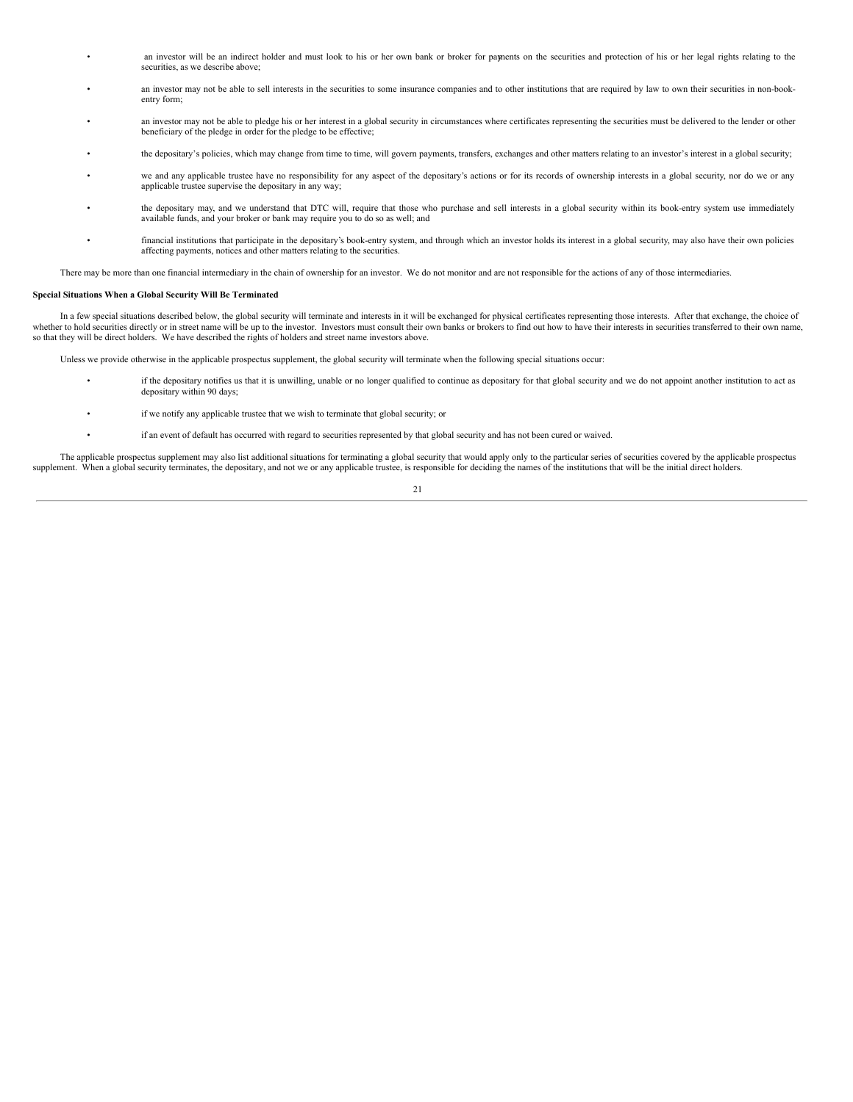- an investor will be an indirect holder and must look to his or her own bank or broker for paments on the securities and protection of his or her legal rights relating to the securities, as we describe above;
- an investor may not be able to sell interests in the securities to some insurance companies and to other institutions that are required by law to own their securities in non-bookentry form;
- an investor may not be able to pledge his or her interest in a global security in circumstances where certificates representing the securities must be delivered to the lender or other beneficiary of the pledge in order for the pledge to be effective;
- the depositary's policies, which may change from time to time, will govern payments, transfers, exchanges and other matters relating to an investor's interest in a global security;
- we and any applicable trustee have no responsibility for any aspect of the depositary's actions or for its records of ownership interests in a global security, nor do we or any applicable trustee supervise the depositary in any way;
- the depositary may, and we understand that DTC will, require that those who purchase and sell interests in a global security within its book-entry system use immediately available funds, and your broker or bank may require you to do so as well; and
	- financial institutions that participate in the depositary's book-entry system, and through which an investor holds its interest in a global security, may also have their own policies affecting payments, notices and other matters relating to the securities.

There may be more than one financial intermediary in the chain of ownership for an investor. We do not monitor and are not responsible for the actions of any of those intermediaries.

#### **Special Situations When a Global Security Will Be Terminated**

In a few special situations described below, the global security will terminate and interests in it will be exchanged for physical certificates representing those interests. After that exchange, the choice of whether to hold securities directly or in street name will be up to the investor. Investors must consult their own banks or brokers to find out how to have their interests in securities transferred to their own name, so that they will be direct holders. We have described the rights of holders and street name investors above.

Unless we provide otherwise in the applicable prospectus supplement, the global security will terminate when the following special situations occur:

- if the depositary notifies us that it is unwilling, unable or no longer qualified to continue as depositary for that global security and we do not appoint another institution to act as depositary within 90 days;
	- if we notify any applicable trustee that we wish to terminate that global security; or
		- if an event of default has occurred with regard to securities represented by that global security and has not been cured or waived.

The applicable prospectus supplement may also list additional situations for terminating a global security that would apply only to the particular series of securities covered by the applicable prospectus supplement. When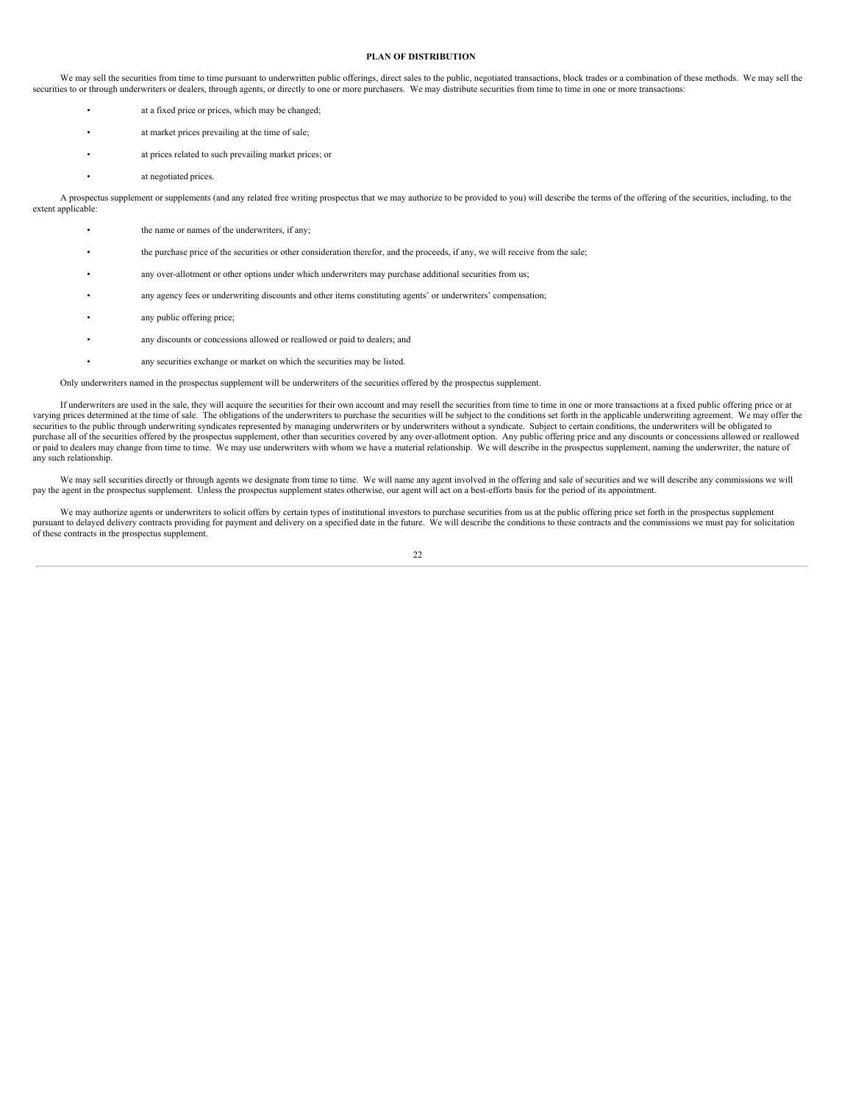#### **PLAN OF DISTRIBUTION**

We may sell the securities from time to time pursuant to underwritten public offerings, direct sales to the public, negotiated transactions, block trades or a combination of these methods. We may sell the securities to or through underwriters or dealers, through agents, or directly to one or more purchasers. We may distribute securities from time to time in one or more transactions:

- at a fixed price or prices, which may be changed;
- at market prices prevailing at the time of sale;
- at prices related to such prevailing market prices; or
- at negotiated prices.

A prospectus supplement or supplements (and any related free writing prospectus that we may authorize to be provided to you) will describe the terms of the offering of the securities, including, to the extent applicable:

- the name or names of the underwriters, if any;
- the purchase price of the securities or other consideration therefor, and the proceeds, if any, we will receive from the sale;
- any over-allotment or other options under which underwriters may purchase additional securities from us;
- any agency fees or underwriting discounts and other items constituting agents' or underwriters' compensation;
- any public offering price;
- any discounts or concessions allowed or reallowed or paid to dealers; and
- any securities exchange or market on which the securities may be listed.

Only underwriters named in the prospectus supplement will be underwriters of the securities offered by the prospectus supplement.

If underwriters are used in the sale, they will acquire the securities for their own account and may resell the securities from time to time in one or more transactions at a fixed public offering price or at varying prices determined at the time of sale. The obligations of the underwriters to purchase the securities will be subject to the conditions set forth in the applicable underwriting agreement. We may offer the securities to the public through underwriting syndicates represented by managing underwriters or by underwriters without a syndicate. Subject to certain conditions, the underwriters will be obligated to purchase all of the securities offered by the prospectus supplement, other than securities covered by any over-allotment option. Any public offering price and any discounts or concessions allowed or reallowed or paid to dealers may change from time to time. We may use underwriters with whom we have a material relationship. We will describe in the prospectus supplement, naming the underwriter, the nature of any such relationship.

We may sell securities directly or through agents we designate from time to time. We will name any agent involved in the offering and sale of securities and we will describe any commissions we will pay the agent in the prospectus supplement. Unless the prospectus supplement states otherwise, our agent will act on a best-efforts basis for the period of its appointment.

We may authorize agents or underwriters to solicit offers by certain types of institutional investors to purchase securities from us at the public offering price set forth in the prospectus supplement pursuant to delayed delivery contracts providing for payment and delivery on a specified date in the future. We will describe the conditions to these contracts and the commissions we must pay for solicitation of these contracts in the prospectus supplement.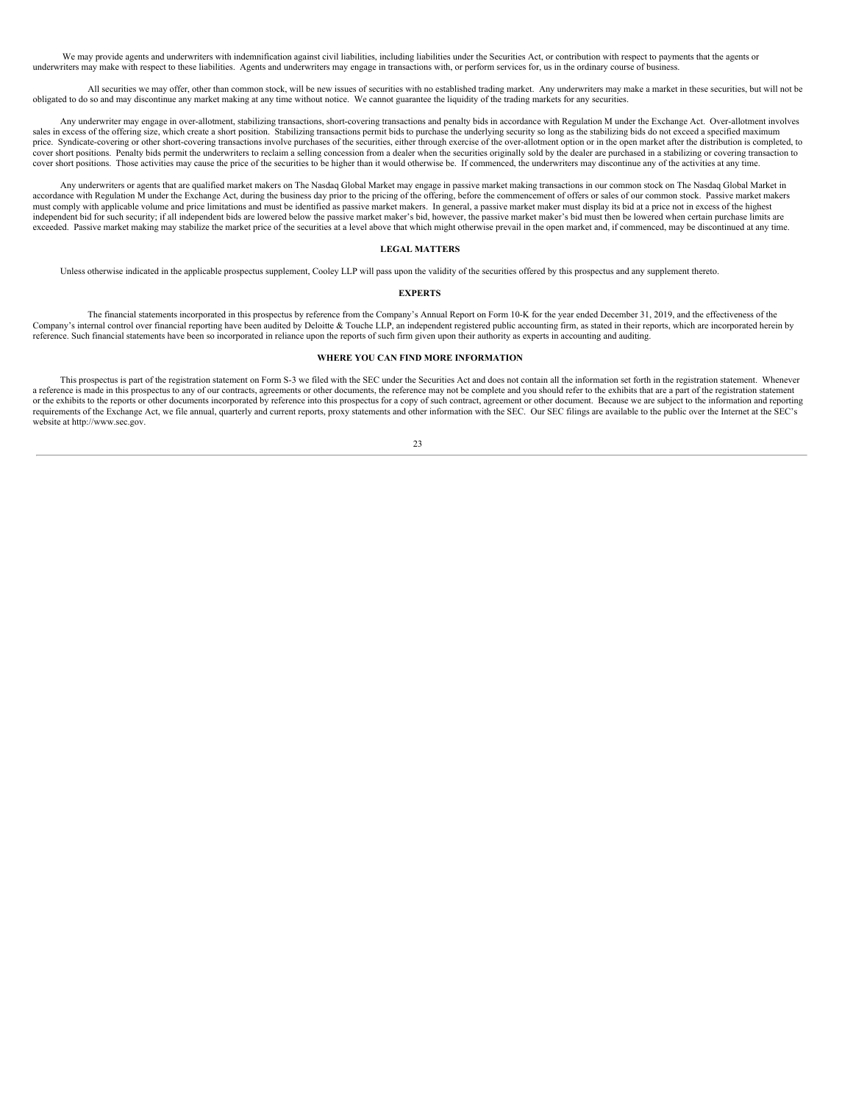We may provide agents and underwriters with indemnification against civil liabilities, including liabilities under the Securities Act, or contribution with respect to payments that the agents or underwriters may make with respect to these liabilities. Agents and underwriters may engage in transactions with, or perform services for, us in the ordinary course of business.

All securities we may offer, other than common stock, will be new issues of securities with no established trading market. Any underwriters may make a market in these securities, but will not be obligated to do so and may discontinue any market making at any time without notice. We cannot guarantee the liquidity of the trading markets for any securities.

Any underwriter may engage in over-allotment, stabilizing transactions, short-covering transactions and penalty bids in accordance with Regulation M under the Exchange Act. Over-allotment involves sales in excess of the offering size, which create a short position. Stabilizing transactions permit bids to purchase the underlying security so long as the stabilizing bids do not exceed a specified maximum price. Syndicate-covering or other short-covering transactions involve purchases of the securities, either through exercise of the over-allotment option or in the open market after the distribution is completed, to cover short positions. Penalty bids permit the underwriters to reclaim a selling concession from a dealer when the securities originally sold by the dealer are purchased in a stabilizing or covering transaction to cover short positions. Those activities may cause the price of the securities to be higher than it would otherwise be. If commenced, the underwriters may discontinue any of the activities at any time.

Any underwriters or agents that are qualified market makers on The Nasdaq Global Market may engage in passive market making transactions in our common stock on The Nasdaq Global Market in accordance with Regulation M under the Exchange Act, during the business day prior to the pricing of the offering, before the commencement of offers or sales of our common stock. Passive market makers must comply with applicable volume and price limitations and must be identified as passive market makers. In general, a passive market maker must display its bid at a price not in excess of the highest matter of the highes independent bid for such security; if all independent bids are lowered below the passive market maker's bid, however, the passive market maker's bid must then be lowered when certain purchase limits are exceeded. Passive market making may stabilize the market price of the securities at a level above that which might otherwise prevail in the open market and, if commenced, may be discontinued at any time.

#### **LEGAL MATTERS**

Unless otherwise indicated in the applicable prospectus supplement, Cooley LLP will pass upon the validity of the securities offered by this prospectus and any supplement thereto.

#### **EXPERTS**

The financial statements incorporated in this prospectus by reference from the Company's Annual Report on Form 10-K for the year ended December 31, 2019, and the effectiveness of the Company's internal control over financial reporting have been audited by Deloitte & Touche LLP, an independent registered public accounting firm, as stated in their reports, which are incorporated herein by reference. Such financial statements have been so incorporated in reliance upon the reports of such firm given upon their authority as experts in accounting and auditing.

### **WHERE YOU CAN FIND MORE INFORMATION**

This prospectus is part of the registration statement on Form S-3 we filed with the SEC under the Securities Act and does not contain all the information set forth in the registration statement. Whenever a reference is made in this prospectus to any of our contracts, agreements or other documents, the reference may not be complete and you should refer to the exhibits that are a part of the registration statement or the exhibits to the reports or other documents incorporated by reference into this prospectus for a copy of such contract, agreement or other document. Because we are subject to the information and reporting requirements of the Exchange Act, we file annual, quarterly and current reports, proxy statements and other information with the SEC. Our SEC filings are available to the public over the Internet at the SEC's website at http://www.sec.gov.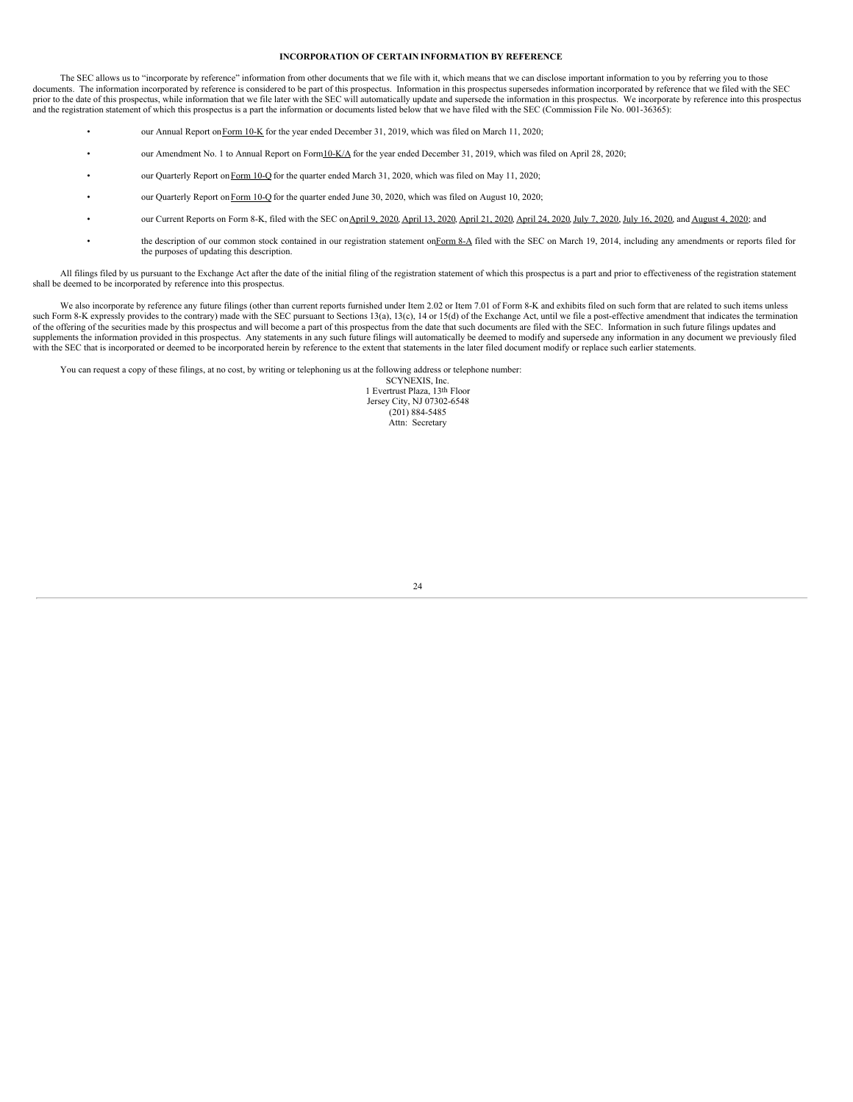#### **INCORPORATION OF CERTAIN INFORMATION BY REFERENCE**

The SEC allows us to "incorporate by reference" information from other documents that we file with it, which means that we can disclose important information to you by referring you to those documents. The information incorporated by reference is considered to be part of this prospectus. Information in this prospectus supersedes information incorporated by reference that we filed with the SEC prior to the date of this prospectus, while information that we file later with the SEC will automatically update and supersede the information in this prospectus. We incorporate by reference into this prospectus and the registration statement of which this prospectus is a part the information or documents listed below that we have filed with the SEC (Commission File No. 001-36365):

- our Annual Report on Form 10-K for the year ended December 31, 2019, which was filed on March 11, 2020;
- our Amendment No. 1 to Annual Report on For[m10-K/A](http://www.sec.gov/Archives/edgar/data/1178253/000156459020019188/scyx-10ka_20191231.htm) for the year ended December 31, 2019, which was filed on April 28, 2020;
- our Quarterly Report on [Form](http://www.sec.gov/Archives/edgar/data/1178253/000156459020023868/scyx-10q_20200331.htm) 10-Q for the quarter ended March 31, 2020, which was filed on May 11, 2020;
- our Quarterly Report on [Form](https://www.sec.gov/ix?doc=/Archives/edgar/data/1178253/000156459020038629/scyx-10q_20200630.htm) 10-Q for the quarter ended June 30, 2020, which was filed on August 10, 2020;
- our Current Reports on Form 8-K, filed with the SEC on [April](http://www.sec.gov/Archives/edgar/data/1178253/000156459020018514/scyx-8k_20200421.htm) 9, [2020](http://www.sec.gov/Archives/edgar/data/1178253/000156459020032489/scyx-8k_20200716.htm), April 13, 2020, April 21, 2020, April 24, 2020, July 7, 2020, July 16, 2020, and [August](http://www.sec.gov/Archives/edgar/data/1178253/000156459020035769/scyx-8k_20200803.htm) 4, 2020; and
- the description of our common stock contained in our registration statement o[nForm](http://www.sec.gov/Archives/edgar/data/1178253/000119312514106556/d695245d8a12b.htm) 8-A filed with the SEC on March 19, 2014, including any amendments or reports filed for the purposes of updating this description.

All filings filed by us pursuant to the Exchange Act after the date of the initial filing of the registration statement of which this prospectus is a part and prior to effectiveness of the registration statement shall be deemed to be incorporated by reference into this prospectus.

We also incorporate by reference any future filings (other than current reports furnished under Item 2.02 or Item 7.01 of Form 8-K and exhibits filed on such form that are related to such items unless such Form 8-K expressly provides to the contrary) made with the SEC pursuant to Sections 13(a), 13(c), 14 or 15(d) of the Exchange Act, until we file a post-effective amendment that indicates the termination of the offering of the securities made by this prospectus and will become a part of this prospectus from the date that such documents are filed with the SEC. Information in such future filings updates and supplements the information provided in this prospectus. Any statements in any such future filings will automatically be deemed to modify and supersede any information in any document we previously filed with the SEC that is incorporated or deemed to be incorporated herein by reference to the extent that statements in the later filed document modify or replace such earlier statements.

You can request a copy of these filings, at no cost, by writing or telephoning us at the following address or telephone number:

SCYNEXIS, Inc. 1 Evertrust Plaza, 13th Floor Jersey City, NJ 07302-6548  $(201) 884 - 5485$ Attn: Secretary